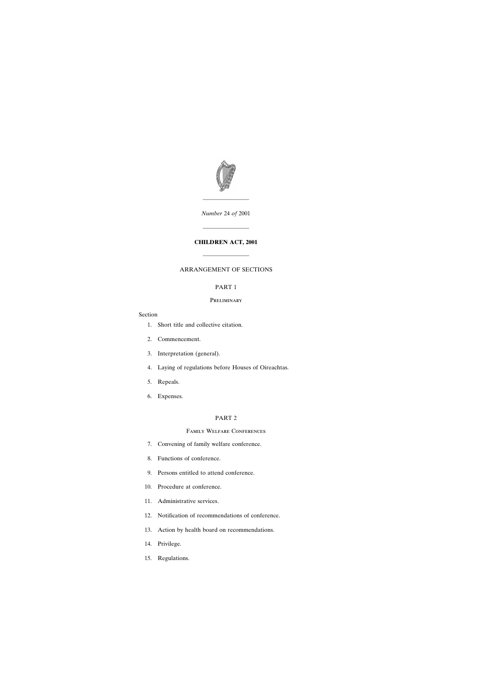

*Number* 24 *of* 2001

————————

# **CHILDREN ACT, 2001**

————————

————————

# ARRANGEMENT OF SECTIONS

# PART 1

### **PRELIMINARY**

#### Section

- [1. Short title and collective citation.](#page-14-0)
- [2. Commencement.](#page-14-0)
- [3. Interpretation \(general\).](#page-15-0)
- [4. Laying of regulations before Houses of Oireachtas.](#page-17-0)
- [5. Repeals.](#page-17-0)
- [6. Expenses.](#page-18-0)

# PART 2

# Family Welfare Conferences

- [7. Convening of family welfare conference.](#page-18-0)
- [8. Functions of conference.](#page-18-0)
- [9. Persons entitled to attend conference.](#page-19-0)
- [10. Procedure at conference.](#page-19-0)
- [11. Administrative services.](#page-20-0)
- [12. Notification of recommendations of conference.](#page-20-0)
- [13. Action by health board on recommendations.](#page-20-0)
- [14. Privilege.](#page-20-0)
- [15. Regulations.](#page-20-0)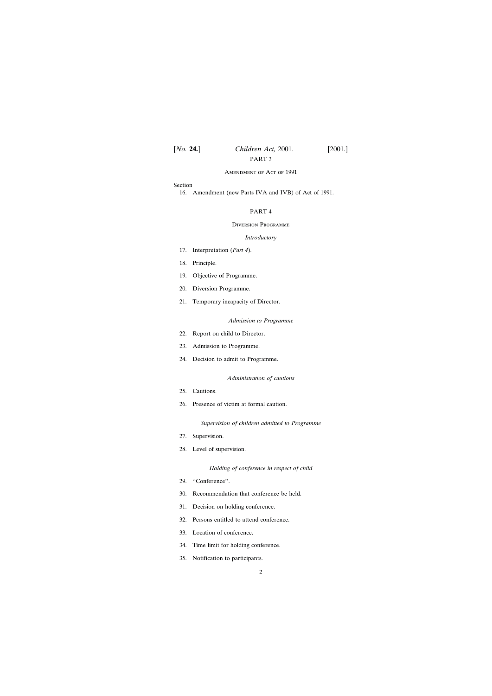#### Amendment of Act of 1991

#### Section

[16. Amendment \(new Parts IVA and IVB\) of Act of 1991.](#page-21-0)

# PART 4

#### Diversion Programme

#### *Introductory*

- [17. Interpretation \(](#page-33-0)*Part 4*).
- [18. Principle.](#page-34-0)
- [19. Objective of Programme.](#page-34-0)
- [20. Diversion Programme.](#page-34-0)
- [21. Temporary incapacity of Director.](#page-34-0)

#### *Admission to Programme*

- [22. Report on child to Director.](#page-34-0)
- [23. Admission to Programme.](#page-34-0)
- [24. Decision to admit to Programme.](#page-35-0)

#### *Administration of cautions*

- [25. Cautions.](#page-35-0)
- [26. Presence of victim at formal caution.](#page-36-0)

#### *Supervision of children admitted to Programme*

- [27. Supervision.](#page-36-0)
- [28. Level of supervision.](#page-37-0)

#### *Holding of conference in respect of child*

- [29. ''Conference''.](#page-37-0)
- [30. Recommendation that conference be held.](#page-38-0)
- [31. Decision on holding conference.](#page-38-0)
- [32. Persons entitled to attend conference.](#page-39-0)
- [33. Location of conference.](#page-40-0)
- [34. Time limit for holding conference.](#page-40-0)
- [35. Notification to participants.](#page-40-0)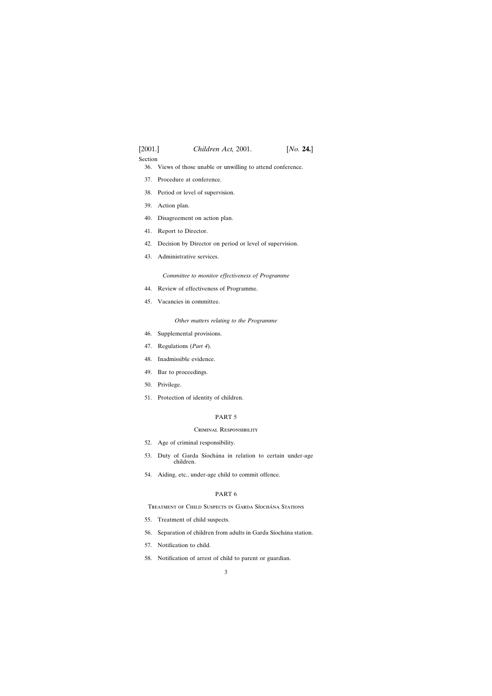# Section

- [36. Views of those unable or unwilling to attend conference.](#page-40-0)
- [37. Procedure at conference.](#page-40-0)
- [38. Period or level of supervision.](#page-41-0)
- [39. Action plan.](#page-41-0)
- [40. Disagreement on action plan.](#page-42-0)
- [41. Report to Director.](#page-43-0)
- [42. Decision by Director on period or level of supervision.](#page-43-0)
- [43. Administrative services.](#page-43-0)

*Committee to monitor effectiveness of Programme*

- [44. Review of effectiveness of Programme.](#page-43-0)
- [45. Vacancies in committee.](#page-44-0)

# *Other matters relating to the Programme*

- [46. Supplemental provisions.](#page-44-0)
- [47. Regulations \(](#page-45-0)*Part 4*).
- [48. Inadmissible evidence.](#page-45-0)
- [49. Bar to proceedings.](#page-45-0)
- [50. Privilege.](#page-45-0)
- [51. Protection of identity of children.](#page-45-0)

# PART 5

# Criminal Responsibility

- [52. Age of criminal responsibility.](#page-47-0)
- 53. Duty of Garda Síochána in relation to certain under-age [children.](#page-47-0)
- [54. Aiding, etc., under-age child to commit offence.](#page-48-0)

# PART 6

TREATMENT OF CHILD SUSPECTS IN GARDA SÍOCHÁNA STATIONS

- [55. Treatment of child suspects.](#page-48-0)
- 56. Separation of children from adults in Garda Síochána station.
- [57. Notification to child.](#page-48-0)
- [58. Notification of arrest of child to parent or guardian.](#page-48-0)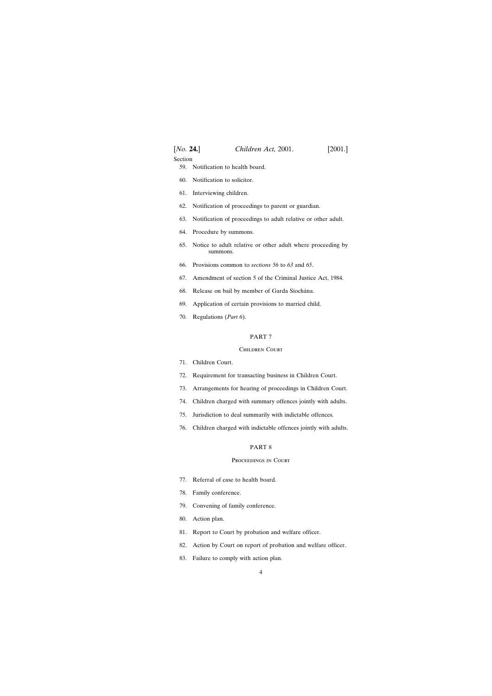| [No. 24.] | Children Act, 2001. | $[2001.]$ |
|-----------|---------------------|-----------|
|-----------|---------------------|-----------|

#### Section

- [59. Notification to health board.](#page-49-0)
- [60. Notification to solicitor.](#page-50-0)
- [61. Interviewing children.](#page-50-0)
- [62. Notification of proceedings to parent or guardian.](#page-51-0)
- [63. Notification of proceedings to adult relative or other adult.](#page-52-0)
- [64. Procedure by summons.](#page-52-0)
- [65. Notice to adult relative or other adult where proceeding by](#page-52-0) [summons.](#page-52-0)
- [66. Provisions common to](#page-53-0) *sections 56* to *63* and *65*.
- [67. Amendment of section 5 of the Criminal Justice Act, 1984.](#page-53-0)
- 68. Release on bail by member of Garda Síochána.
- [69. Application of certain provisions to married child.](#page-54-0)
- [70. Regulations \(](#page-54-0)*Part 6*).

#### PART 7

#### Children Court

- [71. Children Court.](#page-55-0)
- [72. Requirement for transacting business in Children Court.](#page-55-0)
- [73. Arrangements for hearing of proceedings in Children Court.](#page-55-0)
- [74. Children charged with summary offences jointly with adults.](#page-56-0)
- [75. Jurisdiction to deal summarily with indictable offences.](#page-56-0)
- [76. Children charged with indictable offences jointly with adults.](#page-57-0)

#### PART 8

#### Proceedings in Court

- [77. Referral of case to health board.](#page-58-0)
- [78. Family conference.](#page-58-0)
- [79. Convening of family conference.](#page-59-0)
- [80. Action plan.](#page-59-0)
- [81. Report to Court by probation and welfare officer.](#page-59-0)
- [82. Action by Court on report of probation and welfare officer.](#page-59-0)
- [83. Failure to comply with action plan.](#page-60-0)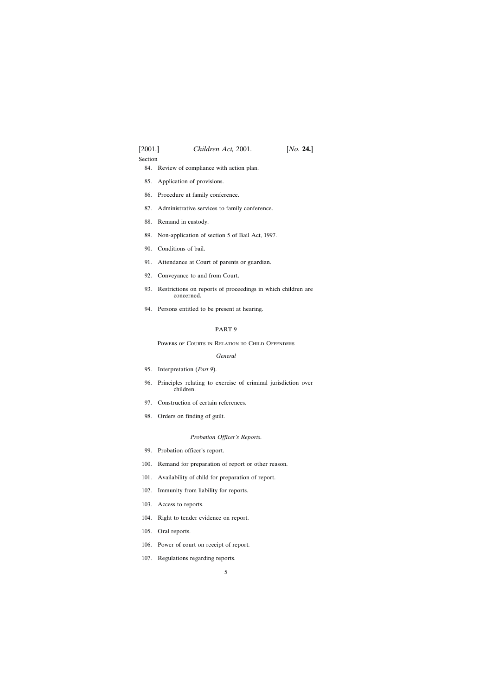Section

- [84. Review of compliance with action plan.](#page-60-0)
- [85. Application of provisions.](#page-60-0)
- [86. Procedure at family conference.](#page-60-0)
- [87. Administrative services to family conference.](#page-61-0)
- [88. Remand in custody.](#page-61-0)
- [89. Non-application of section 5 of Bail Act, 1997.](#page-62-0)
- [90. Conditions of bail.](#page-62-0)
- [91. Attendance at Court of parents or guardian.](#page-62-0)
- [92. Conveyance to and from Court.](#page-63-0)
- [93. Restrictions on reports of proceedings in which children are](#page-63-0) [concerned.](#page-63-0)
- [94. Persons entitled to be present at hearing.](#page-64-0)

# PART 9

Powers of Courts in Relation to Child Offenders

#### *General*

- [95. Interpretation \(](#page-64-0)*Part 9*).
- [96. Principles relating to exercise of criminal jurisdiction over](#page-65-0) [children.](#page-65-0)
- [97. Construction of certain references.](#page-66-0)
- [98. Orders on finding of guilt.](#page-66-0)

#### *Probation Officer's Reports*.

- [99. Probation officer's report.](#page-66-0)
- [100. Remand for preparation of report or other reason.](#page-67-0)
- [101. Availability of child for preparation of report.](#page-68-0)
- [102. Immunity from liability for reports.](#page-68-0)
- [103. Access to reports.](#page-69-0)
- [104. Right to tender evidence on report.](#page-69-0)
- [105. Oral reports.](#page-69-0)
- [106. Power of court on receipt of report.](#page-69-0)
- [107. Regulations regarding reports.](#page-70-0)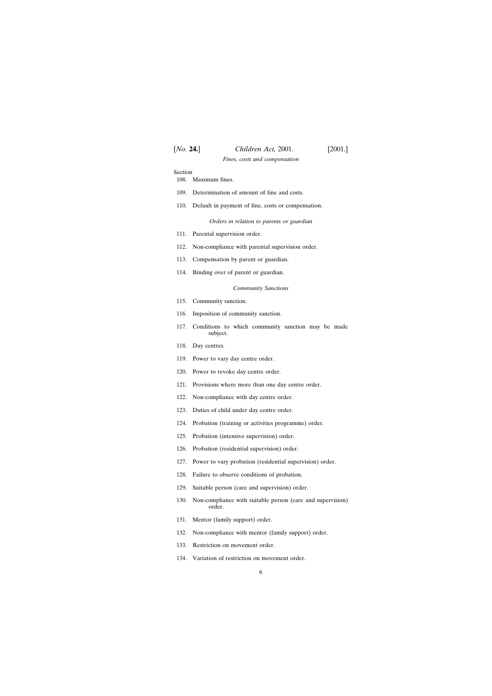*Fines, costs and compensation*

Section

| 108. | Maximum fines. |  |
|------|----------------|--|
|------|----------------|--|

- [109. Determination of amount of fine and costs.](#page-70-0)
- [110. Default in payment of fine, costs or compensation.](#page-71-0)

*Orders in relation to parents or guardian*

- [111. Parental supervision order.](#page-71-0)
- [112. Non-compliance with parental supervision order.](#page-72-0)
- [113. Compensation by parent or guardian.](#page-73-0)
- [114. Binding over of parent or guardian.](#page-74-0)

#### *Community Sanctions*

- [115. Community sanction.](#page-75-0)
- [116. Imposition of community sanction.](#page-75-0)
- [117. Conditions to which community sanction may be made](#page-76-0) [subject.](#page-76-0)
- [118. Day centres.](#page-77-0)
- [119. Power to vary day centre order.](#page-79-0)
- [120. Power to revoke day centre order.](#page-80-0)
- [121. Provisions where more than one day centre order.](#page-81-0)
- [122. Non-compliance with day centre order.](#page-81-0)
- [123. Duties of child under day centre order.](#page-82-0)
- [124. Probation \(training or activities programme\) order.](#page-82-0)
- [125. Probation \(intensive supervision\) order.](#page-83-0)
- [126. Probation \(residential supervision\) order.](#page-85-0)
- [127. Power to vary probation \(residential supervision\) order.](#page-86-0)
- [128. Failure to observe conditions of probation.](#page-87-0)
- [129. Suitable person \(care and supervision\) order.](#page-87-0)
- [130. Non-compliance with suitable person \(care and supervision\)](#page-88-0) [order.](#page-88-0)
- [131. Mentor \(family support\) order.](#page-89-0)
- [132. Non-compliance with mentor \(family support\) order.](#page-90-0)
- [133. Restriction on movement order.](#page-90-0)
- [134. Variation of restriction on movement order.](#page-91-0)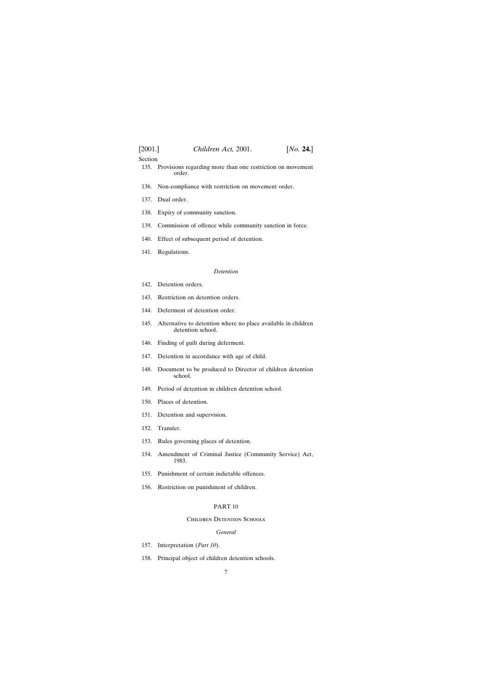#### Section

- [135. Provisions regarding more than one restriction on movement](#page-92-0) [order.](#page-92-0)
- [136. Non-compliance with restriction on movement order.](#page-92-0)
- [137. Dual order.](#page-93-0)
- [138. Expiry of community sanction.](#page-93-0)
- [139. Commission of offence while community sanction in force.](#page-93-0)
- [140. Effect of subsequent period of detention.](#page-93-0)
- [141. Regulations.](#page-93-0)

#### *Detention*

- [142. Detention orders.](#page-94-0)
- [143. Restriction on detention orders.](#page-94-0)
- [144. Deferment of detention order.](#page-94-0)
- [145. Alternative to detention where no place available in children](#page-97-0) [detention school.](#page-97-0)
- [146. Finding of guilt during deferment.](#page-97-0)
- [147. Detention in accordance with age of child.](#page-97-0)
- [148. Document to be produced to Director of children detention](#page-97-0) [school.](#page-97-0)
- [149. Period of detention in children detention school.](#page-97-0)
- [150. Places of detention.](#page-98-0)
- [151. Detention and supervision.](#page-98-0)
- [152. Transfer.](#page-99-0)
- [153. Rules governing places of detention.](#page-99-0)
- [154. Amendment of Criminal Justice \(Community Service\) Act,](#page-100-0) [1983.](#page-100-0)
- [155. Punishment of certain indictable offences.](#page-100-0)
- [156. Restriction on punishment of children.](#page-101-0)

#### PART 10

#### Children Detention Schools

#### *General*

- [157. Interpretation \(](#page-101-0)*Part 10*).
- [158. Principal object of children detention schools.](#page-101-0)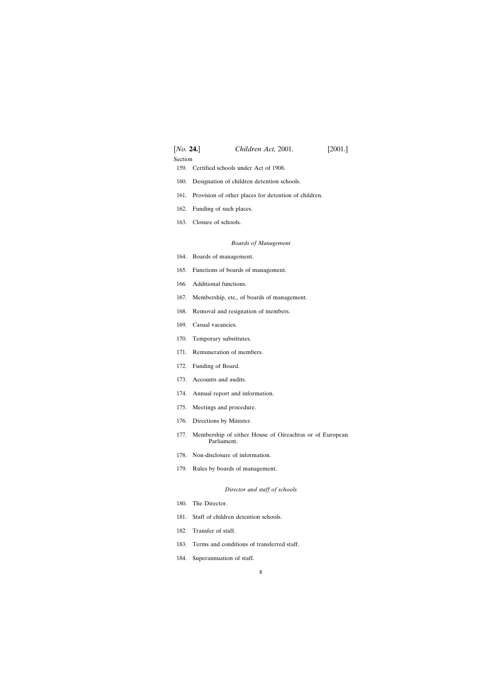# [*No.* **24.**] *Children Act,* 2001. [2001.] Section

- [159. Certified schools under Act of 1908.](#page-102-0)
- [160. Designation of children detention schools.](#page-102-0)
- [161. Provision of other places for detention of children.](#page-103-0)
- [162. Funding of such places.](#page-103-0)
- [163. Closure of schools.](#page-103-0)

#### *Boards of Management*

- [164. Boards of management.](#page-104-0)
- [165. Functions of boards of management.](#page-104-0)
- [166. Additional functions.](#page-104-0)
- [167. Membership, etc., of boards of management.](#page-104-0)
- [168. Removal and resignation of members.](#page-105-0)
- [169. Casual vacancies.](#page-105-0)
- [170. Temporary substitutes.](#page-105-0)
- [171. Remuneration of members.](#page-105-0)
- [172. Funding of Board.](#page-106-0)
- [173. Accounts and audits.](#page-106-0)
- [174. Annual report and information.](#page-106-0)
- [175. Meetings and procedure.](#page-106-0)
- [176. Directions by Minister.](#page-107-0)
- [177. Membership of either House of Oireachtas or of European](#page-107-0) [Parliament.](#page-107-0)
- [178. Non-disclosure of information.](#page-108-0)
- [179. Rules by boards of management.](#page-108-0)

### *Director and staff of schools*

- [180. The Director.](#page-109-0)
- [181. Staff of children detention schools.](#page-109-0)
- [182. Transfer of staff.](#page-110-0)
- [183. Terms and conditions of transferred staff.](#page-110-0)
- [184. Superannuation of staff.](#page-110-0)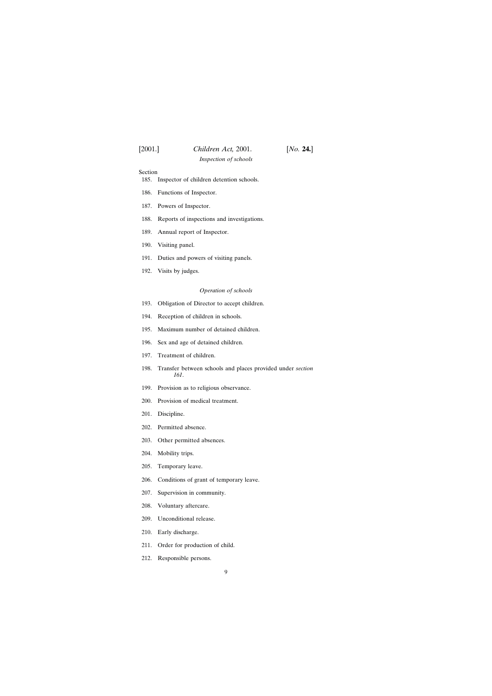# Section

- [185. Inspector of children detention schools.](#page-111-0)
- [186. Functions of Inspector.](#page-112-0)
- [187. Powers of Inspector.](#page-112-0)
- [188. Reports of inspections and investigations.](#page-112-0)
- [189. Annual report of Inspector.](#page-113-0)
- [190. Visiting panel.](#page-113-0)
- [191. Duties and powers of visiting panels.](#page-113-0)
- [192. Visits by judges.](#page-114-0)

#### *Operation of schools*

- [193. Obligation of Director to accept children.](#page-114-0)
- [194. Reception of children in schools.](#page-114-0)
- [195. Maximum number of detained children.](#page-114-0)
- [196. Sex and age of detained children.](#page-115-0)
- [197. Treatment of children.](#page-115-0)
- [198. Transfer between schools and places provided under](#page-115-0) *section [161](#page-115-0)*.
- [199. Provision as to religious observance.](#page-115-0)
- [200. Provision of medical treatment.](#page-115-0)
- [201. Discipline.](#page-116-0)
- [202. Permitted absence.](#page-116-0)
- [203. Other permitted absences.](#page-117-0)
- [204. Mobility trips.](#page-117-0)
- [205. Temporary leave.](#page-118-0)
- [206. Conditions of grant of temporary leave.](#page-118-0)
- [207. Supervision in community.](#page-119-0)
- [208. Voluntary aftercare.](#page-121-0)
- [209. Unconditional release.](#page-121-0)
- [210. Early discharge.](#page-121-0)
- [211. Order for production of child.](#page-121-0)
- [212. Responsible persons.](#page-122-0)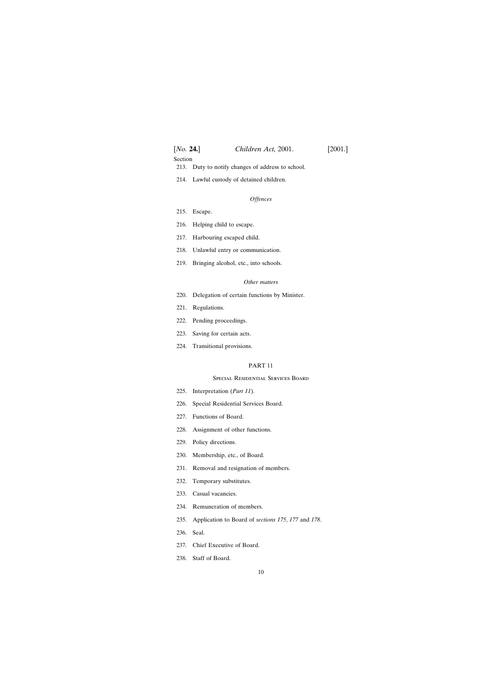| [ <i>No.</i> <b>24.</b> ] | Children Act, 2001. | [2001.] |
|---------------------------|---------------------|---------|
| $\sim$ $\sim$             |                     |         |

Section

- [213. Duty to notify changes of address to school.](#page-122-0)
- [214. Lawful custody of detained children.](#page-122-0)

### *Offences*

- [215. Escape.](#page-122-0)
- [216. Helping child to escape.](#page-123-0)
- [217. Harbouring escaped child.](#page-123-0)
- [218. Unlawful entry or communication.](#page-123-0)
- [219. Bringing alcohol, etc., into schools.](#page-123-0)

# *Other matters*

- [220. Delegation of certain functions by Minister.](#page-124-0)
- [221. Regulations.](#page-124-0)
- [222. Pending proceedings.](#page-125-0)
- [223. Saving for certain acts.](#page-125-0)
- [224. Transitional provisions.](#page-125-0)

# PART 11

# Special Residential Services Board

- [225. Interpretation \(](#page-125-0)*Part 11*).
- [226. Special Residential Services Board.](#page-125-0)
- [227. Functions of Board.](#page-126-0)
- [228. Assignment of other functions.](#page-127-0)
- [229. Policy directions.](#page-127-0)
- [230. Membership, etc., of Board.](#page-127-0)
- [231. Removal and resignation of members.](#page-128-0)
- [232. Temporary substitutes.](#page-128-0)
- [233. Casual vacancies.](#page-128-0)
- [234. Remuneration of members.](#page-128-0)
- [235. Application to Board of](#page-129-0) *sections 175*, *177* and *178*.
- [236. Seal.](#page-129-0)
- [237. Chief Executive of Board.](#page-129-0)
- [238. Staff of Board.](#page-129-0)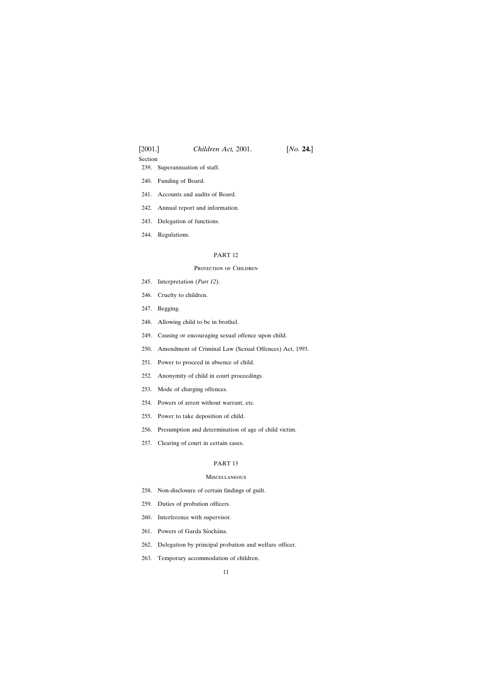Section

- [239. Superannuation of staff.](#page-130-0)
- [240. Funding of Board.](#page-130-0)
- [241. Accounts and audits of Board.](#page-131-0)
- [242. Annual report and information.](#page-131-0)
- [243. Delegation of functions.](#page-131-0)
- [244. Regulations.](#page-131-0)

#### PART 12

#### PROTECTION OF CHILDREN

- [245. Interpretation \(](#page-132-0)*Part 12*).
- [246. Cruelty to children.](#page-132-0)
- [247. Begging.](#page-133-0)
- [248. Allowing child to be in brothel.](#page-133-0)
- [249. Causing or encouraging sexual offence upon child.](#page-134-0)
- [250. Amendment of Criminal Law \(Sexual Offences\) Act, 1993.](#page-134-0)
- [251. Power to proceed in absence of child.](#page-134-0)
- [252. Anonymity of child in court proceedings.](#page-135-0)
- [253. Mode of charging offences.](#page-135-0)
- [254. Powers of arrest without warrant, etc.](#page-135-0)
- [255. Power to take deposition of child.](#page-136-0)
- [256. Presumption and determination of age of child victim.](#page-137-0)
- [257. Clearing of court in certain cases.](#page-137-0)

# PART 13

#### **MISCELLANEOUS**

- [258. Non-disclosure of certain findings of guilt.](#page-138-0)
- [259. Duties of probation officers.](#page-140-0)
- [260. Interference with supervisor.](#page-140-0)
- 261. Powers of Garda Síochána.
- [262. Delegation by principal probation and welfare officer.](#page-141-0)
- [263. Temporary accommodation of children.](#page-141-0)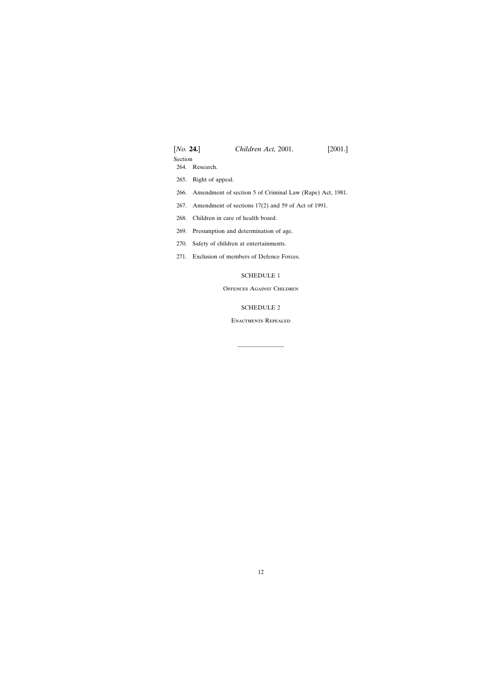| [No. 24.] | Children Act, 2001.<br> 2001.                                 |
|-----------|---------------------------------------------------------------|
| Section   |                                                               |
|           | 264. Research.                                                |
| 265.      | Right of appeal.                                              |
|           | 266. Amendment of section 5 of Criminal Law (Rape) Act, 1981. |
|           | 267. Amendment of sections 17(2) and 59 of Act of 1991.       |
|           | 268. Children in care of health board.                        |
|           | 269. Presumption and determination of age.                    |
| 270.      | Safety of children at entertainments.                         |
|           | 271. Exclusion of members of Defence Forces.                  |

# [SCHEDULE 1](#page-144-0)

# Offences Against Children

# [SCHEDULE 2](#page-145-0)

Enactments Repealed

————————————————————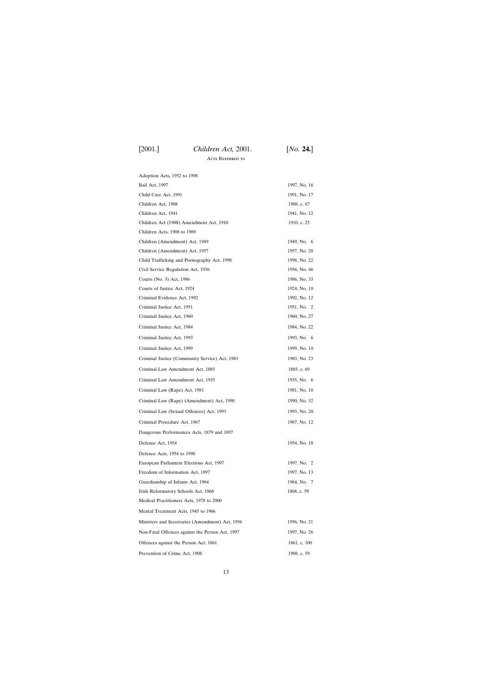Acts Referred to

| Adoption Acts, 1952 to 1998                     |              |
|-------------------------------------------------|--------------|
| Bail Act, 1997                                  | 1997, No. 16 |
| Child Care Act, 1991                            | 1991, No. 17 |
| Children Act, 1908                              | 1908, c. 67  |
| Children Act, 1941                              | 1941, No. 12 |
| Children Act (1908) Amendment Act, 1910         | 1910, c. 25  |
| Children Acts, 1908 to 1989                     |              |
| Children (Amendment) Act, 1949                  | 1949, No. 6  |
| Children (Amendment) Act, 1957                  | 1957, No. 28 |
| Child Trafficking and Pornography Act, 1998     | 1998, No. 22 |
| Civil Service Regulation Act, 1956              | 1956, No. 46 |
| Courts (No. 3) Act, 1986                        | 1986, No. 33 |
| Courts of Justice Act, 1924                     | 1924, No. 10 |
| Criminal Evidence Act, 1992                     | 1992, No. 12 |
| Criminal Justice Act, 1951                      | 1951, No. 2  |
| Criminal Justice Act, 1960                      | 1960, No. 27 |
| Criminal Justice Act, 1984                      | 1984, No. 22 |
| Criminal Justice Act, 1993                      | 1993, No. 6  |
| Criminal Justice Act, 1999                      | 1999, No. 10 |
| Criminal Justice (Community Service) Act, 1983  | 1983, No. 23 |
| Criminal Law Amendment Act, 1885                | 1885, c. 69  |
| Criminal Law Amendment Act, 1935                | 1935, No. 6  |
| Criminal Law (Rape) Act, 1981                   | 1981, No. 10 |
| Criminal Law (Rape) (Amendment) Act, 1990       | 1990, No. 32 |
| Criminal Law (Sexual Offences) Act, 1993        | 1993, No. 20 |
| Criminal Procedure Act, 1967                    | 1967, No. 12 |
| Dangerous Performances Acts, 1879 and 1897      |              |
| Defence Act, 1954                               | 1954, No. 18 |
| Defence Acts, 1954 to 1998                      |              |
| European Parliament Elections Act, 1997         | 1997, No. 2  |
| Freedom of Information Act, 1997                | 1997, No. 13 |
| Guardianship of Infants Act, 1964               | 1964, No. 7  |
| Irish Reformatory Schools Act, 1868             | 1868, c. 59  |
| Medical Practitioners Acts, 1978 to 2000        |              |
| Mental Treatment Acts, 1945 to 1966             |              |
| Ministers and Secretaries (Amendment) Act, 1956 | 1956, No. 21 |
| Non-Fatal Offences against the Person Act, 1997 | 1997, No. 26 |
| Offences against the Person Act, 1861           | 1861, c. 100 |
| Prevention of Crime Act, 1908                   | 1908, c. 59  |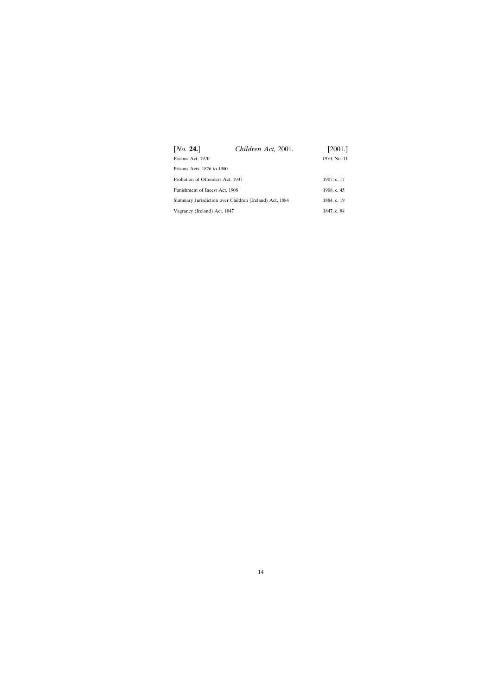| Children Act, 2001.                                    | [2001.]                      |
|--------------------------------------------------------|------------------------------|
|                                                        | 1970, No. 11                 |
|                                                        |                              |
| Probation of Offenders Act, 1907                       |                              |
| Punishment of Incest Act, 1908                         |                              |
| Summary Jurisdiction over Children (Ireland) Act, 1884 |                              |
|                                                        | 1847, c. 84                  |
|                                                        | Vagrancy (Ireland) Act, 1847 |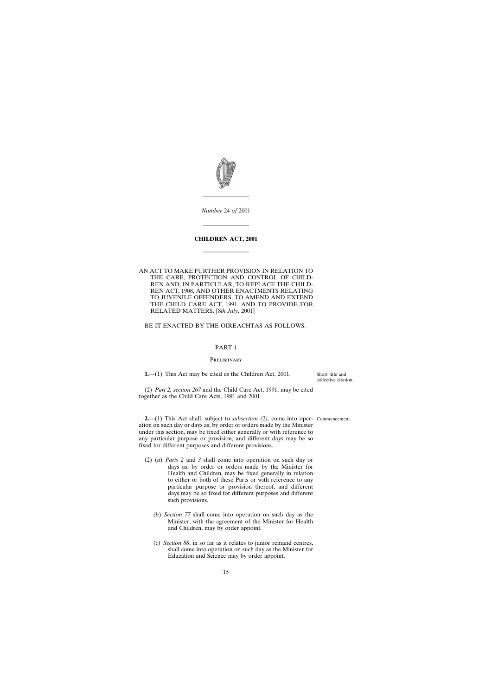<span id="page-14-0"></span>

*Number* 24 *of* 2001

————————

————————

# **CHILDREN ACT, 2001**

————————

AN ACT TO MAKE FURTHER PROVISION IN RELATION TO THE CARE, PROTECTION AND CONTROL OF CHILD-REN AND, IN PARTICULAR, TO REPLACE THE CHILD-REN ACT, 1908, AND OTHER ENACTMENTS RELATING TO JUVENILE OFFENDERS, TO AMEND AND EXTEND THE CHILD CARE ACT, 1991, AND TO PROVIDE FOR RELATED MATTERS. [8*th July*, 2001]

#### BE IT ENACTED BY THE OIREACHTAS AS FOLLOWS:

# PART 1

#### **PRELIMINARY**

**1.**—(1) This Act may be cited as the Children Act, 2001.

Short title and collective citation.

(2) *Part 2, section 267* and the Child Care Act, 1991, may be cited together as the Child Care Acts, 1991 and 2001.

**2.**—(1) This Act shall, subject to *subsection (2)*, come into oper-Commencement.

ation on such day or days as, by order or orders made by the Minister under this section, may be fixed either generally or with reference to any particular purpose or provision, and different days may be so fixed for different purposes and different provisions.

- (2) (*a*) *Parts 2* and *3* shall come into operation on such day or days as, by order or orders made by the Minister for Health and Children, may be fixed generally in relation to either or both of these Parts or with reference to any particular purpose or provision thereof, and different days may be so fixed for different purposes and different such provisions.
	- (*b*) *Section 77* shall come into operation on such day as the Minister, with the agreement of the Minister for Health and Children, may by order appoint.
	- (*c*) *Section 88*, in so far as it relates to junior remand centres, shall come into operation on such day as the Minister for Education and Science may by order appoint.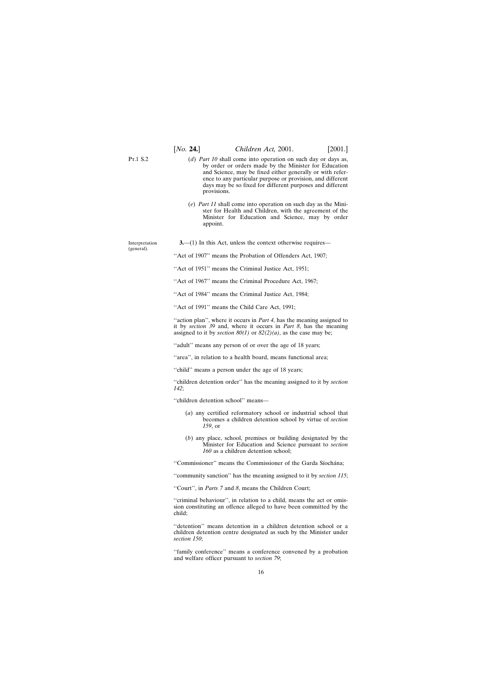<span id="page-15-0"></span>P<sub>T</sub> 1 S 2 Interpretation (general). (*d*) *Part 10* shall come into operation on such day or days as, by order or orders made by the Minister for Education and Science, may be fixed either generally or with reference to any particular purpose or provision, and different days may be so fixed for different purposes and different provisions. (*e*) *Part 11* shall come into operation on such day as the Minister for Health and Children, with the agreement of the Minister for Education and Science, may by order appoint. **3.**—(1) In this Act, unless the context otherwise requires— ''Act of 1907'' means the Probation of Offenders Act, 1907; ''Act of 1951'' means the Criminal Justice Act, 1951;

"Act of 1967" means the Criminal Procedure Act, 1967;

''Act of 1984'' means the Criminal Justice Act, 1984;

''Act of 1991'' means the Child Care Act, 1991;

"action plan", where it occurs in *Part 4*, has the meaning assigned to it by *section 39* and, where it occurs in *Part 8*, has the meaning assigned to it by *section 80(1)* or *82(2)(a)*, as the case may be;

"adult" means any person of or over the age of 18 years;

"area", in relation to a health board, means functional area;

''child'' means a person under the age of 18 years;

''children detention order'' has the meaning assigned to it by *section 142*;

''children detention school'' means—

- (*a*) any certified reformatory school or industrial school that becomes a children detention school by virtue of *section 159*, or
- (*b*) any place, school, premises or building designated by the Minister for Education and Science pursuant to *section 160* as a children detention school;

"Commissioner" means the Commissioner of the Garda Síochána;

''community sanction'' has the meaning assigned to it by *section 115*;

''Court'', in *Parts 7* and *8*, means the Children Court;

"criminal behaviour", in relation to a child, means the act or omission constituting an offence alleged to have been committed by the child;

''detention'' means detention in a children detention school or a children detention centre designated as such by the Minister under *section 150*;

''family conference'' means a conference convened by a probation and welfare officer pursuant to *section 79*;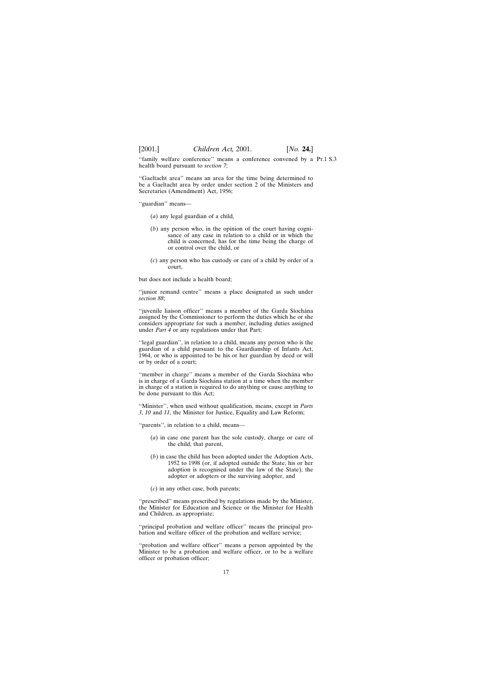''family welfare conference'' means a conference convened by a Pt.1 S.3health board pursuant to *section 7*;

''Gaeltacht area'' means an area for the time being determined to be a Gaeltacht area by order under section 2 of the Ministers and Secretaries (Amendment) Act, 1956;

''guardian'' means—

- (*a*) any legal guardian of a child,
- (*b*) any person who, in the opinion of the court having cognisance of any case in relation to a child or in which the child is concerned, has for the time being the charge of or control over the child, or
- (*c*) any person who has custody or care of a child by order of a court,

but does not include a health board;

''junior remand centre'' means a place designated as such under *section 88*;

"juvenile liaison officer" means a member of the Garda Síochána assigned by the Commissioner to perform the duties which he or she considers appropriate for such a member, including duties assigned under *Part 4* or any regulations under that Part;

''legal guardian'', in relation to a child, means any person who is the guardian of a child pursuant to the Guardianship of Infants Act, 1964, or who is appointed to be his or her guardian by deed or will or by order of a court;

"member in charge" means a member of the Garda Síochána who is in charge of a Garda Síochána station at a time when the member in charge of a station is required to do anything or cause anything to be done pursuant to this Act;

''Minister'', when used without qualification, means, except in *Parts 3*, *10* and *11*, the Minister for Justice, Equality and Law Reform;

''parents'', in relation to a child, means—

- (*a*) in case one parent has the sole custody, charge or care of the child, that parent,
- (*b*) in case the child has been adopted under the Adoption Acts, 1952 to 1998 (or, if adopted outside the State, his or her adoption is recognised under the law of the State), the adopter or adopters or the surviving adopter, and
- (*c*) in any other case, both parents;

''prescribed'' means prescribed by regulations made by the Minister, the Minister for Education and Science or the Minister for Health and Children, as appropriate;

''principal probation and welfare officer'' means the principal probation and welfare officer of the probation and welfare service;

"probation and welfare officer" means a person appointed by the Minister to be a probation and welfare officer, or to be a welfare officer or probation officer;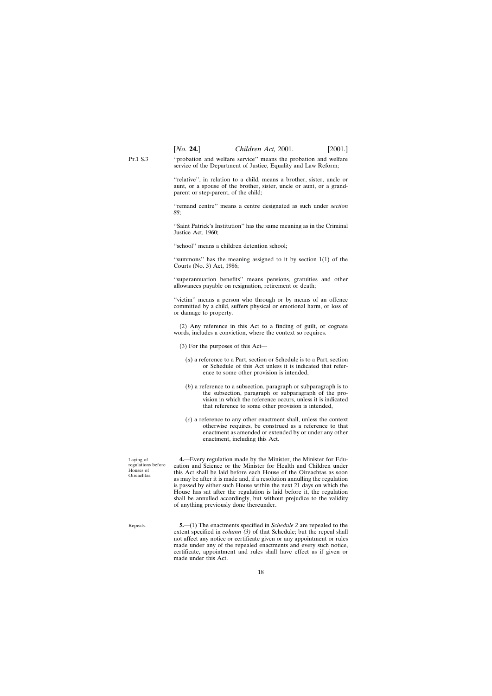[*No.* **24.**] *Children Act,* 2001. [2001.]

<span id="page-17-0"></span>P<sub>T</sub> 1 S 3 ''probation and welfare service'' means the probation and welfare service of the Department of Justice, Equality and Law Reform;

> ''relative'', in relation to a child, means a brother, sister, uncle or aunt, or a spouse of the brother, sister, uncle or aunt, or a grandparent or step-parent, of the child;

> ''remand centre'' means a centre designated as such under *section 88*;

> ''Saint Patrick's Institution'' has the same meaning as in the Criminal Justice Act, 1960;

''school'' means a children detention school;

''summons'' has the meaning assigned to it by section 1(1) of the Courts (No. 3) Act, 1986;

''superannuation benefits'' means pensions, gratuities and other allowances payable on resignation, retirement or death;

''victim'' means a person who through or by means of an offence committed by a child, suffers physical or emotional harm, or loss of or damage to property.

(2) Any reference in this Act to a finding of guilt, or cognate words, includes a conviction, where the context so requires.

- (3) For the purposes of this Act—
	- (*a*) a reference to a Part, section or Schedule is to a Part, section or Schedule of this Act unless it is indicated that reference to some other provision is intended,
	- (*b*) a reference to a subsection, paragraph or subparagraph is to the subsection, paragraph or subparagraph of the provision in which the reference occurs, unless it is indicated that reference to some other provision is intended,
	- (*c*) a reference to any other enactment shall, unless the context otherwise requires, be construed as a reference to that enactment as amended or extended by or under any other enactment, including this Act.

Laying of regulations before Houses of Oireachtas.

**4.**—Every regulation made by the Minister, the Minister for Education and Science or the Minister for Health and Children under this Act shall be laid before each House of the Oireachtas as soon as may be after it is made and, if a resolution annulling the regulation is passed by either such House within the next 21 days on which the House has sat after the regulation is laid before it, the regulation shall be annulled accordingly, but without prejudice to the validity of anything previously done thereunder.

Repeals.

**5.**—(1) The enactments specified in *Schedule 2* are repealed to the extent specified in *column (3)* of that Schedule; but the repeal shall not affect any notice or certificate given or any appointment or rules made under any of the repealed enactments and every such notice, certificate, appointment and rules shall have effect as if given or made under this Act.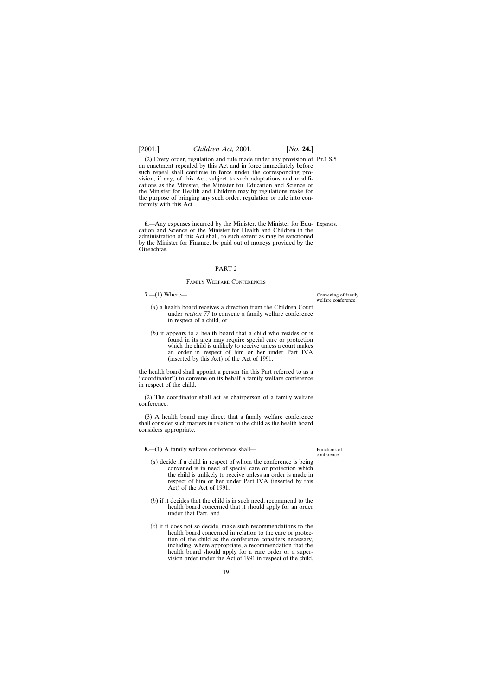<span id="page-18-0"></span>(2) Every order, regulation and rule made under any provision of Pt.1 S.5 an enactment repealed by this Act and in force immediately before such repeal shall continue in force under the corresponding provision, if any, of this Act, subject to such adaptations and modifications as the Minister, the Minister for Education and Science or the Minister for Health and Children may by regulations make for the purpose of bringing any such order, regulation or rule into conformity with this Act.

**6.**—Any expenses incurred by the Minister, the Minister for Edu- Expenses. cation and Science or the Minister for Health and Children in the administration of this Act shall, to such extent as may be sanctioned by the Minister for Finance, be paid out of moneys provided by the Oireachtas.

#### PART 2

#### Family Welfare Conferences

#### **7.**—(1) Where—

Convening of family welfare conference.

- (*a*) a health board receives a direction from the Children Court under *section 77* to convene a family welfare conference in respect of a child, or
- (*b*) it appears to a health board that a child who resides or is found in its area may require special care or protection which the child is unlikely to receive unless a court makes an order in respect of him or her under Part IVA (inserted by this Act) of the Act of 1991,

the health board shall appoint a person (in this Part referred to as a ''coordinator'') to convene on its behalf a family welfare conference in respect of the child.

(2) The coordinator shall act as chairperson of a family welfare conference.

(3) A health board may direct that a family welfare conference shall consider such matters in relation to the child as the health board considers appropriate.

**8.**—(1) A family welfare conference shall—

Functions of conference.

- (*a*) decide if a child in respect of whom the conference is being convened is in need of special care or protection which the child is unlikely to receive unless an order is made in respect of him or her under Part IVA (inserted by this Act) of the Act of 1991,
- (*b*) if it decides that the child is in such need, recommend to the health board concerned that it should apply for an order under that Part, and
- (*c*) if it does not so decide, make such recommendations to the health board concerned in relation to the care or protection of the child as the conference considers necessary, including, where appropriate, a recommendation that the health board should apply for a care order or a supervision order under the Act of 1991 in respect of the child.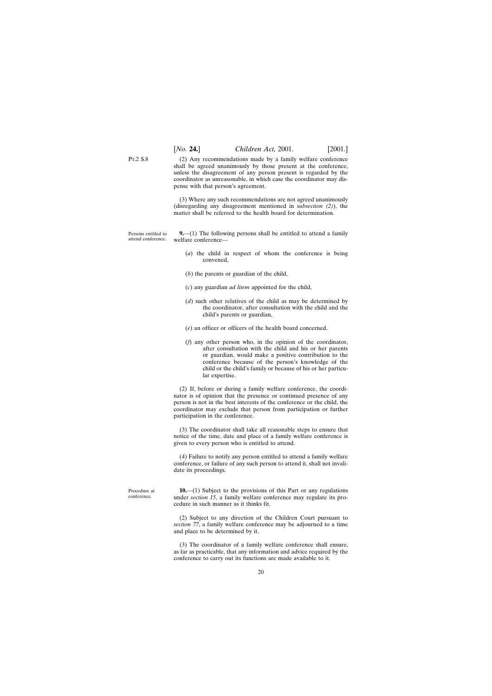<span id="page-19-0"></span>Pt.2 S.8

(2) Any recommendations made by a family welfare conference shall be agreed unanimously by those present at the conference, unless the disagreement of any person present is regarded by the coordinator as unreasonable, in which case the coordinator may dispense with that person's agreement.

(3) Where any such recommendations are not agreed unanimously (disregarding any disagreement mentioned in *subsection (2)*), the matter shall be referred to the health board for determination.

Persons entitled to attend conference. **9.**—(1) The following persons shall be entitled to attend a family welfare conference—

- (*a*) the child in respect of whom the conference is being convened,
- (*b*) the parents or guardian of the child,
- (*c*) any guardian *ad litem* appointed for the child,
- (*d*) such other relatives of the child as may be determined by the coordinator, after consultation with the child and the child's parents or guardian,
- (*e*) an officer or officers of the health board concerned,
- (*f*) any other person who, in the opinion of the coordinator, after consultation with the child and his or her parents or guardian, would make a positive contribution to the conference because of the person's knowledge of the child or the child's family or because of his or her particular expertise.

(2) If, before or during a family welfare conference, the coordinator is of opinion that the presence or continued presence of any person is not in the best interests of the conference or the child, the coordinator may exclude that person from participation or further participation in the conference.

(3) The coordinator shall take all reasonable steps to ensure that notice of the time, date and place of a family welfare conference is given to every person who is entitled to attend.

(4) Failure to notify any person entitled to attend a family welfare conference, or failure of any such person to attend it, shall not invalidate its proceedings.

**10.**—(1) Subject to the provisions of this Part or any regulations under *section 15*, a family welfare conference may regulate its procedure in such manner as it thinks fit.

(2) Subject to any direction of the Children Court pursuant to *section 77*, a family welfare conference may be adjourned to a time and place to be determined by it.

(3) The coordinator of a family welfare conference shall ensure, as far as practicable, that any information and advice required by the conference to carry out its functions are made available to it.

Procedure at conference.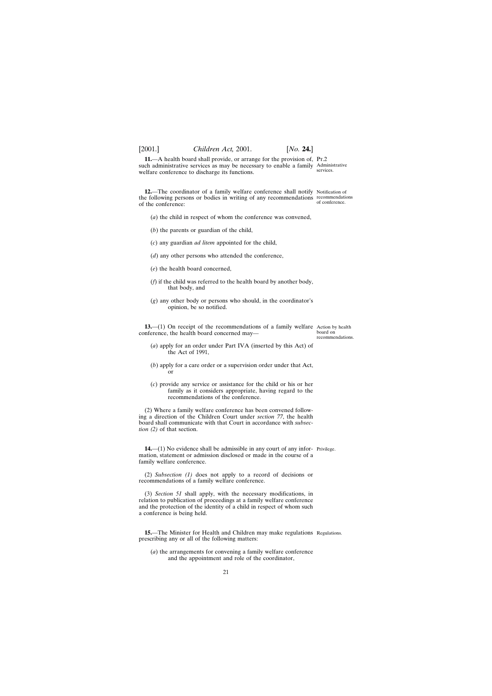**11.**—A health board shall provide, or arrange for the provision of, Pr.2 such administrative services as may be necessary to enable a family Administrative

- (*b*) the parents or guardian of the child,
- (*c*) any guardian *ad litem* appointed for the child,
- (*d*) any other persons who attended the conference,
- (*e*) the health board concerned,
- (*f*) if the child was referred to the health board by another body, that body, and

(*a*) the child in respect of whom the conference was convened,

(*g*) any other body or persons who should, in the coordinator's opinion, be so notified.

**13.**—(1) On receipt of the recommendations of a family welfare Action by health conference, the health board concerned may—

- board on recommendations.
- (*a*) apply for an order under Part IVA (inserted by this Act) of the Act of 1991,
- (*b*) apply for a care order or a supervision order under that Act, or
- (*c*) provide any service or assistance for the child or his or her family as it considers appropriate, having regard to the recommendations of the conference.

(2) Where a family welfare conference has been convened following a direction of the Children Court under *section 77*, the health board shall communicate with that Court in accordance with *subsection (2)* of that section.

**14.—(1)** No evidence shall be admissible in any court of any infor- Privilege. mation, statement or admission disclosed or made in the course of a family welfare conference.

(2) *Subsection (1)* does not apply to a record of decisions or recommendations of a family welfare conference.

(3) *Section 51* shall apply, with the necessary modifications, in relation to publication of proceedings at a family welfare conference and the protection of the identity of a child in respect of whom such a conference is being held.

**15.**—The Minister for Health and Children may make regulations Regulations. prescribing any or all of the following matters:

(*a*) the arrangements for convening a family welfare conference and the appointment and role of the coordinator,

services.

**12.**—The coordinator of a family welfare conference shall notify Notification of the following persons or bodies in writing of any recommendations recommendations of conference.

# <span id="page-20-0"></span>[2001.] *Children Act,* 2001. [*No.* **24.**]

of the conference:

welfare conference to discharge its functions.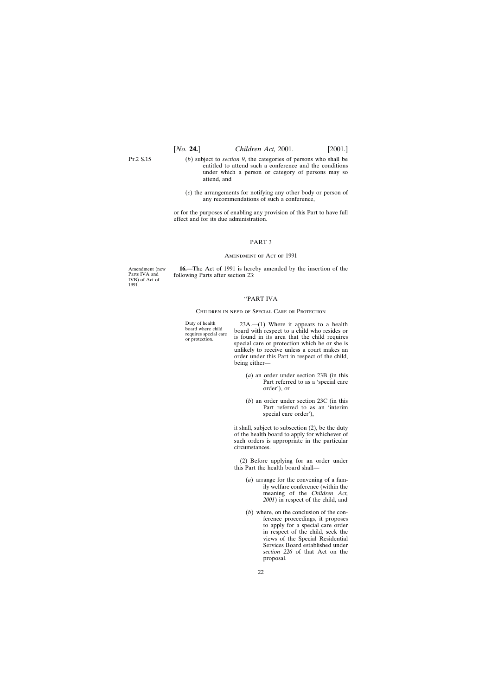<span id="page-21-0"></span>Pt.2 S.15

- (*b*) subject to *section 9*, the categories of persons who shall be entitled to attend such a conference and the conditions under which a person or category of persons may so attend, and
- (*c*) the arrangements for notifying any other body or person of any recommendations of such a conference,

or for the purposes of enabling any provision of this Part to have full effect and for its due administration.

#### PART 3

#### AMENDMENT OF ACT OF 1991

Amendment (new Parts IVA and IVB) of Act of 1991.

**16.**—The Act of 1991 is hereby amended by the insertion of the following Parts after section 23:

#### ''PART IVA

#### Children in need of Special Care or Protection

Duty of health<br>board where child<br>board with respect to a child who resides or<br>requires special care<br>is found in its area that the child requires<br>special care or protection which he or she is unlikely to receive unless a court makes an order under this Part in respect of the child, being either—

- (*a*) an order under section 23B (in this Part referred to as a 'special care order'), or
- (*b*) an order under section 23C (in this Part referred to as an 'interim special care order'),

it shall, subject to subsection (2), be the duty of the health board to apply for whichever of such orders is appropriate in the particular circumstances.

(2) Before applying for an order under this Part the health board shall—

- (*a*) arrange for the convening of a family welfare conference (within the meaning of the *Children Act, 2001*) in respect of the child, and
- (*b*) where, on the conclusion of the conference proceedings, it proposes to apply for a special care order in respect of the child, seek the views of the Special Residential Services Board established under *section 226* of that Act on the proposal.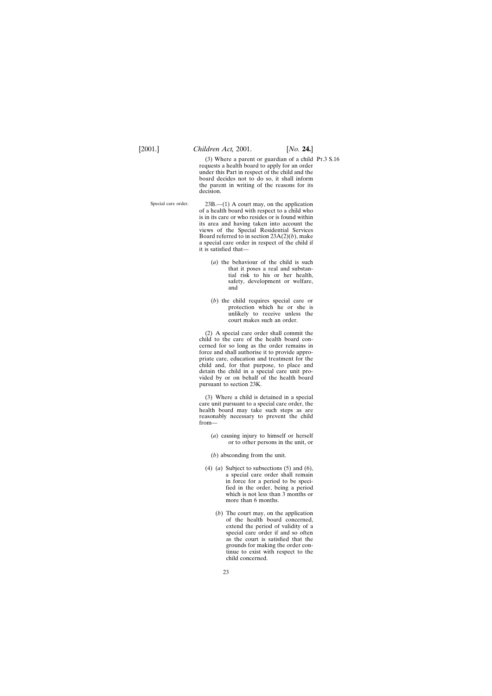(3) Where a parent or guardian of a child Pt.3 S.16requests a health board to apply for an order under this Part in respect of the child and the board decides not to do so, it shall inform the parent in writing of the reasons for its decision.

Special care order.  $23B$ , --(1) A court may, on the application of a health board with respect to a child who is in its care or who resides or is found within its area and having taken into account the views of the Special Residential Services Board referred to in section 23A(2)(*b*), make a special care order in respect of the child if it is satisfied that—

- (*a*) the behaviour of the child is such that it poses a real and substantial risk to his or her health, safety, development or welfare, and
- (*b*) the child requires special care or protection which he or she is unlikely to receive unless the court makes such an order.

(2) A special care order shall commit the child to the care of the health board concerned for so long as the order remains in force and shall authorise it to provide appropriate care, education and treatment for the child and, for that purpose, to place and detain the child in a special care unit provided by or on behalf of the health board pursuant to section 23K.

(3) Where a child is detained in a special care unit pursuant to a special care order, the health board may take such steps as are reasonably necessary to prevent the child from—

- (*a*) causing injury to himself or herself or to other persons in the unit, or
- (*b*) absconding from the unit.
- (4) (*a*) Subject to subsections (5) and (6), a special care order shall remain in force for a period to be specified in the order, being a period which is not less than 3 months or more than 6 months.
	- (*b*) The court may, on the application of the health board concerned, extend the period of validity of a special care order if and so often as the court is satisfied that the grounds for making the order continue to exist with respect to the child concerned.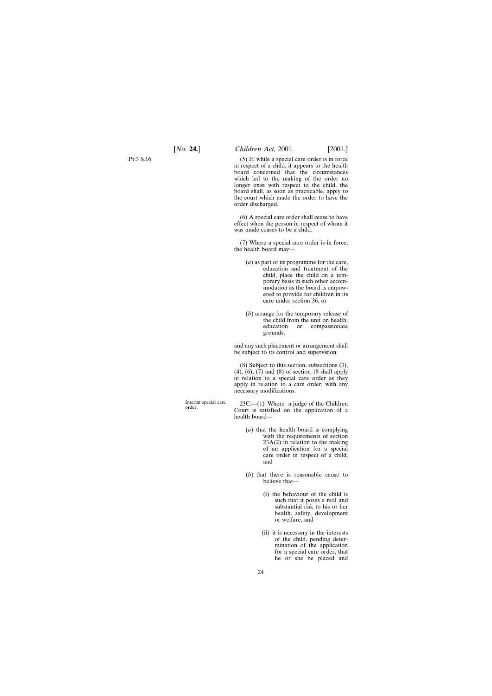Pt.3 S.16

(5) If, while a special care order is in force in respect of a child, it appears to the health board concerned that the circumstances which led to the making of the order no longer exist with respect to the child, the board shall, as soon as practicable, apply to the court which made the order to have the order discharged.

(6) A special care order shall cease to have effect when the person in respect of whom it was made ceases to be a child.

(7) Where a special care order is in force, the health board may—

- (*a*) as part of its programme for the care, education and treatment of the child, place the child on a temporary basis in such other accommodation as the board is empowered to provide for children in its care under section 36, or
- (*b*) arrange for the temporary release of the child from the unit on health, education or compassionate grounds,

and any such placement or arrangement shall be subject to its control and supervision.

(8) Subject to this section, subsections (3), (4), (6), (7) and (8) of section 18 shall apply in relation to a special care order as they apply in relation to a care order, with any necessary modifications.

Interim special care 23C.—(1) Where a judge of the Children order.<br>Court is satisfied on the application of a health board—

- (*a*) that the health board is complying with the requirements of section  $23A(2)$  in relation to the making of an application for a special care order in respect of a child, and
- (*b*) that there is reasonable cause to believe that—
	- (i) the behaviour of the child is such that it poses a real and substantial risk to his or her health, safety, development or welfare, and
	- (ii) it is necessary in the interests of the child, pending determination of the application for a special care order, that he or she be placed and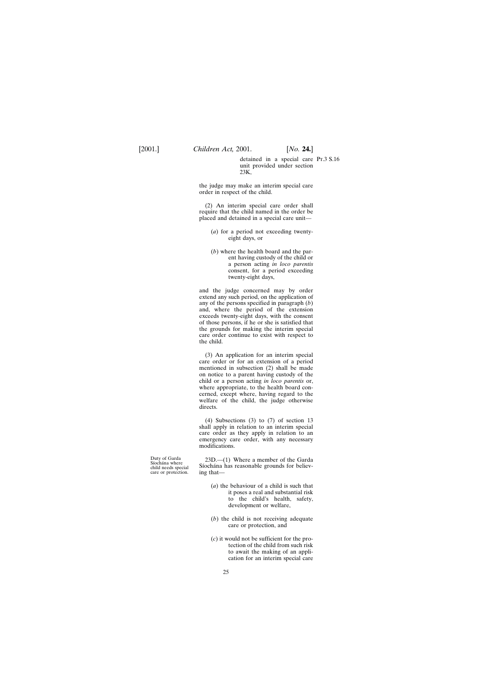detained in a special care Pt.3 S.16unit provided under section 23K,

the judge may make an interim special care order in respect of the child.

(2) An interim special care order shall require that the child named in the order be placed and detained in a special care unit—

- (*a*) for a period not exceeding twentyeight days, or
- (*b*) where the health board and the parent having custody of the child or a person acting *in loco parentis* consent, for a period exceeding twenty-eight days,

and the judge concerned may by order extend any such period, on the application of any of the persons specified in paragraph (*b*) and, where the period of the extension exceeds twenty-eight days, with the consent of those persons, if he or she is satisfied that the grounds for making the interim special care order continue to exist with respect to the child.

(3) An application for an interim special care order or for an extension of a period mentioned in subsection (2) shall be made on notice to a parent having custody of the child or a person acting *in loco parentis* or, where appropriate, to the health board concerned, except where, having regard to the welfare of the child, the judge otherwise directs.

(4) Subsections (3) to (7) of section 13 shall apply in relation to an interim special care order as they apply in relation to an emergency care order, with any necessary modifications.

Duty of Garda 23D.—(1) Where a member of the Garda Siochana where  $\frac{23D}{4}$ . Siocha´na has reasonable grounds for believ- care or protection. ing that—

- (*a*) the behaviour of a child is such that it poses a real and substantial risk to the child's health, safety, development or welfare,
- (*b*) the child is not receiving adequate care or protection, and
- (*c*) it would not be sufficient for the protection of the child from such risk to await the making of an application for an interim special care

care or protection.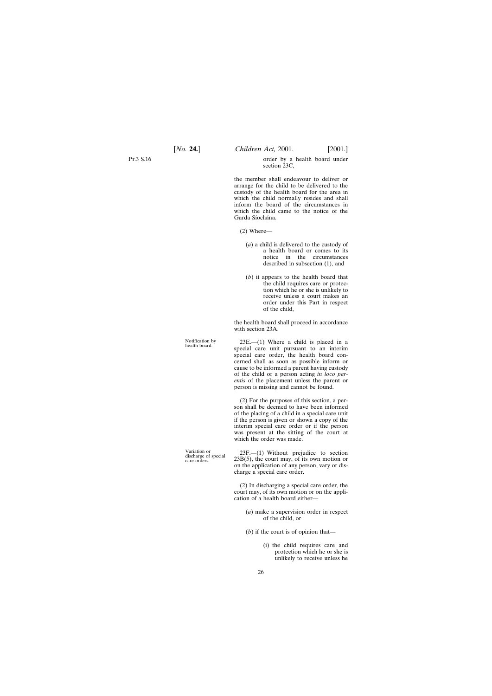Pt.3 S.16

order by a health board under section 23C,

the member shall endeavour to deliver or arrange for the child to be delivered to the custody of the health board for the area in which the child normally resides and shall inform the board of the circumstances in which the child came to the notice of the Garda Síochána.

- (2) Where—
	- (*a*) a child is delivered to the custody of a health board or comes to its notice in the circumstances described in subsection (1), and
	- (*b*) it appears to the health board that the child requires care or protection which he or she is unlikely to receive unless a court makes an order under this Part in respect of the child,

the health board shall proceed in accordance with section 23A.

Notification by 23E.—(1) Where a child is placed in a special care unit pursuant to an interim special care order, the health board concerned shall as soon as possible inform or cause to be informed a parent having custody of the child or a person acting *in loco parentis* of the placement unless the parent or person is missing and cannot be found.

> (2) For the purposes of this section, a person shall be deemed to have been informed of the placing of a child in a special care unit if the person is given or shown a copy of the interim special care order or if the person was present at the sitting of the court at which the order was made.

Variation or  $23F$ .—(1) Without prejudice to section discharge of special  $23B(5)$ , the court may, of its own motion or on the application of any person, vary or discharge a special care order.

> (2) In discharging a special care order, the court may, of its own motion or on the application of a health board either—

> > (*a*) make a supervision order in respect of the child, or

(*b*) if the court is of opinion that—

(i) the child requires care and protection which he or she is unlikely to receive unless he

26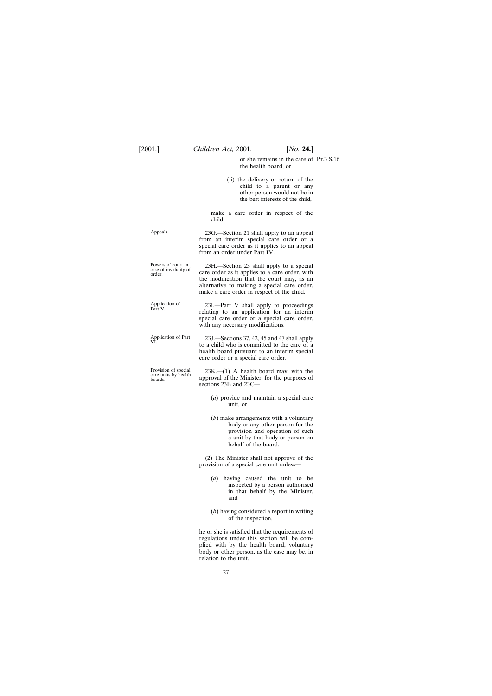or she remains in the care of Pt.3 S.16the health board, or

(ii) the delivery or return of the child to a parent or any other person would not be in the best interests of the child,

make a care order in respect of the child.

Appeals. 23G.—Section 21 shall apply to an appeal from an interim special care order or a special care order as it applies to an appeal from an order under Part IV.

| Powers of court in<br>case of invalidity of | 23H.—Section 23 shall apply to a special       |
|---------------------------------------------|------------------------------------------------|
| order.                                      | care order as it applies to a care order, with |
|                                             | the modification that the court may, as an     |
|                                             | alternative to making a special care order,    |
|                                             | make a care order in respect of the child.     |

| Application of<br>Part V. | 23I.—Part V shall apply to proceedings      |
|---------------------------|---------------------------------------------|
|                           | relating to an application for an interim   |
|                           | special care order or a special care order, |
|                           | with any necessary modifications.           |

```
Application of Part 23J.—Sections 37, 42, 45 and 47 shall apply<br>VI. to a child who is committed to the care of a
                         health board pursuant to an interim special
                         care order or a special care order.
```
Provision of special 23K.—(1) A health board may, with the care units by health approval of the Minister, for the purposes of approval of the Minister, for the purposes of sections 23B and 23C—

- (*a*) provide and maintain a special care unit, or
- (*b*) make arrangements with a voluntary body or any other person for the provision and operation of such a unit by that body or person on behalf of the board.

(2) The Minister shall not approve of the provision of a special care unit unless—

- (*a*) having caused the unit to be inspected by a person authorised in that behalf by the Minister, and
- (*b*) having considered a report in writing of the inspection,

he or she is satisfied that the requirements of regulations under this section will be complied with by the health board, voluntary body or other person, as the case may be, in relation to the unit.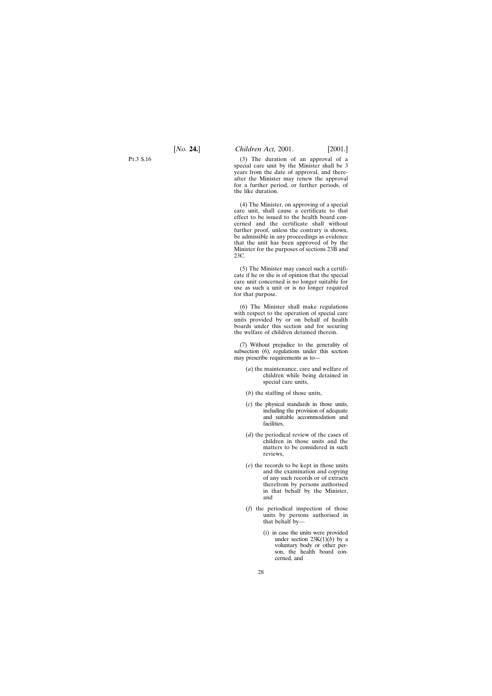(3) The duration of an approval of a special care unit by the Minister shall be 3 years from the date of approval, and thereafter the Minister may renew the approval for a further period, or further periods, of the like duration.

(4) The Minister, on approving of a special care unit, shall cause a certificate to that effect to be issued to the health board concerned and the certificate shall without further proof, unless the contrary is shown, be admissible in any proceedings as evidence that the unit has been approved of by the Minister for the purposes of sections 23B and 23C.

(5) The Minister may cancel such a certificate if he or she is of opinion that the special care unit concerned is no longer suitable for use as such a unit or is no longer required for that purpose.

(6) The Minister shall make regulations with respect to the operation of special care units provided by or on behalf of health boards under this section and for securing the welfare of children detained therein.

(7) Without prejudice to the generality of subsection (6), regulations under this section may prescribe requirements as to—

- (*a*) the maintenance, care and welfare of children while being detained in special care units,
- (*b*) the staffing of those units,
- (*c*) the physical standards in those units, including the provision of adequate and suitable accommodation and facilities,
- (*d*) the periodical review of the cases of children in those units and the matters to be considered in such reviews,
- (*e*) the records to be kept in those units and the examination and copying of any such records or of extracts therefrom by persons authorised in that behalf by the Minister, and
- (*f*) the periodical inspection of those units by persons authorised in that behalf by—
	- (i) in case the units were provided under section  $23K(1)(b)$  by a voluntary body or other person, the health board concerned, and

Pt.3 S.16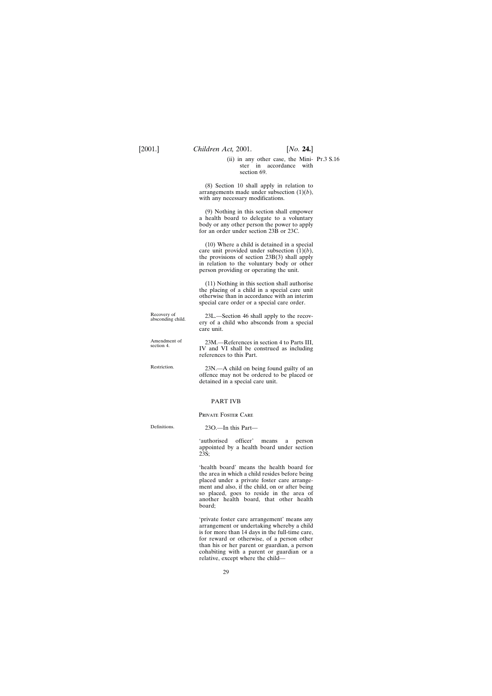(ii) in any other case, the Mini-Pt.3 S.16ster in accordance with section 69.

(8) Section 10 shall apply in relation to arrangements made under subsection (1)(*b*), with any necessary modifications.

(9) Nothing in this section shall empower a health board to delegate to a voluntary body or any other person the power to apply for an order under section 23B or 23C.

(10) Where a child is detained in a special care unit provided under subsection  $(1)(b)$ , the provisions of section 23B(3) shall apply in relation to the voluntary body or other person providing or operating the unit.

(11) Nothing in this section shall authorise the placing of a child in a special care unit otherwise than in accordance with an interim special care order or a special care order.

Recovery of 23L.—Section 46 shall apply to the recov-<br>absconding child. ery of a child who absconds from a special care unit.

Amendment of 23M.—References in section 4 to Parts III, section 4.<br>IV and VI shall be construed as including references to this Part.

Restriction. 23N.—A child on being found guilty of an offence may not be ordered to be placed or detained in a special care unit.

#### PART IVB

#### Private Foster Care

Definitions. 23O.—In this Part—

'authorised officer' means a person appointed by a health board under section 23S;

'health board' means the health board for the area in which a child resides before being placed under a private foster care arrangement and also, if the child, on or after being so placed, goes to reside in the area of another health board, that other health board;

'private foster care arrangement' means any arrangement or undertaking whereby a child is for more than 14 days in the full-time care, for reward or otherwise, of a person other than his or her parent or guardian, a person cohabiting with a parent or guardian or a relative, except where the child—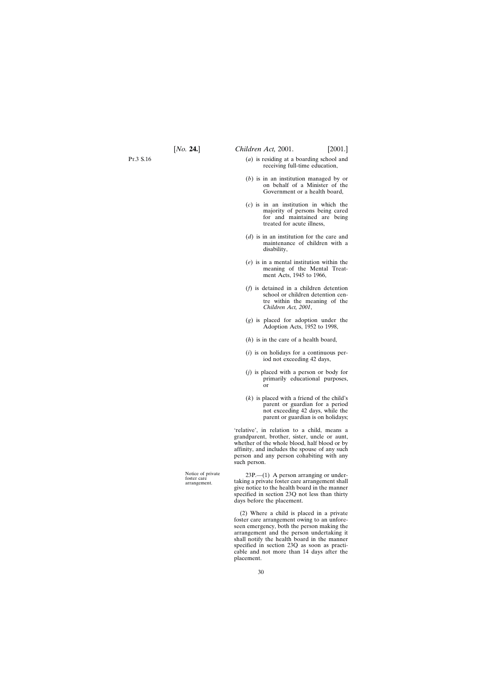- (*a*) is residing at a boarding school and receiving full-time education,
- (*b*) is in an institution managed by or on behalf of a Minister of the Government or a health board,
- (*c*) is in an institution in which the majority of persons being cared for and maintained are being treated for acute illness,
- (*d*) is in an institution for the care and maintenance of children with a disability,
- (*e*) is in a mental institution within the meaning of the Mental Treatment Acts, 1945 to 1966,
- (*f*) is detained in a children detention school or children detention centre within the meaning of the *Children Act, 2001*,
- (*g*) is placed for adoption under the Adoption Acts, 1952 to 1998,
- (*h*) is in the care of a health board,
- (*i*) is on holidays for a continuous period not exceeding 42 days,
- (*j*) is placed with a person or body for primarily educational purposes, or
- (*k*) is placed with a friend of the child's parent or guardian for a period not exceeding 42 days, while the parent or guardian is on holidays;

'relative', in relation to a child, means a grandparent, brother, sister, uncle or aunt, whether of the whole blood, half blood or by affinity, and includes the spouse of any such person and any person cohabiting with any such person.

Notice of private 23P.—(1) A person arranging or under-<br>foster care<br>arrangement. taking a private foster care arrangement shall taking a private foster care arrangement shall give notice to the health board in the manner specified in section 23Q not less than thirty days before the placement.

> (2) Where a child is placed in a private foster care arrangement owing to an unforeseen emergency, both the person making the arrangement and the person undertaking it shall notify the health board in the manner specified in section 23Q as soon as practicable and not more than 14 days after the placement.

> > 30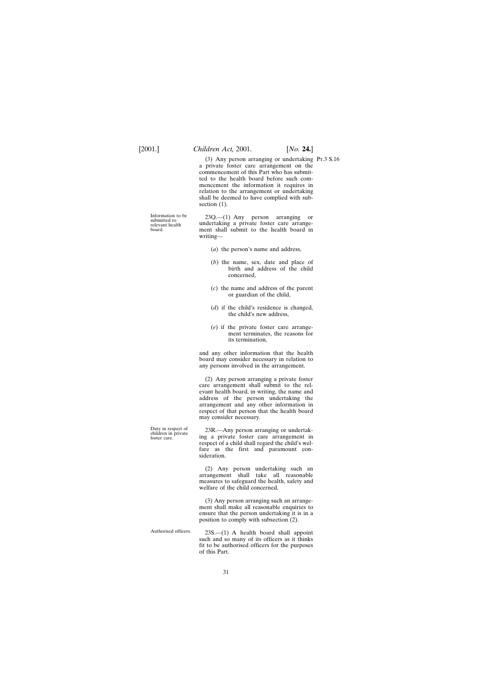(3) Any person arranging or undertaking Pt.3 S.16a private foster care arrangement on the commencement of this Part who has submitted to the health board before such commencement the information it requires in relation to the arrangement or undertaking shall be deemed to have complied with subsection  $(1)$ .

Information to be 23Q.—(1) Any person arranging or submitted to undertaking a private foster care arrange-<br>relevant health undertaking a private foster care arrange-<br>health heard in ment shall submit to the health board in writing—

- (*a*) the person's name and address,
- (*b*) the name, sex, date and place of birth and address of the child concerned,
- (*c*) the name and address of the parent or guardian of the child,
- (*d*) if the child's residence is changed, the child's new address,
- (*e*) if the private foster care arrangement terminates, the reasons for its termination,

and any other information that the health board may consider necessary in relation to any persons involved in the arrangement.

(2) Any person arranging a private foster care arrangement shall submit to the relevant health board, in writing, the name and address of the person undertaking the arrangement and any other information in respect of that person that the health board may consider necessary.

Duty in respect of 23R.—Any person arranging or undertak-<br>
children in private ing a private foster care arrangement in ing a private foster care arrangement in respect of a child shall regard the child's welfare as the first and paramount consideration.

> (2) Any person undertaking such an arrangement shall take all reasonable measures to safeguard the health, safety and welfare of the child concerned.

> (3) Any person arranging such an arrangement shall make all reasonable enquiries to ensure that the person undertaking it is in a position to comply with subsection (2).

Authorised officers. 23S.—(1) A health board shall appoint such and so many of its officers as it thinks fit to be authorised officers for the purposes of this Part.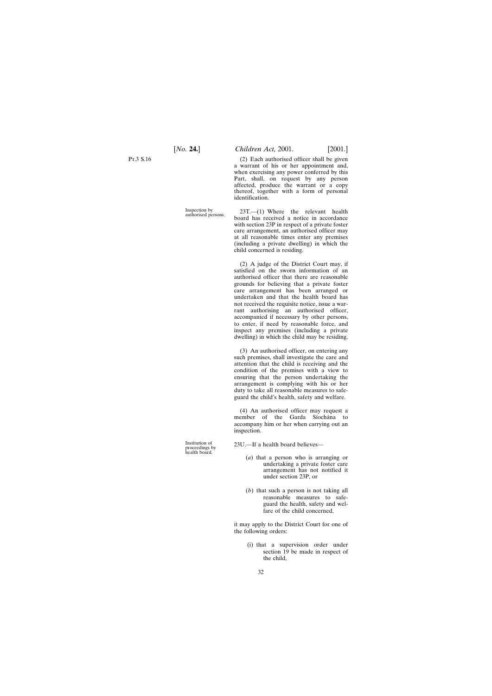Pt.3 S.16

(2) Each authorised officer shall be given a warrant of his or her appointment and, when exercising any power conferred by this Part, shall, on request by any person affected, produce the warrant or a copy thereof, together with a form of personal identification.

Inspection by 23T.—(1) Where the relevant health authorised persons. board has received a notice in accordance with section 23P in respect of a private foster care arrangement, an authorised officer may at all reasonable times enter any premises (including a private dwelling) in which the child concerned is residing.

> (2) A judge of the District Court may, if satisfied on the sworn information of an authorised officer that there are reasonable grounds for believing that a private foster care arrangement has been arranged or undertaken and that the health board has not received the requisite notice, issue a warrant authorising an authorised officer, accompanied if necessary by other persons, to enter, if need by reasonable force, and inspect any premises (including a private dwelling) in which the child may be residing.

> (3) An authorised officer, on entering any such premises, shall investigate the care and attention that the child is receiving and the condition of the premises with a view to ensuring that the person undertaking the arrangement is complying with his or her duty to take all reasonable measures to safeguard the child's health, safety and welfare.

> (4) An authorised officer may request a member of the Garda Síochána to accompany him or her when carrying out an inspection.

23U.—If a health board believes—

- (*a*) that a person who is arranging or undertaking a private foster care arrangement has not notified it under section 23P, or
- (*b*) that such a person is not taking all reasonable measures to safeguard the health, safety and welfare of the child concerned,

it may apply to the District Court for one of the following orders:

> (i) that a supervision order under section 19 be made in respect of the child,

Institution of<br>proceedings by health board.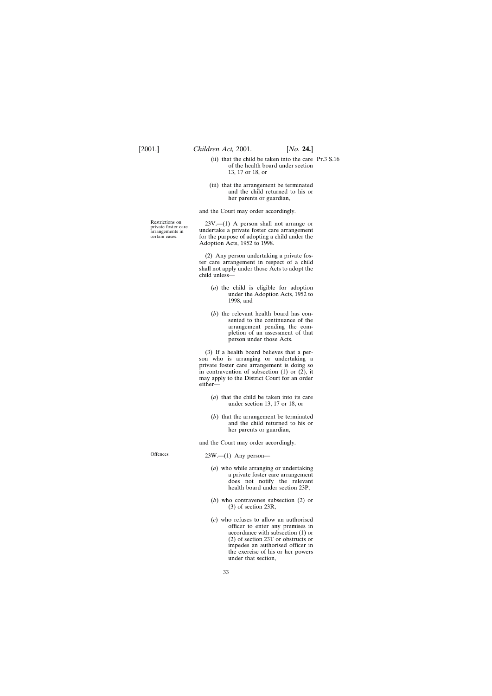- (ii) that the child be taken into the care Pt.3 S.16of the health board under section 13, 17 or 18, or
- (iii) that the arrangement be terminated and the child returned to his or her parents or guardian,

and the Court may order accordingly.

Restrictions on 23V.—(1) A person shall not arrange or private foster care arrangements in undertake a private foster care arrangement private loster care<br>arrangements in undertake a private foster care arrangement<br>certain cases. for the purpose of adopting a child under the for the purpose of adopting a child under the Adoption Acts, 1952 to 1998.

> (2) Any person undertaking a private foster care arrangement in respect of a child shall not apply under those Acts to adopt the child unless—

- (*a*) the child is eligible for adoption under the Adoption Acts, 1952 to 1998, and
- (*b*) the relevant health board has consented to the continuance of the arrangement pending the completion of an assessment of that person under those Acts.

(3) If a health board believes that a person who is arranging or undertaking a private foster care arrangement is doing so in contravention of subsection (1) or (2), it may apply to the District Court for an order either—

- (*a*) that the child be taken into its care under section 13, 17 or 18, or
- (*b*) that the arrangement be terminated and the child returned to his or her parents or guardian,

and the Court may order accordingly.

Offences. 23W.—(1) Any person—

- (*a*) who while arranging or undertaking a private foster care arrangement does not notify the relevant health board under section 23P,
- (*b*) who contravenes subsection (2) or (3) of section 23R,
- (*c*) who refuses to allow an authorised officer to enter any premises in accordance with subsection (1) or (2) of section 23T or obstructs or impedes an authorised officer in the exercise of his or her powers under that section,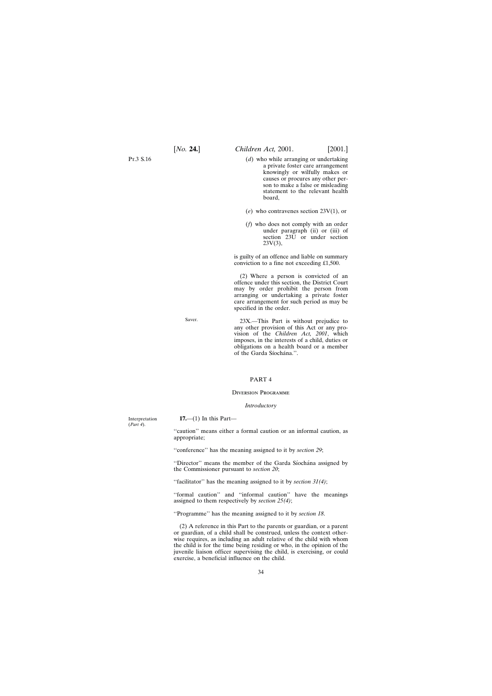<span id="page-33-0"></span>Pt.3 S.16

- (*d*) who while arranging or undertaking a private foster care arrangement knowingly or wilfully makes or causes or procures any other person to make a false or misleading statement to the relevant health board,
- (*e*) who contravenes section 23V(1), or
- (*f*) who does not comply with an order under paragraph (ii) or (iii) of section 23U or under section  $23V(3)$ ,

is guilty of an offence and liable on summary conviction to a fine not exceeding £1,500.

(2) Where a person is convicted of an offence under this section, the District Court may by order prohibit the person from arranging or undertaking a private foster care arrangement for such period as may be specified in the order.

Saver. 23X.—This Part is without prejudice to any other provision of this Act or any provision of the *Children Act, 2001*, which imposes, in the interests of a child, duties or obligations on a health board or a member of the Garda Síochána.".

#### PART 4

#### Diversion Programme

#### *Introductory*

Interpretation **17.**—(1) In this Part— "caution" means either a formal caution or an informal caution, as appropriate; ''conference'' has the meaning assigned to it by *section 29*; "Director" means the member of the Garda Síochána assigned by the Commissioner pursuant to *section 20*; ''facilitator'' has the meaning assigned to it by *section 31(4)*; ''formal caution'' and ''informal caution'' have the meanings assigned to them respectively by *section 25(4)*; ''Programme'' has the meaning assigned to it by *section 18*. (2) A reference in this Part to the parents or guardian, or a parent or guardian, of a child shall be construed, unless the context otherwise requires, as including an adult relative of the child with whom the child is for the time being residing or who, in the opinion of the juvenile liaison officer supervising the child, is exercising, or could

exercise, a beneficial influence on the child.

(*Part 4*).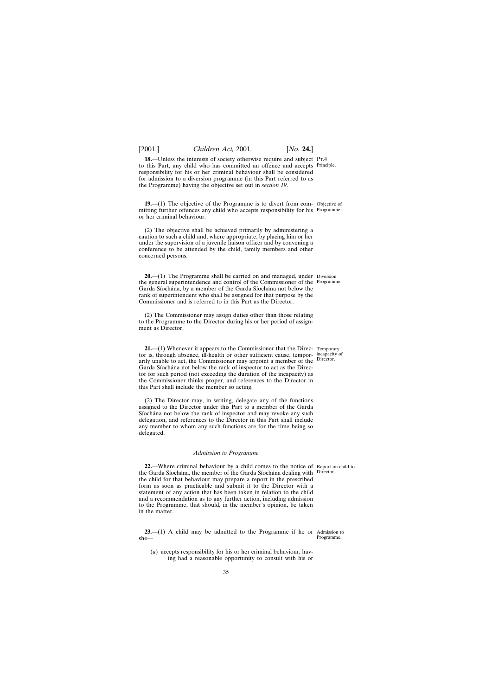<span id="page-34-0"></span>**18.**—Unless the interests of society otherwise require and subject Pr.4 to this Part, any child who has committed an offence and accepts Principle. responsibility for his or her criminal behaviour shall be considered for admission to a diversion programme (in this Part referred to as the Programme) having the objective set out in *section 19*.

**19.**—(1) The objective of the Programme is to divert from com- Objective of mitting further offences any child who accepts responsibility for his Programme. or her criminal behaviour.

(2) The objective shall be achieved primarily by administering a caution to such a child and, where appropriate, by placing him or her under the supervision of a juvenile liaison officer and by convening a conference to be attended by the child, family members and other concerned persons.

**20.**—(1) The Programme shall be carried on and managed, under Diversion the general superintendence and control of the Commissioner of the Programme. Garda Síochána, by a member of the Garda Síochána not below the rank of superintendent who shall be assigned for that purpose by the Commissioner and is referred to in this Part as the Director.

(2) The Commissioner may assign duties other than those relating to the Programme to the Director during his or her period of assignment as Director.

**21.**—(1) Whenever it appears to the Commissioner that the Direc- Temporary tor is, through absence, ill-health or other sufficient cause, tempor-incapacity of arily unable to act, the Commissioner may appoint a member of the Director. Garda Síochána not below the rank of inspector to act as the Director for such period (not exceeding the duration of the incapacity) as the Commissioner thinks proper, and references to the Director in this Part shall include the member so acting.

(2) The Director may, in writing, delegate any of the functions assigned to the Director under this Part to a member of the Garda Síochána not below the rank of inspector and may revoke any such delegation, and references to the Director in this Part shall include any member to whom any such functions are for the time being so delegated.

#### *Admission to Programme*

**22.**—Where criminal behaviour by a child comes to the notice of Report on child to the Garda Síochána, the member of the Garda Síochána dealing with Director. the child for that behaviour may prepare a report in the prescribed form as soon as practicable and submit it to the Director with a statement of any action that has been taken in relation to the child and a recommendation as to any further action, including admission to the Programme, that should, in the member's opinion, be taken in the matter.

**23.**—(1) A child may be admitted to the Programme if he or Admission to she—

(*a*) accepts responsibility for his or her criminal behaviour, having had a reasonable opportunity to consult with his or

Programme.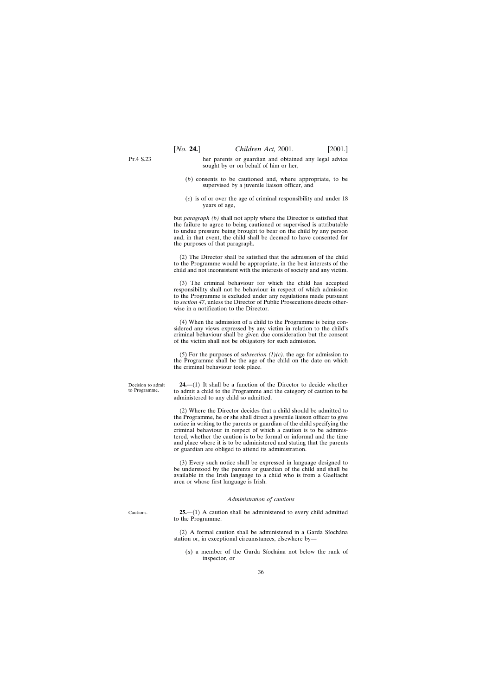<span id="page-35-0"></span>P<sub>T</sub> 4 S 23

her parents or guardian and obtained any legal advice sought by or on behalf of him or her,

- (*b*) consents to be cautioned and, where appropriate, to be supervised by a juvenile liaison officer, and
- (*c*) is of or over the age of criminal responsibility and under 18 years of age,

but *paragraph (b)* shall not apply where the Director is satisfied that the failure to agree to being cautioned or supervised is attributable to undue pressure being brought to bear on the child by any person and, in that event, the child shall be deemed to have consented for the purposes of that paragraph.

(2) The Director shall be satisfied that the admission of the child to the Programme would be appropriate, in the best interests of the child and not inconsistent with the interests of society and any victim.

(3) The criminal behaviour for which the child has accepted responsibility shall not be behaviour in respect of which admission to the Programme is excluded under any regulations made pursuant to *section 47*, unless the Director of Public Prosecutions directs otherwise in a notification to the Director.

(4) When the admission of a child to the Programme is being considered any views expressed by any victim in relation to the child's criminal behaviour shall be given due consideration but the consent of the victim shall not be obligatory for such admission.

(5) For the purposes of *subsection*  $(1)(c)$ , the age for admission to the Programme shall be the age of the child on the date on which the criminal behaviour took place.

**24.**—(1) It shall be a function of the Director to decide whether to admit a child to the Programme and the category of caution to be administered to any child so admitted.

(2) Where the Director decides that a child should be admitted to the Programme, he or she shall direct a juvenile liaison officer to give notice in writing to the parents or guardian of the child specifying the criminal behaviour in respect of which a caution is to be administered, whether the caution is to be formal or informal and the time and place where it is to be administered and stating that the parents or guardian are obliged to attend its administration.

(3) Every such notice shall be expressed in language designed to be understood by the parents or guardian of the child and shall be available in the Irish language to a child who is from a Gaeltacht area or whose first language is Irish.

#### *Administration of cautions*

Cautions.

**25.**—(1) A caution shall be administered to every child admitted to the Programme.

 $(2)$  A formal caution shall be administered in a Garda Síochána station or, in exceptional circumstances, elsewhere by—

(*a*) a member of the Garda Síochána not below the rank of inspector, or

Decision to admit to Programme.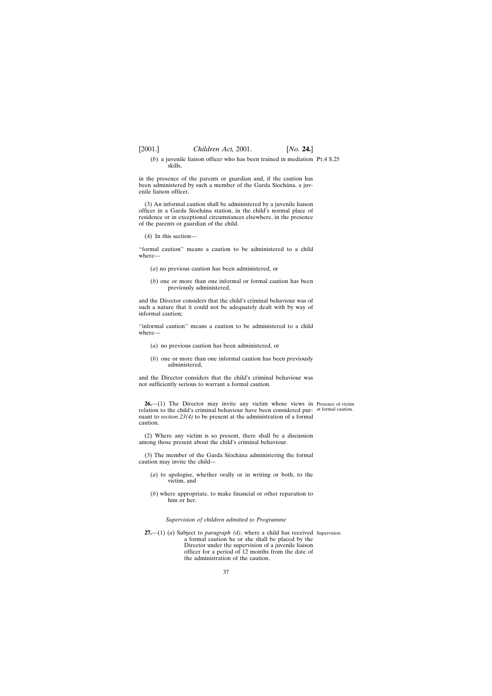- 
- (*b*) a juvenile liaison officer who has been trained in mediation Pt.4 S.25 skills,

in the presence of the parents or guardian and, if the caution has been administered by such a member of the Garda Síochána, a juvenile liaison officer.

(3) An informal caution shall be administered by a juvenile liaison officer in a Garda Síochána station, in the child's normal place of residence or in exceptional circumstances elsewhere, in the presence of the parents or guardian of the child.

(4) In this section—

''formal caution'' means a caution to be administered to a child where—

- (*a*) no previous caution has been administered, or
- (*b*) one or more than one informal or formal caution has been previously administered,

and the Director considers that the child's criminal behaviour was of such a nature that it could not be adequately dealt with by way of informal caution;

''informal caution'' means a caution to be administered to a child where—

- (*a*) no previous caution has been administered, or
- (*b*) one or more than one informal caution has been previously administered,

and the Director considers that the child's criminal behaviour was not sufficiently serious to warrant a formal caution.

**26.**—(1) The Director may invite any victim whose views in Presence of victim relation to the child's criminal behaviour have been considered pur-at formal caution. suant to *section 23(4)* to be present at the administration of a formal caution.

(2) Where any victim is so present, there shall be a discussion among those present about the child's criminal behaviour.

(3) The member of the Garda Síochána administering the formal caution may invite the child—

- (*a*) to apologise, whether orally or in writing or both, to the victim, and
- (*b*) where appropriate, to make financial or other reparation to him or her.

# *Supervision of children admitted to Programme*

**27.**—(1) (*a*) Subject to *paragraph (d)*, where a child has received Supervision.a formal caution he or she shall be placed by the Director under the supervision of a juvenile liaison officer for a period of 12 months from the date of the administration of the caution.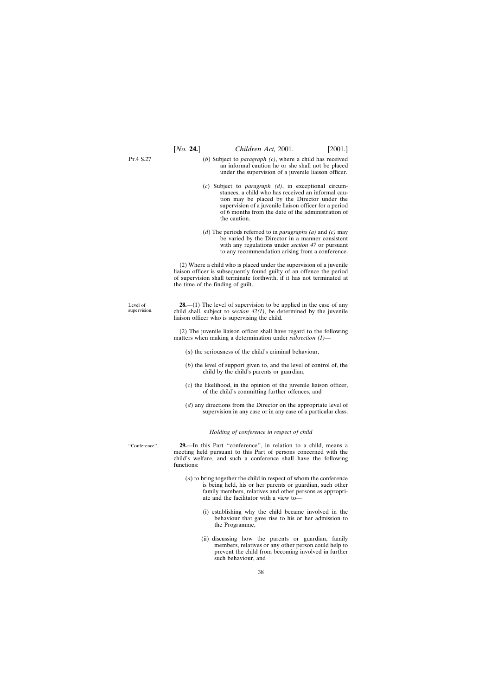P<sub>T</sub> 4 S 27

- (*b*) Subject to *paragraph (c)*, where a child has received an informal caution he or she shall not be placed under the supervision of a juvenile liaison officer.
- (*c*) Subject to *paragraph (d)*, in exceptional circumstances, a child who has received an informal caution may be placed by the Director under the supervision of a juvenile liaison officer for a period of 6 months from the date of the administration of the caution.
- (*d*) The periods referred to in *paragraphs (a)* and *(c)* may be varied by the Director in a manner consistent with any regulations under *section 47* or pursuant to any recommendation arising from a conference.

(2) Where a child who is placed under the supervision of a juvenile liaison officer is subsequently found guilty of an offence the period of supervision shall terminate forthwith, if it has not terminated at the time of the finding of guilt.

Level of supervision. **28.**—(1) The level of supervision to be applied in the case of any child shall, subject to *section 42(1)*, be determined by the juvenile liaison officer who is supervising the child.

> (2) The juvenile liaison officer shall have regard to the following matters when making a determination under *subsection (1)*—

- (*a*) the seriousness of the child's criminal behaviour,
- (*b*) the level of support given to, and the level of control of, the child by the child's parents or guardian,
- (*c*) the likelihood, in the opinion of the juvenile liaison officer, of the child's committing further offences, and
- (*d*) any directions from the Director on the appropriate level of supervision in any case or in any case of a particular class.

#### *Holding of conference in respect of child*

''Conference''.

**29.**—In this Part ''conference'', in relation to a child, means a meeting held pursuant to this Part of persons concerned with the child's welfare, and such a conference shall have the following functions:

- (*a*) to bring together the child in respect of whom the conference is being held, his or her parents or guardian, such other family members, relatives and other persons as appropriate and the facilitator with a view to—
	- (i) establishing why the child became involved in the behaviour that gave rise to his or her admission to the Programme,
	- (ii) discussing how the parents or guardian, family members, relatives or any other person could help to prevent the child from becoming involved in further such behaviour, and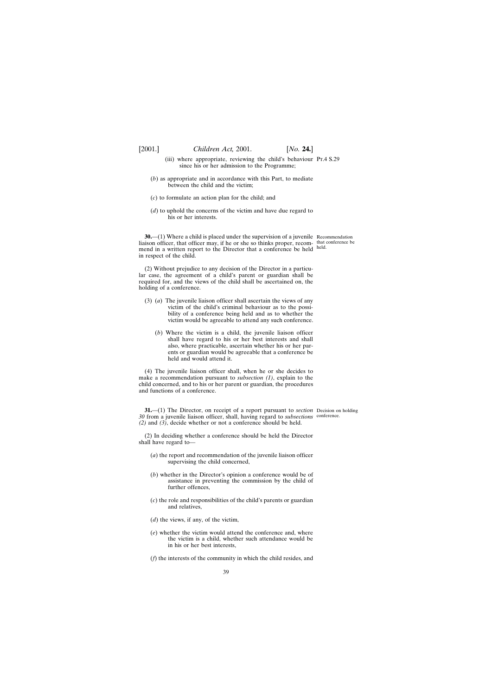- (iii) where appropriate, reviewing the child's behaviour Pt.4 S.29 since his or her admission to the Programme;
- (*b*) as appropriate and in accordance with this Part, to mediate between the child and the victim;
- (*c*) to formulate an action plan for the child; and
- (*d*) to uphold the concerns of the victim and have due regard to his or her interests.

**30.**—(1) Where a child is placed under the supervision of a juvenile Recommendation liaison officer, that officer may, if he or she so thinks proper, recom-that conference be mend in a written report to the Director that a conference be held held. in respect of the child.

(2) Without prejudice to any decision of the Director in a particular case, the agreement of a child's parent or guardian shall be required for, and the views of the child shall be ascertained on, the holding of a conference.

- (3) (*a*) The juvenile liaison officer shall ascertain the views of any victim of the child's criminal behaviour as to the possibility of a conference being held and as to whether the victim would be agreeable to attend any such conference.
	- (*b*) Where the victim is a child, the juvenile liaison officer shall have regard to his or her best interests and shall also, where practicable, ascertain whether his or her parents or guardian would be agreeable that a conference be held and would attend it.

(4) The juvenile liaison officer shall, when he or she decides to make a recommendation pursuant to *subsection (1)*, explain to the child concerned, and to his or her parent or guardian, the procedures and functions of a conference.

**31.**—(1) The Director, on receipt of a report pursuant to *section* Decision on holding *30* from a juvenile liaison officer, shall, having regard to *subsections* conference.*(2)* and *(3)*, decide whether or not a conference should be held.

(2) In deciding whether a conference should be held the Director shall have regard to—

- (*a*) the report and recommendation of the juvenile liaison officer supervising the child concerned,
- (*b*) whether in the Director's opinion a conference would be of assistance in preventing the commission by the child of further offences,
- (*c*) the role and responsibilities of the child's parents or guardian and relatives,
- (*d*) the views, if any, of the victim,
- (*e*) whether the victim would attend the conference and, where the victim is a child, whether such attendance would be in his or her best interests,
- (*f*) the interests of the community in which the child resides, and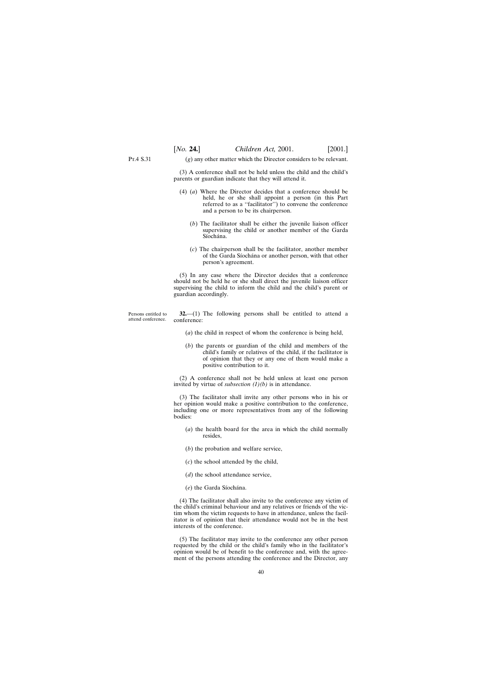P<sub>T</sub> 4 S 31

(*g*) any other matter which the Director considers to be relevant.

(3) A conference shall not be held unless the child and the child's parents or guardian indicate that they will attend it.

- (4) (*a*) Where the Director decides that a conference should be held, he or she shall appoint a person (in this Part referred to as a ''facilitator'') to convene the conference and a person to be its chairperson.
	- (*b*) The facilitator shall be either the juvenile liaison officer supervising the child or another member of the Garda Síochána.
	- (*c*) The chairperson shall be the facilitator, another member of the Garda Síochána or another person, with that other person's agreement.

(5) In any case where the Director decides that a conference should not be held he or she shall direct the juvenile liaison officer supervising the child to inform the child and the child's parent or guardian accordingly.

Persons entitled to attend conference. **32.**—(1) The following persons shall be entitled to attend a conference:

- (*a*) the child in respect of whom the conference is being held,
- (*b*) the parents or guardian of the child and members of the child's family or relatives of the child, if the facilitator is of opinion that they or any one of them would make a positive contribution to it.

(2) A conference shall not be held unless at least one person invited by virtue of *subsection (1)(b)* is in attendance.

(3) The facilitator shall invite any other persons who in his or her opinion would make a positive contribution to the conference, including one or more representatives from any of the following bodies:

- (*a*) the health board for the area in which the child normally resides,
- (*b*) the probation and welfare service,
- (*c*) the school attended by the child,
- (*d*) the school attendance service,
- (e) the Garda Síochána.

(4) The facilitator shall also invite to the conference any victim of the child's criminal behaviour and any relatives or friends of the victim whom the victim requests to have in attendance, unless the facilitator is of opinion that their attendance would not be in the best interests of the conference.

(5) The facilitator may invite to the conference any other person requested by the child or the child's family who in the facilitator's opinion would be of benefit to the conference and, with the agreement of the persons attending the conference and the Director, any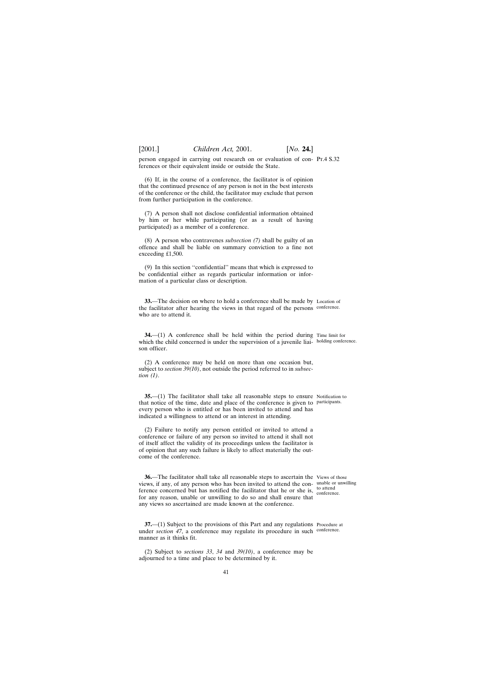person engaged in carrying out research on or evaluation of con-Pt.4 S.32 ferences or their equivalent inside or outside the State.

(6) If, in the course of a conference, the facilitator is of opinion that the continued presence of any person is not in the best interests of the conference or the child, the facilitator may exclude that person from further participation in the conference.

(7) A person shall not disclose confidential information obtained by him or her while participating (or as a result of having participated) as a member of a conference.

(8) A person who contravenes *subsection (7)* shall be guilty of an offence and shall be liable on summary conviction to a fine not exceeding £1,500.

(9) In this section ''confidential'' means that which is expressed to be confidential either as regards particular information or information of a particular class or description.

**33.**—The decision on where to hold a conference shall be made by Location of the facilitator after hearing the views in that regard of the persons conference. who are to attend it.

**34.**—(1) A conference shall be held within the period during Time limit for which the child concerned is under the supervision of a juvenile liai-holding conference. son officer.

(2) A conference may be held on more than one occasion but, subject to *section 39(10)*, not outside the period referred to in *subsection (1)*.

**35.**—(1) The facilitator shall take all reasonable steps to ensure Notification to that notice of the time, date and place of the conference is given to participants. every person who is entitled or has been invited to attend and has indicated a willingness to attend or an interest in attending.

(2) Failure to notify any person entitled or invited to attend a conference or failure of any person so invited to attend it shall not of itself affect the validity of its proceedings unless the facilitator is of opinion that any such failure is likely to affect materially the outcome of the conference.

**36.**—The facilitator shall take all reasonable steps to ascertain the Views of those views, if any, of any person who has been invited to attend the con-unable or unwilling ference concerned but has notified the facilitator that he or she is,  $\frac{\text{to attend}}{\text{conferen}}$ for any reason, unable or unwilling to do so and shall ensure that any views so ascertained are made known at the conference.

conference.

**37.**—(1) Subject to the provisions of this Part and any regulations Procedure at under *section 47*, a conference may regulate its procedure in such conference. manner as it thinks fit.

(2) Subject to *sections 33*, *34* and *39(10)*, a conference may be adjourned to a time and place to be determined by it.

41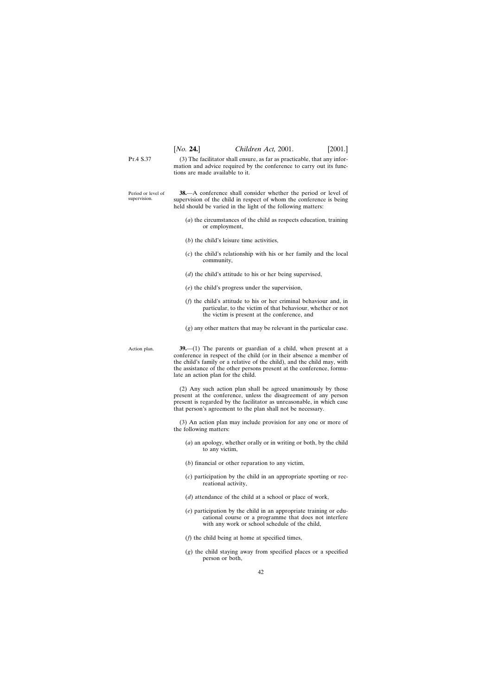P<sub>T</sub> 4 S 37 (3) The facilitator shall ensure, as far as practicable, that any information and advice required by the conference to carry out its functions are made available to it.

Period or level of supervision. **38.**—A conference shall consider whether the period or level of supervision of the child in respect of whom the conference is being held should be varied in the light of the following matters:

- (*a*) the circumstances of the child as respects education, training or employment,
- (*b*) the child's leisure time activities,
- (*c*) the child's relationship with his or her family and the local community,
- (*d*) the child's attitude to his or her being supervised,
- (*e*) the child's progress under the supervision,
- (*f*) the child's attitude to his or her criminal behaviour and, in particular, to the victim of that behaviour, whether or not the victim is present at the conference, and
- (*g*) any other matters that may be relevant in the particular case.

Action plan.

**39.**—(1) The parents or guardian of a child, when present at a conference in respect of the child (or in their absence a member of the child's family or a relative of the child), and the child may, with the assistance of the other persons present at the conference, formulate an action plan for the child.

(2) Any such action plan shall be agreed unanimously by those present at the conference, unless the disagreement of any person present is regarded by the facilitator as unreasonable, in which case that person's agreement to the plan shall not be necessary.

(3) An action plan may include provision for any one or more of the following matters:

- (*a*) an apology, whether orally or in writing or both, by the child to any victim,
- (*b*) financial or other reparation to any victim,
- (*c*) participation by the child in an appropriate sporting or recreational activity,
- (*d*) attendance of the child at a school or place of work,
- (*e*) participation by the child in an appropriate training or educational course or a programme that does not interfere with any work or school schedule of the child,
- (*f*) the child being at home at specified times,
- (*g*) the child staying away from specified places or a specified person or both,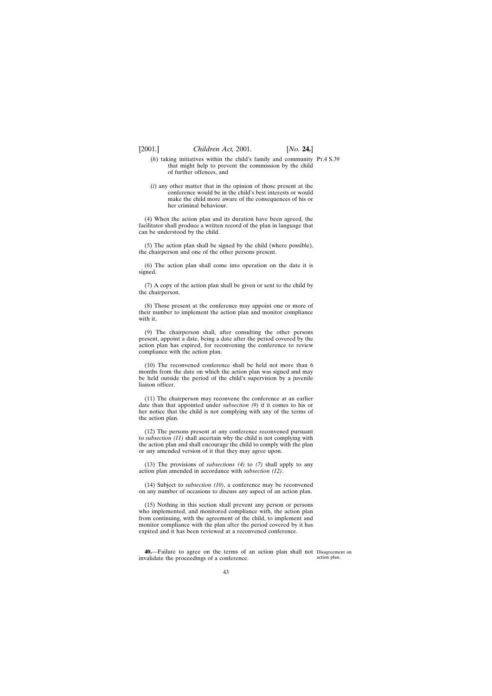- (*h*) taking initiatives within the child's family and community Pt.4 S.39 that might help to prevent the commission by the child of further offences, and
- (*i*) any other matter that in the opinion of those present at the conference would be in the child's best interests or would make the child more aware of the consequences of his or her criminal behaviour.

(4) When the action plan and its duration have been agreed, the facilitator shall produce a written record of the plan in language that can be understood by the child.

(5) The action plan shall be signed by the child (where possible), the chairperson and one of the other persons present.

(6) The action plan shall come into operation on the date it is signed.

(7) A copy of the action plan shall be given or sent to the child by the chairperson.

(8) Those present at the conference may appoint one or more of their number to implement the action plan and monitor compliance with it.

(9) The chairperson shall, after consulting the other persons present, appoint a date, being a date after the period covered by the action plan has expired, for reconvening the conference to review compliance with the action plan.

(10) The reconvened conference shall be held not more than 6 months from the date on which the action plan was signed and may be held outside the period of the child's supervision by a juvenile liaison officer.

(11) The chairperson may reconvene the conference at an earlier date than that appointed under *subsection (9)* if it comes to his or her notice that the child is not complying with any of the terms of the action plan.

(12) The persons present at any conference reconvened pursuant to *subsection (11)* shall ascertain why the child is not complying with the action plan and shall encourage the child to comply with the plan or any amended version of it that they may agree upon.

(13) The provisions of *subsections (4)* to *(7)* shall apply to any action plan amended in accordance with *subsection (12)*.

(14) Subject to *subsection (10)*, a conference may be reconvened on any number of occasions to discuss any aspect of an action plan.

(15) Nothing in this section shall prevent any person or persons who implemented, and monitored compliance with, the action plan from continuing, with the agreement of the child, to implement and monitor compliance with the plan after the period covered by it has expired and it has been reviewed at a reconvened conference.

**40.**—Failure to agree on the terms of an action plan shall not Disagreement on invalidate the proceedings of a conference.

action plan.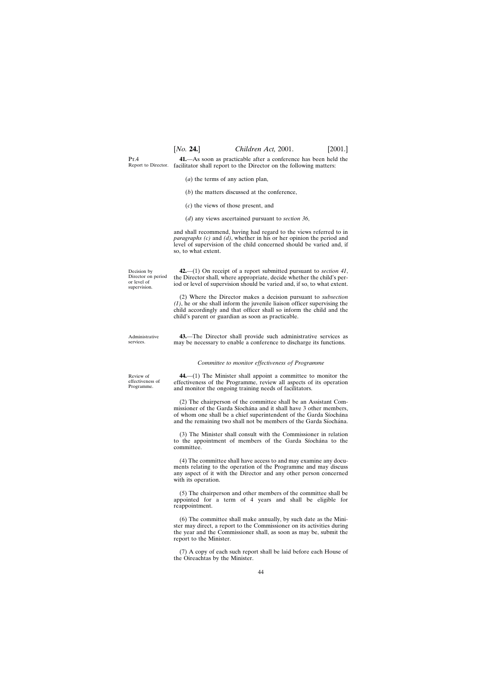$Pr_4$ Report to Director. facilitator shall report to the Director on the following matters: **41.**—As soon as practicable after a conference has been held the

- (*a*) the terms of any action plan,
- (*b*) the matters discussed at the conference,
- (*c*) the views of those present, and
- (*d*) any views ascertained pursuant to *section 36*,

and shall recommend, having had regard to the views referred to in *paragraphs (c)* and *(d)*, whether in his or her opinion the period and level of supervision of the child concerned should be varied and, if so, to what extent.

Decision by Director on period or level of supervision. **42.**—(1) On receipt of a report submitted pursuant to *section 41*, the Director shall, where appropriate, decide whether the child's period or level of supervision should be varied and, if so, to what extent.

> (2) Where the Director makes a decision pursuant to *subsection (1)*, he or she shall inform the juvenile liaison officer supervising the child accordingly and that officer shall so inform the child and the child's parent or guardian as soon as practicable.

Administrative services.

**43.**—The Director shall provide such administrative services as may be necessary to enable a conference to discharge its functions.

#### *Committee to monitor effectiveness of Programme*

**44.**—(1) The Minister shall appoint a committee to monitor the effectiveness of the Programme, review all aspects of its operation and monitor the ongoing training needs of facilitators.

(2) The chairperson of the committee shall be an Assistant Commissioner of the Garda Síochána and it shall have 3 other members, of whom one shall be a chief superintendent of the Garda Síochána and the remaining two shall not be members of the Garda Siochana.

(3) The Minister shall consult with the Commissioner in relation to the appointment of members of the Garda Siochana to the committee.

(4) The committee shall have access to and may examine any documents relating to the operation of the Programme and may discuss any aspect of it with the Director and any other person concerned with its operation.

(5) The chairperson and other members of the committee shall be appointed for a term of 4 years and shall be eligible for reappointment.

(6) The committee shall make annually, by such date as the Minister may direct, a report to the Commissioner on its activities during the year and the Commissioner shall, as soon as may be, submit the report to the Minister.

(7) A copy of each such report shall be laid before each House of the Oireachtas by the Minister.

Review of effectiveness of Programme.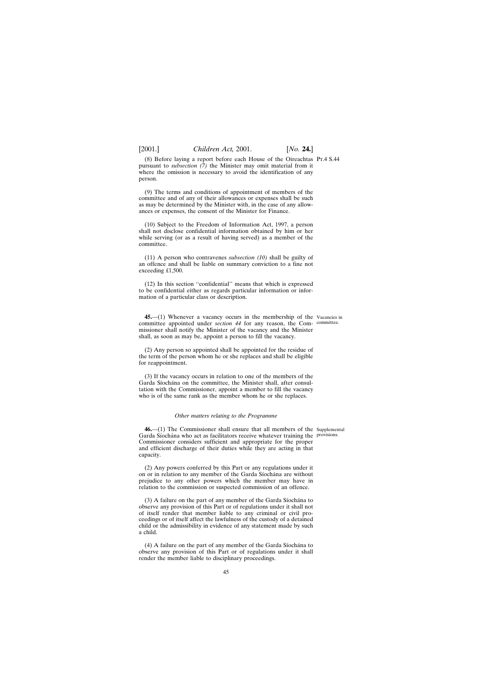(8) Before laying a report before each House of the Oireachtas Pt.4 S.44 pursuant to *subsection (7)* the Minister may omit material from it where the omission is necessary to avoid the identification of any person.

(9) The terms and conditions of appointment of members of the committee and of any of their allowances or expenses shall be such as may be determined by the Minister with, in the case of any allowances or expenses, the consent of the Minister for Finance.

(10) Subject to the Freedom of Information Act, 1997, a person shall not disclose confidential information obtained by him or her while serving (or as a result of having served) as a member of the committee.

(11) A person who contravenes *subsection (10)* shall be guilty of an offence and shall be liable on summary conviction to a fine not exceeding £1,500.

(12) In this section ''confidential'' means that which is expressed to be confidential either as regards particular information or information of a particular class or description.

**45.**—(1) Whenever a vacancy occurs in the membership of the Vacancies in committee appointed under *section 44* for any reason, the Com-committee. missioner shall notify the Minister of the vacancy and the Minister shall, as soon as may be, appoint a person to fill the vacancy.

(2) Any person so appointed shall be appointed for the residue of the term of the person whom he or she replaces and shall be eligible for reappointment.

(3) If the vacancy occurs in relation to one of the members of the Garda Síochána on the committee, the Minister shall, after consultation with the Commissioner, appoint a member to fill the vacancy who is of the same rank as the member whom he or she replaces.

#### *Other matters relating to the Programme*

**46.**—(1) The Commissioner shall ensure that all members of the Supplemental Garda Síochána who act as facilitators receive whatever training the provisions. Commissioner considers sufficient and appropriate for the proper and efficient discharge of their duties while they are acting in that capacity.

(2) Any powers conferred by this Part or any regulations under it on or in relation to any member of the Garda Síochána are without prejudice to any other powers which the member may have in relation to the commission or suspected commission of an offence.

 $(3)$  A failure on the part of any member of the Garda Siochana to observe any provision of this Part or of regulations under it shall not of itself render that member liable to any criminal or civil proceedings or of itself affect the lawfulness of the custody of a detained child or the admissibility in evidence of any statement made by such a child.

(4) A failure on the part of any member of the Garda Siochana to observe any provision of this Part or of regulations under it shall render the member liable to disciplinary proceedings.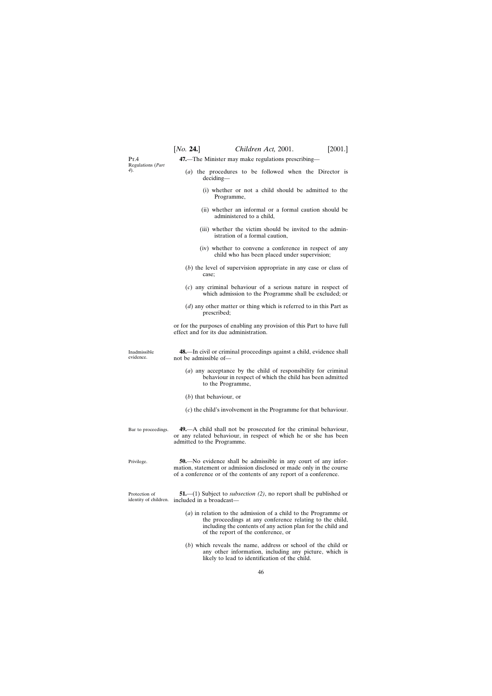$Pr_4$ Regulations (*Part 4*).

**47.**—The Minister may make regulations prescribing—

- (*a*) the procedures to be followed when the Director is deciding—
	- (i) whether or not a child should be admitted to the Programme,
	- (ii) whether an informal or a formal caution should be administered to a child,
	- (iii) whether the victim should be invited to the administration of a formal caution,
	- (iv) whether to convene a conference in respect of any child who has been placed under supervision;
- (*b*) the level of supervision appropriate in any case or class of case;
- (*c*) any criminal behaviour of a serious nature in respect of which admission to the Programme shall be excluded; or
- (*d*) any other matter or thing which is referred to in this Part as prescribed;

or for the purposes of enabling any provision of this Part to have full effect and for its due administration.

Inadmissible evidence. **48.**—In civil or criminal proceedings against a child, evidence shall not be admissible of—

- (*a*) any acceptance by the child of responsibility for criminal behaviour in respect of which the child has been admitted to the Programme,
- (*b*) that behaviour, or
- (*c*) the child's involvement in the Programme for that behaviour.
- Bar to proceedings. **49.**—A child shall not be prosecuted for the criminal behaviour, or any related behaviour, in respect of which he or she has been admitted to the Programme.
- Privilege. **50.**—No evidence shall be admissible in any court of any information, statement or admission disclosed or made only in the course of a conference or of the contents of any report of a conference.

Protection of identity of children. included in a broadcast— **51.**—(1) Subject to *subsection (2)*, no report shall be published or

- (*a*) in relation to the admission of a child to the Programme or the proceedings at any conference relating to the child, including the contents of any action plan for the child and of the report of the conference, or
- (*b*) which reveals the name, address or school of the child or any other information, including any picture, which is likely to lead to identification of the child.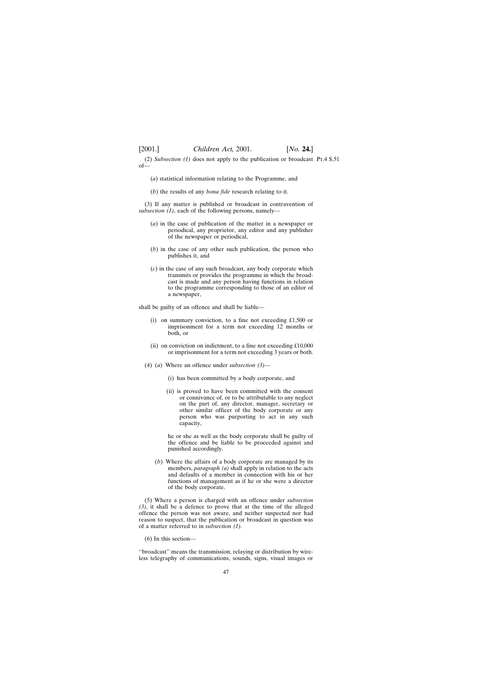(2) *Subsection (1)* does not apply to the publication or broadcast Pt.4 S.51of—

- (*a*) statistical information relating to the Programme, and
- (*b*) the results of any *bona fide* research relating to it.

(3) If any matter is published or broadcast in contravention of *subsection (1)*, each of the following persons, namely—

- (*a*) in the case of publication of the matter in a newspaper or periodical, any proprietor, any editor and any publisher of the newspaper or periodical,
- (*b*) in the case of any other such publication, the person who publishes it, and
- (*c*) in the case of any such broadcast, any body corporate which transmits or provides the programme in which the broadcast is made and any person having functions in relation to the programme corresponding to those of an editor of a newspaper,

shall be guilty of an offence and shall be liable—

- (i) on summary conviction, to a fine not exceeding £1,500 or imprisonment for a term not exceeding 12 months or both, or
- (ii) on conviction on indictment, to a fine not exceeding £10,000 or imprisonment for a term not exceeding 3 years or both.
- (4) (*a*) Where an offence under *subsection (3)*
	- (i) has been committed by a body corporate, and
	- (ii) is proved to have been committed with the consent or connivance of, or to be attributable to any neglect on the part of, any director, manager, secretary or other similar officer of the body corporate or any person who was purporting to act in any such capacity,

he or she as well as the body corporate shall be guilty of the offence and be liable to be proceeded against and punished accordingly.

(*b*) Where the affairs of a body corporate are managed by its members, *paragraph (a)* shall apply in relation to the acts and defaults of a member in connection with his or her functions of management as if he or she were a director of the body corporate.

(5) Where a person is charged with an offence under *subsection (3)*, it shall be a defence to prove that at the time of the alleged offence the person was not aware, and neither suspected nor had reason to suspect, that the publication or broadcast in question was of a matter referred to in *subsection (1)*.

(6) In this section—

''broadcast'' means the transmission, relaying or distribution by wireless telegraphy of communications, sounds, signs, visual images or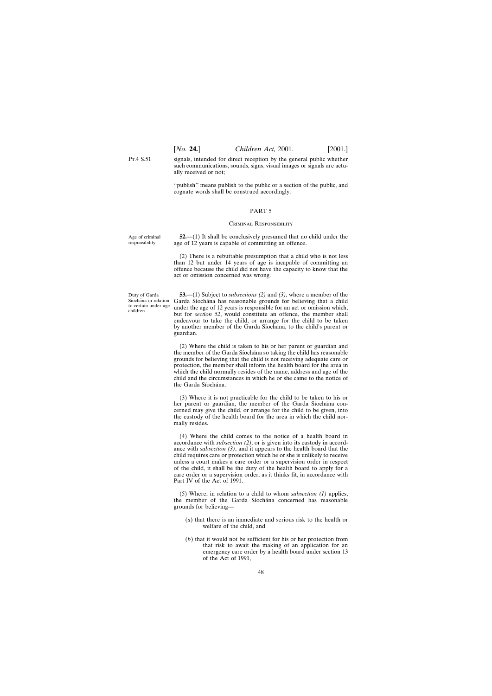P<sub>T</sub> 4 S 51 signals, intended for direct reception by the general public whether such communications, sounds, signs, visual images or signals are actually received or not;

> ''publish'' means publish to the public or a section of the public, and cognate words shall be construed accordingly.

#### PART 5

#### Criminal Responsibility

Age of criminal responsibility.

**52.**—(1) It shall be conclusively presumed that no child under the age of 12 years is capable of committing an offence.

(2) There is a rebuttable presumption that a child who is not less than 12 but under 14 years of age is incapable of committing an offence because the child did not have the capacity to know that the act or omission concerned was wrong.

Duty of Garda Síochána in relation to certain under-age children.

**53.**—(1) Subject to *subsections (2)* and *(3)*, where a member of the Garda Síochána has reasonable grounds for believing that a child under the age of 12 years is responsible for an act or omission which, but for *section 52*, would constitute an offence, the member shall endeavour to take the child, or arrange for the child to be taken by another member of the Garda Síochána, to the child's parent or guardian.

(2) Where the child is taken to his or her parent or guardian and the member of the Garda Síochána so taking the child has reasonable grounds for believing that the child is not receiving adequate care or protection, the member shall inform the health board for the area in which the child normally resides of the name, address and age of the child and the circumstances in which he or she came to the notice of the Garda Síochána.

(3) Where it is not practicable for the child to be taken to his or her parent or guardian, the member of the Garda Síochána concerned may give the child, or arrange for the child to be given, into the custody of the health board for the area in which the child normally resides.

(4) Where the child comes to the notice of a health board in accordance with *subsection (2)*, or is given into its custody in accordance with *subsection (3)*, and it appears to the health board that the child requires care or protection which he or she is unlikely to receive unless a court makes a care order or a supervision order in respect of the child, it shall be the duty of the health board to apply for a care order or a supervision order, as it thinks fit, in accordance with Part IV of the Act of 1991.

(5) Where, in relation to a child to whom *subsection (1)* applies, the member of the Garda Síochána concerned has reasonable grounds for believing—

- (*a*) that there is an immediate and serious risk to the health or welfare of the child, and
- (*b*) that it would not be sufficient for his or her protection from that risk to await the making of an application for an emergency care order by a health board under section 13 of the Act of 1991,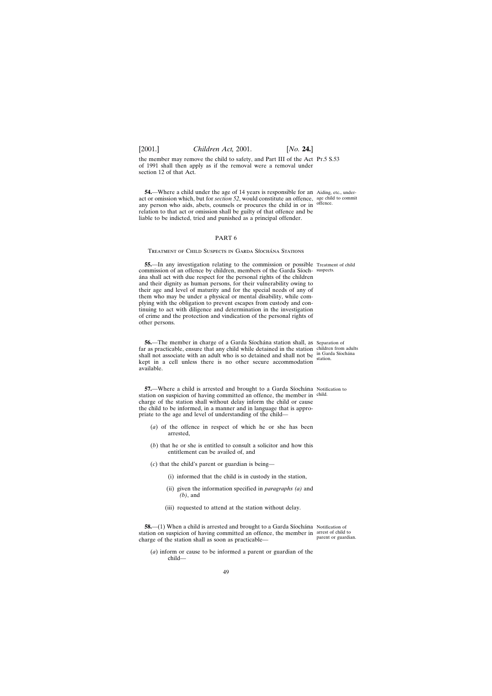the member may remove the child to safety, and Part III of the Act Pt.5 S.53 of 1991 shall then apply as if the removal were a removal under section 12 of that Act.

**54.**—Where a child under the age of 14 years is responsible for an Aiding, etc., underact or omission which, but for *section 52*, would constitute an offence, any person who aids, abets, counsels or procures the child in or in relation to that act or omission shall be guilty of that offence and be liable to be indicted, tried and punished as a principal offender.

# PART 6

TREATMENT OF CHILD SUSPECTS IN GARDA SIOCHANA STATIONS

**55.—In any investigation relating to the commission or possible** Treatment of child commission of an offence by children, members of the Garda Síoch-suspects. a´na shall act with due respect for the personal rights of the children and their dignity as human persons, for their vulnerability owing to their age and level of maturity and for the special needs of any of them who may be under a physical or mental disability, while complying with the obligation to prevent escapes from custody and continuing to act with diligence and determination in the investigation of crime and the protection and vindication of the personal rights of other persons.

**56.**—The member in charge of a Garda Síochána station shall, as Separation of far as practicable, ensure that any child while detained in the station children from adults shall not associate with an adult who is so detained and shall not be  $\frac{in$  Garda Siochana kept in a cell unless there is no other secure accommodation available.

**57.**—Where a child is arrested and brought to a Garda Síochána Notification to station on suspicion of having committed an offence, the member in child. charge of the station shall without delay inform the child or cause the child to be informed, in a manner and in language that is appropriate to the age and level of understanding of the child—

- (*a*) of the offence in respect of which he or she has been arrested,
- (*b*) that he or she is entitled to consult a solicitor and how this entitlement can be availed of, and
- (*c*) that the child's parent or guardian is being—
	- (i) informed that the child is in custody in the station,
	- (ii) given the information specified in *paragraphs (a)* and *(b)*, and
	- (iii) requested to attend at the station without delay.

**58.**—(1) When a child is arrested and brought to a Garda Síochána Notification of station on suspicion of having committed an offence, the member in arrest of child to charge of the station shall as soon as practicable—

parent or guardian.

(*a*) inform or cause to be informed a parent or guardian of the child—

age child to commit

offence.

station.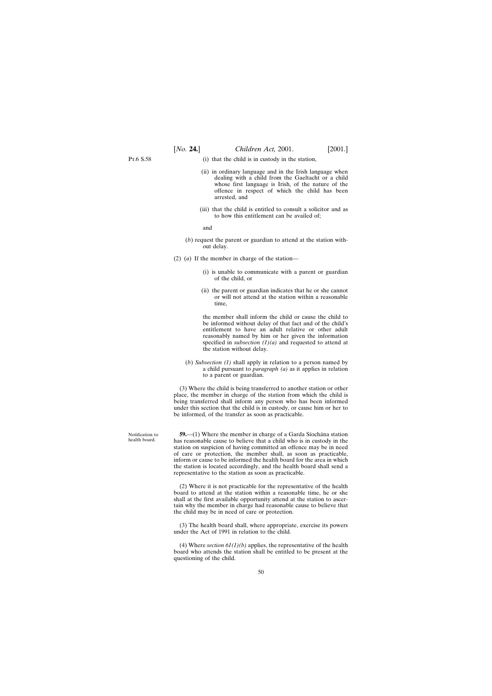P<sub>T</sub>6 S.58

- (i) that the child is in custody in the station,
- (ii) in ordinary language and in the Irish language when dealing with a child from the Gaeltacht or a child whose first language is Irish, of the nature of the offence in respect of which the child has been arrested, and
- (iii) that the child is entitled to consult a solicitor and as to how this entitlement can be availed of;

and

- (*b*) request the parent or guardian to attend at the station without delay.
- (2) (*a*) If the member in charge of the station—
	- (i) is unable to communicate with a parent or guardian of the child, or
	- (ii) the parent or guardian indicates that he or she cannot or will not attend at the station within a reasonable time,

the member shall inform the child or cause the child to be informed without delay of that fact and of the child's entitlement to have an adult relative or other adult reasonably named by him or her given the information specified in *subsection (1)(a)* and requested to attend at the station without delay.

(*b*) *Subsection (1)* shall apply in relation to a person named by a child pursuant to *paragraph (a)* as it applies in relation to a parent or guardian.

(3) Where the child is being transferred to another station or other place, the member in charge of the station from which the child is being transferred shall inform any person who has been informed under this section that the child is in custody, or cause him or her to be informed, of the transfer as soon as practicable.

**59.**—(1) Where the member in charge of a Garda Síochána station has reasonable cause to believe that a child who is in custody in the station on suspicion of having committed an offence may be in need of care or protection, the member shall, as soon as practicable, inform or cause to be informed the health board for the area in which the station is located accordingly, and the health board shall send a representative to the station as soon as practicable.

(2) Where it is not practicable for the representative of the health board to attend at the station within a reasonable time, he or she shall at the first available opportunity attend at the station to ascertain why the member in charge had reasonable cause to believe that the child may be in need of care or protection.

(3) The health board shall, where appropriate, exercise its powers under the Act of 1991 in relation to the child.

(4) Where *section 61(1)(b)* applies, the representative of the health board who attends the station shall be entitled to be present at the questioning of the child.

Notification to health board.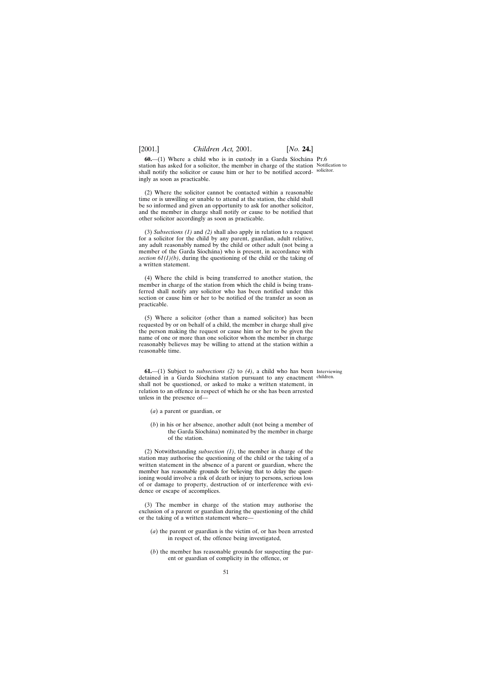**60.**—(1) Where a child who is in custody in a Garda Síochána Pr.6 station has asked for a solicitor, the member in charge of the station Notification to shall notify the solicitor or cause him or her to be notified accord-solicitor. ingly as soon as practicable.

(2) Where the solicitor cannot be contacted within a reasonable time or is unwilling or unable to attend at the station, the child shall be so informed and given an opportunity to ask for another solicitor, and the member in charge shall notify or cause to be notified that other solicitor accordingly as soon as practicable.

(3) *Subsections (1)* and *(2)* shall also apply in relation to a request for a solicitor for the child by any parent, guardian, adult relative, any adult reasonably named by the child or other adult (not being a member of the Garda Síochána) who is present, in accordance with *section 61(1)(b)*, during the questioning of the child or the taking of a written statement.

(4) Where the child is being transferred to another station, the member in charge of the station from which the child is being transferred shall notify any solicitor who has been notified under this section or cause him or her to be notified of the transfer as soon as practicable.

(5) Where a solicitor (other than a named solicitor) has been requested by or on behalf of a child, the member in charge shall give the person making the request or cause him or her to be given the name of one or more than one solicitor whom the member in charge reasonably believes may be willing to attend at the station within a reasonable time.

**61.**—(1) Subject to *subsections (2)* to *(4)*, a child who has been Interviewing detained in a Garda Síochána station pursuant to any enactment children. shall not be questioned, or asked to make a written statement, in relation to an offence in respect of which he or she has been arrested unless in the presence of—

- (*a*) a parent or guardian, or
- (*b*) in his or her absence, another adult (not being a member of the Garda Síochána) nominated by the member in charge of the station.

(2) Notwithstanding *subsection (1)*, the member in charge of the station may authorise the questioning of the child or the taking of a written statement in the absence of a parent or guardian, where the member has reasonable grounds for believing that to delay the questioning would involve a risk of death or injury to persons, serious loss of or damage to property, destruction of or interference with evidence or escape of accomplices.

(3) The member in charge of the station may authorise the exclusion of a parent or guardian during the questioning of the child or the taking of a written statement where—

- (*a*) the parent or guardian is the victim of, or has been arrested in respect of, the offence being investigated,
- (*b*) the member has reasonable grounds for suspecting the parent or guardian of complicity in the offence, or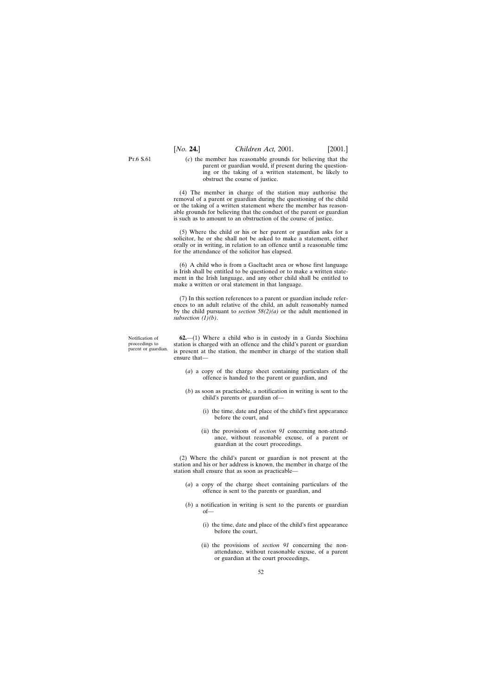P<sub>T</sub>.6 S.61

(*c*) the member has reasonable grounds for believing that the parent or guardian would, if present during the questioning or the taking of a written statement, be likely to obstruct the course of justice.

(4) The member in charge of the station may authorise the removal of a parent or guardian during the questioning of the child or the taking of a written statement where the member has reasonable grounds for believing that the conduct of the parent or guardian is such as to amount to an obstruction of the course of justice.

(5) Where the child or his or her parent or guardian asks for a solicitor, he or she shall not be asked to make a statement, either orally or in writing, in relation to an offence until a reasonable time for the attendance of the solicitor has elapsed.

(6) A child who is from a Gaeltacht area or whose first language is Irish shall be entitled to be questioned or to make a written statement in the Irish language, and any other child shall be entitled to make a written or oral statement in that language.

(7) In this section references to a parent or guardian include references to an adult relative of the child, an adult reasonably named by the child pursuant to *section 58(2)(a)* or the adult mentioned in *subsection (1)(b)*.

Notification of proceedings to parent or guardian.

 $62$ — $(1)$  Where a child who is in custody in a Garda Siochana station is charged with an offence and the child's parent or guardian is present at the station, the member in charge of the station shall ensure that—

- (*a*) a copy of the charge sheet containing particulars of the offence is handed to the parent or guardian, and
- (*b*) as soon as practicable, a notification in writing is sent to the child's parents or guardian of—
	- (i) the time, date and place of the child's first appearance before the court, and
	- (ii) the provisions of *section 91* concerning non-attendance, without reasonable excuse, of a parent or guardian at the court proceedings.

(2) Where the child's parent or guardian is not present at the station and his or her address is known, the member in charge of the station shall ensure that as soon as practicable—

- (*a*) a copy of the charge sheet containing particulars of the offence is sent to the parents or guardian, and
- (*b*) a notification in writing is sent to the parents or guardian of—
	- (i) the time, date and place of the child's first appearance before the court,
	- (ii) the provisions of *section 91* concerning the nonattendance, without reasonable excuse, of a parent or guardian at the court proceedings,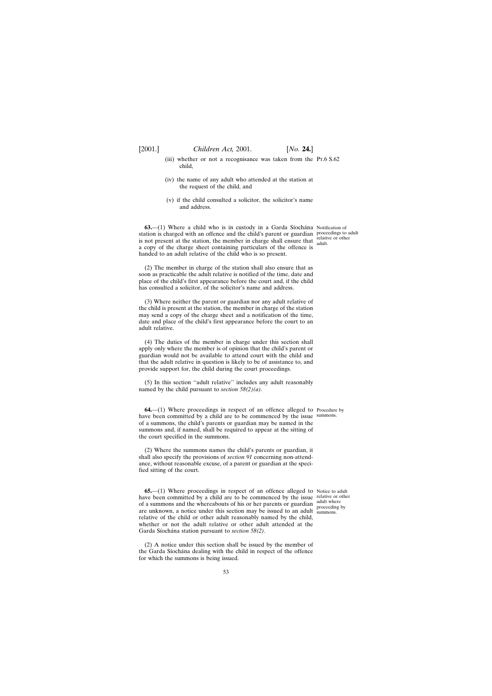- (iii) whether or not a recognisance was taken from the Pt.6 S.62 child,
- (iv) the name of any adult who attended at the station at the request of the child, and
- (v) if the child consulted a solicitor, the solicitor's name and address.

**63.**—(1) Where a child who is in custody in a Garda Síochána Notification of station is charged with an offence and the child's parent or guardian proceedings to adult is not present at the station, the member in charge shall ensure that  $\frac{\text{relative or other}}{\text{adult}}$ a copy of the charge sheet containing particulars of the offence is handed to an adult relative of the child who is so present.

(2) The member in charge of the station shall also ensure that as soon as practicable the adult relative is notified of the time, date and place of the child's first appearance before the court and, if the child has consulted a solicitor, of the solicitor's name and address.

(3) Where neither the parent or guardian nor any adult relative of the child is present at the station, the member in charge of the station may send a copy of the charge sheet and a notification of the time, date and place of the child's first appearance before the court to an adult relative.

(4) The duties of the member in charge under this section shall apply only where the member is of opinion that the child's parent or guardian would not be available to attend court with the child and that the adult relative in question is likely to be of assistance to, and provide support for, the child during the court proceedings.

(5) In this section ''adult relative'' includes any adult reasonably named by the child pursuant to *section 58(2)(a)*.

**64.**—(1) Where proceedings in respect of an offence alleged to Procedure by have been committed by a child are to be commenced by the issue summons. of a summons, the child's parents or guardian may be named in the summons and, if named, shall be required to appear at the sitting of the court specified in the summons.

(2) Where the summons names the child's parents or guardian, it shall also specify the provisions of *section 91* concerning non-attendance, without reasonable excuse, of a parent or guardian at the specified sitting of the court.

**65.**—(1) Where proceedings in respect of an offence alleged to Notice to adult have been committed by a child are to be commenced by the issue relative or other of a summons and the whereabouts of his or her parents or guardian are unknown, a notice under this section may be issued to an adult relative of the child or other adult reasonably named by the child, whether or not the adult relative or other adult attended at the Garda Síochána station pursuant to *section 58(2)*.

(2) A notice under this section shall be issued by the member of the Garda Síochána dealing with the child in respect of the offence for which the summons is being issued.

adult where proceeding by summons.

adult.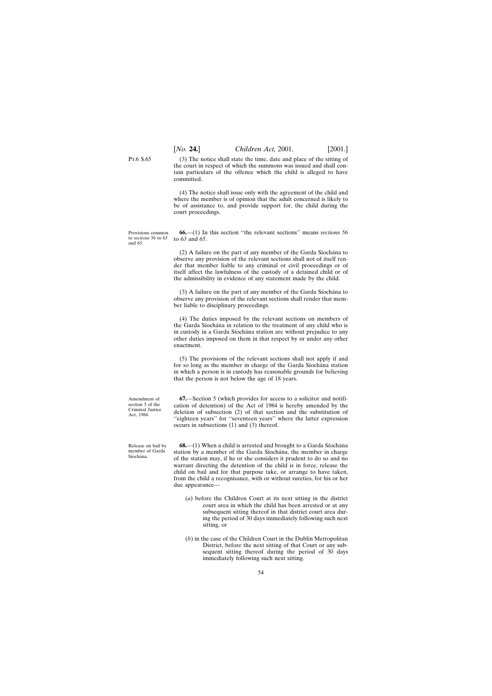(3) The notice shall state the time, date and place of the sitting of the court in respect of which the summons was issued and shall contain particulars of the offence which the child is alleged to have committed.

(4) The notice shall issue only with the agreement of the child and where the member is of opinion that the adult concerned is likely to be of assistance to, and provide support for, the child during the court proceedings.

Provisions common to *sections 56* to *63* **66.**—(1) In this section ''the relevant sections'' means *sections 56* to *63* and *65*.

> $(2)$  A failure on the part of any member of the Garda Siochana to observe any provision of the relevant sections shall not of itself render that member liable to any criminal or civil proceedings or of itself affect the lawfulness of the custody of a detained child or of the admissibility in evidence of any statement made by the child.

> $(3)$  A failure on the part of any member of the Garda Siochana to observe any provision of the relevant sections shall render that member liable to disciplinary proceedings.

> (4) The duties imposed by the relevant sections on members of the Garda Síochána in relation to the treatment of any child who is in custody in a Garda Síochána station are without prejudice to any other duties imposed on them in that respect by or under any other enactment.

> (5) The provisions of the relevant sections shall not apply if and for so long as the member in charge of the Garda Síochána station in which a person is in custody has reasonable grounds for believing that the person is not below the age of 18 years.

> **67.**—Section 5 (which provides for access to a solicitor and notification of detention) of the Act of 1984 is hereby amended by the deletion of subsection (2) of that section and the substitution of ''eighteen years'' for ''seventeen years'' where the latter expression occurs in subsections (1) and (3) thereof.

> **68.**—(1) When a child is arrested and brought to a Garda Síochána station by a member of the Garda Síochána, the member in charge of the station may, if he or she considers it prudent to do so and no warrant directing the detention of the child is in force, release the child on bail and for that purpose take, or arrange to have taken, from the child a recognisance, with or without sureties, for his or her due appearance—

- (*a*) before the Children Court at its next sitting in the district court area in which the child has been arrested or at any subsequent sitting thereof in that district court area during the period of 30 days immediately following such next sitting, or
- (*b*) in the case of the Children Court in the Dublin Metropolitan District, before the next sitting of that Court or any subsequent sitting thereof during the period of 30 days immediately following such next sitting.

Amendment of section 5 of the Criminal Justice Act, 1984.

Release on bail by member of Garda Síochána

Pt.6 S.65

and *65*.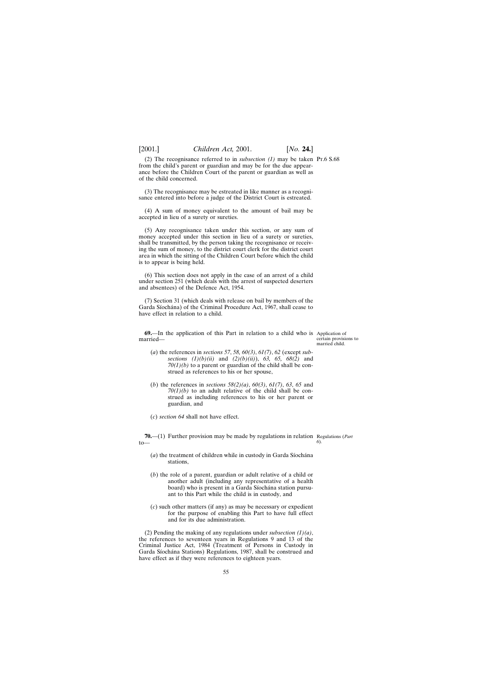(2) The recognisance referred to in *subsection (1)* may be taken Pt.6 S.68 from the child's parent or guardian and may be for the due appearance before the Children Court of the parent or guardian as well as of the child concerned.

(3) The recognisance may be estreated in like manner as a recognisance entered into before a judge of the District Court is estreated.

(4) A sum of money equivalent to the amount of bail may be accepted in lieu of a surety or sureties.

(5) Any recognisance taken under this section, or any sum of money accepted under this section in lieu of a surety or sureties, shall be transmitted, by the person taking the recognisance or receiving the sum of money, to the district court clerk for the district court area in which the sitting of the Children Court before which the child is to appear is being held.

(6) This section does not apply in the case of an arrest of a child under section 251 (which deals with the arrest of suspected deserters and absentees) of the Defence Act, 1954.

(7) Section 31 (which deals with release on bail by members of the Garda Síochána) of the Criminal Procedure Act, 1967, shall cease to have effect in relation to a child.

**69.**—In the application of this Part in relation to a child who is Application of married—

- (*a*) the references in *sections 57*, *58, 60(3)*, *61(7)*, *62* (except *subsections (1)(b)(ii)* and *(2)(b)(ii)*), *63, 65, 68(2)* and *70(1)(b)* to a parent or guardian of the child shall be construed as references to his or her spouse,
- (*b*) the references in *sections 58(2)(a)*, *60(3)*, *61(7)*, *63*, *65* and *70(1)(b)* to an adult relative of the child shall be construed as including references to his or her parent or guardian, and
- (*c*) *section 64* shall not have effect.

**70.**—(1) Further provision may be made by regulations in relation Regulations (*Part*  $t_0$ — *6*).

- $(a)$  the treatment of children while in custody in Garda Síochána stations,
- (*b*) the role of a parent, guardian or adult relative of a child or another adult (including any representative of a health board) who is present in a Garda Síochána station pursuant to this Part while the child is in custody, and
- (*c*) such other matters (if any) as may be necessary or expedient for the purpose of enabling this Part to have full effect and for its due administration.

(2) Pending the making of any regulations under *subsection (1)(a)*, the references to seventeen years in Regulations 9 and 13 of the Criminal Justice Act, 1984 (Treatment of Persons in Custody in Garda Síochána Stations) Regulations, 1987, shall be construed and have effect as if they were references to eighteen years.

certain provisions to married child.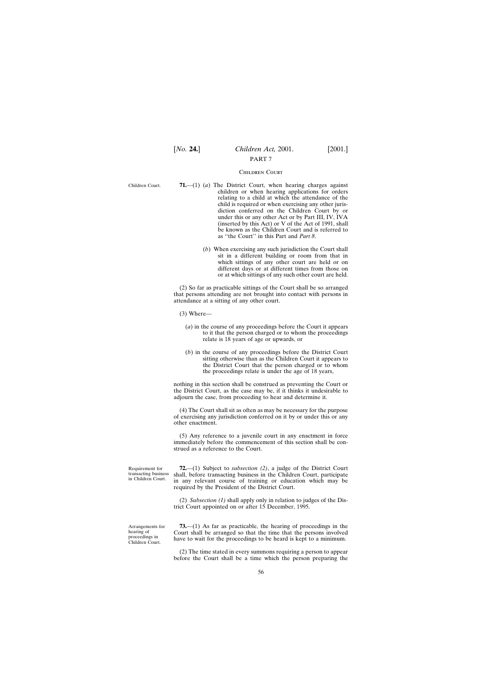# PART 7

#### Children Court

Children Court.

- **71.**—(1) (*a*) The District Court, when hearing charges against children or when hearing applications for orders relating to a child at which the attendance of the child is required or when exercising any other jurisdiction conferred on the Children Court by or under this or any other Act or by Part III, IV, IVA (inserted by this Act) or V of the Act of 1991, shall be known as the Children Court and is referred to as ''the Court'' in this Part and *Part 8*.
	- (*b*) When exercising any such jurisdiction the Court shall sit in a different building or room from that in which sittings of any other court are held or on different days or at different times from those on or at which sittings of any such other court are held.

(2) So far as practicable sittings of the Court shall be so arranged that persons attending are not brought into contact with persons in attendance at a sitting of any other court.

- (3) Where—
	- (*a*) in the course of any proceedings before the Court it appears to it that the person charged or to whom the proceedings relate is 18 years of age or upwards, or
	- (*b*) in the course of any proceedings before the District Court sitting otherwise than as the Children Court it appears to the District Court that the person charged or to whom the proceedings relate is under the age of 18 years,

nothing in this section shall be construed as preventing the Court or the District Court, as the case may be, if it thinks it undesirable to adjourn the case, from proceeding to hear and determine it.

(4) The Court shall sit as often as may be necessary for the purpose of exercising any jurisdiction conferred on it by or under this or any other enactment.

(5) Any reference to a juvenile court in any enactment in force immediately before the commencement of this section shall be construed as a reference to the Court.

**72.**—(1) Subject to *subsection (2)*, a judge of the District Court shall, before transacting business in the Children Court, participate in any relevant course of training or education which may be required by the President of the District Court.

(2) *Subsection (1)* shall apply only in relation to judges of the District Court appointed on or after 15 December, 1995.

Arrangements for hearing of proceedings in Children Court.

Requirement for transacting business in Children Court.

> **73.**—(1) As far as practicable, the hearing of proceedings in the Court shall be arranged so that the time that the persons involved have to wait for the proceedings to be heard is kept to a minimum.

> (2) The time stated in every summons requiring a person to appear before the Court shall be a time which the person preparing the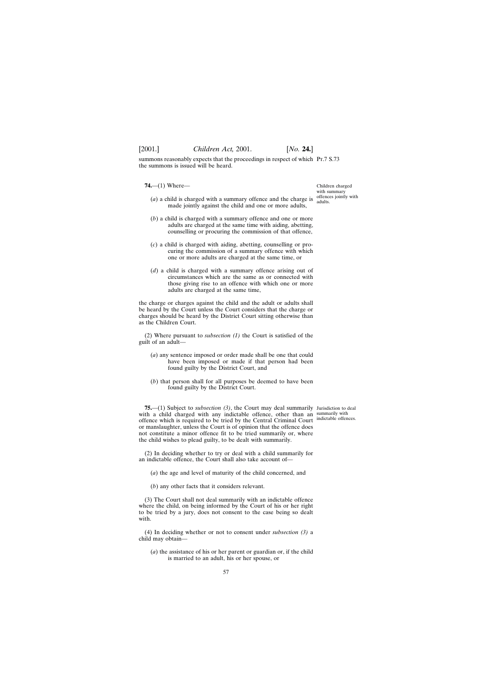summons reasonably expects that the proceedings in respect of which Pt.7 S.73 the summons is issued will be heard.

**74.**—(1) Where—

- (*a*) a child is charged with a summary offence and the charge is  $\frac{\text{offences jointly with}}{\text{adults}}$ made jointly against the child and one or more adults,
- (*b*) a child is charged with a summary offence and one or more adults are charged at the same time with aiding, abetting, counselling or procuring the commission of that offence,
- (*c*) a child is charged with aiding, abetting, counselling or procuring the commission of a summary offence with which one or more adults are charged at the same time, or
- (*d*) a child is charged with a summary offence arising out of circumstances which are the same as or connected with those giving rise to an offence with which one or more adults are charged at the same time,

the charge or charges against the child and the adult or adults shall be heard by the Court unless the Court considers that the charge or charges should be heard by the District Court sitting otherwise than as the Children Court.

(2) Where pursuant to *subsection (1)* the Court is satisfied of the guilt of an adult—

- (*a*) any sentence imposed or order made shall be one that could have been imposed or made if that person had been found guilty by the District Court, and
- (*b*) that person shall for all purposes be deemed to have been found guilty by the District Court.

**75.**—(1) Subject to *subsection (3)*, the Court may deal summarily Jurisdiction to deal with a child charged with any indictable offence, other than an summarily with offence which is required to be tried by the Central Criminal Court indictable offences. or manslaughter, unless the Court is of opinion that the offence does not constitute a minor offence fit to be tried summarily or, where the child wishes to plead guilty, to be dealt with summarily.

(2) In deciding whether to try or deal with a child summarily for an indictable offence, the Court shall also take account of—

(*a*) the age and level of maturity of the child concerned, and

(*b*) any other facts that it considers relevant.

(3) The Court shall not deal summarily with an indictable offence where the child, on being informed by the Court of his or her right to be tried by a jury, does not consent to the case being so dealt with.

(4) In deciding whether or not to consent under *subsection (3)* a child may obtain—

(*a*) the assistance of his or her parent or guardian or, if the child is married to an adult, his or her spouse, or

Children charged with summary adults.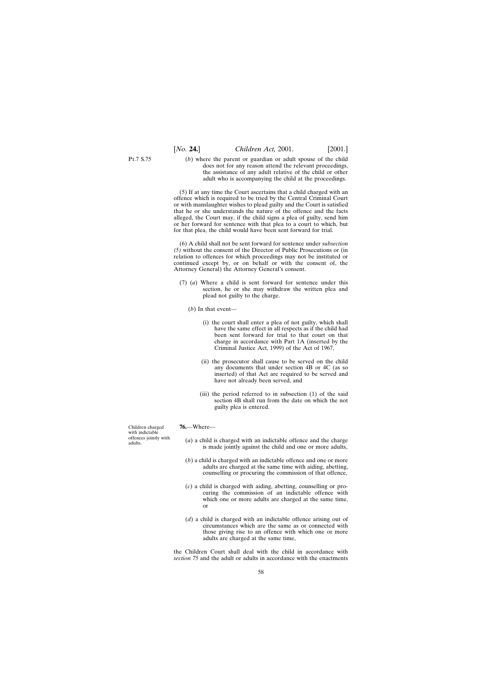Pt.7 S.75

(*b*) where the parent or guardian or adult spouse of the child does not for any reason attend the relevant proceedings, the assistance of any adult relative of the child or other adult who is accompanying the child at the proceedings.

(5) If at any time the Court ascertains that a child charged with an offence which is required to be tried by the Central Criminal Court or with manslaughter wishes to plead guilty and the Court is satisfied that he or she understands the nature of the offence and the facts alleged, the Court may, if the child signs a plea of guilty, send him or her forward for sentence with that plea to a court to which, but for that plea, the child would have been sent forward for trial.

(6) A child shall not be sent forward for sentence under *subsection (5)* without the consent of the Director of Public Prosecutions or (in relation to offences for which proceedings may not be instituted or continued except by, or on behalf or with the consent of, the Attorney General) the Attorney General's consent.

(7) (*a*) Where a child is sent forward for sentence under this section, he or she may withdraw the written plea and plead not guilty to the charge.

(*b*) In that event—

- (i) the court shall enter a plea of not guilty, which shall have the same effect in all respects as if the child had been sent forward for trial to that court on that charge in accordance with Part 1A (inserted by the Criminal Justice Act, 1999) of the Act of 1967,
- (ii) the prosecutor shall cause to be served on the child any documents that under section 4B or 4C (as so inserted) of that Act are required to be served and have not already been served, and
- (iii) the period referred to in subsection (1) of the said section 4B shall run from the date on which the not guilty plea is entered.

Children charged with indictable offences jointly with adults.

#### **76.**—Where—

- (*a*) a child is charged with an indictable offence and the charge is made jointly against the child and one or more adults,
- (*b*) a child is charged with an indictable offence and one or more adults are charged at the same time with aiding, abetting, counselling or procuring the commission of that offence,
- (*c*) a child is charged with aiding, abetting, counselling or procuring the commission of an indictable offence with which one or more adults are charged at the same time, or
- (*d*) a child is charged with an indictable offence arising out of circumstances which are the same as or connected with those giving rise to an offence with which one or more adults are charged at the same time,

the Children Court shall deal with the child in accordance with *section 75* and the adult or adults in accordance with the enactments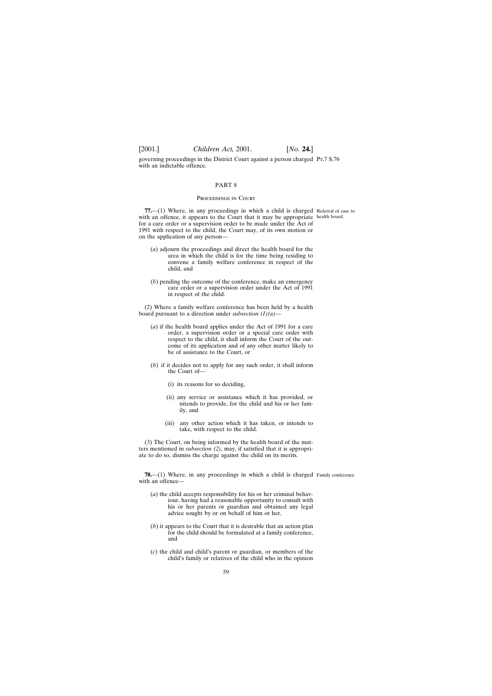governing proceedings in the District Court against a person charged Pt.7 S.76 with an indictable offence.

#### PART 8

### Proceedings in Court

**77.**—(1) Where, in any proceedings in which a child is charged Referral of case to with an offence, it appears to the Court that it may be appropriate health board. for a care order or a supervision order to be made under the Act of 1991 with respect to the child, the Court may, of its own motion or on the application of any person—

- (*a*) adjourn the proceedings and direct the health board for the area in which the child is for the time being residing to convene a family welfare conference in respect of the child, and
- (*b*) pending the outcome of the conference, make an emergency care order or a supervision order under the Act of 1991 in respect of the child.

(2) Where a family welfare conference has been held by a health board pursuant to a direction under *subsection (1)(a)*—

- (*a*) if the health board applies under the Act of 1991 for a care order, a supervision order or a special care order with respect to the child, it shall inform the Court of the outcome of its application and of any other matter likely to be of assistance to the Court, or
- (*b*) if it decides not to apply for any such order, it shall inform the Court of—
	- (i) its reasons for so deciding,
	- (ii) any service or assistance which it has provided, or intends to provide, for the child and his or her family, and
	- (iii) any other action which it has taken, or intends to take, with respect to the child.

(3) The Court, on being informed by the health board of the matters mentioned in *subsection (2)*, may, if satisfied that it is appropriate to do so, dismiss the charge against the child on its merits.

**78.**—(1) Where, in any proceedings in which a child is charged Family conference. with an offence-

- (*a*) the child accepts responsibility for his or her criminal behaviour, having had a reasonable opportunity to consult with his or her parents or guardian and obtained any legal advice sought by or on behalf of him or her,
- (*b*) it appears to the Court that it is desirable that an action plan for the child should be formulated at a family conference, and
- (*c*) the child and child's parent or guardian, or members of the child's family or relatives of the child who in the opinion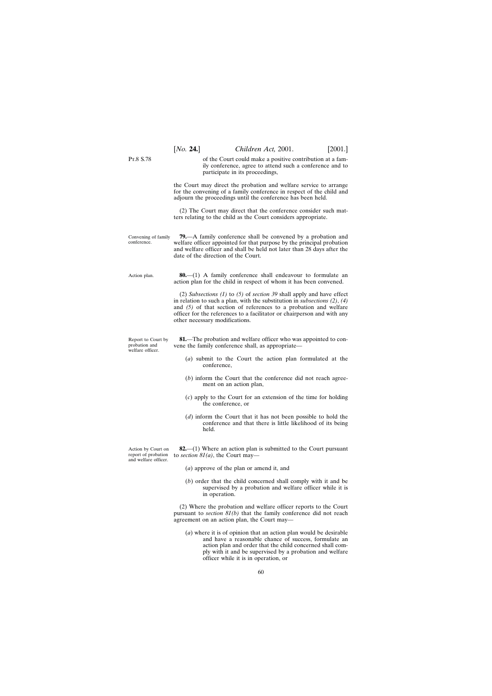|                                                                   | [ <i>No.</i> <b>24.</b> ]                                                                                                                                                                                                                                      | Children Act, 2001.                                                                                                                                                                                                                                                                                                | $[2001.]$ |
|-------------------------------------------------------------------|----------------------------------------------------------------------------------------------------------------------------------------------------------------------------------------------------------------------------------------------------------------|--------------------------------------------------------------------------------------------------------------------------------------------------------------------------------------------------------------------------------------------------------------------------------------------------------------------|-----------|
| P <sub>T.8</sub> S.78                                             |                                                                                                                                                                                                                                                                | of the Court could make a positive contribution at a fam-<br>ily conference, agree to attend such a conference and to<br>participate in its proceedings,                                                                                                                                                           |           |
|                                                                   |                                                                                                                                                                                                                                                                | the Court may direct the probation and welfare service to arrange<br>for the convening of a family conference in respect of the child and<br>adjourn the proceedings until the conference has been held.                                                                                                           |           |
|                                                                   |                                                                                                                                                                                                                                                                | (2) The Court may direct that the conference consider such mat-<br>ters relating to the child as the Court considers appropriate.                                                                                                                                                                                  |           |
| Convening of family<br>conference.                                | <b>79.</b> —A family conference shall be convened by a probation and<br>welfare officer appointed for that purpose by the principal probation<br>and welfare officer and shall be held not later than 28 days after the<br>date of the direction of the Court. |                                                                                                                                                                                                                                                                                                                    |           |
| Action plan.                                                      |                                                                                                                                                                                                                                                                | $80$ — $(1)$ A family conference shall endeavour to formulate an<br>action plan for the child in respect of whom it has been convened.                                                                                                                                                                             |           |
|                                                                   | other necessary modifications.                                                                                                                                                                                                                                 | (2) Subsections $(1)$ to $(5)$ of section 39 shall apply and have effect<br>in relation to such a plan, with the substitution in <i>subsections</i> $(2)$ , $(4)$<br>and $(5)$ of that section of references to a probation and welfare<br>officer for the references to a facilitator or chairperson and with any |           |
| Report to Court by<br>probation and<br>welfare officer.           |                                                                                                                                                                                                                                                                | <b>81.</b> —The probation and welfare officer who was appointed to con-<br>vene the family conference shall, as appropriate—                                                                                                                                                                                       |           |
|                                                                   | conference,                                                                                                                                                                                                                                                    | (a) submit to the Court the action plan formulated at the                                                                                                                                                                                                                                                          |           |
|                                                                   |                                                                                                                                                                                                                                                                | (b) inform the Court that the conference did not reach agree-<br>ment on an action plan,                                                                                                                                                                                                                           |           |
|                                                                   | the conference, or                                                                                                                                                                                                                                             | $(c)$ apply to the Court for an extension of the time for holding                                                                                                                                                                                                                                                  |           |
|                                                                   | held.                                                                                                                                                                                                                                                          | (d) inform the Court that it has not been possible to hold the<br>conference and that there is little likelihood of its being                                                                                                                                                                                      |           |
| Action by Court on<br>report of probation<br>and welfare officer. | to section $81(a)$ , the Court may—                                                                                                                                                                                                                            | <b>82.</b> —(1) Where an action plan is submitted to the Court pursuant                                                                                                                                                                                                                                            |           |
|                                                                   |                                                                                                                                                                                                                                                                | (a) approve of the plan or amend it, and                                                                                                                                                                                                                                                                           |           |
|                                                                   | in operation.                                                                                                                                                                                                                                                  | $(b)$ order that the child concerned shall comply with it and be<br>supervised by a probation and welfare officer while it is                                                                                                                                                                                      |           |

(2) Where the probation and welfare officer reports to the Court pursuant to *section 81(b)* that the family conference did not reach agreement on an action plan, the Court may—

(*a*) where it is of opinion that an action plan would be desirable and have a reasonable chance of success, formulate an action plan and order that the child concerned shall comply with it and be supervised by a probation and welfare officer while it is in operation, or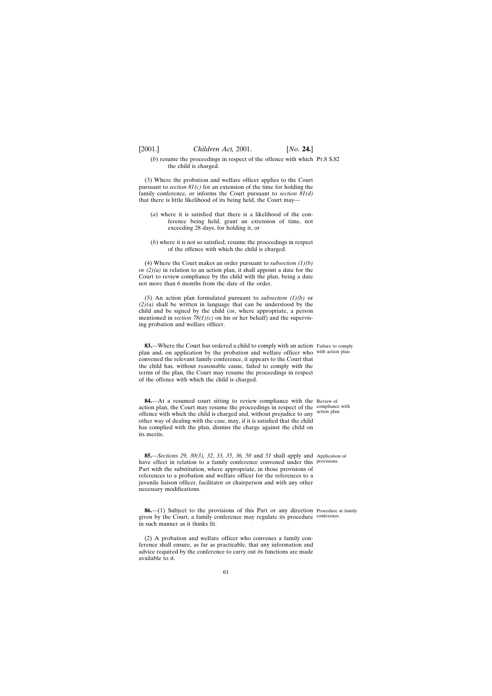$(b)$  resume the proceedings in respect of the offence with which  $Pr.8 S.82$ the child is charged.

(3) Where the probation and welfare officer applies to the Court pursuant to *section 81(c)* for an extension of the time for holding the family conference, or informs the Court pursuant to *section 81(d)* that there is little likelihood of its being held, the Court may—

- (*a*) where it is satisfied that there is a likelihood of the conference being held, grant an extension of time, not exceeding 28 days, for holding it, or
- (*b*) where it is not so satisfied, resume the proceedings in respect of the offence with which the child is charged.

(4) Where the Court makes an order pursuant to *subsection (1)(b)* or  $(2)(a)$  in relation to an action plan, it shall appoint a date for the Court to review compliance by the child with the plan, being a date not more than 6 months from the date of the order.

(5) An action plan formulated pursuant to *subsection (1)(b)* or *(2)(a)* shall be written in language that can be understood by the child and be signed by the child (or, where appropriate, a person mentioned in *section*  $78(1)(c)$  on his or her behalf) and the supervising probation and welfare officer.

**83.**—Where the Court has ordered a child to comply with an action Failure to comply plan and, on application by the probation and welfare officer who with action plan. convened the relevant family conference, it appears to the Court that the child has, without reasonable cause, failed to comply with the terms of the plan, the Court may resume the proceedings in respect of the offence with which the child is charged.

**84.**—At a resumed court sitting to review compliance with the Review of action plan, the Court may resume the proceedings in respect of the compliance with offence with which the child is charged and, without prejudice to any action plan. other way of dealing with the case, may, if it is satisfied that the child has complied with the plan, dismiss the charge against the child on its merits.

**85.**—*Sections 29, 30(3), 32*, *33, 35, 36, 50* and *51* shall apply and Application of have effect in relation to a family conference convened under this provisions. Part with the substitution, where appropriate, in those provisions of references to a probation and welfare officer for the references to a juvenile liaison officer, facilitator or chairperson and with any other necessary modifications.

**86.**—(1) Subject to the provisions of this Part or any direction Procedure at family given by the Court, a family conference may regulate its procedure conference.in such manner as it thinks fit.

(2) A probation and welfare officer who convenes a family conference shall ensure, as far as practicable, that any information and advice required by the conference to carry out its functions are made available to it.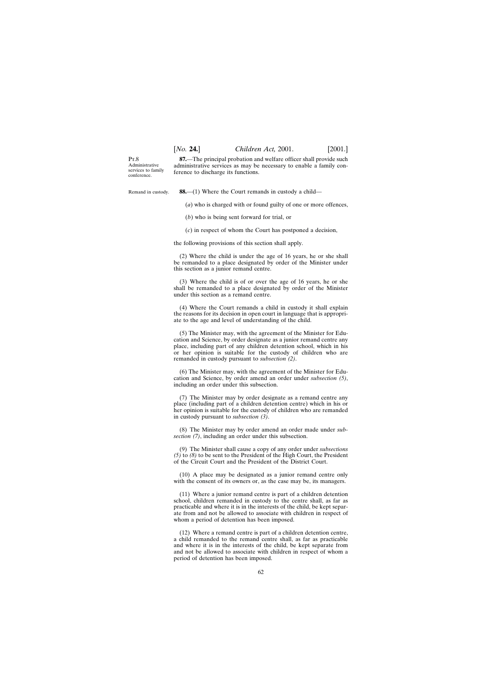P<sub>T</sub> $8$ Administrative services to family conference.

**87.**—The principal probation and welfare officer shall provide such administrative services as may be necessary to enable a family conference to discharge its functions.

Remand in custody.

**88.**—(1) Where the Court remands in custody a child—

(*a*) who is charged with or found guilty of one or more offences,

(*b*) who is being sent forward for trial, or

(*c*) in respect of whom the Court has postponed a decision,

the following provisions of this section shall apply.

(2) Where the child is under the age of 16 years, he or she shall be remanded to a place designated by order of the Minister under this section as a junior remand centre.

(3) Where the child is of or over the age of 16 years, he or she shall be remanded to a place designated by order of the Minister under this section as a remand centre.

(4) Where the Court remands a child in custody it shall explain the reasons for its decision in open court in language that is appropriate to the age and level of understanding of the child.

(5) The Minister may, with the agreement of the Minister for Education and Science, by order designate as a junior remand centre any place, including part of any children detention school, which in his or her opinion is suitable for the custody of children who are remanded in custody pursuant to *subsection (2)*.

(6) The Minister may, with the agreement of the Minister for Education and Science, by order amend an order under *subsection (5)*, including an order under this subsection.

(7) The Minister may by order designate as a remand centre any place (including part of a children detention centre) which in his or her opinion is suitable for the custody of children who are remanded in custody pursuant to *subsection (3)*.

(8) The Minister may by order amend an order made under *subsection (7)*, including an order under this subsection.

(9) The Minister shall cause a copy of any order under *subsections (5)* to *(8)* to be sent to the President of the High Court, the President of the Circuit Court and the President of the District Court.

(10) A place may be designated as a junior remand centre only with the consent of its owners or, as the case may be, its managers.

(11) Where a junior remand centre is part of a children detention school, children remanded in custody to the centre shall, as far as practicable and where it is in the interests of the child, be kept separate from and not be allowed to associate with children in respect of whom a period of detention has been imposed.

(12) Where a remand centre is part of a children detention centre, a child remanded to the remand centre shall, as far as practicable and where it is in the interests of the child, be kept separate from and not be allowed to associate with children in respect of whom a period of detention has been imposed.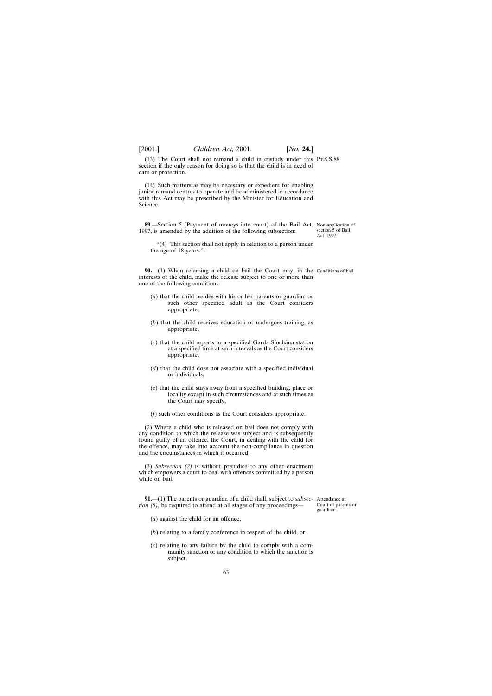(13) The Court shall not remand a child in custody under this Pt.8 S.88 section if the only reason for doing so is that the child is in need of care or protection.

(14) Such matters as may be necessary or expedient for enabling junior remand centres to operate and be administered in accordance with this Act may be prescribed by the Minister for Education and Science.

**89.**—Section 5 (Payment of moneys into court) of the Bail Act, Non-application of 1997, is amended by the addition of the following subsection: section 5 of Bail Act, 1997.

''(4) This section shall not apply in relation to a person under the age of 18 years.''.

**90.**—(1) When releasing a child on bail the Court may, in the Conditions of bail. interests of the child, make the release subject to one or more than one of the following conditions:

- (*a*) that the child resides with his or her parents or guardian or such other specified adult as the Court considers appropriate,
- (*b*) that the child receives education or undergoes training, as appropriate,
- (*c*) that the child reports to a specified Garda Siochana station at a specified time at such intervals as the Court considers appropriate,
- (*d*) that the child does not associate with a specified individual or individuals,
- (*e*) that the child stays away from a specified building, place or locality except in such circumstances and at such times as the Court may specify,
- (*f*) such other conditions as the Court considers appropriate.

(2) Where a child who is released on bail does not comply with any condition to which the release was subject and is subsequently found guilty of an offence, the Court, in dealing with the child for the offence, may take into account the non-compliance in question and the circumstances in which it occurred.

(3) *Subsection (2)* is without prejudice to any other enactment which empowers a court to deal with offences committed by a person while on bail.

**91.**—(1) The parents or guardian of a child shall, subject to *subsec-*Attendance at *tion (5)*, be required to attend at all stages of any proceedings—

Court of parents or guardian.

(*a*) against the child for an offence,

- (*b*) relating to a family conference in respect of the child, or
- (*c*) relating to any failure by the child to comply with a community sanction or any condition to which the sanction is subject.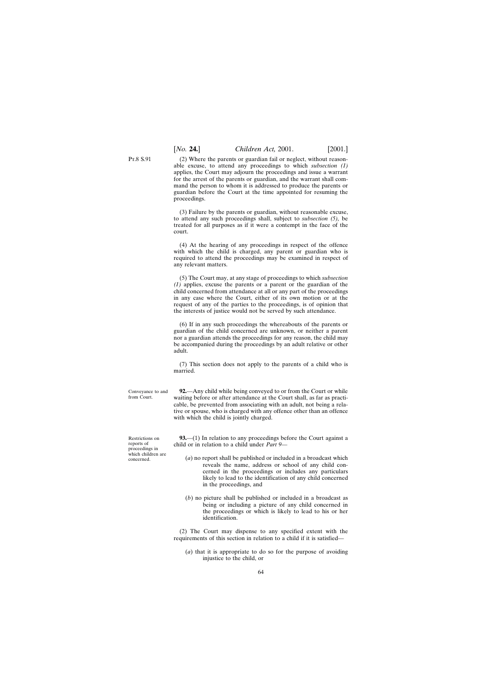(2) Where the parents or guardian fail or neglect, without reasonable excuse, to attend any proceedings to which *subsection (1)* applies, the Court may adjourn the proceedings and issue a warrant for the arrest of the parents or guardian, and the warrant shall command the person to whom it is addressed to produce the parents or guardian before the Court at the time appointed for resuming the proceedings.

(3) Failure by the parents or guardian, without reasonable excuse, to attend any such proceedings shall, subject to *subsection (5),* be treated for all purposes as if it were a contempt in the face of the court.

(4) At the hearing of any proceedings in respect of the offence with which the child is charged, any parent or guardian who is required to attend the proceedings may be examined in respect of any relevant matters.

(5) The Court may, at any stage of proceedings to which *subsection (1)* applies, excuse the parents or a parent or the guardian of the child concerned from attendance at all or any part of the proceedings in any case where the Court, either of its own motion or at the request of any of the parties to the proceedings, is of opinion that the interests of justice would not be served by such attendance.

(6) If in any such proceedings the whereabouts of the parents or guardian of the child concerned are unknown, or neither a parent nor a guardian attends the proceedings for any reason, the child may be accompanied during the proceedings by an adult relative or other adult.

(7) This section does not apply to the parents of a child who is married.

**92.**—Any child while being conveyed to or from the Court or while waiting before or after attendance at the Court shall, as far as practicable, be prevented from associating with an adult, not being a relative or spouse, who is charged with any offence other than an offence with which the child is jointly charged.

**93.**—(1) In relation to any proceedings before the Court against a child or in relation to a child under *Part 9*—

- (*a*) no report shall be published or included in a broadcast which reveals the name, address or school of any child concerned in the proceedings or includes any particulars likely to lead to the identification of any child concerned in the proceedings, and
- (*b*) no picture shall be published or included in a broadcast as being or including a picture of any child concerned in the proceedings or which is likely to lead to his or her identification.

(2) The Court may dispense to any specified extent with the requirements of this section in relation to a child if it is satisfied—

(*a*) that it is appropriate to do so for the purpose of avoiding injustice to the child, or

Restrictions on reports of proceedings in which children are concerned.

Conveyance to and from Court.

P<sub>T</sub> $8S.91$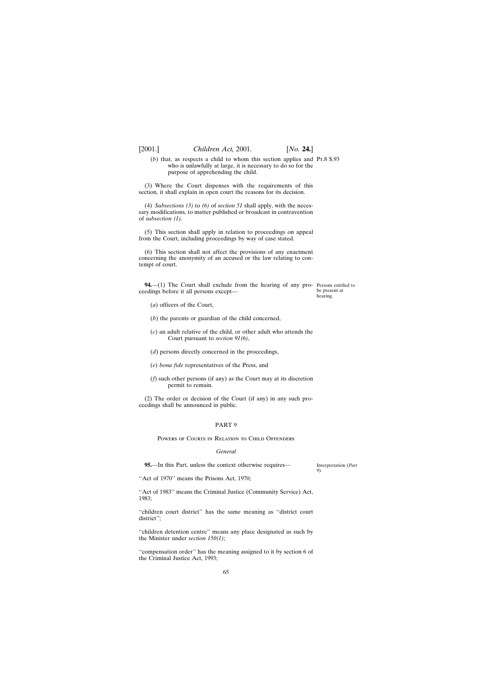(*b*) that, as respects a child to whom this section applies and Pt.8 S.93 who is unlawfully at large, it is necessary to do so for the purpose of apprehending the child.

(3) Where the Court dispenses with the requirements of this section, it shall explain in open court the reasons for its decision.

(4) *Subsections (3)* to *(6)* of *section 51* shall apply, with the necessary modifications, to matter published or broadcast in contravention of *subsection (1).*

(5) This section shall apply in relation to proceedings on appeal from the Court, including proceedings by way of case stated.

(6) This section shall not affect the provisions of any enactment concerning the anonymity of an accused or the law relating to contempt of court.

**94.—**(1) The Court shall exclude from the hearing of any pro- Persons entitled to ceedings before it all persons except—

be present at hearing.

- (*a*) officers of the Court,
- (*b*) the parents or guardian of the child concerned,
- (*c*) an adult relative of the child, or other adult who attends the Court pursuant to *section 91(6)*,
- (*d*) persons directly concerned in the proceedings,
- (*e*) *bona fide* representatives of the Press, and
- (*f*) such other persons (if any) as the Court may at its discretion permit to remain.

(2) The order or decision of the Court (if any) in any such proceedings shall be announced in public.

# PART 9

# Powers of Courts in Relation to Child Offenders

### *General*

**95.**—In this Part, unless the context otherwise requires—

Interpretation (*Part 9*).

''Act of 1970'' means the Prisons Act, 1970;

''Act of 1983'' means the Criminal Justice (Community Service) Act, 1983;

''children court district'' has the same meaning as ''district court district'';

''children detention centre'' means any place designated as such by the Minister under *section 150(1)*;

''compensation order'' has the meaning assigned to it by section 6 of the Criminal Justice Act, 1993;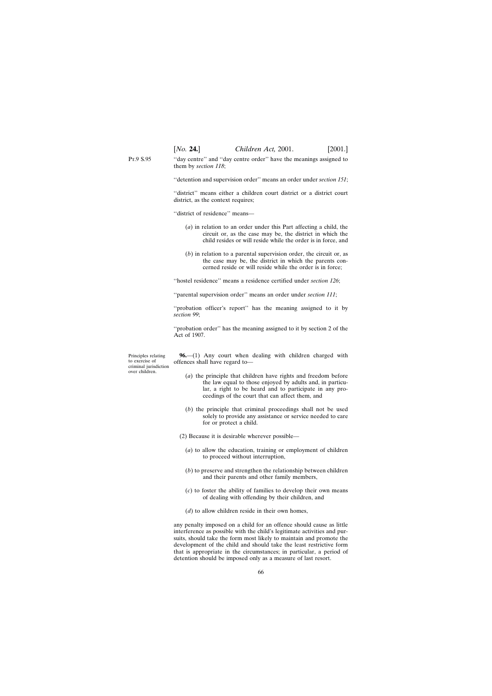Pt.9 S.95 ''day centre'' and ''day centre order'' have the meanings assigned to them by *section 118*;

''detention and supervision order'' means an order under *section 151*;

''district'' means either a children court district or a district court district, as the context requires;

''district of residence'' means—

- (*a*) in relation to an order under this Part affecting a child, the circuit or, as the case may be, the district in which the child resides or will reside while the order is in force, and
- (*b*) in relation to a parental supervision order, the circuit or, as the case may be, the district in which the parents concerned reside or will reside while the order is in force;

''hostel residence'' means a residence certified under *section 126*;

''parental supervision order'' means an order under *section 111*;

"probation officer's report" has the meaning assigned to it by *section 99*;

''probation order'' has the meaning assigned to it by section 2 of the Act of 1907.

Principles relating to exercise of criminal jurisdiction over children.

**96.**—(1) Any court when dealing with children charged with offences shall have regard to—

- (*a*) the principle that children have rights and freedom before the law equal to those enjoyed by adults and, in particular, a right to be heard and to participate in any proceedings of the court that can affect them, and
- (*b*) the principle that criminal proceedings shall not be used solely to provide any assistance or service needed to care for or protect a child.
- (2) Because it is desirable wherever possible—
	- (*a*) to allow the education, training or employment of children to proceed without interruption,
	- (*b*) to preserve and strengthen the relationship between children and their parents and other family members,
	- (*c*) to foster the ability of families to develop their own means of dealing with offending by their children, and
	- (*d*) to allow children reside in their own homes,

any penalty imposed on a child for an offence should cause as little interference as possible with the child's legitimate activities and pursuits, should take the form most likely to maintain and promote the development of the child and should take the least restrictive form that is appropriate in the circumstances; in particular, a period of detention should be imposed only as a measure of last resort.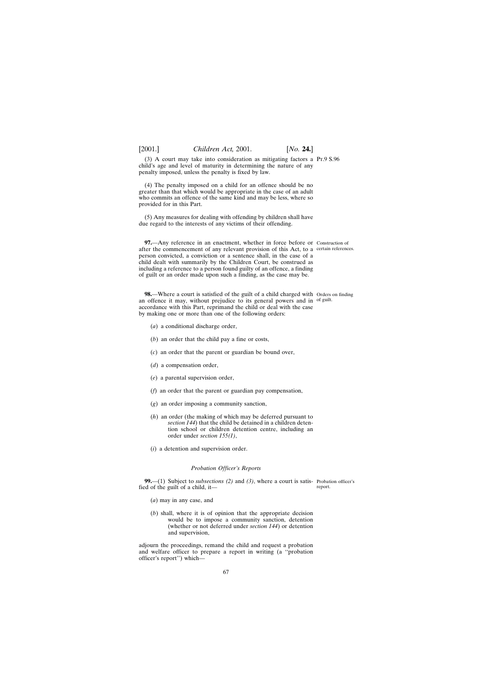(3) A court may take into consideration as mitigating factors a Pt.9 S.96 child's age and level of maturity in determining the nature of any penalty imposed, unless the penalty is fixed by law.

(4) The penalty imposed on a child for an offence should be no greater than that which would be appropriate in the case of an adult who commits an offence of the same kind and may be less, where so provided for in this Part.

(5) Any measures for dealing with offending by children shall have due regard to the interests of any victims of their offending.

**97.**—Any reference in an enactment, whether in force before or Construction of after the commencement of any relevant provision of this Act, to a certain references. person convicted, a conviction or a sentence shall, in the case of a child dealt with summarily by the Children Court, be construed as including a reference to a person found guilty of an offence, a finding of guilt or an order made upon such a finding, as the case may be.

**98.**—Where a court is satisfied of the guilt of a child charged with Orders on finding an offence it may, without prejudice to its general powers and in of guilt. accordance with this Part, reprimand the child or deal with the case by making one or more than one of the following orders:

- (*a*) a conditional discharge order,
- (*b*) an order that the child pay a fine or costs,
- (*c*) an order that the parent or guardian be bound over,
- (*d*) a compensation order,
- (*e*) a parental supervision order,
- (*f*) an order that the parent or guardian pay compensation,
- (*g*) an order imposing a community sanction,
- (*h*) an order (the making of which may be deferred pursuant to *section 144*) that the child be detained in a children detention school or children detention centre, including an order under *section 155(1)*,
- (*i*) a detention and supervision order.

# *Probation Officer's Reports*

**99.**—(1) Subject to *subsections (2)* and *(3)*, where a court is satis-Probation officer's fied of the guilt of a child, it report.

- (*a*) may in any case, and
- (*b*) shall, where it is of opinion that the appropriate decision would be to impose a community sanction, detention (whether or not deferred under *section 144*) or detention and supervision,

adjourn the proceedings, remand the child and request a probation and welfare officer to prepare a report in writing (a ''probation officer's report'') which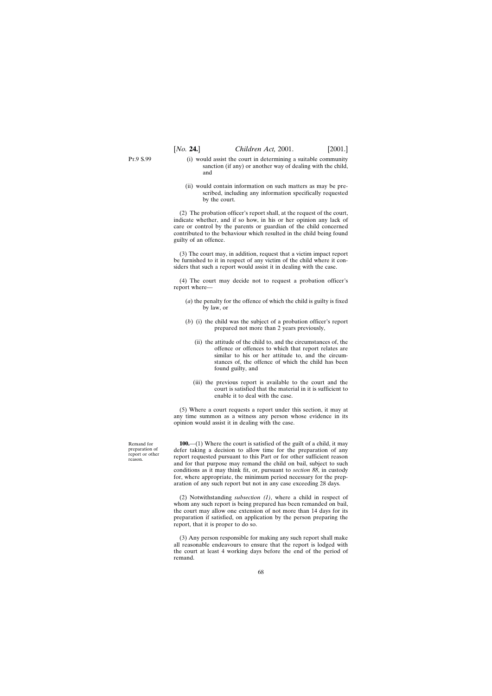Pt.9 S.99

- (i) would assist the court in determining a suitable community sanction (if any) or another way of dealing with the child, and
- (ii) would contain information on such matters as may be prescribed, including any information specifically requested by the court.

(2) The probation officer's report shall, at the request of the court, indicate whether, and if so how, in his or her opinion any lack of care or control by the parents or guardian of the child concerned contributed to the behaviour which resulted in the child being found guilty of an offence.

(3) The court may, in addition, request that a victim impact report be furnished to it in respect of any victim of the child where it considers that such a report would assist it in dealing with the case.

(4) The court may decide not to request a probation officer's report where—

- (*a*) the penalty for the offence of which the child is guilty is fixed by law, or
- (*b*) (i) the child was the subject of a probation officer's report prepared not more than 2 years previously,
	- (ii) the attitude of the child to, and the circumstances of, the offence or offences to which that report relates are similar to his or her attitude to, and the circumstances of, the offence of which the child has been found guilty, and
	- (iii) the previous report is available to the court and the court is satisfied that the material in it is sufficient to enable it to deal with the case.

(5) Where a court requests a report under this section, it may at any time summon as a witness any person whose evidence in its opinion would assist it in dealing with the case.

**100.**—(1) Where the court is satisfied of the guilt of a child, it may defer taking a decision to allow time for the preparation of any report requested pursuant to this Part or for other sufficient reason and for that purpose may remand the child on bail, subject to such conditions as it may think fit, or, pursuant to *section 88*, in custody for, where appropriate, the minimum period necessary for the preparation of any such report but not in any case exceeding 28 days.

(2) Notwithstanding *subsection (1)*, where a child in respect of whom any such report is being prepared has been remanded on bail, the court may allow one extension of not more than 14 days for its preparation if satisfied, on application by the person preparing the report, that it is proper to do so.

(3) Any person responsible for making any such report shall make all reasonable endeavours to ensure that the report is lodged with the court at least 4 working days before the end of the period of remand.

Remand for preparation of report or other reason.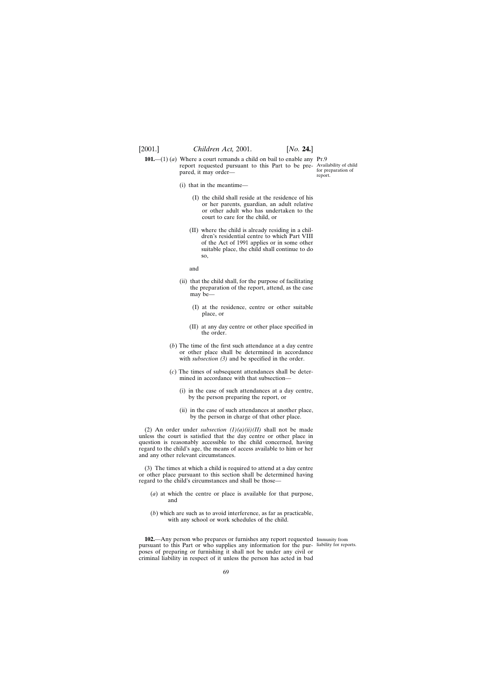**101.**—(1) (*a*) Where a court remands a child on bail to enable any Pr.9 report requested pursuant to this Part to be pre-Availability of child pared, it may order—

for preparation of report.

- (i) that in the meantime—
	- (I) the child shall reside at the residence of his or her parents, guardian, an adult relative or other adult who has undertaken to the court to care for the child, or
	- (II) where the child is already residing in a children's residential centre to which Part VIII of the Act of 1991 applies or in some other suitable place, the child shall continue to do so,

and

- (ii) that the child shall, for the purpose of facilitating the preparation of the report, attend, as the case may be—
	- (I) at the residence, centre or other suitable place, or
	- (II) at any day centre or other place specified in the order.
- (*b*) The time of the first such attendance at a day centre or other place shall be determined in accordance with *subsection (3)* and be specified in the order.
- (*c*) The times of subsequent attendances shall be determined in accordance with that subsection—
	- (i) in the case of such attendances at a day centre, by the person preparing the report, or
	- (ii) in the case of such attendances at another place, by the person in charge of that other place.

(2) An order under *subsection*  $(I)(a)(ii)(II)$  shall not be made unless the court is satisfied that the day centre or other place in question is reasonably accessible to the child concerned, having regard to the child's age, the means of access available to him or her and any other relevant circumstances.

(3) The times at which a child is required to attend at a day centre or other place pursuant to this section shall be determined having regard to the child's circumstances and shall be those—

- (*a*) at which the centre or place is available for that purpose, and
- (*b*) which are such as to avoid interference, as far as practicable, with any school or work schedules of the child.

**102.**—Any person who prepares or furnishes any report requested Immunity from pursuant to this Part or who supplies any information for the pur-liability for reports.poses of preparing or furnishing it shall not be under any civil or criminal liability in respect of it unless the person has acted in bad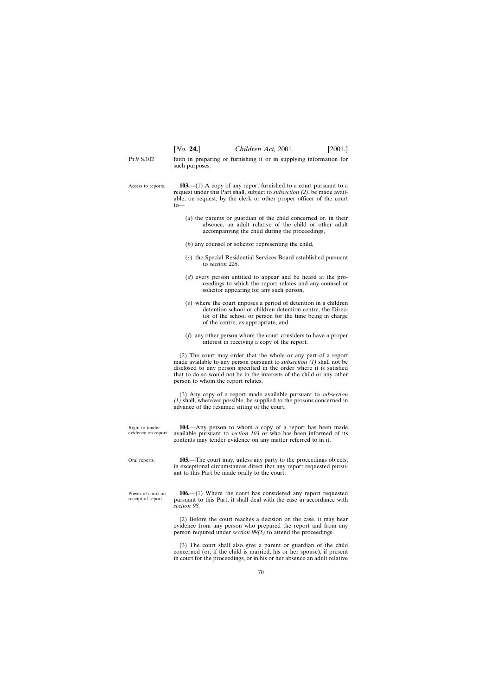P<sub>T</sub> 9 S 102 faith in preparing or furnishing it or in supplying information for such purposes.

Access to reports. **103.**—(1) A copy of any report furnished to a court pursuant to a request under this Part shall, subject to *subsection (2)*, be made available, on request, by the clerk or other proper officer of the court to—

- (*a*) the parents or guardian of the child concerned or, in their absence, an adult relative of the child or other adult accompanying the child during the proceedings,
- (*b*) any counsel or solicitor representing the child,
- (*c*) the Special Residential Services Board established pursuant to *section 226*,
- (*d*) every person entitled to appear and be heard at the proceedings to which the report relates and any counsel or solicitor appearing for any such person,
- (*e*) where the court imposes a period of detention in a children detention school or children detention centre, the Director of the school or person for the time being in charge of the centre, as appropriate, and
- (*f*) any other person whom the court considers to have a proper interest in receiving a copy of the report.

(2) The court may order that the whole or any part of a report made available to any person pursuant to *subsection (1)* shall not be disclosed to any person specified in the order where it is satisfied that to do so would not be in the interests of the child or any other person to whom the report relates.

(3) Any copy of a report made available pursuant to *subsection (1)* shall, wherever possible, be supplied to the persons concerned in advance of the resumed sitting of the court.

Right to tender evidence on report. **104.**—Any person to whom a copy of a report has been made available pursuant to *section 103* or who has been informed of its contents may tender evidence on any matter referred to in it.

Oral reports. **105.**—The court may, unless any party to the proceedings objects, in exceptional circumstances direct that any report requested pursuant to this Part be made orally to the court.

Power of court on receipt of report. **106.**—(1) Where the court has considered any report requested pursuant to this Part, it shall deal with the case in accordance with *section 98*.

> (2) Before the court reaches a decision on the case, it may hear evidence from any person who prepared the report and from any person required under *section 99(5)* to attend the proceedings.

> (3) The court shall also give a parent or guardian of the child concerned (or, if the child is married, his or her spouse), if present in court for the proceedings, or in his or her absence an adult relative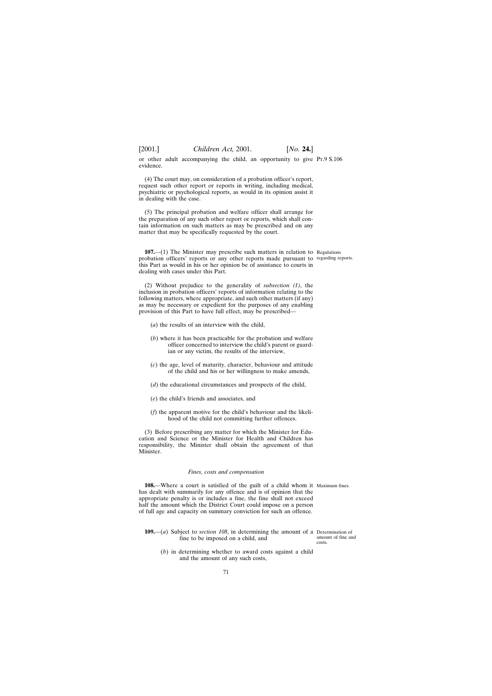or other adult accompanying the child, an opportunity to give Pt.9 S.106 evidence.

(4) The court may, on consideration of a probation officer's report, request such other report or reports in writing, including medical, psychiatric or psychological reports, as would in its opinion assist it in dealing with the case.

(5) The principal probation and welfare officer shall arrange for the preparation of any such other report or reports, which shall contain information on such matters as may be prescribed and on any matter that may be specifically requested by the court.

**107.**—(1) The Minister may prescribe such matters in relation to Regulations probation officers' reports or any other reports made pursuant to regarding reports. this Part as would in his or her opinion be of assistance to courts in dealing with cases under this Part.

(2) Without prejudice to the generality of *subsection (1)*, the inclusion in probation officers' reports of information relating to the following matters, where appropriate, and such other matters (if any) as may be necessary or expedient for the purposes of any enabling provision of this Part to have full effect, may be prescribed—

- (*a*) the results of an interview with the child,
- (*b*) where it has been practicable for the probation and welfare officer concerned to interview the child's parent or guardian or any victim, the results of the interview,
- (*c*) the age, level of maturity, character, behaviour and attitude of the child and his or her willingness to make amends,
- (*d*) the educational circumstances and prospects of the child,
- (*e*) the child's friends and associates, and
- (*f*) the apparent motive for the child's behaviour and the likelihood of the child not committing further offences.

(3) Before prescribing any matter for which the Minister for Education and Science or the Minister for Health and Children has responsibility, the Minister shall obtain the agreement of that Minister.

### *Fines, costs and compensation*

**108.**—Where a court is satisfied of the guilt of a child whom it Maximum fines. has dealt with summarily for any offence and is of opinion that the appropriate penalty is or includes a fine, the fine shall not exceed half the amount which the District Court could impose on a person of full age and capacity on summary conviction for such an offence.

- **109.**—(*a*) Subject to *section 108*, in determining the amount of a Determination of fine to be imposed on a child, and
	- (*b*) in determining whether to award costs against a child and the amount of any such costs,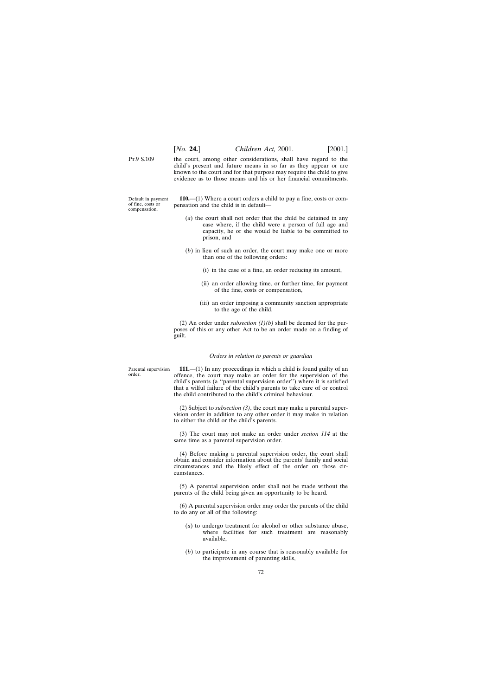P<sub>T</sub> 9 S 109

the court, among other considerations, shall have regard to the child's present and future means in so far as they appear or are known to the court and for that purpose may require the child to give evidence as to those means and his or her financial commitments.

Default in payment of fine, costs or compensation.

**110.**—(1) Where a court orders a child to pay a fine, costs or compensation and the child is in default—

- (*a*) the court shall not order that the child be detained in any case where, if the child were a person of full age and capacity, he or she would be liable to be committed to prison, and
- (*b*) in lieu of such an order, the court may make one or more than one of the following orders:
	- (i) in the case of a fine, an order reducing its amount,
	- (ii) an order allowing time, or further time, for payment of the fine, costs or compensation,
	- (iii) an order imposing a community sanction appropriate to the age of the child.

(2) An order under *subsection (1)(b)* shall be deemed for the purposes of this or any other Act to be an order made on a finding of guilt.

#### *Orders in relation to parents or guardian*

Parental supervision order.

**111.**—(1) In any proceedings in which a child is found guilty of an offence, the court may make an order for the supervision of the child's parents (a ''parental supervision order'') where it is satisfied that a wilful failure of the child's parents to take care of or control the child contributed to the child's criminal behaviour.

(2) Subject to *subsection (3)*, the court may make a parental supervision order in addition to any other order it may make in relation to either the child or the child's parents.

(3) The court may not make an order under *section 114* at the same time as a parental supervision order.

(4) Before making a parental supervision order, the court shall obtain and consider information about the parents' family and social circumstances and the likely effect of the order on those circumstances.

(5) A parental supervision order shall not be made without the parents of the child being given an opportunity to be heard.

(6) A parental supervision order may order the parents of the child to do any or all of the following:

- (*a*) to undergo treatment for alcohol or other substance abuse, where facilities for such treatment are reasonably available,
- (*b*) to participate in any course that is reasonably available for the improvement of parenting skills,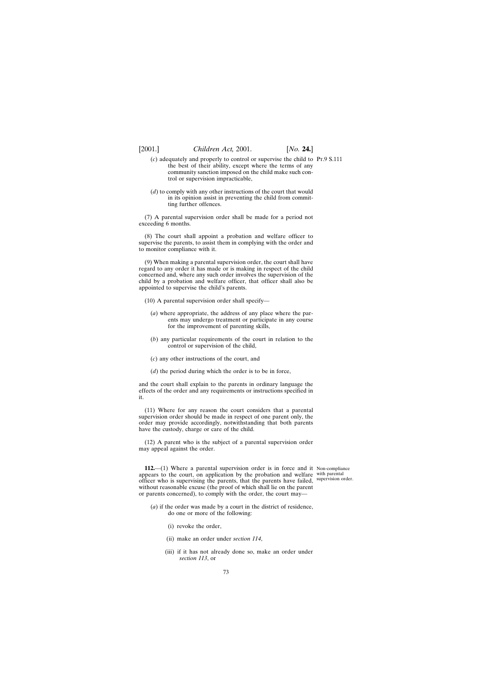- (*c*) adequately and properly to control or supervise the child to Pt.9 S.111 the best of their ability, except where the terms of any community sanction imposed on the child make such control or supervision impracticable,
- (*d*) to comply with any other instructions of the court that would in its opinion assist in preventing the child from committing further offences.

(7) A parental supervision order shall be made for a period not exceeding 6 months.

(8) The court shall appoint a probation and welfare officer to supervise the parents, to assist them in complying with the order and to monitor compliance with it.

(9) When making a parental supervision order, the court shall have regard to any order it has made or is making in respect of the child concerned and, where any such order involves the supervision of the child by a probation and welfare officer, that officer shall also be appointed to supervise the child's parents.

(10) A parental supervision order shall specify—

- (*a*) where appropriate, the address of any place where the parents may undergo treatment or participate in any course for the improvement of parenting skills,
- (*b*) any particular requirements of the court in relation to the control or supervision of the child,
- (*c*) any other instructions of the court, and
- (*d*) the period during which the order is to be in force,

and the court shall explain to the parents in ordinary language the effects of the order and any requirements or instructions specified in it.

(11) Where for any reason the court considers that a parental supervision order should be made in respect of one parent only, the order may provide accordingly, notwithstanding that both parents have the custody, charge or care of the child.

(12) A parent who is the subject of a parental supervision order may appeal against the order.

**112.**—(1) Where a parental supervision order is in force and it Non-compliance appears to the court, on application by the probation and welfare with parental officer who is supervising the parents, that the parents have failed, supervision order. without reasonable excuse (the proof of which shall lie on the parent or parents concerned), to comply with the order, the court may—

- (*a*) if the order was made by a court in the district of residence, do one or more of the following:
	- (i) revoke the order,
	- (ii) make an order under *section 114*,
	- (iii) if it has not already done so, make an order under *section 113*, or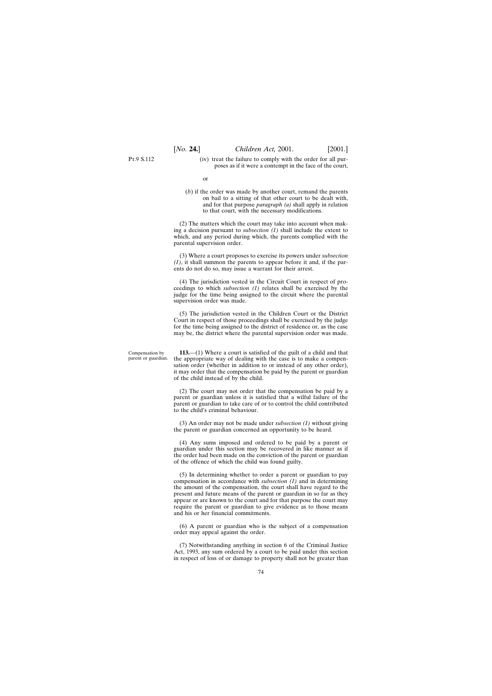(iv) treat the failure to comply with the order for all purposes as if it were a contempt in the face of the court,

or

(*b*) if the order was made by another court, remand the parents on bail to a sitting of that other court to be dealt with, and for that purpose *paragraph (a)* shall apply in relation to that court, with the necessary modifications.

(2) The matters which the court may take into account when making a decision pursuant to *subsection (1)* shall include the extent to which, and any period during which, the parents complied with the parental supervision order.

(3) Where a court proposes to exercise its powers under *subsection (1)*, it shall summon the parents to appear before it and, if the parents do not do so, may issue a warrant for their arrest.

(4) The jurisdiction vested in the Circuit Court in respect of proceedings to which *subsection (1)* relates shall be exercised by the judge for the time being assigned to the circuit where the parental supervision order was made.

(5) The jurisdiction vested in the Children Court or the District Court in respect of those proceedings shall be exercised by the judge for the time being assigned to the district of residence or, as the case may be, the district where the parental supervision order was made.

Compensation by parent or guardian.

**113.**—(1) Where a court is satisfied of the guilt of a child and that the appropriate way of dealing with the case is to make a compensation order (whether in addition to or instead of any other order), it may order that the compensation be paid by the parent or guardian of the child instead of by the child.

(2) The court may not order that the compensation be paid by a parent or guardian unless it is satisfied that a wilful failure of the parent or guardian to take care of or to control the child contributed to the child's criminal behaviour.

(3) An order may not be made under *subsection (1)* without giving the parent or guardian concerned an opportunity to be heard.

(4) Any sums imposed and ordered to be paid by a parent or guardian under this section may be recovered in like manner as if the order had been made on the conviction of the parent or guardian of the offence of which the child was found guilty.

(5) In determining whether to order a parent or guardian to pay compensation in accordance with *subsection (1)* and in determining the amount of the compensation, the court shall have regard to the present and future means of the parent or guardian in so far as they appear or are known to the court and for that purpose the court may require the parent or guardian to give evidence as to those means and his or her financial commitments.

(6) A parent or guardian who is the subject of a compensation order may appeal against the order.

(7) Notwithstanding anything in section 6 of the Criminal Justice Act, 1993, any sum ordered by a court to be paid under this section in respect of loss of or damage to property shall not be greater than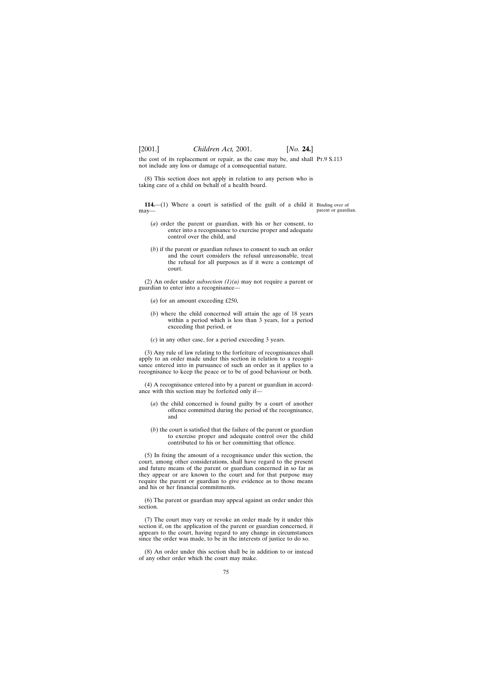the cost of its replacement or repair, as the case may be, and shall Pr.9 S.113 not include any loss or damage of a consequential nature.

(8) This section does not apply in relation to any person who is taking care of a child on behalf of a health board.

**114.**—(1) Where a court is satisfied of the guilt of a child it Binding over of may parent or guardian.

- (*a*) order the parent or guardian, with his or her consent, to enter into a recognisance to exercise proper and adequate control over the child, and
- (*b*) if the parent or guardian refuses to consent to such an order and the court considers the refusal unreasonable, treat the refusal for all purposes as if it were a contempt of court.

(2) An order under *subsection (1)(a)* may not require a parent or guardian to enter into a recognisance—

- (*a*) for an amount exceeding £250,
- (*b*) where the child concerned will attain the age of 18 years within a period which is less than 3 years, for a period exceeding that period, or
- (*c*) in any other case, for a period exceeding 3 years.

(3) Any rule of law relating to the forfeiture of recognisances shall apply to an order made under this section in relation to a recognisance entered into in pursuance of such an order as it applies to a recognisance to keep the peace or to be of good behaviour or both.

(4) A recognisance entered into by a parent or guardian in accordance with this section may be forfeited only if—

- (*a*) the child concerned is found guilty by a court of another offence committed during the period of the recognisance, and
- (*b*) the court is satisfied that the failure of the parent or guardian to exercise proper and adequate control over the child contributed to his or her committing that offence.

(5) In fixing the amount of a recognisance under this section, the court, among other considerations, shall have regard to the present and future means of the parent or guardian concerned in so far as they appear or are known to the court and for that purpose may require the parent or guardian to give evidence as to those means and his or her financial commitments.

(6) The parent or guardian may appeal against an order under this section.

(7) The court may vary or revoke an order made by it under this section if, on the application of the parent or guardian concerned, it appears to the court, having regard to any change in circumstances since the order was made, to be in the interests of justice to do so.

(8) An order under this section shall be in addition to or instead of any other order which the court may make.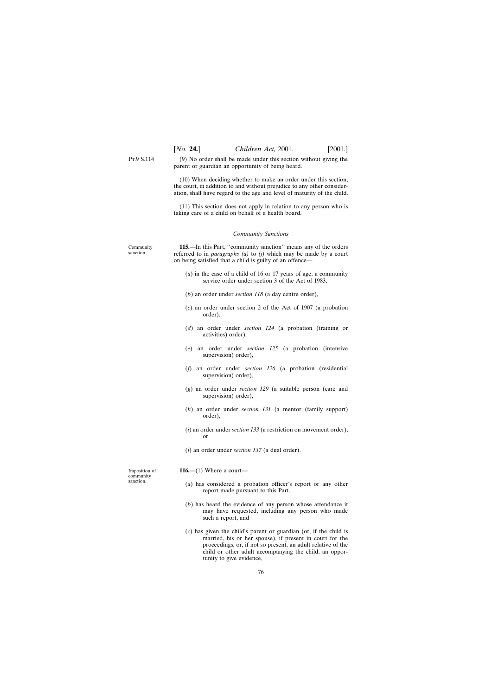(9) No order shall be made under this section without giving the parent or guardian an opportunity of being heard.

(10) When deciding whether to make an order under this section, the court, in addition to and without prejudice to any other consideration, shall have regard to the age and level of maturity of the child.

(11) This section does not apply in relation to any person who is taking care of a child on behalf of a health board.

# *Community Sanctions*

Community sanction.

**115.**—In this Part, ''community sanction'' means any of the orders referred to in *paragraphs (a)* to *(j)* which may be made by a court on being satisfied that a child is guilty of an offence—

- (*a*) in the case of a child of 16 or 17 years of age, a community service order under section 3 of the Act of 1983,
- (*b*) an order under *section 118* (a day centre order),
- (*c*) an order under section 2 of the Act of 1907 (a probation order),
- (*d*) an order under *section 124* (a probation (training or activities) order),
- (*e*) an order under *section 125* (a probation (intensive supervision) order),
- (*f*) an order under *section 126* (a probation (residential supervision) order),
- (*g*) an order under *section 129* (a suitable person (care and supervision) order),
- (*h*) an order under *section 131* (a mentor (family support) order),
- (*i*) an order under *section 133* (a restriction on movement order), or
- (*j*) an order under *section 137* (a dual order).

Imposition of community sanction.

- **116.**—(1) Where a court—
	- (*a*) has considered a probation officer's report or any other report made pursuant to this Part,
	- (*b*) has heard the evidence of any person whose attendance it may have requested, including any person who made such a report, and
	- (*c*) has given the child's parent or guardian (or, if the child is married, his or her spouse), if present in court for the proceedings, or, if not so present, an adult relative of the child or other adult accompanying the child, an opportunity to give evidence,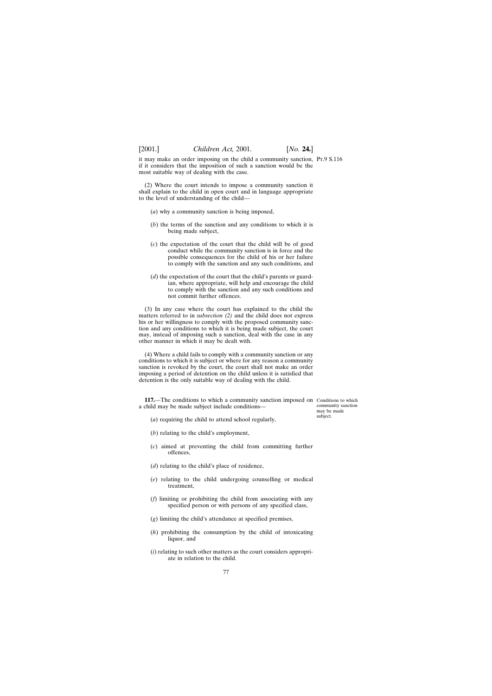it may make an order imposing on the child a community sanction, Pt.9 S.116 if it considers that the imposition of such a sanction would be the most suitable way of dealing with the case.

(2) Where the court intends to impose a community sanction it shall explain to the child in open court and in language appropriate to the level of understanding of the child—

- (*a*) why a community sanction is being imposed,
- (*b*) the terms of the sanction and any conditions to which it is being made subject,
- (*c*) the expectation of the court that the child will be of good conduct while the community sanction is in force and the possible consequences for the child of his or her failure to comply with the sanction and any such conditions, and
- (*d*) the expectation of the court that the child's parents or guardian, where appropriate, will help and encourage the child to comply with the sanction and any such conditions and not commit further offences.

(3) In any case where the court has explained to the child the matters referred to in *subsection (2)* and the child does not express his or her willingness to comply with the proposed community sanction and any conditions to which it is being made subject, the court may, instead of imposing such a sanction, deal with the case in any other manner in which it may be dealt with.

(4) Where a child fails to comply with a community sanction or any conditions to which it is subject or where for any reason a community sanction is revoked by the court, the court shall not make an order imposing a period of detention on the child unless it is satisfied that detention is the only suitable way of dealing with the child.

**117.**—The conditions to which a community sanction imposed on Conditions to which a child may be made subject include conditions—

community sanction may be made subject.

- (*a*) requiring the child to attend school regularly,
- (*b*) relating to the child's employment,
- (*c*) aimed at preventing the child from committing further offences,
- (*d*) relating to the child's place of residence,
- (*e*) relating to the child undergoing counselling or medical treatment,
- (*f*) limiting or prohibiting the child from associating with any specified person or with persons of any specified class,
- (*g*) limiting the child's attendance at specified premises,
- (*h*) prohibiting the consumption by the child of intoxicating liquor, and
- (*i*) relating to such other matters as the court considers appropriate in relation to the child.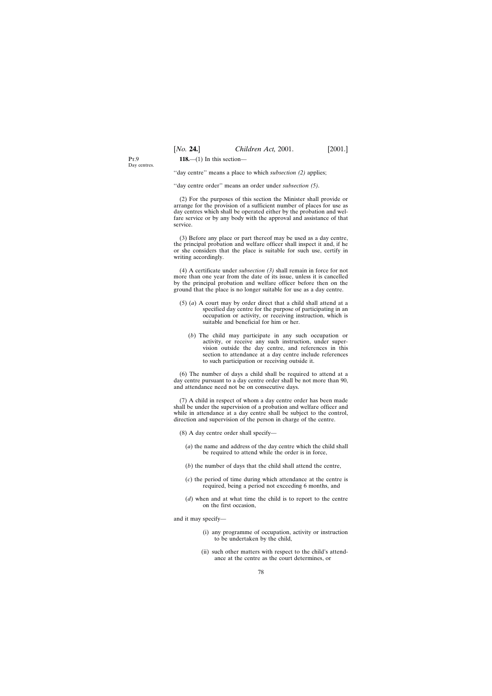**118.**—(1) In this section—

 $P_T$   $Q$ Day centres.

''day centre'' means a place to which *subsection (2)* applies;

''day centre order'' means an order under *subsection (5)*.

(2) For the purposes of this section the Minister shall provide or arrange for the provision of a sufficient number of places for use as day centres which shall be operated either by the probation and welfare service or by any body with the approval and assistance of that service.

(3) Before any place or part thereof may be used as a day centre, the principal probation and welfare officer shall inspect it and, if he or she considers that the place is suitable for such use, certify in writing accordingly.

(4) A certificate under *subsection (3)* shall remain in force for not more than one year from the date of its issue, unless it is cancelled by the principal probation and welfare officer before then on the ground that the place is no longer suitable for use as a day centre.

- (5) (*a*) A court may by order direct that a child shall attend at a specified day centre for the purpose of participating in an occupation or activity, or receiving instruction, which is suitable and beneficial for him or her.
	- (*b*) The child may participate in any such occupation or activity, or receive any such instruction, under supervision outside the day centre, and references in this section to attendance at a day centre include references to such participation or receiving outside it.

(6) The number of days a child shall be required to attend at a day centre pursuant to a day centre order shall be not more than 90, and attendance need not be on consecutive days.

(7) A child in respect of whom a day centre order has been made shall be under the supervision of a probation and welfare officer and while in attendance at a day centre shall be subject to the control, direction and supervision of the person in charge of the centre.

- (8) A day centre order shall specify—
	- (*a*) the name and address of the day centre which the child shall be required to attend while the order is in force,
	- (*b*) the number of days that the child shall attend the centre,
	- (*c*) the period of time during which attendance at the centre is required, being a period not exceeding 6 months, and
	- (*d*) when and at what time the child is to report to the centre on the first occasion,

and it may specify—

- (i) any programme of occupation, activity or instruction to be undertaken by the child,
- (ii) such other matters with respect to the child's attendance at the centre as the court determines, or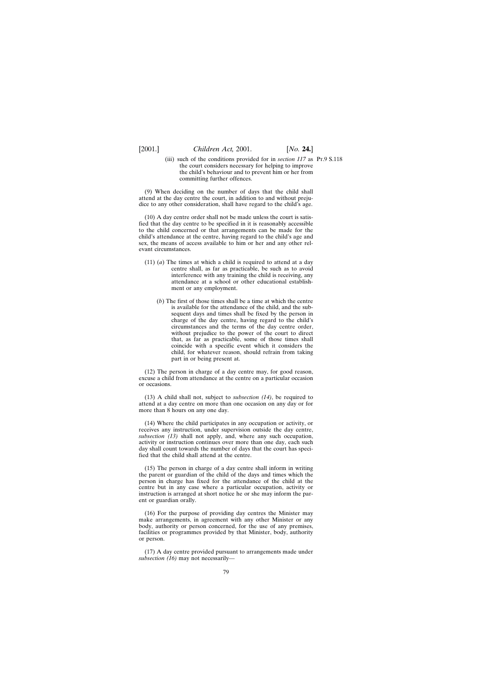(iii) such of the conditions provided for in *section 117* as Pt.9 S.118the court considers necessary for helping to improve the child's behaviour and to prevent him or her from committing further offences.

(9) When deciding on the number of days that the child shall attend at the day centre the court, in addition to and without prejudice to any other consideration, shall have regard to the child's age.

(10) A day centre order shall not be made unless the court is satisfied that the day centre to be specified in it is reasonably accessible to the child concerned or that arrangements can be made for the child's attendance at the centre, having regard to the child's age and sex, the means of access available to him or her and any other relevant circumstances.

- (11) (*a*) The times at which a child is required to attend at a day centre shall, as far as practicable, be such as to avoid interference with any training the child is receiving, any attendance at a school or other educational establishment or any employment.
	- (*b*) The first of those times shall be a time at which the centre is available for the attendance of the child, and the subsequent days and times shall be fixed by the person in charge of the day centre, having regard to the child's circumstances and the terms of the day centre order, without prejudice to the power of the court to direct that, as far as practicable, some of those times shall coincide with a specific event which it considers the child, for whatever reason, should refrain from taking part in or being present at.

(12) The person in charge of a day centre may, for good reason, excuse a child from attendance at the centre on a particular occasion or occasions.

(13) A child shall not, subject to *subsection (14)*, be required to attend at a day centre on more than one occasion on any day or for more than 8 hours on any one day.

(14) Where the child participates in any occupation or activity, or receives any instruction, under supervision outside the day centre, *subsection (13)* shall not apply, and, where any such occupation, activity or instruction continues over more than one day, each such day shall count towards the number of days that the court has specified that the child shall attend at the centre.

(15) The person in charge of a day centre shall inform in writing the parent or guardian of the child of the days and times which the person in charge has fixed for the attendance of the child at the centre but in any case where a particular occupation, activity or instruction is arranged at short notice he or she may inform the parent or guardian orally.

(16) For the purpose of providing day centres the Minister may make arrangements, in agreement with any other Minister or any body, authority or person concerned, for the use of any premises, facilities or programmes provided by that Minister, body, authority or person.

(17) A day centre provided pursuant to arrangements made under *subsection (16)* may not necessarily—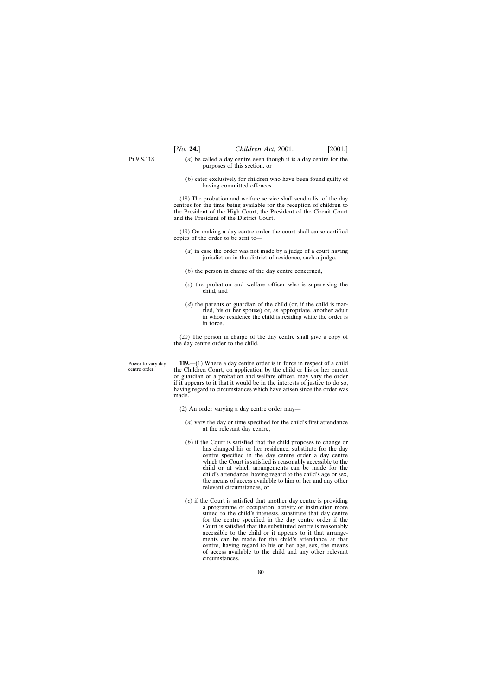- (*a*) be called a day centre even though it is a day centre for the purposes of this section, or
- (*b*) cater exclusively for children who have been found guilty of having committed offences.

(18) The probation and welfare service shall send a list of the day centres for the time being available for the reception of children to the President of the High Court, the President of the Circuit Court and the President of the District Court.

(19) On making a day centre order the court shall cause certified copies of the order to be sent to—

- (*a*) in case the order was not made by a judge of a court having jurisdiction in the district of residence, such a judge,
- (*b*) the person in charge of the day centre concerned,
- (*c*) the probation and welfare officer who is supervising the child, and
- (*d*) the parents or guardian of the child (or, if the child is married, his or her spouse) or, as appropriate, another adult in whose residence the child is residing while the order is in force.

(20) The person in charge of the day centre shall give a copy of the day centre order to the child.

Power to vary day centre order.

**119.**—(1) Where a day centre order is in force in respect of a child the Children Court, on application by the child or his or her parent or guardian or a probation and welfare officer, may vary the order if it appears to it that it would be in the interests of justice to do so, having regard to circumstances which have arisen since the order was made.

- (2) An order varying a day centre order may—
	- (*a*) vary the day or time specified for the child's first attendance at the relevant day centre,
	- (*b*) if the Court is satisfied that the child proposes to change or has changed his or her residence, substitute for the day centre specified in the day centre order a day centre which the Court is satisfied is reasonably accessible to the child or at which arrangements can be made for the child's attendance, having regard to the child's age or sex, the means of access available to him or her and any other relevant circumstances, or
	- (*c*) if the Court is satisfied that another day centre is providing a programme of occupation, activity or instruction more suited to the child's interests, substitute that day centre for the centre specified in the day centre order if the Court is satisfied that the substituted centre is reasonably accessible to the child or it appears to it that arrangements can be made for the child's attendance at that centre, having regard to his or her age, sex, the means of access available to the child and any other relevant circumstances.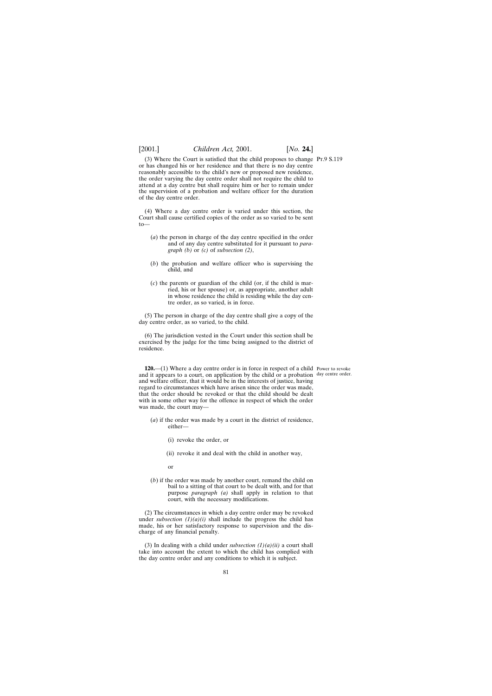(3) Where the Court is satisfied that the child proposes to change Pt.9 S.119 or has changed his or her residence and that there is no day centre reasonably accessible to the child's new or proposed new residence, the order varying the day centre order shall not require the child to attend at a day centre but shall require him or her to remain under the supervision of a probation and welfare officer for the duration of the day centre order.

(4) Where a day centre order is varied under this section, the Court shall cause certified copies of the order as so varied to be sent  $to$ 

- (*a*) the person in charge of the day centre specified in the order and of any day centre substituted for it pursuant to *paragraph (b)* or *(c)* of *subsection (2)*,
- (*b*) the probation and welfare officer who is supervising the child, and
- (*c*) the parents or guardian of the child (or, if the child is married, his or her spouse) or, as appropriate, another adult in whose residence the child is residing while the day centre order, as so varied, is in force.

(5) The person in charge of the day centre shall give a copy of the day centre order, as so varied, to the child.

(6) The jurisdiction vested in the Court under this section shall be exercised by the judge for the time being assigned to the district of residence.

**120.**—(1) Where a day centre order is in force in respect of a child Power to revoke and it appears to a court, on application by the child or a probation day centre order.and welfare officer, that it would be in the interests of justice, having regard to circumstances which have arisen since the order was made, that the order should be revoked or that the child should be dealt with in some other way for the offence in respect of which the order was made, the court may—

- (*a*) if the order was made by a court in the district of residence, either—
	- (i) revoke the order, or
	- (ii) revoke it and deal with the child in another way,
	- or
- (*b*) if the order was made by another court, remand the child on bail to a sitting of that court to be dealt with, and for that purpose *paragraph (a)* shall apply in relation to that court, with the necessary modifications.

(2) The circumstances in which a day centre order may be revoked under *subsection*  $(1)(a)(i)$  shall include the progress the child has made, his or her satisfactory response to supervision and the discharge of any financial penalty.

(3) In dealing with a child under *subsection*  $(1)(a)(ii)$  a court shall take into account the extent to which the child has complied with the day centre order and any conditions to which it is subject.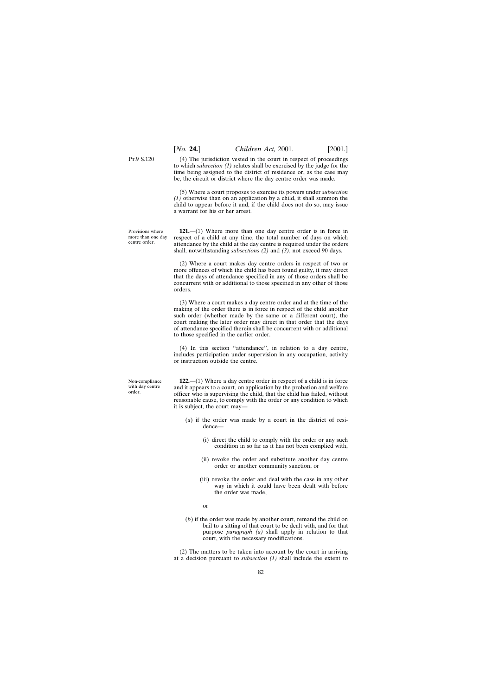(4) The jurisdiction vested in the court in respect of proceedings to which *subsection (1)* relates shall be exercised by the judge for the time being assigned to the district of residence or, as the case may be, the circuit or district where the day centre order was made.

(5) Where a court proposes to exercise its powers under *subsection (1)* otherwise than on an application by a child, it shall summon the child to appear before it and, if the child does not do so, may issue a warrant for his or her arrest.

**121.**—(1) Where more than one day centre order is in force in respect of a child at any time, the total number of days on which attendance by the child at the day centre is required under the orders shall, notwithstanding *subsections (2)* and *(3)*, not exceed 90 days.

(2) Where a court makes day centre orders in respect of two or more offences of which the child has been found guilty, it may direct that the days of attendance specified in any of those orders shall be concurrent with or additional to those specified in any other of those orders.

(3) Where a court makes a day centre order and at the time of the making of the order there is in force in respect of the child another such order (whether made by the same or a different court), the court making the later order may direct in that order that the days of attendance specified therein shall be concurrent with or additional to those specified in the earlier order.

(4) In this section ''attendance'', in relation to a day centre, includes participation under supervision in any occupation, activity or instruction outside the centre.

**122.**—(1) Where a day centre order in respect of a child is in force and it appears to a court, on application by the probation and welfare officer who is supervising the child, that the child has failed, without reasonable cause, to comply with the order or any condition to which it is subject, the court may—

- (*a*) if the order was made by a court in the district of residence—
	- (i) direct the child to comply with the order or any such condition in so far as it has not been complied with,
	- (ii) revoke the order and substitute another day centre order or another community sanction, or
	- (iii) revoke the order and deal with the case in any other way in which it could have been dealt with before the order was made,
	- or
- (*b*) if the order was made by another court, remand the child on bail to a sitting of that court to be dealt with, and for that purpose *paragraph (a)* shall apply in relation to that court, with the necessary modifications.

(2) The matters to be taken into account by the court in arriving at a decision pursuant to *subsection (1)* shall include the extent to

P<sub>T</sub> 9 S 120

Provisions where more than one day centre order.

Non-compliance with day centre order.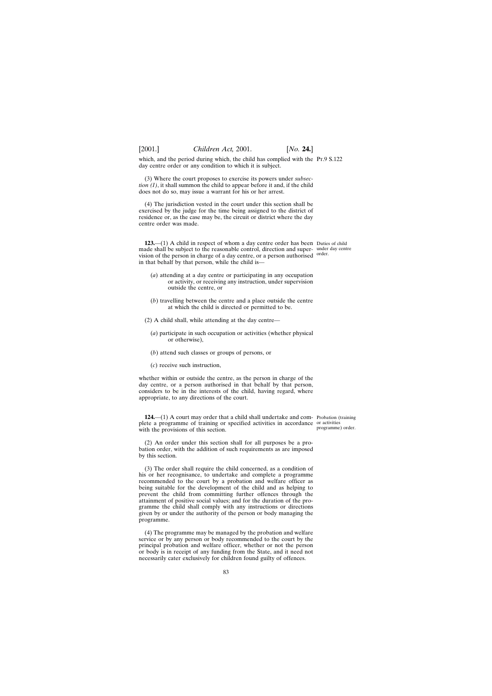which, and the period during which, the child has complied with the Pr.9 S.122 day centre order or any condition to which it is subject.

(3) Where the court proposes to exercise its powers under *subsection (1)*, it shall summon the child to appear before it and, if the child does not do so, may issue a warrant for his or her arrest.

(4) The jurisdiction vested in the court under this section shall be exercised by the judge for the time being assigned to the district of residence or, as the case may be, the circuit or district where the day centre order was made.

**123.**—(1) A child in respect of whom a day centre order has been Duties of child made shall be subject to the reasonable control, direction and super-under day centre vision of the person in charge of a day centre, or a person authorised <sup>order.</sup> in that behalf by that person, while the child is—

- (*a*) attending at a day centre or participating in any occupation or activity, or receiving any instruction, under supervision outside the centre, or
- (*b*) travelling between the centre and a place outside the centre at which the child is directed or permitted to be.
- (2) A child shall, while attending at the day centre—
	- (*a*) participate in such occupation or activities (whether physical or otherwise),
	- (*b*) attend such classes or groups of persons, or
	- (*c*) receive such instruction,

whether within or outside the centre, as the person in charge of the day centre, or a person authorised in that behalf by that person, considers to be in the interests of the child, having regard, where appropriate, to any directions of the court.

124.—(1) A court may order that a child shall undertake and com- Probation (training plete a programme of training or specified activities in accordance or activities with the provisions of this section.

programme) order.

(2) An order under this section shall for all purposes be a probation order, with the addition of such requirements as are imposed by this section.

(3) The order shall require the child concerned, as a condition of his or her recognisance, to undertake and complete a programme recommended to the court by a probation and welfare officer as being suitable for the development of the child and as helping to prevent the child from committing further offences through the attainment of positive social values; and for the duration of the programme the child shall comply with any instructions or directions given by or under the authority of the person or body managing the programme.

(4) The programme may be managed by the probation and welfare service or by any person or body recommended to the court by the principal probation and welfare officer, whether or not the person or body is in receipt of any funding from the State, and it need not necessarily cater exclusively for children found guilty of offences.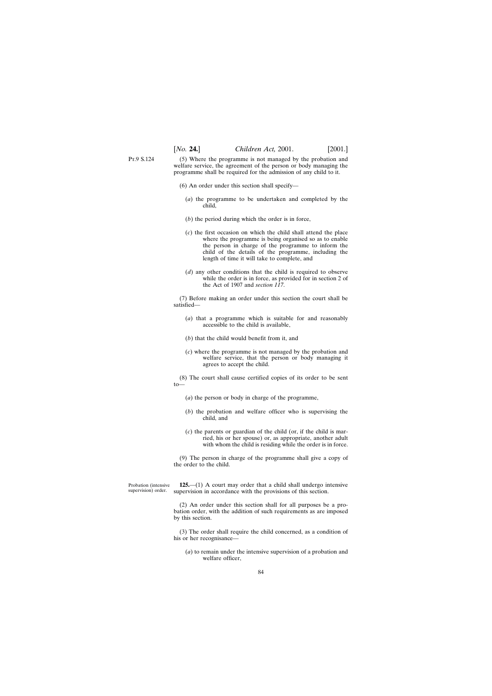P<sub>T</sub> 9 S 124 (5) Where the programme is not managed by the probation and welfare service, the agreement of the person or body managing the programme shall be required for the admission of any child to it.

- (6) An order under this section shall specify—
	- (*a*) the programme to be undertaken and completed by the child,
	- (*b*) the period during which the order is in force,
	- (*c*) the first occasion on which the child shall attend the place where the programme is being organised so as to enable the person in charge of the programme to inform the child of the details of the programme, including the length of time it will take to complete, and
	- (*d*) any other conditions that the child is required to observe while the order is in force, as provided for in section 2 of the Act of 1907 and *section 117*.

(7) Before making an order under this section the court shall be satisfied—

- (*a*) that a programme which is suitable for and reasonably accessible to the child is available,
- (*b*) that the child would benefit from it, and
- (*c*) where the programme is not managed by the probation and welfare service, that the person or body managing it agrees to accept the child.

(8) The court shall cause certified copies of its order to be sent to—

- (*a*) the person or body in charge of the programme,
- (*b*) the probation and welfare officer who is supervising the child, and
- (*c*) the parents or guardian of the child (or, if the child is married, his or her spouse) or, as appropriate, another adult with whom the child is residing while the order is in force.

(9) The person in charge of the programme shall give a copy of the order to the child.

Probation (intensive supervision) order.

**125.**—(1) A court may order that a child shall undergo intensive supervision in accordance with the provisions of this section.

(2) An order under this section shall for all purposes be a probation order, with the addition of such requirements as are imposed by this section.

(3) The order shall require the child concerned, as a condition of his or her recognisance—

(*a*) to remain under the intensive supervision of a probation and welfare officer,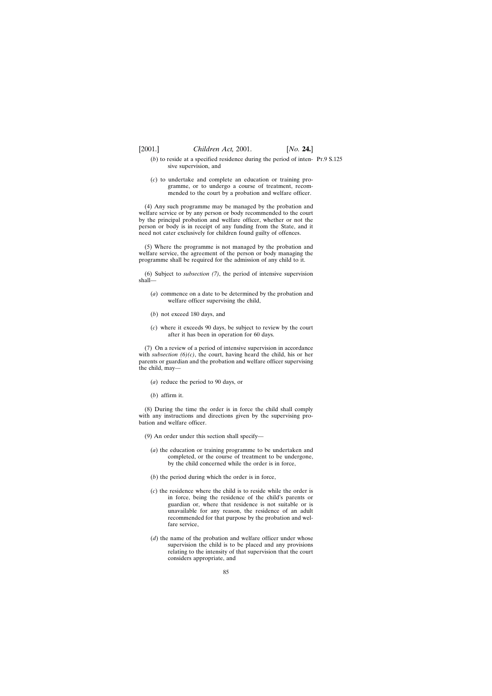- $(b)$  to reside at a specified residence during the period of inten- Pr.9 S.125 sive supervision, and
- (*c*) to undertake and complete an education or training programme, or to undergo a course of treatment, recommended to the court by a probation and welfare officer.

(4) Any such programme may be managed by the probation and welfare service or by any person or body recommended to the court by the principal probation and welfare officer, whether or not the person or body is in receipt of any funding from the State, and it need not cater exclusively for children found guilty of offences.

(5) Where the programme is not managed by the probation and welfare service, the agreement of the person or body managing the programme shall be required for the admission of any child to it.

(6) Subject to *subsection (7)*, the period of intensive supervision shall—

- (*a*) commence on a date to be determined by the probation and welfare officer supervising the child,
- (*b*) not exceed 180 days, and
- (*c*) where it exceeds 90 days, be subject to review by the court after it has been in operation for 60 days.

(7) On a review of a period of intensive supervision in accordance with *subsection (6)(c)*, the court, having heard the child, his or her parents or guardian and the probation and welfare officer supervising the child, may—

- (*a*) reduce the period to 90 days, or
- (*b*) affirm it.

(8) During the time the order is in force the child shall comply with any instructions and directions given by the supervising probation and welfare officer.

(9) An order under this section shall specify—

- (*a*) the education or training programme to be undertaken and completed, or the course of treatment to be undergone, by the child concerned while the order is in force,
- (*b*) the period during which the order is in force,
- (*c*) the residence where the child is to reside while the order is in force, being the residence of the child's parents or guardian or, where that residence is not suitable or is unavailable for any reason, the residence of an adult recommended for that purpose by the probation and welfare service,
- (*d*) the name of the probation and welfare officer under whose supervision the child is to be placed and any provisions relating to the intensity of that supervision that the court considers appropriate, and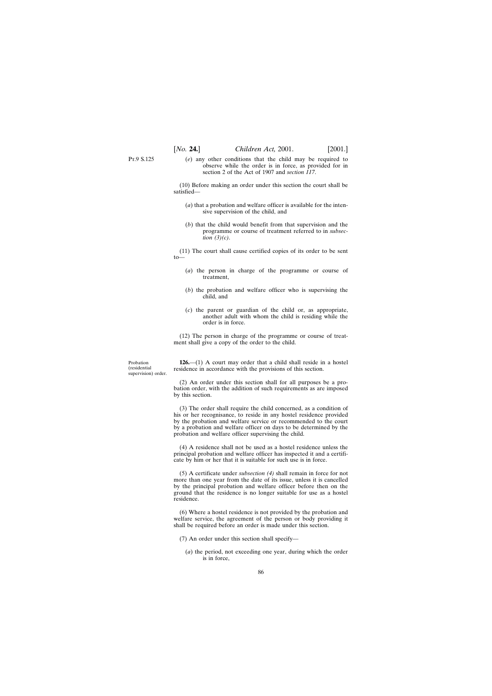- P<sub>T</sub> 9 S 125
- (*e*) any other conditions that the child may be required to observe while the order is in force, as provided for in section 2 of the Act of 1907 and *section 117*.

(10) Before making an order under this section the court shall be satisfied—

- (*a*) that a probation and welfare officer is available for the intensive supervision of the child, and
- (*b*) that the child would benefit from that supervision and the programme or course of treatment referred to in *subsection (3)(c)*.

(11) The court shall cause certified copies of its order to be sent to—

- (*a*) the person in charge of the programme or course of treatment,
- (*b*) the probation and welfare officer who is supervising the child, and
- (*c*) the parent or guardian of the child or, as appropriate, another adult with whom the child is residing while the order is in force.

(12) The person in charge of the programme or course of treatment shall give a copy of the order to the child.

**126.**—(1) A court may order that a child shall reside in a hostel residence in accordance with the provisions of this section.

(2) An order under this section shall for all purposes be a probation order, with the addition of such requirements as are imposed by this section.

(3) The order shall require the child concerned, as a condition of his or her recognisance, to reside in any hostel residence provided by the probation and welfare service or recommended to the court by a probation and welfare officer on days to be determined by the probation and welfare officer supervising the child.

(4) A residence shall not be used as a hostel residence unless the principal probation and welfare officer has inspected it and a certificate by him or her that it is suitable for such use is in force.

(5) A certificate under *subsection (4)* shall remain in force for not more than one year from the date of its issue, unless it is cancelled by the principal probation and welfare officer before then on the ground that the residence is no longer suitable for use as a hostel residence.

(6) Where a hostel residence is not provided by the probation and welfare service, the agreement of the person or body providing it shall be required before an order is made under this section.

(7) An order under this section shall specify—

(*a*) the period, not exceeding one year, during which the order is in force,

Probation (residential supervision) order.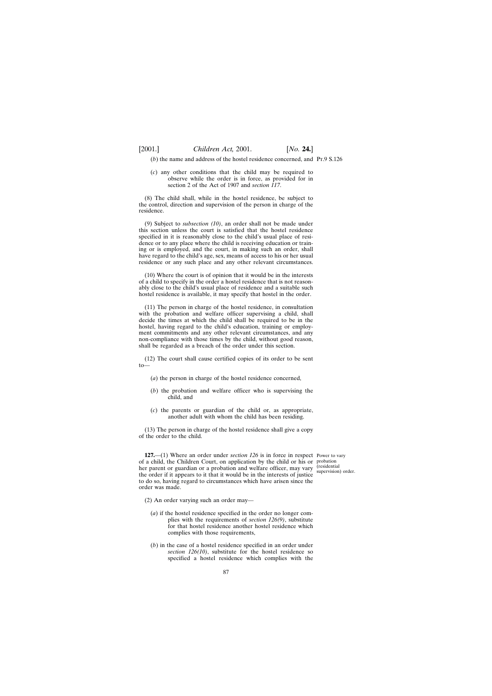$(b)$  the name and address of the hostel residence concerned, and  $Pr.9 S.126$ 

(*c*) any other conditions that the child may be required to observe while the order is in force, as provided for in section 2 of the Act of 1907 and *section 117*.

(8) The child shall, while in the hostel residence, be subject to the control, direction and supervision of the person in charge of the residence.

(9) Subject to *subsection (10)*, an order shall not be made under this section unless the court is satisfied that the hostel residence specified in it is reasonably close to the child's usual place of residence or to any place where the child is receiving education or training or is employed, and the court, in making such an order, shall have regard to the child's age, sex, means of access to his or her usual residence or any such place and any other relevant circumstances.

(10) Where the court is of opinion that it would be in the interests of a child to specify in the order a hostel residence that is not reasonably close to the child's usual place of residence and a suitable such hostel residence is available, it may specify that hostel in the order.

(11) The person in charge of the hostel residence, in consultation with the probation and welfare officer supervising a child, shall decide the times at which the child shall be required to be in the hostel, having regard to the child's education, training or employment commitments and any other relevant circumstances, and any non-compliance with those times by the child, without good reason, shall be regarded as a breach of the order under this section.

(12) The court shall cause certified copies of its order to be sent to—

- (*a*) the person in charge of the hostel residence concerned,
- (*b*) the probation and welfare officer who is supervising the child, and
- (*c*) the parents or guardian of the child or, as appropriate, another adult with whom the child has been residing.

(13) The person in charge of the hostel residence shall give a copy of the order to the child.

**127.**—(1) Where an order under *section 126* is in force in respect Power to vary of a child, the Children Court, on application by the child or his or probation her parent or guardian or a probation and welfare officer, may vary the order if it appears to it that it would be in the interests of justice to do so, having regard to circumstances which have arisen since the order was made.

(residential supervision) order.

- (2) An order varying such an order may—
	- (*a*) if the hostel residence specified in the order no longer complies with the requirements of *section 126(9)*, substitute for that hostel residence another hostel residence which complies with those requirements,
	- (*b*) in the case of a hostel residence specified in an order under *section 126(10)*, substitute for the hostel residence so specified a hostel residence which complies with the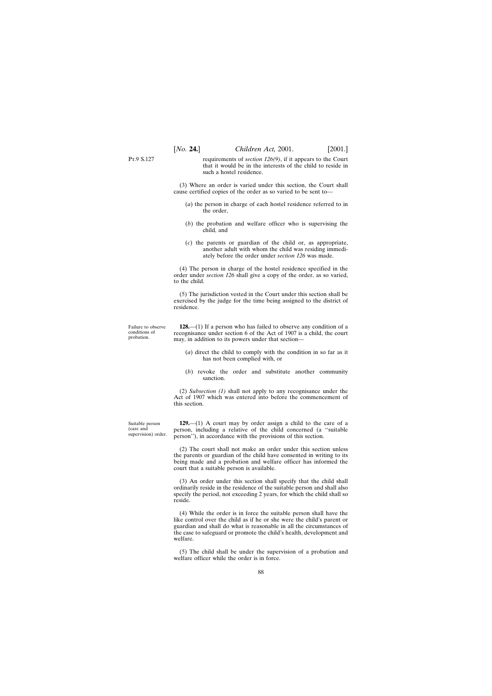requirements of *section 126(9)*, if it appears to the Court that it would be in the interests of the child to reside in such a hostel residence.

(3) Where an order is varied under this section, the Court shall cause certified copies of the order as so varied to be sent to—

- (*a*) the person in charge of each hostel residence referred to in the order,
- (*b*) the probation and welfare officer who is supervising the child, and
- (*c*) the parents or guardian of the child or, as appropriate, another adult with whom the child was residing immediately before the order under *section 126* was made.

(4) The person in charge of the hostel residence specified in the order under *section 126* shall give a copy of the order, as so varied, to the child.

(5) The jurisdiction vested in the Court under this section shall be exercised by the judge for the time being assigned to the district of residence.

Failure to observe conditions of probation.

P<sub>T</sub> 9 S 127

**128.**—(1) If a person who has failed to observe any condition of a recognisance under section 6 of the Act of 1907 is a child, the court may, in addition to its powers under that section—

- (*a*) direct the child to comply with the condition in so far as it has not been complied with, or
- (*b*) revoke the order and substitute another community sanction.

(2) *Subsection (1)* shall not apply to any recognisance under the Act of 1907 which was entered into before the commencement of this section.

Suitable person (care and supervision) order.

**129.**—(1) A court may by order assign a child to the care of a person, including a relative of the child concerned (a ''suitable person''), in accordance with the provisions of this section.

(2) The court shall not make an order under this section unless the parents or guardian of the child have consented in writing to its being made and a probation and welfare officer has informed the court that a suitable person is available.

(3) An order under this section shall specify that the child shall ordinarily reside in the residence of the suitable person and shall also specify the period, not exceeding 2 years, for which the child shall so reside.

(4) While the order is in force the suitable person shall have the like control over the child as if he or she were the child's parent or guardian and shall do what is reasonable in all the circumstances of the case to safeguard or promote the child's health, development and welfare.

(5) The child shall be under the supervision of a probation and welfare officer while the order is in force.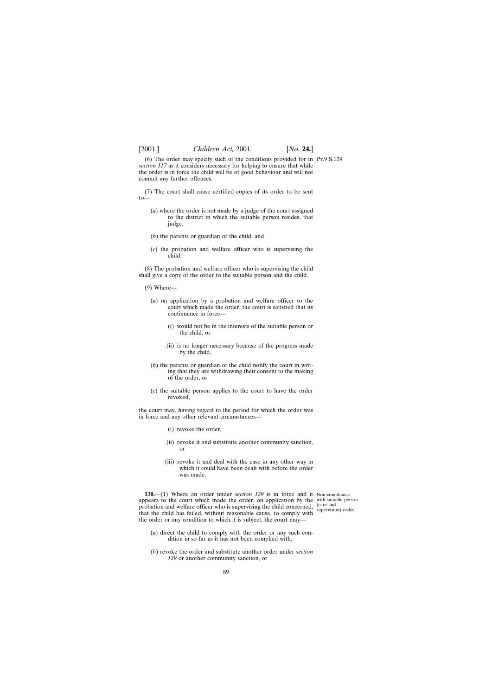(6) The order may specify such of the conditions provided for in Pt.9 S.129 *section 117* as it considers necessary for helping to ensure that while the order is in force the child will be of good behaviour and will not commit any further offences.

(7) The court shall cause certified copies of its order to be sent  $10-$ 

- (*a*) where the order is not made by a judge of the court assigned to the district in which the suitable person resides, that judge,
- (*b*) the parents or guardian of the child, and
- (*c*) the probation and welfare officer who is supervising the child.

(8) The probation and welfare officer who is supervising the child shall give a copy of the order to the suitable person and the child.

- (9) Where—
	- (*a*) on application by a probation and welfare officer to the court which made the order, the court is satisfied that its continuance in force—
		- (i) would not be in the interests of the suitable person or the child, or
		- (ii) is no longer necessary because of the progress made by the child,
	- (*b*) the parents or guardian of the child notify the court in writing that they are withdrawing their consent to the making of the order, or
	- (*c*) the suitable person applies to the court to have the order revoked,

the court may, having regard to the period for which the order was in force and any other relevant circumstances—

- (i) revoke the order,
- (ii) revoke it and substitute another community sanction, or
- (iii) revoke it and deal with the case in any other way in which it could have been dealt with before the order was made.

**130.**—(1) Where an order under *section 129* is in force and it Non-compliance appears to the court which made the order, on application by the with suitable person probation and welfare officer who is supervising the child concerned, that the child has failed, without reasonable cause, to comply with the order or any condition to which it is subject, the court may—

(care and supervision) order.

- (*a*) direct the child to comply with the order or any such condition in so far as it has not been complied with,
- (*b*) revoke the order and substitute another order under *section 129* or another community sanction, or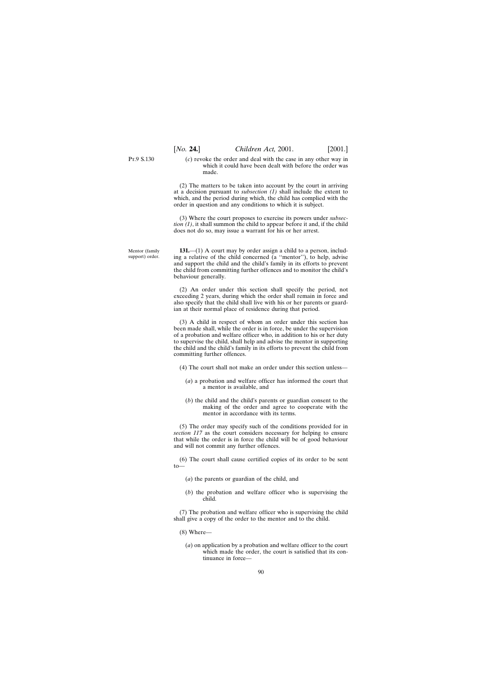Mentor (family support) order. (*c*) revoke the order and deal with the case in any other way in which it could have been dealt with before the order was made.

(2) The matters to be taken into account by the court in arriving at a decision pursuant to *subsection (1)* shall include the extent to which, and the period during which, the child has complied with the order in question and any conditions to which it is subject.

(3) Where the court proposes to exercise its powers under *subsection (1)*, it shall summon the child to appear before it and, if the child does not do so, may issue a warrant for his or her arrest.

**131.**—(1) A court may by order assign a child to a person, including a relative of the child concerned (a ''mentor''), to help, advise and support the child and the child's family in its efforts to prevent the child from committing further offences and to monitor the child's behaviour generally.

(2) An order under this section shall specify the period, not exceeding 2 years, during which the order shall remain in force and also specify that the child shall live with his or her parents or guardian at their normal place of residence during that period.

(3) A child in respect of whom an order under this section has been made shall, while the order is in force, be under the supervision of a probation and welfare officer who, in addition to his or her duty to supervise the child, shall help and advise the mentor in supporting the child and the child's family in its efforts to prevent the child from committing further offences.

(4) The court shall not make an order under this section unless—

- (*a*) a probation and welfare officer has informed the court that a mentor is available, and
- (*b*) the child and the child's parents or guardian consent to the making of the order and agree to cooperate with the mentor in accordance with its terms.

(5) The order may specify such of the conditions provided for in *section 117* as the court considers necessary for helping to ensure that while the order is in force the child will be of good behaviour and will not commit any further offences.

(6) The court shall cause certified copies of its order to be sent to—

- (*a*) the parents or guardian of the child, and
- (*b*) the probation and welfare officer who is supervising the child.

(7) The probation and welfare officer who is supervising the child shall give a copy of the order to the mentor and to the child.

(8) Where—

(*a*) on application by a probation and welfare officer to the court which made the order, the court is satisfied that its continuance in force—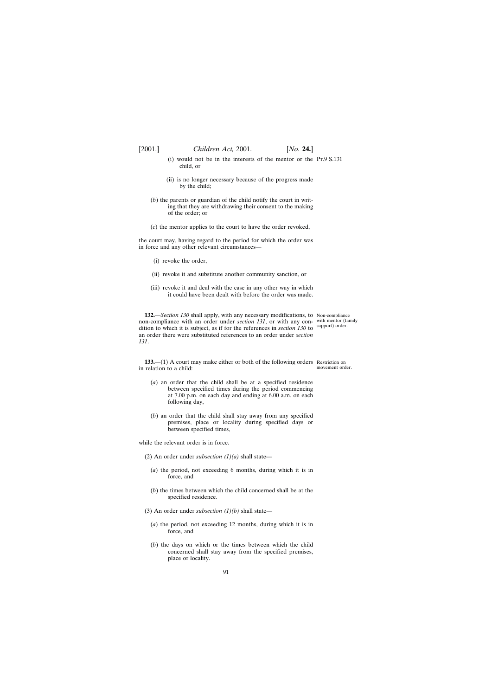- (i) would not be in the interests of the mentor or the Pt.9 S.131 child, or
- (ii) is no longer necessary because of the progress made by the child;
- (*b*) the parents or guardian of the child notify the court in writing that they are withdrawing their consent to the making of the order; or
- (*c*) the mentor applies to the court to have the order revoked,

the court may, having regard to the period for which the order was in force and any other relevant circumstances—

- (i) revoke the order,
- (ii) revoke it and substitute another community sanction, or
- (iii) revoke it and deal with the case in any other way in which it could have been dealt with before the order was made.

**132.**—*Section 130* shall apply, with any necessary modifications, to Non-compliance non-compliance with an order under *section 131*, or with any con-with mentor (family dition to which it is subject, as if for the references in *section 130* to support) order. an order there were substituted references to an order under *section 131*.

movement order.

**133.**—(1) A court may make either or both of the following orders Restriction on in relation to a child:

- (*a*) an order that the child shall be at a specified residence between specified times during the period commencing at 7.00 p.m. on each day and ending at 6.00 a.m. on each following day,
- (*b*) an order that the child shall stay away from any specified premises, place or locality during specified days or between specified times,

while the relevant order is in force.

- (2) An order under *subsection*  $(1)(a)$  shall state—
	- (*a*) the period, not exceeding 6 months, during which it is in force, and
	- (*b*) the times between which the child concerned shall be at the specified residence.
- (3) An order under *subsection (1)(b)* shall state—
	- (*a*) the period, not exceeding 12 months, during which it is in force, and
	- (*b*) the days on which or the times between which the child concerned shall stay away from the specified premises, place or locality.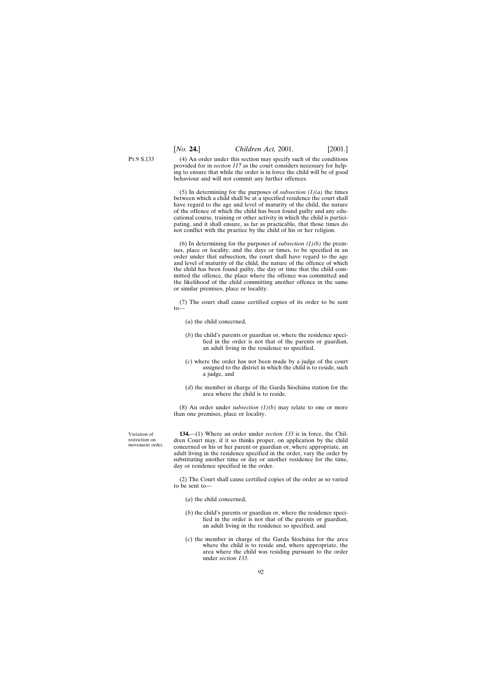(4) An order under this section may specify such of the conditions provided for in *section 117* as the court considers necessary for helping to ensure that while the order is in force the child will be of good behaviour and will not commit any further offences.

(5) In determining for the purposes of *subsection (1)(a)* the times between which a child shall be at a specified residence the court shall have regard to the age and level of maturity of the child, the nature of the offence of which the child has been found guilty and any educational course, training or other activity in which the child is participating, and it shall ensure, as far as practicable, that those times do not conflict with the practice by the child of his or her religion.

(6) In determining for the purposes of *subsection (1)(b)* the premises, place or locality, and the days or times, to be specified in an order under that subsection, the court shall have regard to the age and level of maturity of the child, the nature of the offence of which the child has been found guilty, the day or time that the child committed the offence, the place where the offence was committed and the likelihood of the child committing another offence in the same or similar premises, place or locality.

(7) The court shall cause certified copies of its order to be sent to—

- (*a*) the child concerned,
- (*b*) the child's parents or guardian or, where the residence specified in the order is not that of the parents or guardian, an adult living in the residence so specified,
- (*c*) where the order has not been made by a judge of the court assigned to the district in which the child is to reside, such a judge, and
- $(d)$  the member in charge of the Garda Siochana station for the area where the child is to reside.

(8) An order under *subsection (1)(b)* may relate to one or more than one premises, place or locality.

Variation of restriction on movement order.

**134.**—(1) Where an order under *section 133* is in force, the Children Court may, if it so thinks proper, on application by the child concerned or his or her parent or guardian or, where appropriate, an adult living in the residence specified in the order, vary the order by substituting another time or day or another residence for the time, day or residence specified in the order.

(2) The Court shall cause certified copies of the order as so varied to be sent to—

- (*a*) the child concerned,
- (*b*) the child's parents or guardian or, where the residence specified in the order is not that of the parents or guardian, an adult living in the residence so specified, and
- $(c)$  the member in charge of the Garda Siochana for the area where the child is to reside and, where appropriate, the area where the child was residing pursuant to the order under *section 133*.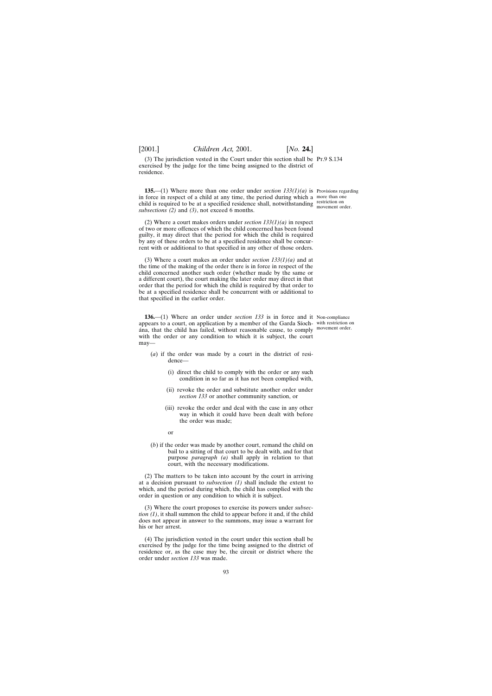(3) The jurisdiction vested in the Court under this section shall be Pt.9 S.134 exercised by the judge for the time being assigned to the district of residence.

**135.**—(1) Where more than one order under *section 133(1)(a)* is Provisions regarding in force in respect of a child at any time, the period during which a more than one child is required to be at a specified residence shall, notwithstanding restriction on *subsections (2)* and *(3)*, not exceed 6 months.

(2) Where a court makes orders under *section 133(1)(a)* in respect of two or more offences of which the child concerned has been found guilty, it may direct that the period for which the child is required by any of these orders to be at a specified residence shall be concurrent with or additional to that specified in any other of those orders.

(3) Where a court makes an order under *section 133(1)(a)* and at the time of the making of the order there is in force in respect of the child concerned another such order (whether made by the same or a different court), the court making the later order may direct in that order that the period for which the child is required by that order to be at a specified residence shall be concurrent with or additional to that specified in the earlier order.

**136.**—(1) Where an order under *section 133* is in force and it Non-compliance appears to a court, on application by a member of the Garda Síoch- with restriction on ana, that the child has failed, without reasonable cause, to comply movement order. with the order or any condition to which it is subject, the court may—

movement order.

- (*a*) if the order was made by a court in the district of residence—
	- (i) direct the child to comply with the order or any such condition in so far as it has not been complied with,
	- (ii) revoke the order and substitute another order under *section 133* or another community sanction, or
	- (iii) revoke the order and deal with the case in any other way in which it could have been dealt with before the order was made;

or

(*b*) if the order was made by another court, remand the child on bail to a sitting of that court to be dealt with, and for that purpose *paragraph (a)* shall apply in relation to that court, with the necessary modifications.

(2) The matters to be taken into account by the court in arriving at a decision pursuant to *subsection (1)* shall include the extent to which, and the period during which, the child has complied with the order in question or any condition to which it is subject.

(3) Where the court proposes to exercise its powers under *subsection (1)*, it shall summon the child to appear before it and, if the child does not appear in answer to the summons, may issue a warrant for his or her arrest.

(4) The jurisdiction vested in the court under this section shall be exercised by the judge for the time being assigned to the district of residence or, as the case may be, the circuit or district where the order under *section 133* was made.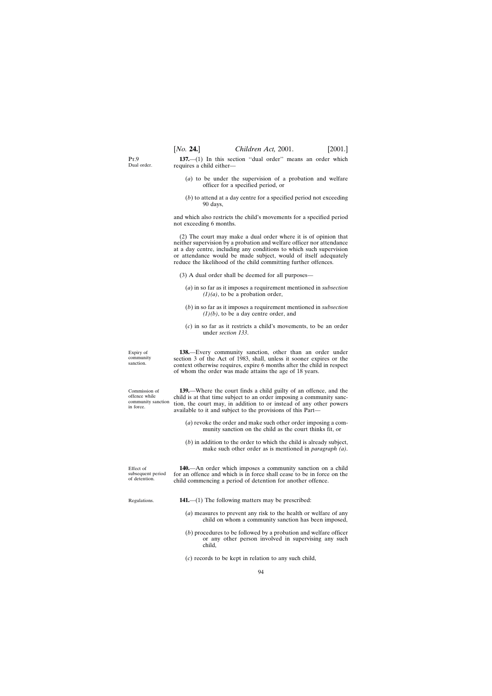$P_T$  9 Dual order.

**137.**—(1) In this section ''dual order'' means an order which requires a child either—

- (*a*) to be under the supervision of a probation and welfare officer for a specified period, or
- (*b*) to attend at a day centre for a specified period not exceeding 90 days,

and which also restricts the child's movements for a specified period not exceeding 6 months.

(2) The court may make a dual order where it is of opinion that neither supervision by a probation and welfare officer nor attendance at a day centre, including any conditions to which such supervision or attendance would be made subject, would of itself adequately reduce the likelihood of the child committing further offences.

- (3) A dual order shall be deemed for all purposes—
	- (*a*) in so far as it imposes a requirement mentioned in *subsection*  $(1)(a)$ , to be a probation order,
	- (*b*) in so far as it imposes a requirement mentioned in *subsection (1)(b)*, to be a day centre order, and
	- (*c*) in so far as it restricts a child's movements, to be an order under *section 133*.

| Expiry of<br>community<br>sanction.                               | 138.—Every community sanction, other than an order under<br>section 3 of the Act of 1983, shall, unless it sooner expires or the<br>context otherwise requires, expire 6 months after the child in respect<br>of whom the order was made attains the age of 18 years.         |
|-------------------------------------------------------------------|-------------------------------------------------------------------------------------------------------------------------------------------------------------------------------------------------------------------------------------------------------------------------------|
| Commission of<br>offence while<br>community sanction<br>in force. | 139.—Where the court finds a child guilty of an offence, and the<br>child is at that time subject to an order imposing a community sanc-<br>tion, the court may, in addition to or instead of any other powers<br>available to it and subject to the provisions of this Part— |
|                                                                   | (a) revoke the order and make such other order imposing a com-<br>munity sanction on the child as the court thinks fit, or                                                                                                                                                    |
|                                                                   | $(b)$ in addition to the order to which the child is already subject,<br>make such other order as is mentioned in <i>paragraph</i> $(a)$ .                                                                                                                                    |
| Effect of<br>subsequent period<br>of detention.                   | 140.—An order which imposes a community sanction on a child<br>for an offence and which is in force shall cease to be in force on the<br>child commencing a period of detention for another offence.                                                                          |
| Regulations.                                                      | <b>141.</b> —(1) The following matters may be prescribed:                                                                                                                                                                                                                     |
|                                                                   | (a) measures to prevent any risk to the health or welfare of any<br>child on whom a community sanction has been imposed,                                                                                                                                                      |

(*b*) procedures to be followed by a probation and welfare officer or any other person involved in supervising any such child,

(*c*) records to be kept in relation to any such child,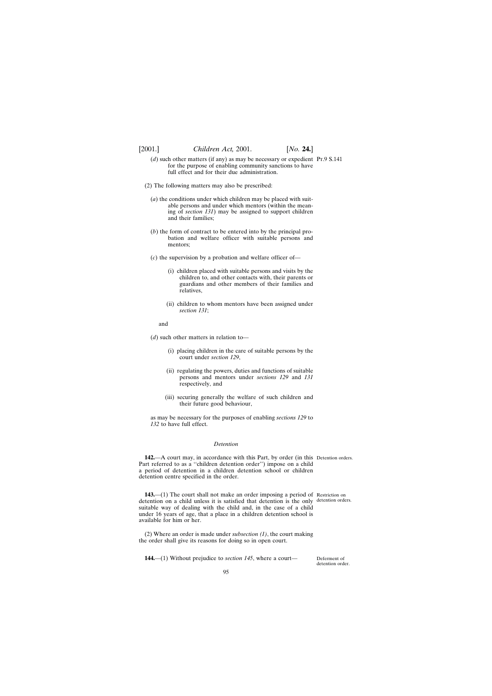- (*d*) such other matters (if any) as may be necessary or expedient Pr.9 S.141 for the purpose of enabling community sanctions to have full effect and for their due administration.
- (2) The following matters may also be prescribed:
	- (*a*) the conditions under which children may be placed with suitable persons and under which mentors (within the meaning of *section 131*) may be assigned to support children and their families;
	- (*b*) the form of contract to be entered into by the principal probation and welfare officer with suitable persons and mentors;
	- (*c*) the supervision by a probation and welfare officer of—
		- (i) children placed with suitable persons and visits by the children to, and other contacts with, their parents or guardians and other members of their families and relatives,
		- (ii) children to whom mentors have been assigned under *section 131*;

and

(*d*) such other matters in relation to—

- (i) placing children in the care of suitable persons by the court under *section 129*,
- (ii) regulating the powers, duties and functions of suitable persons and mentors under *sections 129* and *131* respectively, and
- (iii) securing generally the welfare of such children and their future good behaviour,

as may be necessary for the purposes of enabling *sections 129* to *132* to have full effect.

## *Detention*

**142.**—A court may, in accordance with this Part, by order (in this Detention orders. Part referred to as a ''children detention order'') impose on a child a period of detention in a children detention school or children detention centre specified in the order.

**143.**—(1) The court shall not make an order imposing a period of Restriction on detention on a child unless it is satisfied that detention is the only detention orders. suitable way of dealing with the child and, in the case of a child under 16 years of age, that a place in a children detention school is available for him or her.

(2) Where an order is made under *subsection (1)*, the court making the order shall give its reasons for doing so in open court.

**144.**—(1) Without prejudice to *section 145*, where a court—

Deferment of detention order.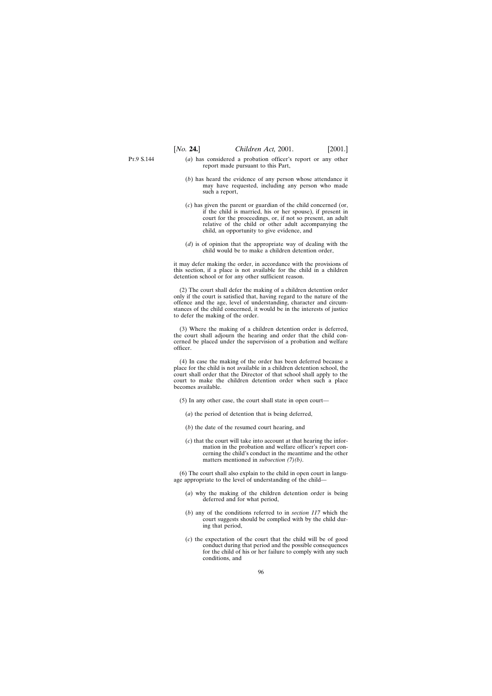- (*a*) has considered a probation officer's report or any other report made pursuant to this Part,
- (*b*) has heard the evidence of any person whose attendance it may have requested, including any person who made such a report,
- (*c*) has given the parent or guardian of the child concerned (or, if the child is married, his or her spouse), if present in court for the proceedings, or, if not so present, an adult relative of the child or other adult accompanying the child, an opportunity to give evidence, and
- (*d*) is of opinion that the appropriate way of dealing with the child would be to make a children detention order,

it may defer making the order, in accordance with the provisions of this section, if a place is not available for the child in a children detention school or for any other sufficient reason.

(2) The court shall defer the making of a children detention order only if the court is satisfied that, having regard to the nature of the offence and the age, level of understanding, character and circumstances of the child concerned, it would be in the interests of justice to defer the making of the order.

(3) Where the making of a children detention order is deferred, the court shall adjourn the hearing and order that the child concerned be placed under the supervision of a probation and welfare officer.

(4) In case the making of the order has been deferred because a place for the child is not available in a children detention school, the court shall order that the Director of that school shall apply to the court to make the children detention order when such a place becomes available.

- (5) In any other case, the court shall state in open court—
	- (*a*) the period of detention that is being deferred,
	- (*b*) the date of the resumed court hearing, and
	- (*c*) that the court will take into account at that hearing the information in the probation and welfare officer's report concerning the child's conduct in the meantime and the other matters mentioned in *subsection (7)(b)*.

(6) The court shall also explain to the child in open court in language appropriate to the level of understanding of the child—

- (*a*) why the making of the children detention order is being deferred and for what period,
- (*b*) any of the conditions referred to in *section 117* which the court suggests should be complied with by the child during that period,
- (*c*) the expectation of the court that the child will be of good conduct during that period and the possible consequences for the child of his or her failure to comply with any such conditions, and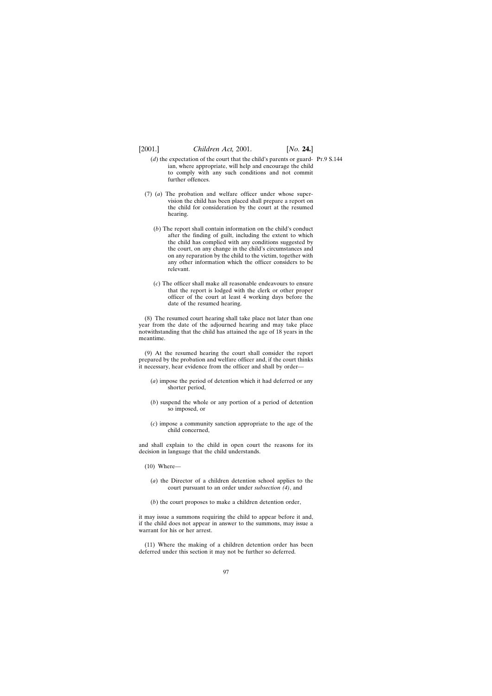- $(d)$  the expectation of the court that the child's parents or guard- Pr.9 S.144 ian, where appropriate, will help and encourage the child to comply with any such conditions and not commit further offences.
- (7) (*a*) The probation and welfare officer under whose supervision the child has been placed shall prepare a report on the child for consideration by the court at the resumed hearing.
	- (*b*) The report shall contain information on the child's conduct after the finding of guilt, including the extent to which the child has complied with any conditions suggested by the court, on any change in the child's circumstances and on any reparation by the child to the victim, together with any other information which the officer considers to be relevant.
	- (*c*) The officer shall make all reasonable endeavours to ensure that the report is lodged with the clerk or other proper officer of the court at least 4 working days before the date of the resumed hearing.

(8) The resumed court hearing shall take place not later than one year from the date of the adjourned hearing and may take place notwithstanding that the child has attained the age of 18 years in the meantime.

(9) At the resumed hearing the court shall consider the report prepared by the probation and welfare officer and, if the court thinks it necessary, hear evidence from the officer and shall by order—

- (*a*) impose the period of detention which it had deferred or any shorter period,
- (*b*) suspend the whole or any portion of a period of detention so imposed, or
- (*c*) impose a community sanction appropriate to the age of the child concerned,

and shall explain to the child in open court the reasons for its decision in language that the child understands.

(10) Where—

- (*a*) the Director of a children detention school applies to the court pursuant to an order under *subsection (4)*, and
- (*b*) the court proposes to make a children detention order,

it may issue a summons requiring the child to appear before it and, if the child does not appear in answer to the summons, may issue a warrant for his or her arrest.

(11) Where the making of a children detention order has been deferred under this section it may not be further so deferred.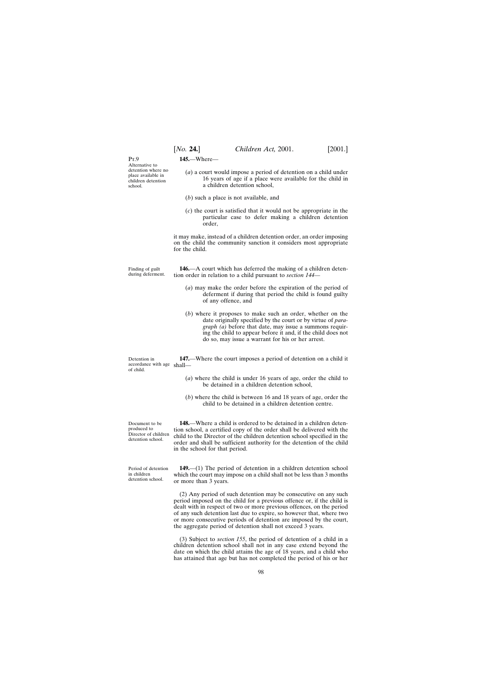$PrQ$ Alternative to detention where no place available in children detention school.

**145.**—Where—

- (*a*) a court would impose a period of detention on a child under 16 years of age if a place were available for the child in a children detention school,
- (*b*) such a place is not available, and
- (*c*) the court is satisfied that it would not be appropriate in the particular case to defer making a children detention order,

it may make, instead of a children detention order, an order imposing on the child the community sanction it considers most appropriate for the child.

Finding of guilt during deferment. **146.**—A court which has deferred the making of a children detention order in relation to a child pursuant to *section 144*—

- (*a*) may make the order before the expiration of the period of deferment if during that period the child is found guilty of any offence, and
- (*b*) where it proposes to make such an order, whether on the date originally specified by the court or by virtue of *paragraph (a)* before that date, may issue a summons requiring the child to appear before it and, if the child does not do so, may issue a warrant for his or her arrest.

Detention in accordance with age shall of child. **147.**—Where the court imposes a period of detention on a child it

- (*a*) where the child is under 16 years of age, order the child to be detained in a children detention school,
- (*b*) where the child is between 16 and 18 years of age, order the child to be detained in a children detention centre.

Director of children

**148.**—Where a child is ordered to be detained in a children detention school, a certified copy of the order shall be delivered with the child to the Director of the children detention school specified in the order and shall be sufficient authority for the detention of the child in the school for that period.

**149.**—(1) The period of detention in a children detention school which the court may impose on a child shall not be less than 3 months or more than 3 years.

(2) Any period of such detention may be consecutive on any such period imposed on the child for a previous offence or, if the child is dealt with in respect of two or more previous offences, on the period of any such detention last due to expire, so however that, where two or more consecutive periods of detention are imposed by the court, the aggregate period of detention shall not exceed 3 years.

(3) Subject to *section 155*, the period of detention of a child in a children detention school shall not in any case extend beyond the date on which the child attains the age of 18 years, and a child who has attained that age but has not completed the period of his or her

Document to be produced to detention school.

Period of detention in children detention school.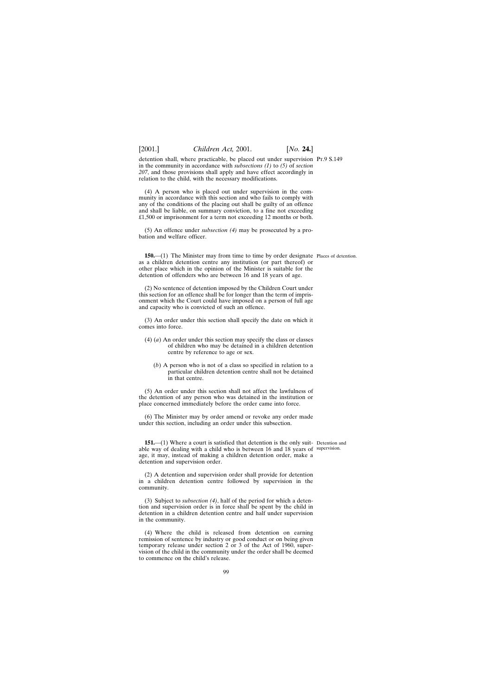detention shall, where practicable, be placed out under supervision Pt.9 S.149 in the community in accordance with *subsections (1)* to *(5)* of *section 207*, and those provisions shall apply and have effect accordingly in relation to the child, with the necessary modifications.

(4) A person who is placed out under supervision in the community in accordance with this section and who fails to comply with any of the conditions of the placing out shall be guilty of an offence and shall be liable, on summary conviction, to a fine not exceeding £1,500 or imprisonment for a term not exceeding 12 months or both.

(5) An offence under *subsection (4)* may be prosecuted by a probation and welfare officer.

**150.**—(1) The Minister may from time to time by order designate Places of detention. as a children detention centre any institution (or part thereof) or other place which in the opinion of the Minister is suitable for the detention of offenders who are between 16 and 18 years of age.

(2) No sentence of detention imposed by the Children Court under this section for an offence shall be for longer than the term of imprisonment which the Court could have imposed on a person of full age and capacity who is convicted of such an offence.

(3) An order under this section shall specify the date on which it comes into force.

- (4) (*a*) An order under this section may specify the class or classes of children who may be detained in a children detention centre by reference to age or sex.
	- (*b*) A person who is not of a class so specified in relation to a particular children detention centre shall not be detained in that centre.

(5) An order under this section shall not affect the lawfulness of the detention of any person who was detained in the institution or place concerned immediately before the order came into force.

(6) The Minister may by order amend or revoke any order made under this section, including an order under this subsection.

**151.**—(1) Where a court is satisfied that detention is the only suit- Detention and able way of dealing with a child who is between 16 and 18 years of supervision.age, it may, instead of making a children detention order, make a detention and supervision order.

(2) A detention and supervision order shall provide for detention in a children detention centre followed by supervision in the community.

(3) Subject to *subsection (4)*, half of the period for which a detention and supervision order is in force shall be spent by the child in detention in a children detention centre and half under supervision in the community.

(4) Where the child is released from detention on earning remission of sentence by industry or good conduct or on being given temporary release under section 2 or 3 of the Act of 1960, supervision of the child in the community under the order shall be deemed to commence on the child's release.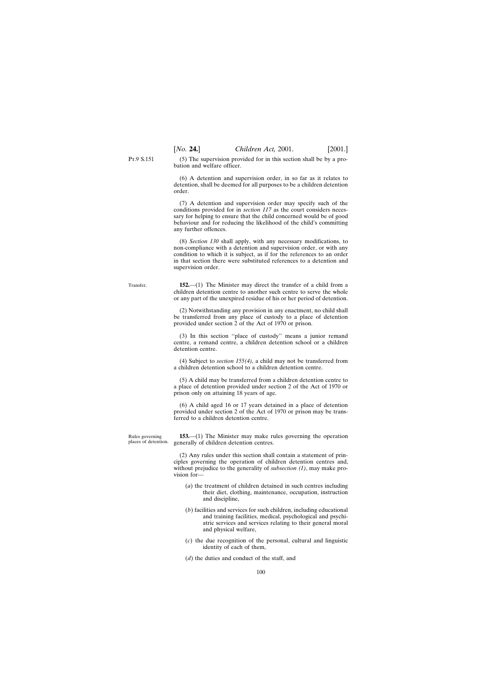(5) The supervision provided for in this section shall be by a probation and welfare officer.

(6) A detention and supervision order, in so far as it relates to detention, shall be deemed for all purposes to be a children detention order.

(7) A detention and supervision order may specify such of the conditions provided for in *section 117* as the court considers necessary for helping to ensure that the child concerned would be of good behaviour and for reducing the likelihood of the child's committing any further offences.

(8) *Section 130* shall apply, with any necessary modifications, to non-compliance with a detention and supervision order, or with any condition to which it is subject, as if for the references to an order in that section there were substituted references to a detention and supervision order.

**152.**—(1) The Minister may direct the transfer of a child from a children detention centre to another such centre to serve the whole or any part of the unexpired residue of his or her period of detention.

> (2) Notwithstanding any provision in any enactment, no child shall be transferred from any place of custody to a place of detention provided under section 2 of the Act of 1970 or prison.

> (3) In this section ''place of custody'' means a junior remand centre, a remand centre, a children detention school or a children detention centre.

> (4) Subject to *section 155(4)*, a child may not be transferred from a children detention school to a children detention centre.

> (5) A child may be transferred from a children detention centre to a place of detention provided under section 2 of the Act of 1970 or prison only on attaining 18 years of age.

> (6) A child aged 16 or 17 years detained in a place of detention provided under section 2 of the Act of 1970 or prison may be transferred to a children detention centre.

> **153.**—(1) The Minister may make rules governing the operation generally of children detention centres.

> (2) Any rules under this section shall contain a statement of principles governing the operation of children detention centres and, without prejudice to the generality of *subsection (1)*, may make provision for—

- (*a*) the treatment of children detained in such centres including their diet, clothing, maintenance, occupation, instruction and discipline,
- (*b*) facilities and services for such children, including educational and training facilities, medical, psychological and psychiatric services and services relating to their general moral and physical welfare,
- (*c*) the due recognition of the personal, cultural and linguistic identity of each of them,
- (*d*) the duties and conduct of the staff, and

Transfer.

Rules governing places of detention.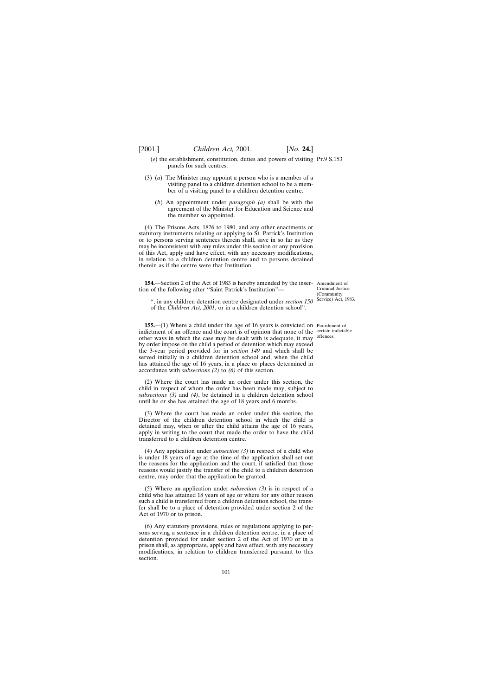- (*e*) the establishment, constitution, duties and powers of visiting Pt.9 S.153 panels for such centres.
- (3) (*a*) The Minister may appoint a person who is a member of a visiting panel to a children detention school to be a member of a visiting panel to a children detention centre.
	- (*b*) An appointment under *paragraph (a)* shall be with the agreement of the Minister for Education and Science and the member so appointed.

(4) The Prisons Acts, 1826 to 1980, and any other enactments or statutory instruments relating or applying to St. Patrick's Institution or to persons serving sentences therein shall, save in so far as they may be inconsistent with any rules under this section or any provision of this Act, apply and have effect, with any necessary modifications, in relation to a children detention centre and to persons detained therein as if the centre were that Institution.

**154.**—Section 2 of the Act of 1983 is hereby amended by the inser-Amendment of tion of the following after ''Saint Patrick's Institution''—

Criminal Justice (Community Service) Act, 1983.

'', in any children detention centre designated under *section 150* of the *Children Act, 2001*, or in a children detention school''.

**155.**—(1) Where a child under the age of 16 years is convicted on Punishment of indictment of an offence and the court is of opinion that none of the certain indictable other ways in which the case may be dealt with is adequate, it may offences. by order impose on the child a period of detention which may exceed the 3-year period provided for in *section 149* and which shall be served initially in a children detention school and, when the child has attained the age of 16 years, in a place or places determined in accordance with *subsections (2)* to *(6)* of this section.

(2) Where the court has made an order under this section, the child in respect of whom the order has been made may, subject to *subsections (3)* and *(4)*, be detained in a children detention school until he or she has attained the age of 18 years and 6 months.

(3) Where the court has made an order under this section, the Director of the children detention school in which the child is detained may, when or after the child attains the age of 16 years, apply in writing to the court that made the order to have the child transferred to a children detention centre.

(4) Any application under *subsection (3)* in respect of a child who is under 18 years of age at the time of the application shall set out the reasons for the application and the court, if satisfied that those reasons would justify the transfer of the child to a children detention centre, may order that the application be granted.

(5) Where an application under *subsection (3)* is in respect of a child who has attained 18 years of age or where for any other reason such a child is transferred from a children detention school, the transfer shall be to a place of detention provided under section 2 of the Act of 1970 or to prison.

(6) Any statutory provisions, rules or regulations applying to persons serving a sentence in a children detention centre, in a place of detention provided for under section 2 of the Act of 1970 or in a prison shall, as appropriate, apply and have effect, with any necessary modifications, in relation to children transferred pursuant to this section.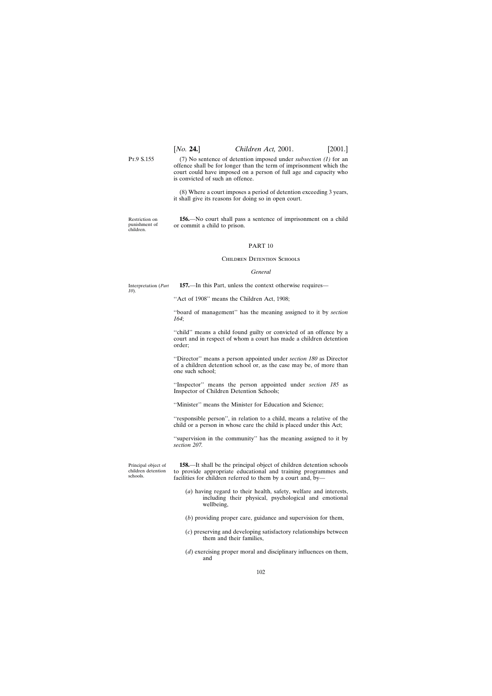(7) No sentence of detention imposed under *subsection (1)* for an offence shall be for longer than the term of imprisonment which the court could have imposed on a person of full age and capacity who is convicted of such an offence.

(8) Where a court imposes a period of detention exceeding 3 years, it shall give its reasons for doing so in open court.

Restriction on punishment of children.

**156.**—No court shall pass a sentence of imprisonment on a child or commit a child to prison.

# PART 10

### CHILDREN DETENTION SCHOOLS

# *General*

Interpretation (*Part 10*). **157.**—In this Part, unless the context otherwise requires—

''Act of 1908'' means the Children Act, 1908;

''board of management'' has the meaning assigned to it by *section 164*;

''child'' means a child found guilty or convicted of an offence by a court and in respect of whom a court has made a children detention order;

''Director'' means a person appointed under *section 180* as Director of a children detention school or, as the case may be, of more than one such school;

''Inspector'' means the person appointed under *section 185* as Inspector of Children Detention Schools;

''Minister'' means the Minister for Education and Science;

''responsible person'', in relation to a child, means a relative of the child or a person in whose care the child is placed under this Act;

''supervision in the community'' has the meaning assigned to it by *section 207.*

Principal object of children detention schools.

**158.**—It shall be the principal object of children detention schools to provide appropriate educational and training programmes and facilities for children referred to them by a court and, by—

- (*a*) having regard to their health, safety, welfare and interests, including their physical, psychological and emotional wellbeing,
- (*b*) providing proper care, guidance and supervision for them,
- (*c*) preserving and developing satisfactory relationships between them and their families,
- (*d*) exercising proper moral and disciplinary influences on them, and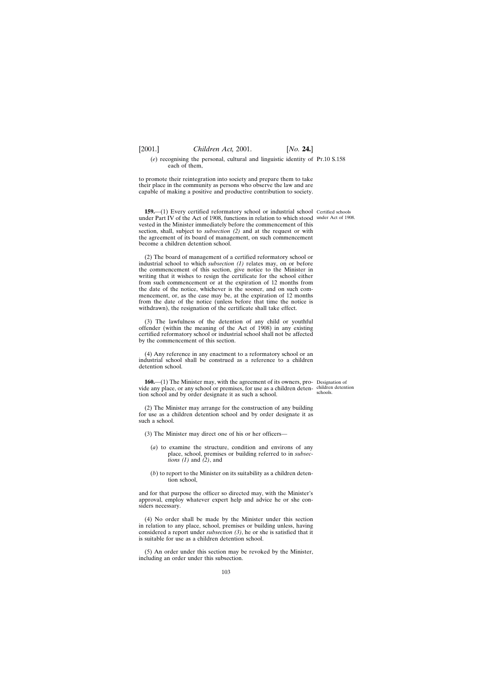(*e*) recognising the personal, cultural and linguistic identity of Pt.10 S.158 each of them,

to promote their reintegration into society and prepare them to take their place in the community as persons who observe the law and are capable of making a positive and productive contribution to society.

**159.**—(1) Every certified reformatory school or industrial school Certified schools under Part IV of the Act of 1908, functions in relation to which stood under Act of 1908. vested in the Minister immediately before the commencement of this section, shall, subject to *subsection (2)* and at the request or with the agreement of its board of management, on such commencement become a children detention school.

(2) The board of management of a certified reformatory school or industrial school to which *subsection (1)* relates may, on or before the commencement of this section, give notice to the Minister in writing that it wishes to resign the certificate for the school either from such commencement or at the expiration of 12 months from the date of the notice, whichever is the sooner, and on such commencement, or, as the case may be, at the expiration of 12 months from the date of the notice (unless before that time the notice is withdrawn), the resignation of the certificate shall take effect.

(3) The lawfulness of the detention of any child or youthful offender (within the meaning of the Act of 1908) in any existing certified reformatory school or industrial school shall not be affected by the commencement of this section.

(4) Any reference in any enactment to a reformatory school or an industrial school shall be construed as a reference to a children detention school.

**160.**—(1) The Minister may, with the agreement of its owners, pro- Designation of vide any place, or any school or premises, for use as a children deten-children detention tion school and by order designate it as such a school. schools.

(2) The Minister may arrange for the construction of any building for use as a children detention school and by order designate it as such a school.

(3) The Minister may direct one of his or her officers—

- (*a*) to examine the structure, condition and environs of any place, school, premises or building referred to in *subsections (1)* and *(2)*, and
- (*b*) to report to the Minister on its suitability as a children detention school,

and for that purpose the officer so directed may, with the Minister's approval, employ whatever expert help and advice he or she considers necessary.

(4) No order shall be made by the Minister under this section in relation to any place, school, premises or building unless, having considered a report under *subsection (3)*, he or she is satisfied that it is suitable for use as a children detention school.

(5) An order under this section may be revoked by the Minister, including an order under this subsection.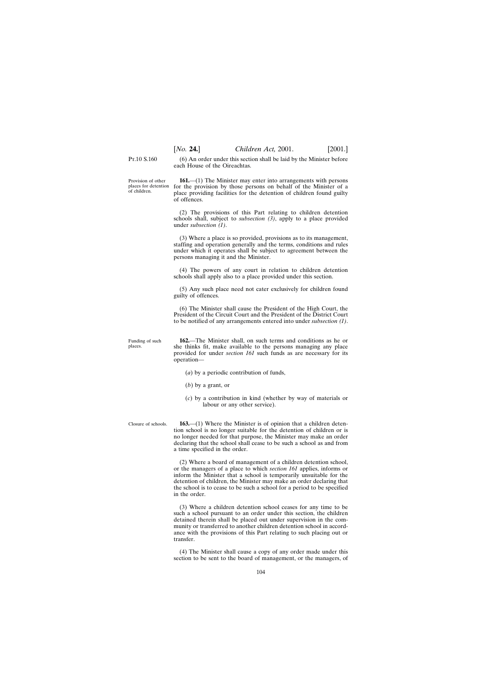(6) An order under this section shall be laid by the Minister before each House of the Oireachtas.

Provision of other places for detention of children.

**161.**—(1) The Minister may enter into arrangements with persons for the provision by those persons on behalf of the Minister of a place providing facilities for the detention of children found guilty of offences.

(2) The provisions of this Part relating to children detention schools shall, subject to *subsection (3)*, apply to a place provided under *subsection (1)*.

(3) Where a place is so provided, provisions as to its management, staffing and operation generally and the terms, conditions and rules under which it operates shall be subject to agreement between the persons managing it and the Minister.

(4) The powers of any court in relation to children detention schools shall apply also to a place provided under this section.

(5) Any such place need not cater exclusively for children found guilty of offences.

(6) The Minister shall cause the President of the High Court, the President of the Circuit Court and the President of the District Court to be notified of any arrangements entered into under *subsection (1)*.

Funding of such **162.**—The Minister shall, on such terms and conditions as he or she thinks fit, make available to the persons managing any place provided for under *section 161* such funds as are necessary for its operation—

- (*a*) by a periodic contribution of funds,
- (*b*) by a grant, or
- (*c*) by a contribution in kind (whether by way of materials or labour or any other service).

Closure of schools.

places.

**163.**—(1) Where the Minister is of opinion that a children detention school is no longer suitable for the detention of children or is no longer needed for that purpose, the Minister may make an order declaring that the school shall cease to be such a school as and from a time specified in the order.

(2) Where a board of management of a children detention school, or the managers of a place to which *section 161* applies, informs or inform the Minister that a school is temporarily unsuitable for the detention of children, the Minister may make an order declaring that the school is to cease to be such a school for a period to be specified in the order.

(3) Where a children detention school ceases for any time to be such a school pursuant to an order under this section, the children detained therein shall be placed out under supervision in the community or transferred to another children detention school in accordance with the provisions of this Part relating to such placing out or transfer.

(4) The Minister shall cause a copy of any order made under this section to be sent to the board of management, or the managers, of

104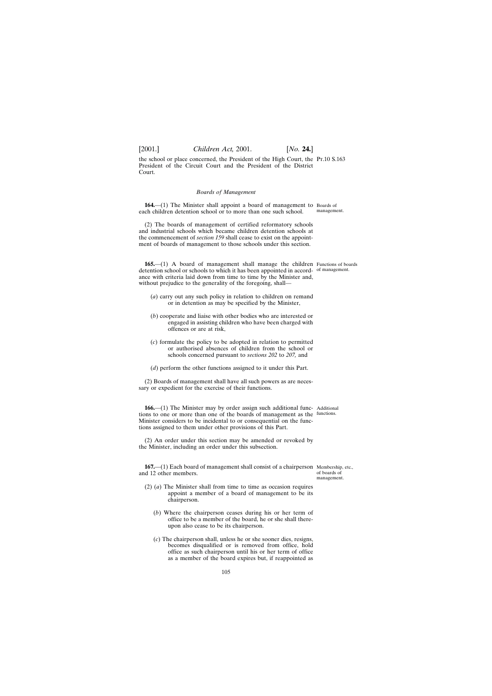the school or place concerned, the President of the High Court, the Pt.10 S.163 President of the Circuit Court and the President of the District Court.

## *Boards of Management*

**164.**—(1) The Minister shall appoint a board of management to Boards of each children detention school or to more than one such school. management.

(2) The boards of management of certified reformatory schools and industrial schools which became children detention schools at the commencement of *section 159* shall cease to exist on the appointment of boards of management to those schools under this section.

**165.**—(1) A board of management shall manage the children Functions of boards detention school or schools to which it has been appointed in accord-of management. ance with criteria laid down from time to time by the Minister and, without prejudice to the generality of the foregoing, shall—

- (*a*) carry out any such policy in relation to children on remand or in detention as may be specified by the Minister,
- (*b*) cooperate and liaise with other bodies who are interested or engaged in assisting children who have been charged with offences or are at risk,
- (*c*) formulate the policy to be adopted in relation to permitted or authorised absences of children from the school or schools concerned pursuant to *sections 202* to *207,* and
- (*d*) perform the other functions assigned to it under this Part.

(2) Boards of management shall have all such powers as are necessary or expedient for the exercise of their functions.

166.—(1) The Minister may by order assign such additional func- Additional tions to one or more than one of the boards of management as the functions. Minister considers to be incidental to or consequential on the functions assigned to them under other provisions of this Part.

(2) An order under this section may be amended or revoked by the Minister, including an order under this subsection.

**167.**—(1) Each board of management shall consist of a chairperson Membership, etc., and 12 other members.

of boards of management.

- (2) (*a*) The Minister shall from time to time as occasion requires appoint a member of a board of management to be its chairperson.
	- (*b*) Where the chairperson ceases during his or her term of office to be a member of the board, he or she shall thereupon also cease to be its chairperson.
	- (*c*) The chairperson shall, unless he or she sooner dies, resigns, becomes disqualified or is removed from office, hold office as such chairperson until his or her term of office as a member of the board expires but, if reappointed as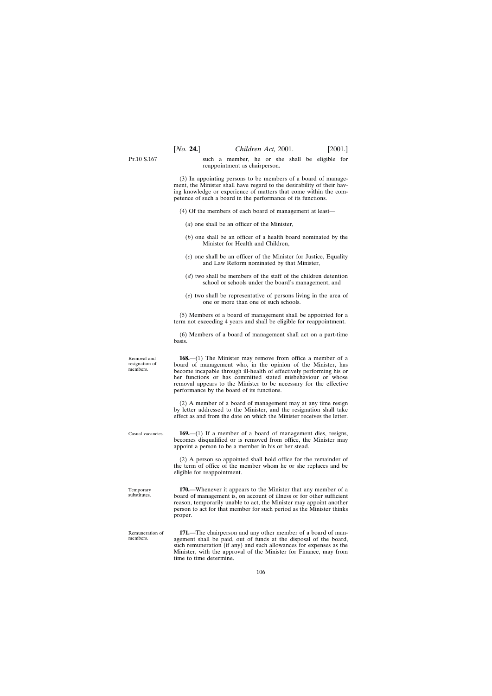Removal and resignation of members. Casual vacancies. reappointment as chairperson. (3) In appointing persons to be members of a board of management, the Minister shall have regard to the desirability of their having knowledge or experience of matters that come within the competence of such a board in the performance of its functions. (4) Of the members of each board of management at least— (*a*) one shall be an officer of the Minister, (*b*) one shall be an officer of a health board nominated by the Minister for Health and Children, (*c*) one shall be an officer of the Minister for Justice, Equality and Law Reform nominated by that Minister, (*d*) two shall be members of the staff of the children detention school or schools under the board's management, and (*e*) two shall be representative of persons living in the area of one or more than one of such schools. (5) Members of a board of management shall be appointed for a term not exceeding 4 years and shall be eligible for reappointment. (6) Members of a board of management shall act on a part-time basis. **168.**—(1) The Minister may remove from office a member of a board of management who, in the opinion of the Minister, has become incapable through ill-health of effectively performing his or her functions or has committed stated misbehaviour or whose removal appears to the Minister to be necessary for the effective performance by the board of its functions. (2) A member of a board of management may at any time resign by letter addressed to the Minister, and the resignation shall take effect as and from the date on which the Minister receives the letter. **169.**—(1) If a member of a board of management dies, resigns, becomes disqualified or is removed from office, the Minister may appoint a person to be a member in his or her stead.

> (2) A person so appointed shall hold office for the remainder of the term of office of the member whom he or she replaces and be eligible for reappointment.

**170.**—Whenever it appears to the Minister that any member of a board of management is, on account of illness or for other sufficient reason, temporarily unable to act, the Minister may appoint another person to act for that member for such period as the Minister thinks proper.

**171.**—The chairperson and any other member of a board of management shall be paid, out of funds at the disposal of the board, such remuneration (if any) and such allowances for expenses as the Minister, with the approval of the Minister for Finance, may from time to time determine.

# P<sub>T</sub> 10 S 167

Temporary substitutes.

Remuneration of members.

such a member, he or she shall be eligible for

106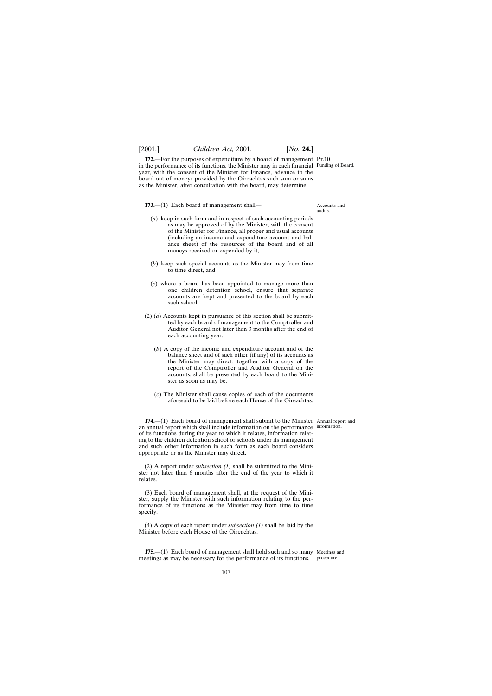**172.**—For the purposes of expenditure by a board of management Pt.10 in the performance of its functions, the Minister may in each financial Funding of Board. year, with the consent of the Minister for Finance, advance to the board out of moneys provided by the Oireachtas such sum or sums as the Minister, after consultation with the board, may determine.

**173.**—(1) Each board of management shall—

- (*a*) keep in such form and in respect of such accounting periods as may be approved of by the Minister, with the consent of the Minister for Finance, all proper and usual accounts (including an income and expenditure account and balance sheet) of the resources of the board and of all moneys received or expended by it,
- (*b*) keep such special accounts as the Minister may from time to time direct, and
- (*c*) where a board has been appointed to manage more than one children detention school, ensure that separate accounts are kept and presented to the board by each such school.
- (2) (*a*) Accounts kept in pursuance of this section shall be submitted by each board of management to the Comptroller and Auditor General not later than 3 months after the end of each accounting year.
	- (*b*) A copy of the income and expenditure account and of the balance sheet and of such other (if any) of its accounts as the Minister may direct, together with a copy of the report of the Comptroller and Auditor General on the accounts, shall be presented by each board to the Minister as soon as may be.
	- (*c*) The Minister shall cause copies of each of the documents aforesaid to be laid before each House of the Oireachtas.

**174.**—(1) Each board of management shall submit to the Minister Annual report and an annual report which shall include information on the performance information. of its functions during the year to which it relates, information relating to the children detention school or schools under its management and such other information in such form as each board considers appropriate or as the Minister may direct.

(2) A report under *subsection (1)* shall be submitted to the Minister not later than 6 months after the end of the year to which it relates.

(3) Each board of management shall, at the request of the Minister, supply the Minister with such information relating to the performance of its functions as the Minister may from time to time specify.

(4) A copy of each report under *subsection (1)* shall be laid by the Minister before each House of the Oireachtas.

**175.**—(1) Each board of management shall hold such and so many Meetings and meetings as may be necessary for the performance of its functions. procedure.

Accounts and

audits.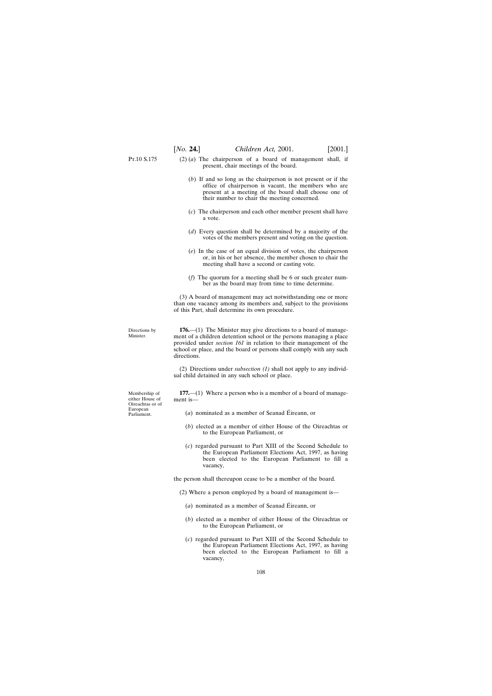- P<sub>T</sub>.10 S.175
- (2) (*a*) The chairperson of a board of management shall, if present, chair meetings of the board.
	- (*b*) If and so long as the chairperson is not present or if the office of chairperson is vacant, the members who are present at a meeting of the board shall choose one of their number to chair the meeting concerned.
	- (*c*) The chairperson and each other member present shall have a vote.
	- (*d*) Every question shall be determined by a majority of the votes of the members present and voting on the question.
	- (*e*) In the case of an equal division of votes, the chairperson or, in his or her absence, the member chosen to chair the meeting shall have a second or casting vote.
	- (*f*) The quorum for a meeting shall be 6 or such greater number as the board may from time to time determine.

(3) A board of management may act notwithstanding one or more than one vacancy among its members and, subject to the provisions of this Part, shall determine its own procedure.

Directions by Minister.

**176.**—(1) The Minister may give directions to a board of management of a children detention school or the persons managing a place provided under *section 161* in relation to their management of the school or place, and the board or persons shall comply with any such directions.

(2) Directions under *subsection (1)* shall not apply to any individual child detained in any such school or place.

**177.**—(1) Where a person who is a member of a board of management is—

- $(a)$  nominated as a member of Seanad Éireann, or
- (*b*) elected as a member of either House of the Oireachtas or to the European Parliament, or
- (*c*) regarded pursuant to Part XIII of the Second Schedule to the European Parliament Elections Act, 1997, as having been elected to the European Parliament to fill a vacancy,

the person shall thereupon cease to be a member of the board.

- (2) Where a person employed by a board of management is—
	- $(a)$  nominated as a member of Seanad Éireann, or
	- (*b*) elected as a member of either House of the Oireachtas or to the European Parliament, or
	- (*c*) regarded pursuant to Part XIII of the Second Schedule to the European Parliament Elections Act, 1997, as having been elected to the European Parliament to fill a vacancy,

Membership of either House of Oireachtas or of European Parliament.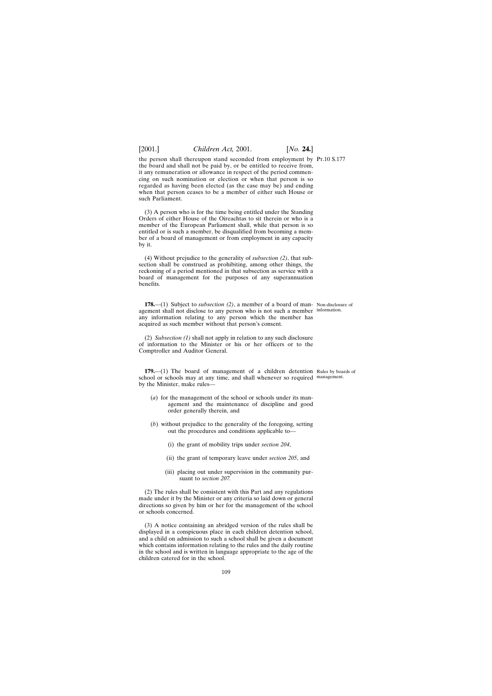the person shall thereupon stand seconded from employment by Pt.10 S.177 the board and shall not be paid by, or be entitled to receive from, it any remuneration or allowance in respect of the period commencing on such nomination or election or when that person is so regarded as having been elected (as the case may be) and ending when that person ceases to be a member of either such House or such Parliament.

(3) A person who is for the time being entitled under the Standing Orders of either House of the Oireachtas to sit therein or who is a member of the European Parliament shall, while that person is so entitled or is such a member, be disqualified from becoming a member of a board of management or from employment in any capacity by it.

(4) Without prejudice to the generality of *subsection (2)*, that subsection shall be construed as prohibiting, among other things, the reckoning of a period mentioned in that subsection as service with a board of management for the purposes of any superannuation benefits.

**178.**—(1) Subject to *subsection (2)*, a member of a board of man-Non-disclosure of agement shall not disclose to any person who is not such a member information. any information relating to any person which the member has acquired as such member without that person's consent.

(2) *Subsection (1)* shall not apply in relation to any such disclosure of information to the Minister or his or her officers or to the Comptroller and Auditor General.

**179.**—(1) The board of management of a children detention Rules by boards of school or schools may at any time, and shall whenever so required management.by the Minister, make rules—

- (*a*) for the management of the school or schools under its management and the maintenance of discipline and good order generally therein, and
- (*b*) without prejudice to the generality of the foregoing, setting out the procedures and conditions applicable to—
	- (i) the grant of mobility trips under *section 204*,
	- (ii) the grant of temporary leave under *section 205*, and
	- (iii) placing out under supervision in the community pursuant to *section 207.*

(2) The rules shall be consistent with this Part and any regulations made under it by the Minister or any criteria so laid down or general directions so given by him or her for the management of the school or schools concerned.

(3) A notice containing an abridged version of the rules shall be displayed in a conspicuous place in each children detention school, and a child on admission to such a school shall be given a document which contains information relating to the rules and the daily routine in the school and is written in language appropriate to the age of the children catered for in the school.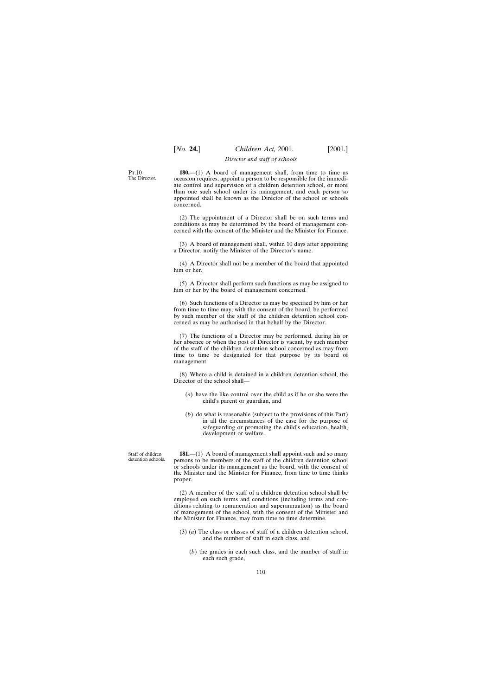### *Director and staff of schools*

P<sub>T</sub> 10 The Director.

**180.**—(1) A board of management shall, from time to time as occasion requires, appoint a person to be responsible for the immediate control and supervision of a children detention school, or more than one such school under its management, and each person so appointed shall be known as the Director of the school or schools concerned.

(2) The appointment of a Director shall be on such terms and conditions as may be determined by the board of management concerned with the consent of the Minister and the Minister for Finance.

(3) A board of management shall, within 10 days after appointing a Director, notify the Minister of the Director's name.

(4) A Director shall not be a member of the board that appointed him or her.

(5) A Director shall perform such functions as may be assigned to him or her by the board of management concerned.

(6) Such functions of a Director as may be specified by him or her from time to time may, with the consent of the board, be performed by such member of the staff of the children detention school concerned as may be authorised in that behalf by the Director.

(7) The functions of a Director may be performed, during his or her absence or when the post of Director is vacant, by such member of the staff of the children detention school concerned as may from time to time be designated for that purpose by its board of management.

(8) Where a child is detained in a children detention school, the Director of the school shall—

- (*a*) have the like control over the child as if he or she were the child's parent or guardian, and
- (*b*) do what is reasonable (subject to the provisions of this Part) in all the circumstances of the case for the purpose of safeguarding or promoting the child's education, health, development or welfare.

Staff of children detention schools.

**181.—(1)** A board of management shall appoint such and so many persons to be members of the staff of the children detention school or schools under its management as the board, with the consent of the Minister and the Minister for Finance, from time to time thinks proper.

(2) A member of the staff of a children detention school shall be employed on such terms and conditions (including terms and conditions relating to remuneration and superannuation) as the board of management of the school, with the consent of the Minister and the Minister for Finance, may from time to time determine.

- (3) (*a*) The class or classes of staff of a children detention school, and the number of staff in each class, and
	- (*b*) the grades in each such class, and the number of staff in each such grade,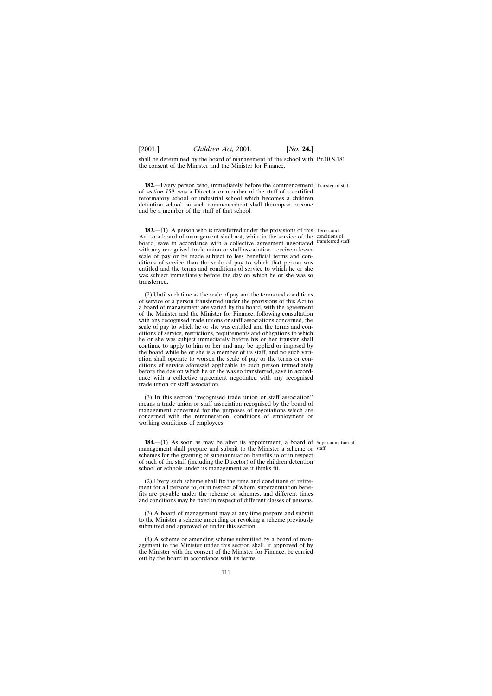shall be determined by the board of management of the school with Pt.10 S.181 the consent of the Minister and the Minister for Finance.

**182.**—Every person who, immediately before the commencement Transfer of staff. of *section 159*, was a Director or member of the staff of a certified reformatory school or industrial school which becomes a children detention school on such commencement shall thereupon become and be a member of the staff of that school.

**183.**—(1) A person who is transferred under the provisions of this Terms and Act to a board of management shall not, while in the service of the conditions of board, save in accordance with a collective agreement negotiated transferred staff. with any recognised trade union or staff association, receive a lesser scale of pay or be made subject to less beneficial terms and conditions of service than the scale of pay to which that person was entitled and the terms and conditions of service to which he or she was subject immediately before the day on which he or she was so transferred.

(2) Until such time as the scale of pay and the terms and conditions of service of a person transferred under the provisions of this Act to a board of management are varied by the board, with the agreement of the Minister and the Minister for Finance, following consultation with any recognised trade unions or staff associations concerned, the scale of pay to which he or she was entitled and the terms and conditions of service, restrictions, requirements and obligations to which he or she was subject immediately before his or her transfer shall continue to apply to him or her and may be applied or imposed by the board while he or she is a member of its staff, and no such variation shall operate to worsen the scale of pay or the terms or conditions of service aforesaid applicable to such person immediately before the day on which he or she was so transferred, save in accordance with a collective agreement negotiated with any recognised trade union or staff association.

(3) In this section ''recognised trade union or staff association'' means a trade union or staff association recognised by the board of management concerned for the purposes of negotiations which are concerned with the remuneration, conditions of employment or working conditions of employees.

**184.**—(1) As soon as may be after its appointment, a board of Superannuation of management shall prepare and submit to the Minister a scheme or staff.schemes for the granting of superannuation benefits to or in respect of such of the staff (including the Director) of the children detention school or schools under its management as it thinks fit.

(2) Every such scheme shall fix the time and conditions of retirement for all persons to, or in respect of whom, superannuation benefits are payable under the scheme or schemes, and different times and conditions may be fixed in respect of different classes of persons.

(3) A board of management may at any time prepare and submit to the Minister a scheme amending or revoking a scheme previously submitted and approved of under this section.

(4) A scheme or amending scheme submitted by a board of management to the Minister under this section shall, if approved of by the Minister with the consent of the Minister for Finance, be carried out by the board in accordance with its terms.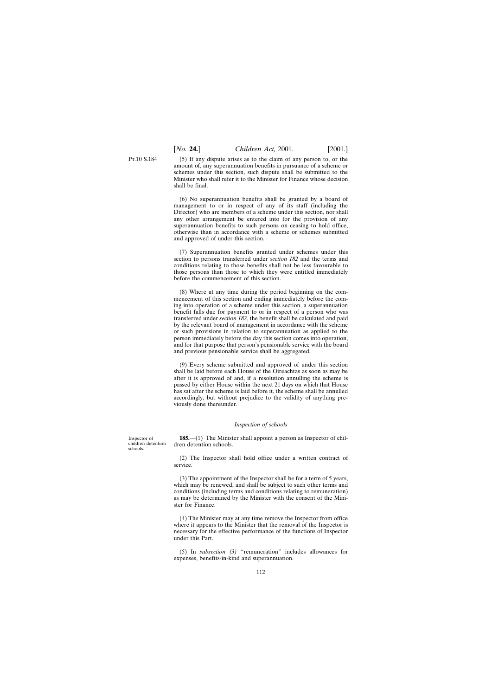P<sub>T</sub> 10 S 184

(5) If any dispute arises as to the claim of any person to, or the amount of, any superannuation benefits in pursuance of a scheme or schemes under this section, such dispute shall be submitted to the Minister who shall refer it to the Minister for Finance whose decision shall be final.

(6) No superannuation benefits shall be granted by a board of management to or in respect of any of its staff (including the Director) who are members of a scheme under this section, nor shall any other arrangement be entered into for the provision of any superannuation benefits to such persons on ceasing to hold office, otherwise than in accordance with a scheme or schemes submitted and approved of under this section.

(7) Superannuation benefits granted under schemes under this section to persons transferred under *section 182* and the terms and conditions relating to those benefits shall not be less favourable to those persons than those to which they were entitled immediately before the commencement of this section.

(8) Where at any time during the period beginning on the commencement of this section and ending immediately before the coming into operation of a scheme under this section, a superannuation benefit falls due for payment to or in respect of a person who was transferred under *section 182*, the benefit shall be calculated and paid by the relevant board of management in accordance with the scheme or such provisions in relation to superannuation as applied to the person immediately before the day this section comes into operation, and for that purpose that person's pensionable service with the board and previous pensionable service shall be aggregated.

(9) Every scheme submitted and approved of under this section shall be laid before each House of the Oireachtas as soon as may be after it is approved of and, if a resolution annulling the scheme is passed by either House within the next 21 days on which that House has sat after the scheme is laid before it, the scheme shall be annulled accordingly, but without prejudice to the validity of anything previously done thereunder.

## *Inspection of schools*

**185.**—(1) The Minister shall appoint a person as Inspector of children detention schools.

(2) The Inspector shall hold office under a written contract of service.

(3) The appointment of the Inspector shall be for a term of 5 years, which may be renewed, and shall be subject to such other terms and conditions (including terms and conditions relating to remuneration) as may be determined by the Minister with the consent of the Minister for Finance.

(4) The Minister may at any time remove the Inspector from office where it appears to the Minister that the removal of the Inspector is necessary for the effective performance of the functions of Inspector under this Part.

(5) In *subsection (3)* ''remuneration'' includes allowances for expenses, benefits-in-kind and superannuation.

Inspector of children detention schools.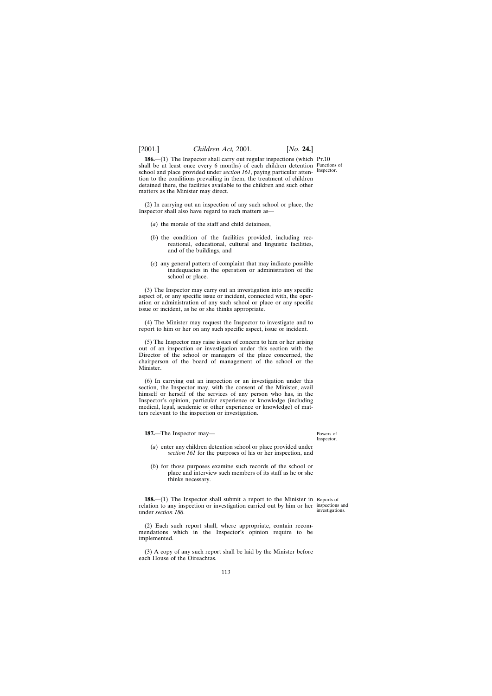# [2001.] *Children Act,* 2001. [*No.* **24.**]

**186.**—(1) The Inspector shall carry out regular inspections (which Pt.10 shall be at least once every 6 months) of each children detention Functions of school and place provided under *section 161*, paying particular atten- Inspector. tion to the conditions prevailing in them, the treatment of children detained there, the facilities available to the children and such other matters as the Minister may direct.

(2) In carrying out an inspection of any such school or place, the Inspector shall also have regard to such matters as—

- (*a*) the morale of the staff and child detainees,
- (*b*) the condition of the facilities provided, including recreational, educational, cultural and linguistic facilities, and of the buildings, and
- (*c*) any general pattern of complaint that may indicate possible inadequacies in the operation or administration of the school or place.

(3) The Inspector may carry out an investigation into any specific aspect of, or any specific issue or incident, connected with, the operation or administration of any such school or place or any specific issue or incident, as he or she thinks appropriate.

(4) The Minister may request the Inspector to investigate and to report to him or her on any such specific aspect, issue or incident.

(5) The Inspector may raise issues of concern to him or her arising out of an inspection or investigation under this section with the Director of the school or managers of the place concerned, the chairperson of the board of management of the school or the Minister.

(6) In carrying out an inspection or an investigation under this section, the Inspector may, with the consent of the Minister, avail himself or herself of the services of any person who has, in the Inspector's opinion, particular experience or knowledge (including medical, legal, academic or other experience or knowledge) of matters relevant to the inspection or investigation.

**187.**—The Inspector may—

Powers of Inspector.

- (*a*) enter any children detention school or place provided under *section 161* for the purposes of his or her inspection, and
- (*b*) for those purposes examine such records of the school or place and interview such members of its staff as he or she thinks necessary.

**188.**—(1) The Inspector shall submit a report to the Minister in Reports of relation to any inspection or investigation carried out by him or her inspections and under *section 186*.

investigations.

(2) Each such report shall, where appropriate, contain recommendations which in the Inspector's opinion require to be implemented.

(3) A copy of any such report shall be laid by the Minister before each House of the Oireachtas.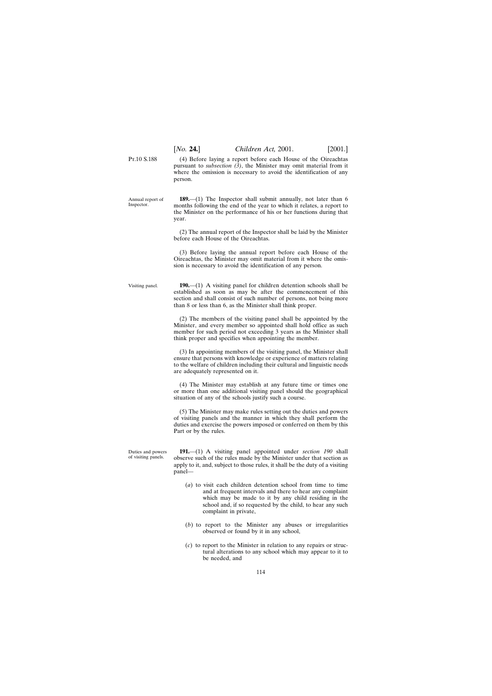P<sub>T</sub> 10 S 188 (4) Before laying a report before each House of the Oireachtas pursuant to *subsection (3)*, the Minister may omit material from it where the omission is necessary to avoid the identification of any person.

Annual report of Inspector. **189.**—(1) The Inspector shall submit annually, not later than 6 months following the end of the year to which it relates, a report to the Minister on the performance of his or her functions during that year.

> (2) The annual report of the Inspector shall be laid by the Minister before each House of the Oireachtas.

> (3) Before laying the annual report before each House of the Oireachtas, the Minister may omit material from it where the omission is necessary to avoid the identification of any person.

Visiting panel. **190.**—(1) A visiting panel for children detention schools shall be established as soon as may be after the commencement of this section and shall consist of such number of persons, not being more than 8 or less than 6, as the Minister shall think proper.

> (2) The members of the visiting panel shall be appointed by the Minister, and every member so appointed shall hold office as such member for such period not exceeding 3 years as the Minister shall think proper and specifies when appointing the member.

> (3) In appointing members of the visiting panel, the Minister shall ensure that persons with knowledge or experience of matters relating to the welfare of children including their cultural and linguistic needs are adequately represented on it.

> (4) The Minister may establish at any future time or times one or more than one additional visiting panel should the geographical situation of any of the schools justify such a course.

> (5) The Minister may make rules setting out the duties and powers of visiting panels and the manner in which they shall perform the duties and exercise the powers imposed or conferred on them by this Part or by the rules.

Duties and powers of visiting panels.

**191.**—(1) A visiting panel appointed under *section 190* shall observe such of the rules made by the Minister under that section as apply to it, and, subject to those rules, it shall be the duty of a visiting panel—

- (*a*) to visit each children detention school from time to time and at frequent intervals and there to hear any complaint which may be made to it by any child residing in the school and, if so requested by the child, to hear any such complaint in private,
- (*b*) to report to the Minister any abuses or irregularities observed or found by it in any school,
- (*c*) to report to the Minister in relation to any repairs or structural alterations to any school which may appear to it to be needed, and

114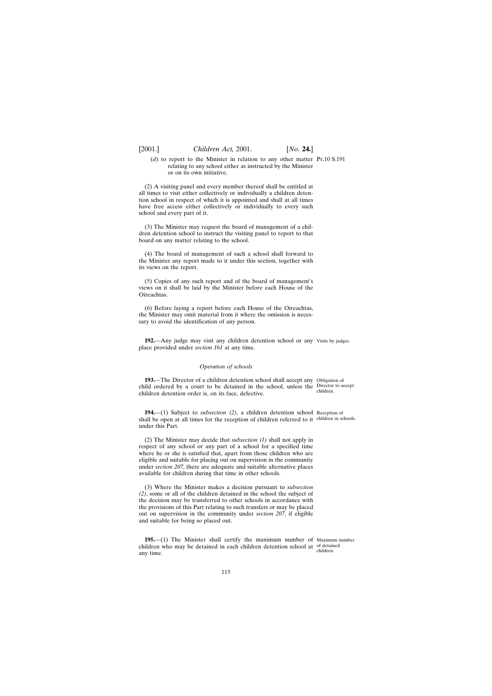(*d*) to report to the Minister in relation to any other matter Pt.10 S.191 relating to any school either as instructed by the Minister or on its own initiative.

(2) A visiting panel and every member thereof shall be entitled at all times to visit either collectively or individually a children detention school in respect of which it is appointed and shall at all times have free access either collectively or individually to every such school and every part of it.

(3) The Minister may request the board of management of a children detention school to instruct the visiting panel to report to that board on any matter relating to the school.

(4) The board of management of such a school shall forward to the Minister any report made to it under this section, together with its views on the report.

(5) Copies of any such report and of the board of management's views on it shall be laid by the Minister before each House of the Oireachtas.

(6) Before laying a report before each House of the Oireachtas, the Minister may omit material from it where the omission is necessary to avoid the identification of any person.

**192.**—Any judge may visit any children detention school or any Visits by judges. place provided under *section 161* at any time.

## *Operation of schools*

**193.**—The Director of a children detention school shall accept any Obligation of child ordered by a court to be detained in the school, unless the Director to accept children detention order is, on its face, defective. children.

**194.**—(1) Subject to *subsection (2)*, a children detention school Reception of shall be open at all times for the reception of children referred to it children in schools. under this Part.

(2) The Minister may decide that *subsection (1)* shall not apply in respect of any school or any part of a school for a specified time where he or she is satisfied that, apart from those children who are eligible and suitable for placing out on supervision in the community under *section 207*, there are adequate and suitable alternative places available for children during that time in other schools.

(3) Where the Minister makes a decision pursuant to *subsection (2)*, some or all of the children detained in the school the subject of the decision may be transferred to other schools in accordance with the provisions of this Part relating to such transfers or may be placed out on supervision in the community under *section 207*, if eligible and suitable for being so placed out.

**195.**—(1) The Minister shall certify the maximum number of Maximum number children who may be detained in each children detention school at of detained any time. children.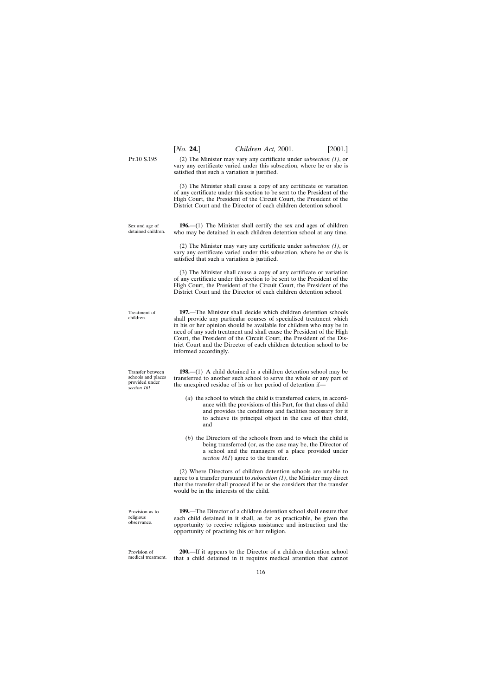(2) The Minister may vary any certificate under *subsection (1)*, or vary any certificate varied under this subsection, where he or she is

(3) The Minister shall cause a copy of any certificate or variation of any certificate under this section to be sent to the President of the High Court, the President of the Circuit Court, the President of the District Court and the Director of each children detention school.

satisfied that such a variation is justified.

P<sub>T</sub>.10 S.195

Sex and age of detained children.

**196.**—(1) The Minister shall certify the sex and ages of children who may be detained in each children detention school at any time.

(2) The Minister may vary any certificate under *subsection (1)*, or vary any certificate varied under this subsection, where he or she is satisfied that such a variation is justified.

(3) The Minister shall cause a copy of any certificate or variation of any certificate under this section to be sent to the President of the High Court, the President of the Circuit Court, the President of the District Court and the Director of each children detention school.

**197.**—The Minister shall decide which children detention schools shall provide any particular courses of specialised treatment which in his or her opinion should be available for children who may be in need of any such treatment and shall cause the President of the High Court, the President of the Circuit Court, the President of the District Court and the Director of each children detention school to be informed accordingly.

Transfer between **198.**—(1) A child detained in a children detention school may be transferred to another such school to serve the whole or any part of the unexpired residue of his or her period of detention if—

- (*a*) the school to which the child is transferred caters, in accordance with the provisions of this Part, for that class of child and provides the conditions and facilities necessary for it to achieve its principal object in the case of that child, and
- (*b*) the Directors of the schools from and to which the child is being transferred (or, as the case may be, the Director of a school and the managers of a place provided under *section 161*) agree to the transfer.

(2) Where Directors of children detention schools are unable to agree to a transfer pursuant to *subsection (1)*, the Minister may direct that the transfer shall proceed if he or she considers that the transfer would be in the interests of the child.

**199.**—The Director of a children detention school shall ensure that each child detained in it shall, as far as practicable, be given the opportunity to receive religious assistance and instruction and the opportunity of practising his or her religion.

medical treatment. **200.**—If it appears to the Director of a children detention school that a child detained in it requires medical attention that cannot

schools and places provided under *section 161*.

Treatment of children.

Provision as to religious observance.

Provision of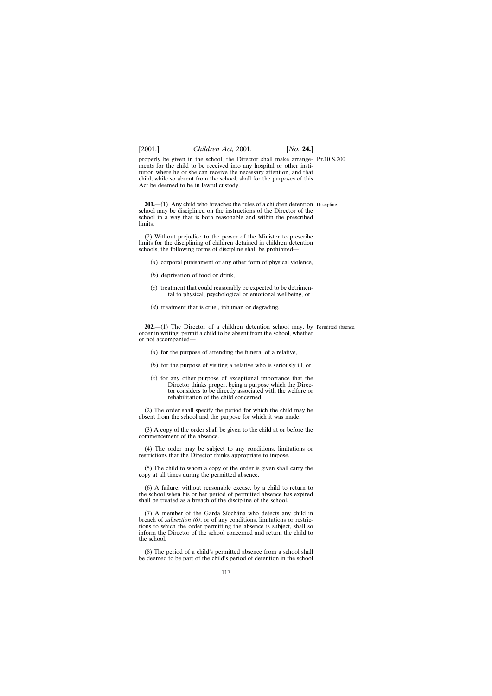properly be given in the school, the Director shall make arrange-Pt.10 S.200 ments for the child to be received into any hospital or other institution where he or she can receive the necessary attention, and that child, while so absent from the school, shall for the purposes of this Act be deemed to be in lawful custody.

**201.**—(1) Any child who breaches the rules of a children detention Discipline. school may be disciplined on the instructions of the Director of the school in a way that is both reasonable and within the prescribed limits.

(2) Without prejudice to the power of the Minister to prescribe limits for the disciplining of children detained in children detention schools, the following forms of discipline shall be prohibited—

- (*a*) corporal punishment or any other form of physical violence,
- (*b*) deprivation of food or drink,
- (*c*) treatment that could reasonably be expected to be detrimental to physical, psychological or emotional wellbeing, or
- (*d*) treatment that is cruel, inhuman or degrading.

**202.**—(1) The Director of a children detention school may, by Permitted absence. order in writing, permit a child to be absent from the school, whether or not accompanied—

- (*a*) for the purpose of attending the funeral of a relative,
- (*b*) for the purpose of visiting a relative who is seriously ill, or
- (*c*) for any other purpose of exceptional importance that the Director thinks proper, being a purpose which the Director considers to be directly associated with the welfare or rehabilitation of the child concerned.

(2) The order shall specify the period for which the child may be absent from the school and the purpose for which it was made.

(3) A copy of the order shall be given to the child at or before the commencement of the absence.

(4) The order may be subject to any conditions, limitations or restrictions that the Director thinks appropriate to impose.

(5) The child to whom a copy of the order is given shall carry the copy at all times during the permitted absence.

(6) A failure, without reasonable excuse, by a child to return to the school when his or her period of permitted absence has expired shall be treated as a breach of the discipline of the school.

(7) A member of the Garda Síochána who detects any child in breach of *subsection (6)*, or of any conditions, limitations or restrictions to which the order permitting the absence is subject, shall so inform the Director of the school concerned and return the child to the school.

(8) The period of a child's permitted absence from a school shall be deemed to be part of the child's period of detention in the school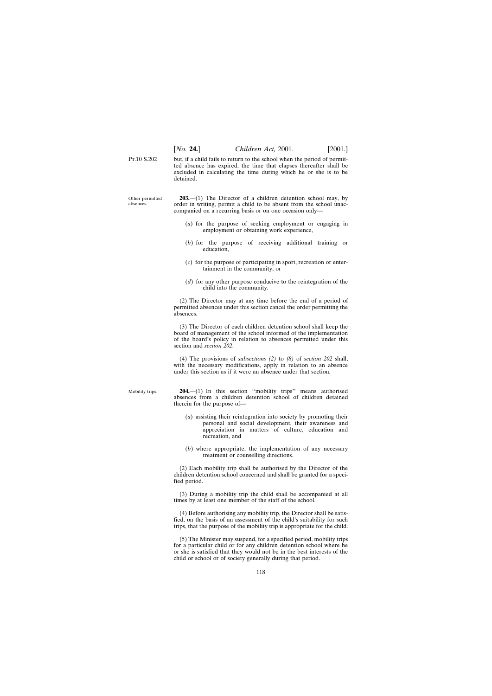P<sub>T</sub>.10 S.202 but, if a child fails to return to the school when the period of permitted absence has expired, the time that elapses thereafter shall be excluded in calculating the time during which he or she is to be detained.

Other permitted **203.**—(1) The Director of a children detention school may, by order in writing, permit a child to be absent from the school unaccompanied on a recurring basis or on one occasion only—

- (*a*) for the purpose of seeking employment or engaging in employment or obtaining work experience,
- (*b*) for the purpose of receiving additional training or education,
- (*c*) for the purpose of participating in sport, recreation or entertainment in the community, or
- (*d*) for any other purpose conducive to the reintegration of the child into the community.

(2) The Director may at any time before the end of a period of permitted absences under this section cancel the order permitting the absences.

(3) The Director of each children detention school shall keep the board of management of the school informed of the implementation of the board's policy in relation to absences permitted under this section and *section 202*.

(4) The provisions of *subsections (2)* to *(8)* of *section 202* shall, with the necessary modifications, apply in relation to an absence under this section as if it were an absence under that section.

**204.**—(1) In this section ''mobility trips'' means authorised absences from a children detention school of children detained therein for the purpose of—

- (*a*) assisting their reintegration into society by promoting their personal and social development, their awareness and appreciation in matters of culture, education and recreation, and
- (*b*) where appropriate, the implementation of any necessary treatment or counselling directions.

(2) Each mobility trip shall be authorised by the Director of the children detention school concerned and shall be granted for a specified period.

(3) During a mobility trip the child shall be accompanied at all times by at least one member of the staff of the school.

(4) Before authorising any mobility trip, the Director shall be satisfied, on the basis of an assessment of the child's suitability for such trips, that the purpose of the mobility trip is appropriate for the child.

(5) The Minister may suspend, for a specified period, mobility trips for a particular child or for any children detention school where he or she is satisfied that they would not be in the best interests of the child or school or of society generally during that period.

Mobility trips.

absences.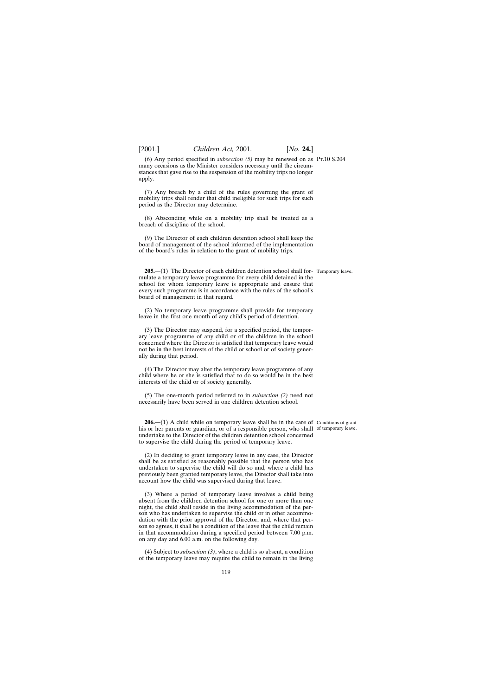(6) Any period specified in *subsection (5)* may be renewed on as Pt.10 S.204 many occasions as the Minister considers necessary until the circumstances that gave rise to the suspension of the mobility trips no longer apply.

(7) Any breach by a child of the rules governing the grant of mobility trips shall render that child ineligible for such trips for such period as the Director may determine.

(8) Absconding while on a mobility trip shall be treated as a breach of discipline of the school.

(9) The Director of each children detention school shall keep the board of management of the school informed of the implementation of the board's rules in relation to the grant of mobility trips.

**205.**—(1) The Director of each children detention school shall for-Temporary leave. mulate a temporary leave programme for every child detained in the school for whom temporary leave is appropriate and ensure that every such programme is in accordance with the rules of the school's board of management in that regard.

(2) No temporary leave programme shall provide for temporary leave in the first one month of any child's period of detention.

(3) The Director may suspend, for a specified period, the temporary leave programme of any child or of the children in the school concerned where the Director is satisfied that temporary leave would not be in the best interests of the child or school or of society generally during that period.

(4) The Director may alter the temporary leave programme of any child where he or she is satisfied that to do so would be in the best interests of the child or of society generally.

(5) The one-month period referred to in *subsection (2)* need not necessarily have been served in one children detention school.

**206.—(1)** A child while on temporary leave shall be in the care of Conditions of grant his or her parents or guardian, or of a responsible person, who shall of temporary leave. undertake to the Director of the children detention school concerned to supervise the child during the period of temporary leave.

(2) In deciding to grant temporary leave in any case, the Director shall be as satisfied as reasonably possible that the person who has undertaken to supervise the child will do so and, where a child has previously been granted temporary leave, the Director shall take into account how the child was supervised during that leave.

(3) Where a period of temporary leave involves a child being absent from the children detention school for one or more than one night, the child shall reside in the living accommodation of the person who has undertaken to supervise the child or in other accommodation with the prior approval of the Director, and, where that person so agrees, it shall be a condition of the leave that the child remain in that accommodation during a specified period between 7.00 p.m. on any day and 6.00 a.m. on the following day.

(4) Subject to *subsection (3)*, where a child is so absent, a condition of the temporary leave may require the child to remain in the living

119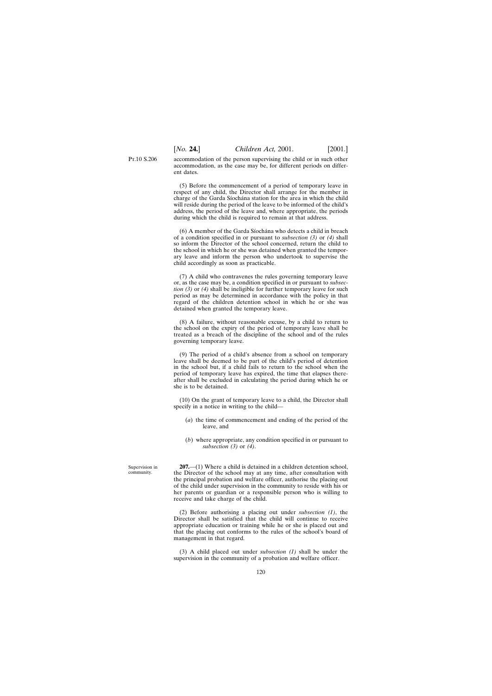P<sub>T</sub> 10 S 206 accommodation of the person supervising the child or in such other accommodation, as the case may be, for different periods on differ-

ent dates.

(5) Before the commencement of a period of temporary leave in respect of any child, the Director shall arrange for the member in charge of the Garda Siochana station for the area in which the child will reside during the period of the leave to be informed of the child's address, the period of the leave and, where appropriate, the periods during which the child is required to remain at that address.

(6) A member of the Garda Síochána who detects a child in breach of a condition specified in or pursuant to *subsection (3)* or *(4)* shall so inform the Director of the school concerned, return the child to the school in which he or she was detained when granted the temporary leave and inform the person who undertook to supervise the child accordingly as soon as practicable.

(7) A child who contravenes the rules governing temporary leave or, as the case may be, a condition specified in or pursuant to *subsection (3)* or *(4)* shall be ineligible for further temporary leave for such period as may be determined in accordance with the policy in that regard of the children detention school in which he or she was detained when granted the temporary leave.

(8) A failure, without reasonable excuse, by a child to return to the school on the expiry of the period of temporary leave shall be treated as a breach of the discipline of the school and of the rules governing temporary leave.

(9) The period of a child's absence from a school on temporary leave shall be deemed to be part of the child's period of detention in the school but, if a child fails to return to the school when the period of temporary leave has expired, the time that elapses thereafter shall be excluded in calculating the period during which he or she is to be detained.

(10) On the grant of temporary leave to a child, the Director shall specify in a notice in writing to the child—

- (*a*) the time of commencement and ending of the period of the leave, and
- (*b*) where appropriate, any condition specified in or pursuant to *subsection (3)* or *(4)*.

**207.**—(1) Where a child is detained in a children detention school, the Director of the school may at any time, after consultation with the principal probation and welfare officer, authorise the placing out of the child under supervision in the community to reside with his or her parents or guardian or a responsible person who is willing to receive and take charge of the child.

(2) Before authorising a placing out under *subsection (1)*, the Director shall be satisfied that the child will continue to receive appropriate education or training while he or she is placed out and that the placing out conforms to the rules of the school's board of management in that regard.

(3) A child placed out under *subsection (1)* shall be under the supervision in the community of a probation and welfare officer.

Supervision in community.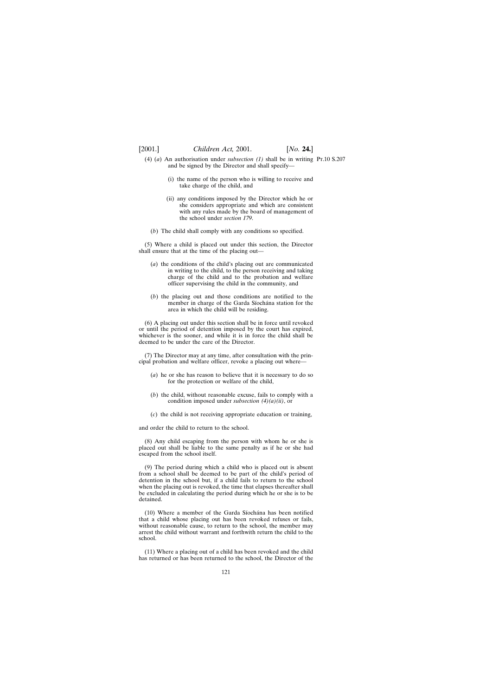- (4) (*a*) An authorisation under *subsection (1)* shall be in writing Pt.10 S.207and be signed by the Director and shall specify—
	- (i) the name of the person who is willing to receive and take charge of the child, and
	- (ii) any conditions imposed by the Director which he or she considers appropriate and which are consistent with any rules made by the board of management of the school under *section 179*.
	- (*b*) The child shall comply with any conditions so specified.

(5) Where a child is placed out under this section, the Director shall ensure that at the time of the placing out—

- (*a*) the conditions of the child's placing out are communicated in writing to the child, to the person receiving and taking charge of the child and to the probation and welfare officer supervising the child in the community, and
- (*b*) the placing out and those conditions are notified to the member in charge of the Garda Síochána station for the area in which the child will be residing.

(6) A placing out under this section shall be in force until revoked or until the period of detention imposed by the court has expired, whichever is the sooner, and while it is in force the child shall be deemed to be under the care of the Director.

(7) The Director may at any time, after consultation with the principal probation and welfare officer, revoke a placing out where—

- (*a*) he or she has reason to believe that it is necessary to do so for the protection or welfare of the child,
- (*b*) the child, without reasonable excuse, fails to comply with a condition imposed under *subsection (4)(a)(ii)*, or
- (*c*) the child is not receiving appropriate education or training,

and order the child to return to the school.

(8) Any child escaping from the person with whom he or she is placed out shall be liable to the same penalty as if he or she had escaped from the school itself.

(9) The period during which a child who is placed out is absent from a school shall be deemed to be part of the child's period of detention in the school but, if a child fails to return to the school when the placing out is revoked, the time that elapses thereafter shall be excluded in calculating the period during which he or she is to be detained.

(10) Where a member of the Garda Síochána has been notified that a child whose placing out has been revoked refuses or fails, without reasonable cause, to return to the school, the member may arrest the child without warrant and forthwith return the child to the school.

(11) Where a placing out of a child has been revoked and the child has returned or has been returned to the school, the Director of the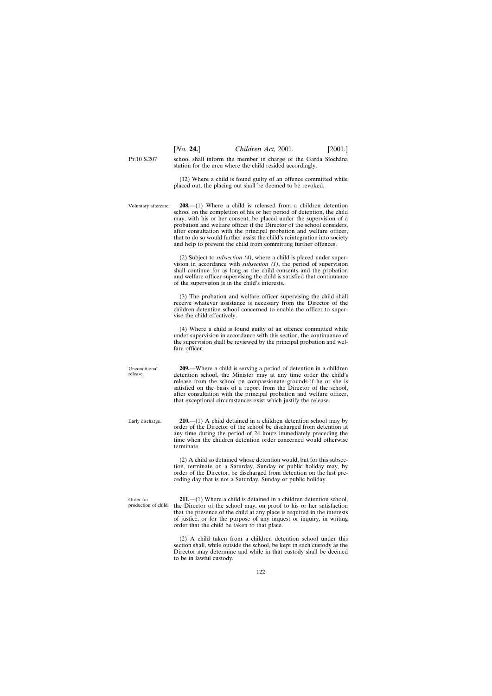P<sub>T</sub> 10 S 207 school shall inform the member in charge of the Garda Síochána station for the area where the child resided accordingly.

> (12) Where a child is found guilty of an offence committed while placed out, the placing out shall be deemed to be revoked.

Voluntary aftercare. **208.**—(1) Where a child is released from a children detention school on the completion of his or her period of detention, the child may, with his or her consent, be placed under the supervision of a probation and welfare officer if the Director of the school considers, after consultation with the principal probation and welfare officer, that to do so would further assist the child's reintegration into society and help to prevent the child from committing further offences.

> (2) Subject to *subsection (4)*, where a child is placed under supervision in accordance with *subsection (1)*, the period of supervision shall continue for as long as the child consents and the probation and welfare officer supervising the child is satisfied that continuance of the supervision is in the child's interests.

> (3) The probation and welfare officer supervising the child shall receive whatever assistance is necessary from the Director of the children detention school concerned to enable the officer to supervise the child effectively.

> (4) Where a child is found guilty of an offence committed while under supervision in accordance with this section, the continuance of the supervision shall be reviewed by the principal probation and welfare officer.

> **209.**—Where a child is serving a period of detention in a children detention school, the Minister may at any time order the child's release from the school on compassionate grounds if he or she is satisfied on the basis of a report from the Director of the school, after consultation with the principal probation and welfare officer, that exceptional circumstances exist which justify the release.

**210.**—(1) A child detained in a children detention school may by order of the Director of the school be discharged from detention at any time during the period of 24 hours immediately preceding the time when the children detention order concerned would otherwise terminate.

(2) A child so detained whose detention would, but for this subsection, terminate on a Saturday, Sunday or public holiday may, by order of the Director, be discharged from detention on the last preceding day that is not a Saturday, Sunday or public holiday.

Order for production of child.

Unconditional release.

Early discharge.

**211.**—(1) Where a child is detained in a children detention school, the Director of the school may, on proof to his or her satisfaction that the presence of the child at any place is required in the interests of justice, or for the purpose of any inquest or inquiry, in writing order that the child be taken to that place.

(2) A child taken from a children detention school under this section shall, while outside the school, be kept in such custody as the Director may determine and while in that custody shall be deemed to be in lawful custody.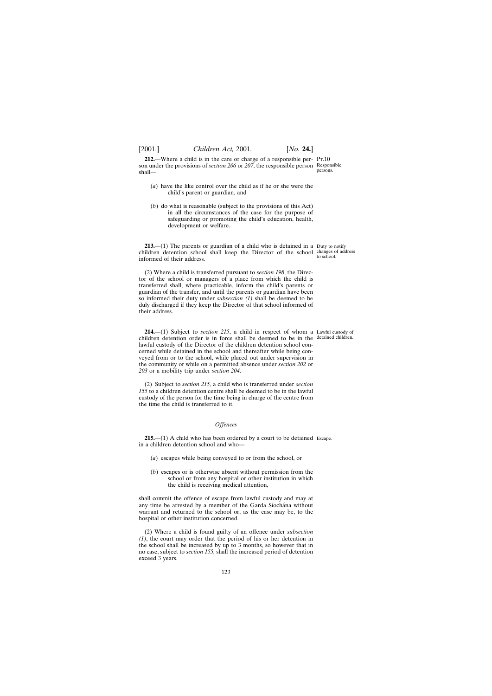**212.**—Where a child is in the care or charge of a responsible per- Pt.10 son under the provisions of *section 206* or *207*, the responsible person Responsible shall persons.

- (*a*) have the like control over the child as if he or she were the child's parent or guardian, and
- (*b*) do what is reasonable (subject to the provisions of this Act) in all the circumstances of the case for the purpose of safeguarding or promoting the child's education, health, development or welfare.

**213.**—(1) The parents or guardian of a child who is detained in a Duty to notify children detention school shall keep the Director of the school changes of address informed of their address.

(2) Where a child is transferred pursuant to *section 198*, the Director of the school or managers of a place from which the child is transferred shall, where practicable, inform the child's parents or guardian of the transfer, and until the parents or guardian have been so informed their duty under *subsection (1)* shall be deemed to be duly discharged if they keep the Director of that school informed of their address.

**214.**—(1) Subject to *section 215*, a child in respect of whom a Lawful custody of children detention order is in force shall be deemed to be in the detained children. lawful custody of the Director of the children detention school concerned while detained in the school and thereafter while being conveyed from or to the school, while placed out under supervision in the community or while on a permitted absence under *section 202* or *203* or a mobility trip under *section 204*.

(2) Subject to *section 215*, a child who is transferred under *section 155* to a children detention centre shall be deemed to be in the lawful custody of the person for the time being in charge of the centre from the time the child is transferred to it.

## *Offences*

**215.**—(1) A child who has been ordered by a court to be detained Escape.in a children detention school and who—

- (*a*) escapes while being conveyed to or from the school, or
- (*b*) escapes or is otherwise absent without permission from the school or from any hospital or other institution in which the child is receiving medical attention,

shall commit the offence of escape from lawful custody and may at any time be arrested by a member of the Garda Síochána without warrant and returned to the school or, as the case may be, to the hospital or other institution concerned.

(2) Where a child is found guilty of an offence under *subsection (1)*, the court may order that the period of his or her detention in the school shall be increased by up to 3 months, so however that in no case, subject to *section 155,* shall the increased period of detention exceed 3 years.

to school.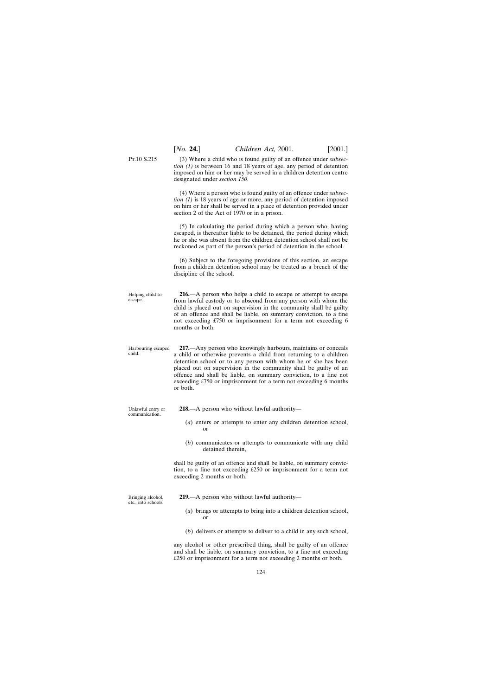P<sub>T</sub>.10 S.215 (3) Where a child who is found guilty of an offence under *subsection (1)* is between 16 and 18 years of age, any period of detention imposed on him or her may be served in a children detention centre designated under *section 150*.

> (4) Where a person who is found guilty of an offence under *subsection (1)* is 18 years of age or more, any period of detention imposed on him or her shall be served in a place of detention provided under section 2 of the Act of 1970 or in a prison.

> (5) In calculating the period during which a person who, having escaped, is thereafter liable to be detained, the period during which he or she was absent from the children detention school shall not be reckoned as part of the person's period of detention in the school.

> (6) Subject to the foregoing provisions of this section, an escape from a children detention school may be treated as a breach of the discipline of the school.

Helping child to escape. **216.**—A person who helps a child to escape or attempt to escape from lawful custody or to abscond from any person with whom the child is placed out on supervision in the community shall be guilty of an offence and shall be liable, on summary conviction, to a fine not exceeding £750 or imprisonment for a term not exceeding 6 months or both.

- Harbouring escaped child. **217.**—Any person who knowingly harbours, maintains or conceals a child or otherwise prevents a child from returning to a children detention school or to any person with whom he or she has been placed out on supervision in the community shall be guilty of an offence and shall be liable, on summary conviction, to a fine not exceeding £750 or imprisonment for a term not exceeding 6 months or both.
- Unlawful entry or communication.
- **218.**—A person who without lawful authority—
	- (*a*) enters or attempts to enter any children detention school, or
	- (*b*) communicates or attempts to communicate with any child detained therein,

shall be guilty of an offence and shall be liable, on summary conviction, to a fine not exceeding £250 or imprisonment for a term not exceeding 2 months or both.

Bringing alcohol, etc., into schools. **219.**—A person who without lawful authority—

- (*a*) brings or attempts to bring into a children detention school, or
- (*b*) delivers or attempts to deliver to a child in any such school,

any alcohol or other prescribed thing, shall be guilty of an offence and shall be liable, on summary conviction, to a fine not exceeding £250 or imprisonment for a term not exceeding 2 months or both.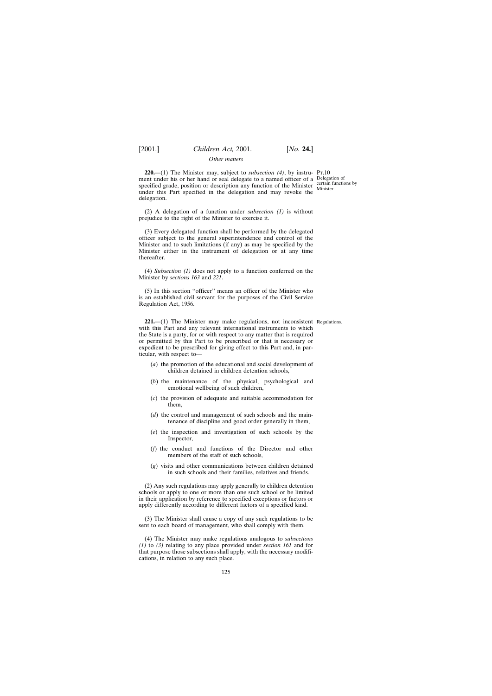## *Other matters*

**220.**—(1) The Minister may, subject to *subsection* (4), by instru- Pt.10 ment under his or her hand or seal delegate to a named officer of a Delegation of specified grade, position or description any function of the Minister  $\frac{\text{certain functions by}}{\text{Ministor}}$ under this Part specified in the delegation and may revoke the delegation.

(2) A delegation of a function under *subsection (1)* is without prejudice to the right of the Minister to exercise it.

(3) Every delegated function shall be performed by the delegated officer subject to the general superintendence and control of the Minister and to such limitations (if any) as may be specified by the Minister either in the instrument of delegation or at any time thereafter.

(4) *Subsection (1)* does not apply to a function conferred on the Minister by *sections 163* and *221*.

(5) In this section ''officer'' means an officer of the Minister who is an established civil servant for the purposes of the Civil Service Regulation Act, 1956.

**221.**—(1) The Minister may make regulations, not inconsistent Regulations.with this Part and any relevant international instruments to which the State is a party, for or with respect to any matter that is required or permitted by this Part to be prescribed or that is necessary or expedient to be prescribed for giving effect to this Part and, in particular, with respect to—

- (*a*) the promotion of the educational and social development of children detained in children detention schools,
- (*b*) the maintenance of the physical, psychological and emotional wellbeing of such children,
- (*c*) the provision of adequate and suitable accommodation for them,
- (*d*) the control and management of such schools and the maintenance of discipline and good order generally in them,
- (*e*) the inspection and investigation of such schools by the Inspector,
- (*f*) the conduct and functions of the Director and other members of the staff of such schools,
- (*g*) visits and other communications between children detained in such schools and their families, relatives and friends.

(2) Any such regulations may apply generally to children detention schools or apply to one or more than one such school or be limited in their application by reference to specified exceptions or factors or apply differently according to different factors of a specified kind.

(3) The Minister shall cause a copy of any such regulations to be sent to each board of management, who shall comply with them.

(4) The Minister may make regulations analogous to *subsections (1)* to *(3)* relating to any place provided under *section 161* and for that purpose those subsections shall apply, with the necessary modifications, in relation to any such place.

125

Minister.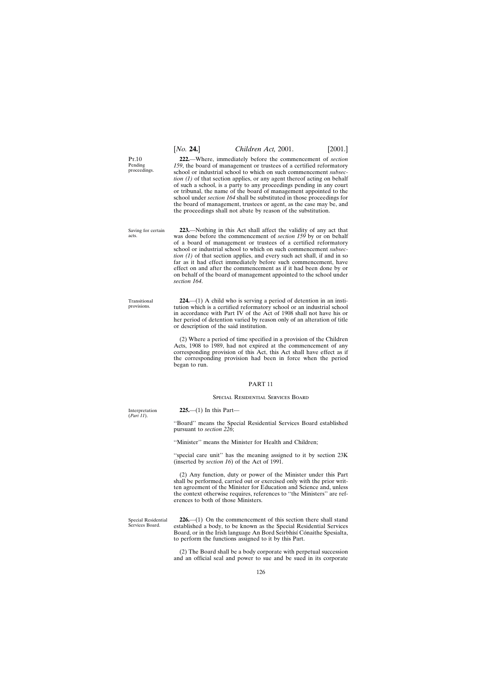#### school under *section 164* shall be substituted in those proceedings for

**223.**—Nothing in this Act shall affect the validity of any act that was done before the commencement of *section 159* by or on behalf of a board of management or trustees of a certified reformatory school or industrial school to which on such commencement *subsection (1)* of that section applies, and every such act shall, if and in so far as it had effect immediately before such commencement, have effect on and after the commencement as if it had been done by or on behalf of the board of management appointed to the school under *section 164*.

the board of management, trustees or agent, as the case may be, and the proceedings shall not abate by reason of the substitution.

**222.**—Where, immediately before the commencement of *section 159*, the board of management or trustees of a certified reformatory school or industrial school to which on such commencement *subsection (1)* of that section applies, or any agent thereof acting on behalf of such a school, is a party to any proceedings pending in any court or tribunal, the name of the board of management appointed to the

**224.**—(1) A child who is serving a period of detention in an institution which is a certified reformatory school or an industrial school in accordance with Part IV of the Act of 1908 shall not have his or her period of detention varied by reason only of an alteration of title or description of the said institution.

(2) Where a period of time specified in a provision of the Children Acts, 1908 to 1989, had not expired at the commencement of any corresponding provision of this Act, this Act shall have effect as if the corresponding provision had been in force when the period began to run.

#### PART 11

#### Special Residential Services Board

''Board'' means the Special Residential Services Board established pursuant to *section 226*; ''Minister'' means the Minister for Health and Children; ''special care unit'' has the meaning assigned to it by section 23K (inserted by *section 16*) of the Act of 1991. (2) Any function, duty or power of the Minister under this Part shall be performed, carried out or exercised only with the prior written agreement of the Minister for Education and Science and, unless the context otherwise requires, references to ''the Ministers'' are references to both of those Ministers.

> **226.**—(1) On the commencement of this section there shall stand established a body, to be known as the Special Residential Services Board, or in the Irish language An Bord Seirbhísí Cónaithe Spesialta, to perform the functions assigned to it by this Part.

> (2) The Board shall be a body corporate with perpetual succession and an official seal and power to sue and be sued in its corporate

P<sub>T</sub> $10$ Pending proceedings.

126

Interpretation (*Part 11*).

Special Residential Services Board.

[*No.* **24.**] *Children Act,* 2001. [2001.]

Saving for certain acts.

**225.**—(1) In this Part—

Transitional provisions.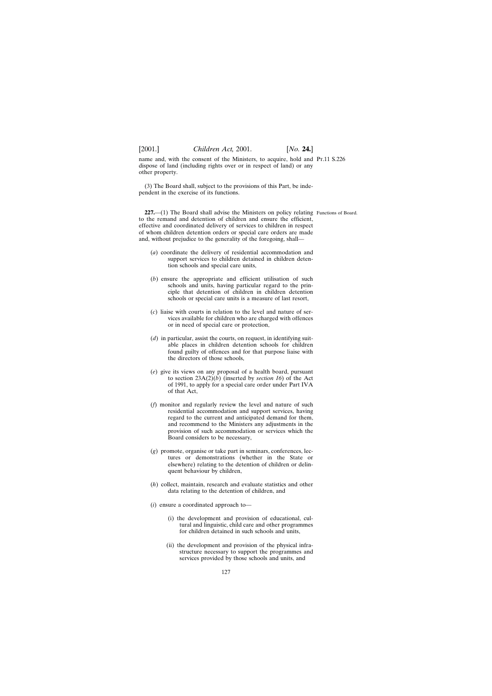name and, with the consent of the Ministers, to acquire, hold and Pt.11 S.226 dispose of land (including rights over or in respect of land) or any other property.

(3) The Board shall, subject to the provisions of this Part, be independent in the exercise of its functions.

**227.**—(1) The Board shall advise the Ministers on policy relating Functions of Board. to the remand and detention of children and ensure the efficient, effective and coordinated delivery of services to children in respect of whom children detention orders or special care orders are made and, without prejudice to the generality of the foregoing, shall—

- (*a*) coordinate the delivery of residential accommodation and support services to children detained in children detention schools and special care units,
- (*b*) ensure the appropriate and efficient utilisation of such schools and units, having particular regard to the principle that detention of children in children detention schools or special care units is a measure of last resort,
- (*c*) liaise with courts in relation to the level and nature of services available for children who are charged with offences or in need of special care or protection,
- (*d*) in particular, assist the courts, on request, in identifying suitable places in children detention schools for children found guilty of offences and for that purpose liaise with the directors of those schools,
- (*e*) give its views on any proposal of a health board, pursuant to section  $23A(2)(b)$  (inserted by *section 16*) of the Act of 1991, to apply for a special care order under Part IVA of that Act,
- (*f*) monitor and regularly review the level and nature of such residential accommodation and support services, having regard to the current and anticipated demand for them, and recommend to the Ministers any adjustments in the provision of such accommodation or services which the Board considers to be necessary,
- (*g*) promote, organise or take part in seminars, conferences, lectures or demonstrations (whether in the State or elsewhere) relating to the detention of children or delinquent behaviour by children,
- (*h*) collect, maintain, research and evaluate statistics and other data relating to the detention of children, and
- (*i*) ensure a coordinated approach to—
	- (i) the development and provision of educational, cultural and linguistic, child care and other programmes for children detained in such schools and units,
	- (ii) the development and provision of the physical infrastructure necessary to support the programmes and services provided by those schools and units, and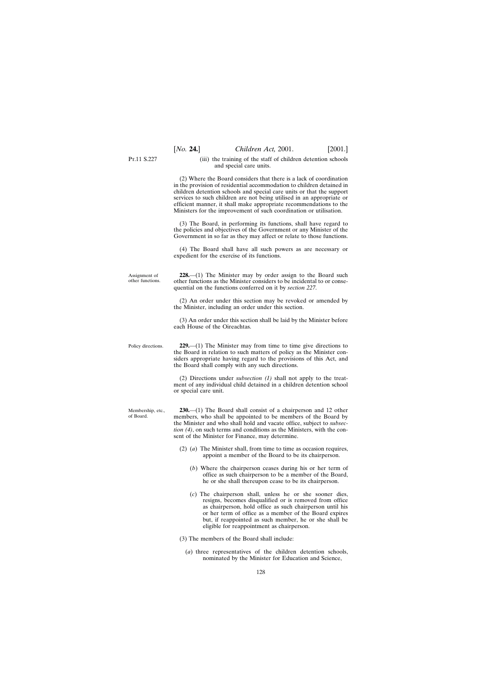P<sub>T</sub>.11 S.227

(iii) the training of the staff of children detention schools

Assignment of other functions. Policy directions. Membership, etc., of Board. and special care units. (2) Where the Board considers that there is a lack of coordination in the provision of residential accommodation to children detained in children detention schools and special care units or that the support services to such children are not being utilised in an appropriate or efficient manner, it shall make appropriate recommendations to the Ministers for the improvement of such coordination or utilisation. (3) The Board, in performing its functions, shall have regard to the policies and objectives of the Government or any Minister of the Government in so far as they may affect or relate to those functions. (4) The Board shall have all such powers as are necessary or expedient for the exercise of its functions. **228.**—(1) The Minister may by order assign to the Board such other functions as the Minister considers to be incidental to or consequential on the functions conferred on it by *section 227*. (2) An order under this section may be revoked or amended by the Minister, including an order under this section. (3) An order under this section shall be laid by the Minister before each House of the Oireachtas. **229.**—(1) The Minister may from time to time give directions to the Board in relation to such matters of policy as the Minister considers appropriate having regard to the provisions of this Act, and the Board shall comply with any such directions. (2) Directions under *subsection (1)* shall not apply to the treatment of any individual child detained in a children detention school or special care unit. **230.**—(1) The Board shall consist of a chairperson and 12 other members, who shall be appointed to be members of the Board by the Minister and who shall hold and vacate office, subject to *subsection (4)*, on such terms and conditions as the Ministers, with the consent of the Minister for Finance, may determine. (2) (*a*) The Minister shall, from time to time as occasion requires, appoint a member of the Board to be its chairperson. (*b*) Where the chairperson ceases during his or her term of office as such chairperson to be a member of the Board, he or she shall thereupon cease to be its chairperson. (*c*) The chairperson shall, unless he or she sooner dies, resigns, becomes disqualified or is removed from office as chairperson, hold office as such chairperson until his or her term of office as a member of the Board expires but, if reappointed as such member, he or she shall be eligible for reappointment as chairperson.

(3) The members of the Board shall include:

(*a*) three representatives of the children detention schools, nominated by the Minister for Education and Science,

128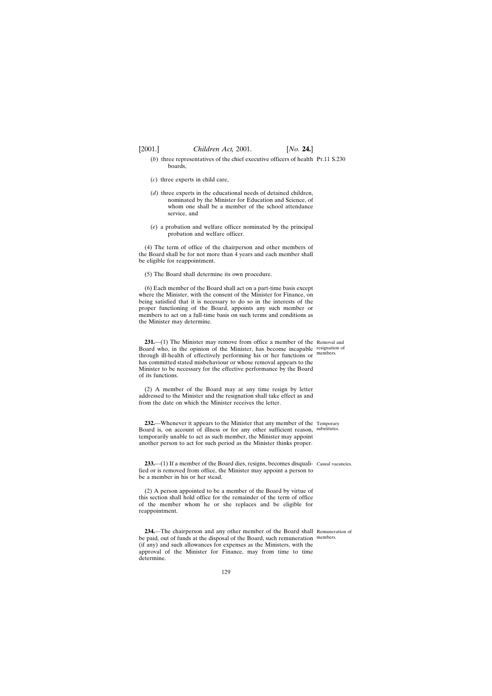- (b) three representatives of the chief executive officers of health Pr.11 S.230 boards,
- (*c*) three experts in child care,
- (*d*) three experts in the educational needs of detained children, nominated by the Minister for Education and Science, of whom one shall be a member of the school attendance service, and
- (*e*) a probation and welfare officer nominated by the principal probation and welfare officer.

(4) The term of office of the chairperson and other members of the Board shall be for not more than 4 years and each member shall be eligible for reappointment.

(5) The Board shall determine its own procedure.

(6) Each member of the Board shall act on a part-time basis except where the Minister, with the consent of the Minister for Finance, on being satisfied that it is necessary to do so in the interests of the proper functioning of the Board, appoints any such member or members to act on a full-time basis on such terms and conditions as the Minister may determine.

**231.**—(1) The Minister may remove from office a member of the Removal and Board who, in the opinion of the Minister, has become incapable resignation of through ill-health of effectively performing his or her functions or members. has committed stated misbehaviour or whose removal appears to the Minister to be necessary for the effective performance by the Board of its functions.

(2) A member of the Board may at any time resign by letter addressed to the Minister and the resignation shall take effect as and from the date on which the Minister receives the letter.

**232.**—Whenever it appears to the Minister that any member of the Temporary Board is, on account of illness or for any other sufficient reason, substitutes. temporarily unable to act as such member, the Minister may appoint another person to act for such period as the Minister thinks proper.

**233.**—(1) If a member of the Board dies, resigns, becomes disquali- Casual vacancies. fied or is removed from office, the Minister may appoint a person to be a member in his or her stead.

(2) A person appointed to be a member of the Board by virtue of this section shall hold office for the remainder of the term of office of the member whom he or she replaces and be eligible for reappointment.

**234.**—The chairperson and any other member of the Board shall Remuneration of be paid, out of funds at the disposal of the Board, such remuneration members. (if any) and such allowances for expenses as the Ministers, with the approval of the Minister for Finance, may from time to time determine.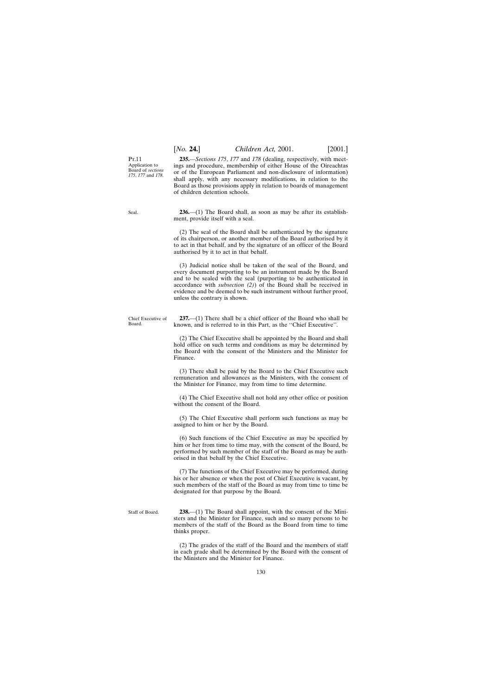## [*No.* **24.**] *Children Act,* 2001. [2001.]

P<sub>T</sub> 11 Application to Board of *sections 175*, *177* and *178*.

**235.**—*Sections 175*, *177* and *178* (dealing, respectively, with meetings and procedure, membership of either House of the Oireachtas or of the European Parliament and non-disclosure of information) shall apply, with any necessary modifications, in relation to the Board as those provisions apply in relation to boards of management of children detention schools.

**236.**—(1) The Board shall, as soon as may be after its establishment, provide itself with a seal.

(2) The seal of the Board shall be authenticated by the signature of its chairperson, or another member of the Board authorised by it to act in that behalf, and by the signature of an officer of the Board authorised by it to act in that behalf.

(3) Judicial notice shall be taken of the seal of the Board, and every document purporting to be an instrument made by the Board and to be sealed with the seal (purporting to be authenticated in accordance with *subsection (2)*) of the Board shall be received in evidence and be deemed to be such instrument without further proof, unless the contrary is shown.

**237.**—(1) There shall be a chief officer of the Board who shall be known, and is referred to in this Part, as the ''Chief Executive''.

(2) The Chief Executive shall be appointed by the Board and shall hold office on such terms and conditions as may be determined by the Board with the consent of the Ministers and the Minister for

(3) There shall be paid by the Board to the Chief Executive such remuneration and allowances as the Ministers, with the consent of the Minister for Finance, may from time to time determine.

(4) The Chief Executive shall not hold any other office or position without the consent of the Board.

(5) The Chief Executive shall perform such functions as may be assigned to him or her by the Board.

(6) Such functions of the Chief Executive as may be specified by him or her from time to time may, with the consent of the Board, be performed by such member of the staff of the Board as may be authorised in that behalf by the Chief Executive.

(7) The functions of the Chief Executive may be performed, during his or her absence or when the post of Chief Executive is vacant, by such members of the staff of the Board as may from time to time be designated for that purpose by the Board.

Staff of Board. **238.**—(1) The Board shall appoint, with the consent of the Ministers and the Minister for Finance, such and so many persons to be members of the staff of the Board as the Board from time to time thinks proper.

> (2) The grades of the staff of the Board and the members of staff in each grade shall be determined by the Board with the consent of the Ministers and the Minister for Finance.

Finance.

130

Chief Executive of Board.

Seal.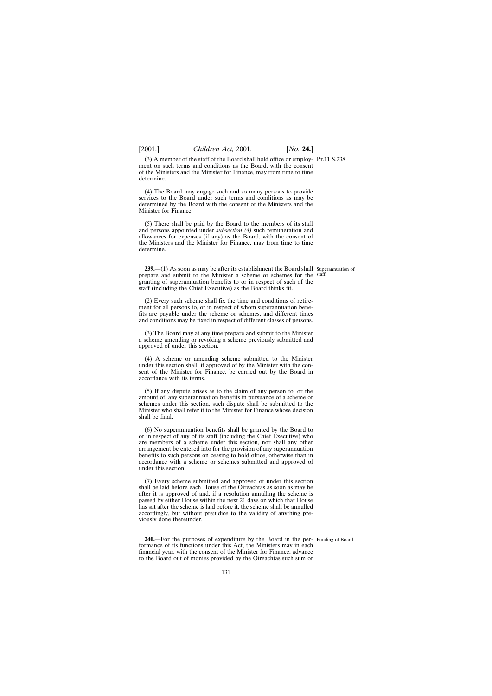(3) A member of the staff of the Board shall hold office or employ-Pt.11 S.238 ment on such terms and conditions as the Board, with the consent of the Ministers and the Minister for Finance, may from time to time determine.

(4) The Board may engage such and so many persons to provide services to the Board under such terms and conditions as may be determined by the Board with the consent of the Ministers and the Minister for Finance.

(5) There shall be paid by the Board to the members of its staff and persons appointed under *subsection (4)* such remuneration and allowances for expenses (if any) as the Board, with the consent of the Ministers and the Minister for Finance, may from time to time determine.

**239.**—(1) As soon as may be after its establishment the Board shall Superannuation of prepare and submit to the Minister a scheme or schemes for the staff. granting of superannuation benefits to or in respect of such of the staff (including the Chief Executive) as the Board thinks fit.

(2) Every such scheme shall fix the time and conditions of retirement for all persons to, or in respect of whom superannuation benefits are payable under the scheme or schemes, and different times and conditions may be fixed in respect of different classes of persons.

(3) The Board may at any time prepare and submit to the Minister a scheme amending or revoking a scheme previously submitted and approved of under this section.

(4) A scheme or amending scheme submitted to the Minister under this section shall, if approved of by the Minister with the consent of the Minister for Finance, be carried out by the Board in accordance with its terms.

(5) If any dispute arises as to the claim of any person to, or the amount of, any superannuation benefits in pursuance of a scheme or schemes under this section, such dispute shall be submitted to the Minister who shall refer it to the Minister for Finance whose decision shall be final.

(6) No superannuation benefits shall be granted by the Board to or in respect of any of its staff (including the Chief Executive) who are members of a scheme under this section, nor shall any other arrangement be entered into for the provision of any superannuation benefits to such persons on ceasing to hold office, otherwise than in accordance with a scheme or schemes submitted and approved of under this section.

(7) Every scheme submitted and approved of under this section shall be laid before each House of the Oireachtas as soon as may be after it is approved of and, if a resolution annulling the scheme is passed by either House within the next 21 days on which that House has sat after the scheme is laid before it, the scheme shall be annulled accordingly, but without prejudice to the validity of anything previously done thereunder.

**240.**—For the purposes of expenditure by the Board in the per- Funding of Board. formance of its functions under this Act, the Ministers may in each financial year, with the consent of the Minister for Finance, advance to the Board out of monies provided by the Oireachtas such sum or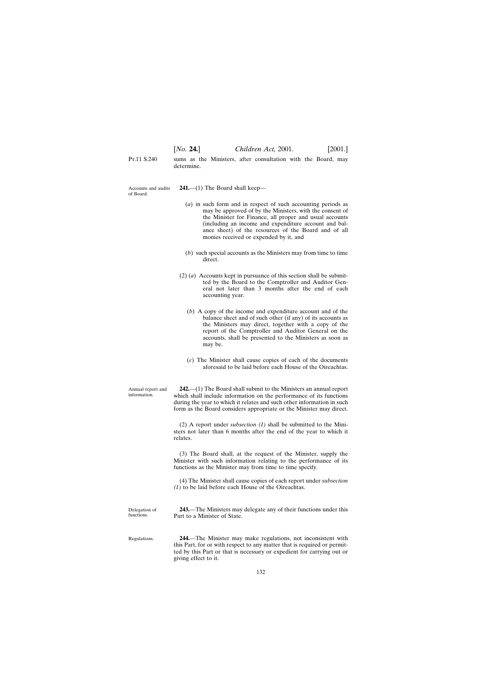P<sub>T</sub>.11 S.240 sums as the Ministers, after consultation with the Board, may determine.

Accounts and audits of Board.

**241.**—(1) The Board shall keep—

- (*a*) in such form and in respect of such accounting periods as may be approved of by the Ministers, with the consent of the Minister for Finance, all proper and usual accounts (including an income and expenditure account and balance sheet) of the resources of the Board and of all monies received or expended by it, and
- (*b*) such special accounts as the Ministers may from time to time direct.
- (2) (*a*) Accounts kept in pursuance of this section shall be submitted by the Board to the Comptroller and Auditor General not later than 3 months after the end of each accounting year.
	- (*b*) A copy of the income and expenditure account and of the balance sheet and of such other (if any) of its accounts as the Ministers may direct, together with a copy of the report of the Comptroller and Auditor General on the accounts, shall be presented to the Ministers as soon as may be.
	- (*c*) The Minister shall cause copies of each of the documents aforesaid to be laid before each House of the Oireachtas.

**242.**—(1) The Board shall submit to the Ministers an annual report which shall include information on the performance of its functions during the year to which it relates and such other information in such form as the Board considers appropriate or the Minister may direct.

(2) A report under *subsection (1)* shall be submitted to the Ministers not later than 6 months after the end of the year to which it relates.

(3) The Board shall, at the request of the Minister, supply the Minister with such information relating to the performance of its functions as the Minister may from time to time specify.

(4) The Minister shall cause copies of each report under *subsection (1)* to be laid before each House of the Oireachtas.

Delegation of functions.

Regulations.

Annual report and information.

> **243.**—The Ministers may delegate any of their functions under this Part to a Minister of State.

> **244.**—The Minister may make regulations, not inconsistent with this Part, for or with respect to any matter that is required or permitted by this Part or that is necessary or expedient for carrying out or giving effect to it.

> > 132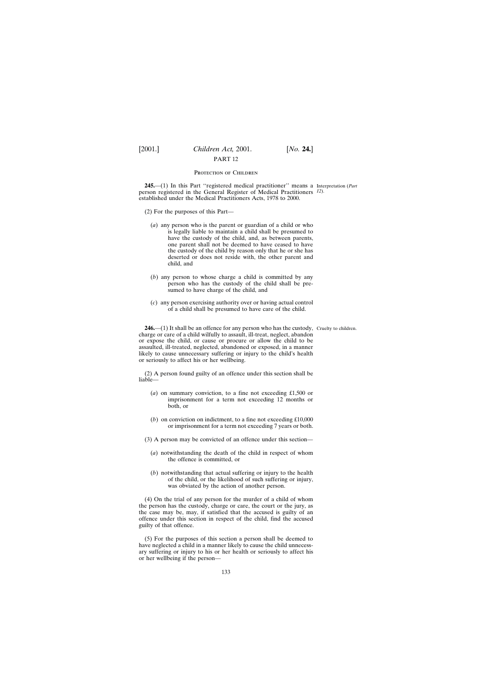### PROTECTION OF CHILDREN

**245.**—(1) In this Part ''registered medical practitioner'' means a Interpretation (*Part* person registered in the General Register of Medical Practitioners *12*). established under the Medical Practitioners Acts, 1978 to 2000.

- (2) For the purposes of this Part—
	- (*a*) any person who is the parent or guardian of a child or who is legally liable to maintain a child shall be presumed to have the custody of the child, and, as between parents, one parent shall not be deemed to have ceased to have the custody of the child by reason only that he or she has deserted or does not reside with, the other parent and child, and
	- (*b*) any person to whose charge a child is committed by any person who has the custody of the child shall be presumed to have charge of the child, and
	- (*c*) any person exercising authority over or having actual control of a child shall be presumed to have care of the child.

**246.**—(1) It shall be an offence for any person who has the custody, Cruelty to children. charge or care of a child wilfully to assault, ill-treat, neglect, abandon or expose the child, or cause or procure or allow the child to be assaulted, ill-treated, neglected, abandoned or exposed, in a manner likely to cause unnecessary suffering or injury to the child's health or seriously to affect his or her wellbeing.

(2) A person found guilty of an offence under this section shall be liable—

- (*a*) on summary conviction, to a fine not exceeding £1,500 or imprisonment for a term not exceeding 12 months or both, or
- (*b*) on conviction on indictment, to a fine not exceeding £10,000 or imprisonment for a term not exceeding 7 years or both.
- (3) A person may be convicted of an offence under this section—
	- (*a*) notwithstanding the death of the child in respect of whom the offence is committed, or
	- (*b*) notwithstanding that actual suffering or injury to the health of the child, or the likelihood of such suffering or injury, was obviated by the action of another person.

(4) On the trial of any person for the murder of a child of whom the person has the custody, charge or care, the court or the jury, as the case may be, may, if satisfied that the accused is guilty of an offence under this section in respect of the child, find the accused guilty of that offence.

(5) For the purposes of this section a person shall be deemed to have neglected a child in a manner likely to cause the child unnecessary suffering or injury to his or her health or seriously to affect his or her wellbeing if the person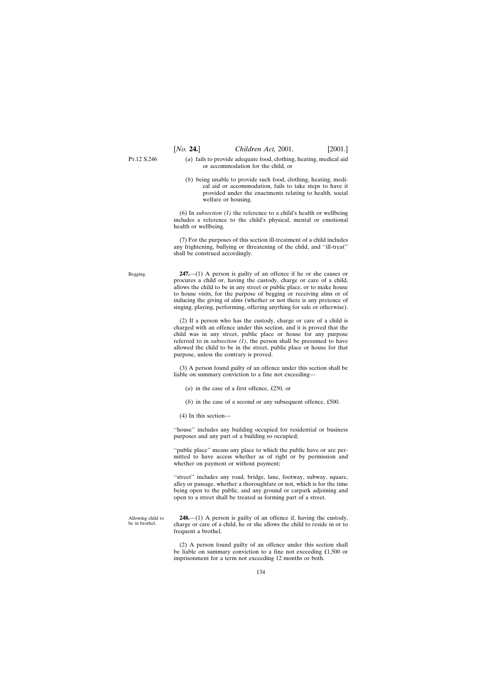Begging.

- (*a*) fails to provide adequate food, clothing, heating, medical aid or accommodation for the child, or
- (*b*) being unable to provide such food, clothing, heating, medical aid or accommodation, fails to take steps to have it provided under the enactments relating to health, social welfare or housing.

(6) In *subsection (1)* the reference to a child's health or wellbeing includes a reference to the child's physical, mental or emotional health or wellbeing.

(7) For the purposes of this section ill-treatment of a child includes any frightening, bullying or threatening of the child, and ''ill-treat'' shall be construed accordingly.

**247.**—(1) A person is guilty of an offence if he or she causes or procures a child or, having the custody, charge or care of a child, allows the child to be in any street or public place, or to make house to house visits, for the purpose of begging or receiving alms or of inducing the giving of alms (whether or not there is any pretence of singing, playing, performing, offering anything for sale or otherwise).

(2) If a person who has the custody, charge or care of a child is charged with an offence under this section, and it is proved that the child was in any street, public place or house for any purpose referred to in *subsection*  $(1)$ , the person shall be presumed to have allowed the child to be in the street, public place or house for that purpose, unless the contrary is proved.

(3) A person found guilty of an offence under this section shall be liable on summary conviction to a fine not exceeding—

- (*a*) in the case of a first offence, £250, or
- (*b*) in the case of a second or any subsequent offence, £500.
- (4) In this section—

''house'' includes any building occupied for residential or business purposes and any part of a building so occupied;

''public place'' means any place to which the public have or are permitted to have access whether as of right or by permission and whether on payment or without payment;

"street" includes any road, bridge, lane, footway, subway, square, alley or passage, whether a thoroughfare or not, which is for the time being open to the public, and any ground or carpark adjoining and open to a street shall be treated as forming part of a street.

Allowing child to be in brothel.

**248.**—(1) A person is guilty of an offence if, having the custody, charge or care of a child, he or she allows the child to reside in or to frequent a brothel.

(2) A person found guilty of an offence under this section shall be liable on summary conviction to a fine not exceeding £1,500 or imprisonment for a term not exceeding 12 months or both.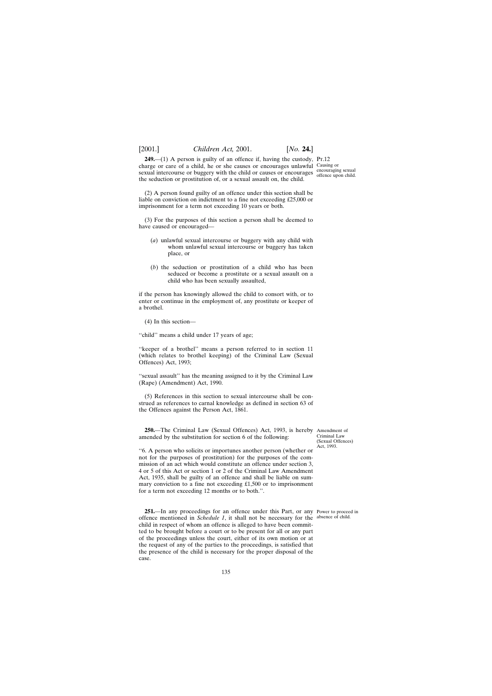**249.**—(1) A person is guilty of an offence if, having the custody, Pt.12 charge or care of a child, he or she causes or encourages unlawful Causing or sexual intercourse or buggery with the child or causes or encourages  $\frac{\text{encouraging sexual}}{\text{offence upon child}}$ the seduction or prostitution of, or a sexual assault on, the child.

offence upon child.

(2) A person found guilty of an offence under this section shall be liable on conviction on indictment to a fine not exceeding £25,000 or imprisonment for a term not exceeding 10 years or both.

(3) For the purposes of this section a person shall be deemed to have caused or encouraged—

- (*a*) unlawful sexual intercourse or buggery with any child with whom unlawful sexual intercourse or buggery has taken place, or
- (*b*) the seduction or prostitution of a child who has been seduced or become a prostitute or a sexual assault on a child who has been sexually assaulted,

if the person has knowingly allowed the child to consort with, or to enter or continue in the employment of, any prostitute or keeper of a brothel.

(4) In this section—

''child'' means a child under 17 years of age;

"keeper of a brothel" means a person referred to in section 11 (which relates to brothel keeping) of the Criminal Law (Sexual Offences) Act, 1993;

''sexual assault'' has the meaning assigned to it by the Criminal Law (Rape) (Amendment) Act, 1990.

(5) References in this section to sexual intercourse shall be construed as references to carnal knowledge as defined in section 63 of the Offences against the Person Act, 1861.

**250.**—The Criminal Law (Sexual Offences) Act, 1993, is hereby Amendment of amended by the substitution for section 6 of the following:

Criminal Law (Sexual Offences) Act, 1993.

''6. A person who solicits or importunes another person (whether or not for the purposes of prostitution) for the purposes of the commission of an act which would constitute an offence under section 3, 4 or 5 of this Act or section 1 or 2 of the Criminal Law Amendment Act, 1935, shall be guilty of an offence and shall be liable on summary conviction to a fine not exceeding £1,500 or to imprisonment for a term not exceeding 12 months or to both.''.

**251.**—In any proceedings for an offence under this Part, or any Power to proceed in offence mentioned in *Schedule 1*, it shall not be necessary for the absence of child.child in respect of whom an offence is alleged to have been committed to be brought before a court or to be present for all or any part of the proceedings unless the court, either of its own motion or at the request of any of the parties to the proceedings, is satisfied that the presence of the child is necessary for the proper disposal of the case.

135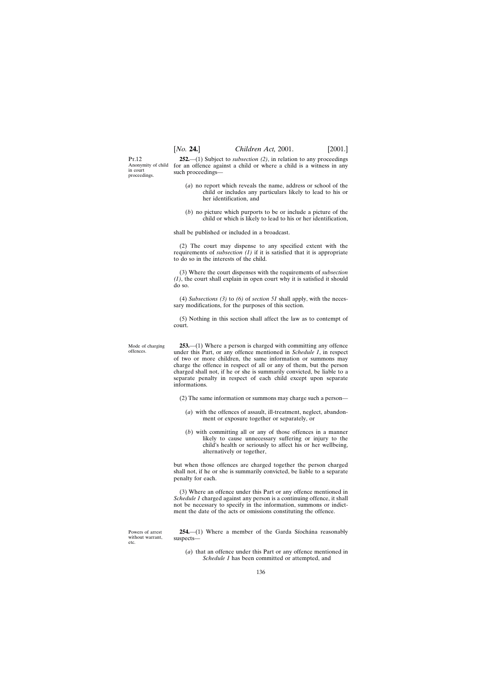P<sub>T</sub> 12 Anonymity of child in court proceedings.

**252.**—(1) Subject to *subsection (2)*, in relation to any proceedings for an offence against a child or where a child is a witness in any such proceedings—

- (*a*) no report which reveals the name, address or school of the child or includes any particulars likely to lead to his or her identification, and
- (*b*) no picture which purports to be or include a picture of the child or which is likely to lead to his or her identification,

shall be published or included in a broadcast.

(2) The court may dispense to any specified extent with the requirements of *subsection (1)* if it is satisfied that it is appropriate to do so in the interests of the child.

(3) Where the court dispenses with the requirements of *subsection (1)*, the court shall explain in open court why it is satisfied it should do so.

(4) *Subsections (3)* to *(6)* of *section 51* shall apply, with the necessary modifications, for the purposes of this section.

(5) Nothing in this section shall affect the law as to contempt of court.

**253.**—(1) Where a person is charged with committing any offence under this Part, or any offence mentioned in *Schedule 1*, in respect of two or more children, the same information or summons may charge the offence in respect of all or any of them, but the person charged shall not, if he or she is summarily convicted, be liable to a separate penalty in respect of each child except upon separate informations.

(2) The same information or summons may charge such a person—

- (*a*) with the offences of assault, ill-treatment, neglect, abandonment or exposure together or separately, or
- (*b*) with committing all or any of those offences in a manner likely to cause unnecessary suffering or injury to the child's health or seriously to affect his or her wellbeing, alternatively or together,

but when those offences are charged together the person charged shall not, if he or she is summarily convicted, be liable to a separate penalty for each.

(3) Where an offence under this Part or any offence mentioned in *Schedule 1* charged against any person is a continuing offence, it shall not be necessary to specify in the information, summons or indictment the date of the acts or omissions constituting the offence.

254.—(1) Where a member of the Garda Síochána reasonably suspects—

(*a*) that an offence under this Part or any offence mentioned in *Schedule 1* has been committed or attempted, and

Mode of charging offences.

Powers of arrest without warrant, etc.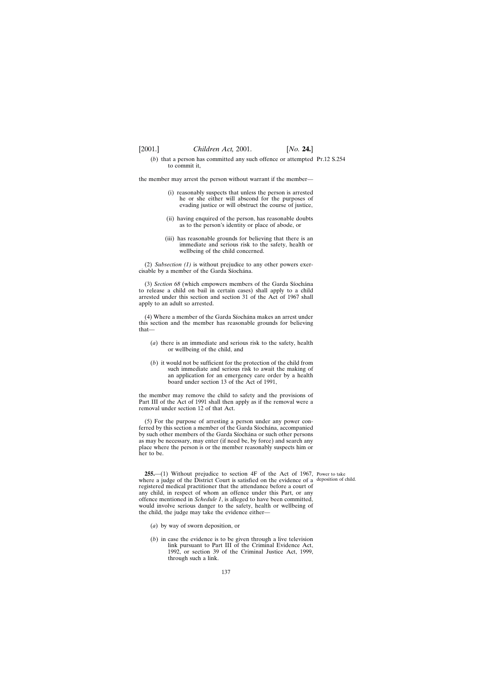(*b*) that a person has committed any such offence or attempted Pt.12 S.254 to commit it,

the member may arrest the person without warrant if the member—

- (i) reasonably suspects that unless the person is arrested he or she either will abscond for the purposes of evading justice or will obstruct the course of justice,
- (ii) having enquired of the person, has reasonable doubts as to the person's identity or place of abode, or
- (iii) has reasonable grounds for believing that there is an immediate and serious risk to the safety, health or wellbeing of the child concerned.

(2) *Subsection (1)* is without prejudice to any other powers exercisable by a member of the Garda Síochána.

(3) *Section 68* (which empowers members of the Garda Síochána to release a child on bail in certain cases) shall apply to a child arrested under this section and section 31 of the Act of 1967 shall apply to an adult so arrested.

(4) Where a member of the Garda Síochána makes an arrest under this section and the member has reasonable grounds for believing that—

- (*a*) there is an immediate and serious risk to the safety, health or wellbeing of the child, and
- (*b*) it would not be sufficient for the protection of the child from such immediate and serious risk to await the making of an application for an emergency care order by a health board under section 13 of the Act of 1991,

the member may remove the child to safety and the provisions of Part III of the Act of 1991 shall then apply as if the removal were a removal under section 12 of that Act.

(5) For the purpose of arresting a person under any power conferred by this section a member of the Garda Síochána, accompanied by such other members of the Garda Síochána or such other persons as may be necessary, may enter (if need be, by force) and search any place where the person is or the member reasonably suspects him or her to be.

**255.**—(1) Without prejudice to section 4F of the Act of 1967, Power to take where a judge of the District Court is satisfied on the evidence of a deposition of child.registered medical practitioner that the attendance before a court of any child, in respect of whom an offence under this Part, or any offence mentioned in *Schedule 1*, is alleged to have been committed, would involve serious danger to the safety, health or wellbeing of the child, the judge may take the evidence either—

- (*a*) by way of sworn deposition, or
- (*b*) in case the evidence is to be given through a live television link pursuant to Part III of the Criminal Evidence Act, 1992, or section 39 of the Criminal Justice Act, 1999, through such a link.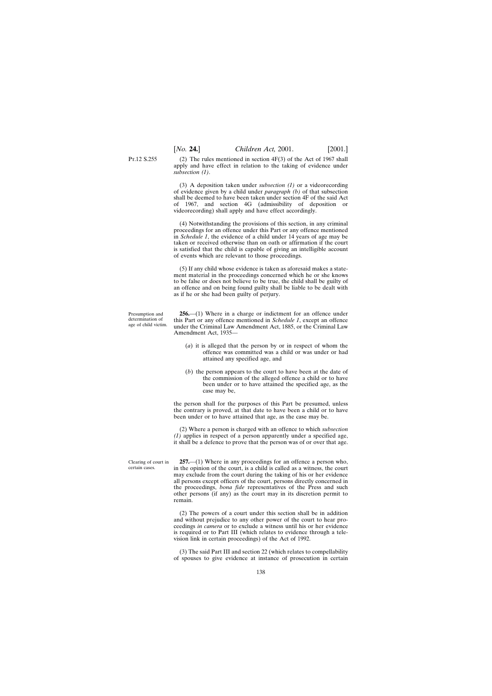Pt.12 S.255

(2) The rules mentioned in section 4F(3) of the Act of 1967 shall apply and have effect in relation to the taking of evidence under *subsection (1)*.

(3) A deposition taken under *subsection (1)* or a videorecording of evidence given by a child under *paragraph (b)* of that subsection shall be deemed to have been taken under section 4F of the said Act of 1967, and section 4G (admissibility of deposition or videorecording) shall apply and have effect accordingly.

(4) Notwithstanding the provisions of this section, in any criminal proceedings for an offence under this Part or any offence mentioned in *Schedule 1*, the evidence of a child under 14 years of age may be taken or received otherwise than on oath or affirmation if the court is satisfied that the child is capable of giving an intelligible account of events which are relevant to those proceedings.

(5) If any child whose evidence is taken as aforesaid makes a statement material in the proceedings concerned which he or she knows to be false or does not believe to be true, the child shall be guilty of an offence and on being found guilty shall be liable to be dealt with as if he or she had been guilty of perjury.

Presumption and determination of age of child victim.

**256.**—(1) Where in a charge or indictment for an offence under this Part or any offence mentioned in *Schedule 1*, except an offence under the Criminal Law Amendment Act, 1885, or the Criminal Law Amendment Act, 1935—

- (*a*) it is alleged that the person by or in respect of whom the offence was committed was a child or was under or had attained any specified age, and
- (*b*) the person appears to the court to have been at the date of the commission of the alleged offence a child or to have been under or to have attained the specified age, as the case may be,

the person shall for the purposes of this Part be presumed, unless the contrary is proved, at that date to have been a child or to have been under or to have attained that age, as the case may be.

(2) Where a person is charged with an offence to which *subsection (1)* applies in respect of a person apparently under a specified age, it shall be a defence to prove that the person was of or over that age.

Clearing of court in certain cases.

**257.**—(1) Where in any proceedings for an offence a person who, in the opinion of the court, is a child is called as a witness, the court may exclude from the court during the taking of his or her evidence all persons except officers of the court, persons directly concerned in the proceedings, *bona fide* representatives of the Press and such other persons (if any) as the court may in its discretion permit to remain.

(2) The powers of a court under this section shall be in addition and without prejudice to any other power of the court to hear proceedings *in camera* or to exclude a witness until his or her evidence is required or to Part III (which relates to evidence through a television link in certain proceedings) of the Act of 1992.

(3) The said Part III and section 22 (which relates to compellability of spouses to give evidence at instance of prosecution in certain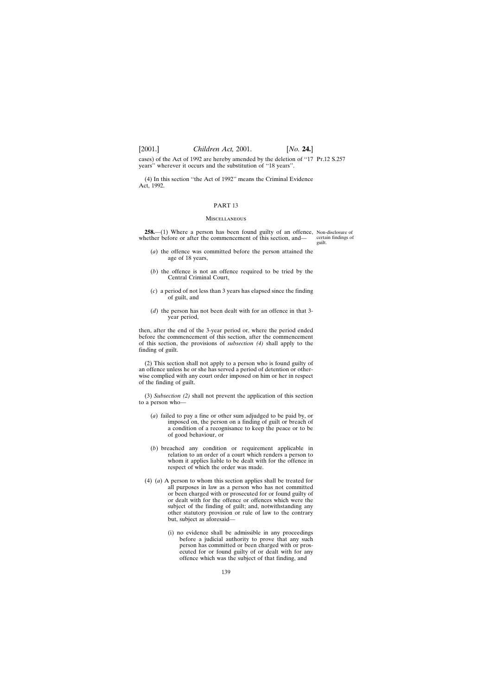[2001.] *Children Act,* 2001. [*No.* **24.**]

cases) of the Act of 1992 are hereby amended by the deletion of ''17 Pt.12 S.257 years'' wherever it occurs and the substitution of ''18 years''.

(4) In this section ''the Act of 1992'' means the Criminal Evidence Act, 1992.

# PART 13

#### **MISCELLANEOUS**

**258.**—(1) Where a person has been found guilty of an offence, Non-disclosure of whether before or after the commencement of this section, and—

certain findings of guilt.

- (*a*) the offence was committed before the person attained the age of 18 years,
- (*b*) the offence is not an offence required to be tried by the Central Criminal Court,
- (*c*) a period of not less than 3 years has elapsed since the finding of guilt, and
- (*d*) the person has not been dealt with for an offence in that 3 year period,

then, after the end of the 3-year period or, where the period ended before the commencement of this section, after the commencement of this section, the provisions of *subsection (4)* shall apply to the finding of guilt.

(2) This section shall not apply to a person who is found guilty of an offence unless he or she has served a period of detention or otherwise complied with any court order imposed on him or her in respect of the finding of guilt.

(3) *Subsection (2)* shall not prevent the application of this section to a person who—

- (*a*) failed to pay a fine or other sum adjudged to be paid by, or imposed on, the person on a finding of guilt or breach of a condition of a recognisance to keep the peace or to be of good behaviour, or
- (*b*) breached any condition or requirement applicable in relation to an order of a court which renders a person to whom it applies liable to be dealt with for the offence in respect of which the order was made.
- (4) (*a*) A person to whom this section applies shall be treated for all purposes in law as a person who has not committed or been charged with or prosecuted for or found guilty of or dealt with for the offence or offences which were the subject of the finding of guilt; and, notwithstanding any other statutory provision or rule of law to the contrary but, subject as aforesaid—
	- (i) no evidence shall be admissible in any proceedings before a judicial authority to prove that any such person has committed or been charged with or prosecuted for or found guilty of or dealt with for any offence which was the subject of that finding, and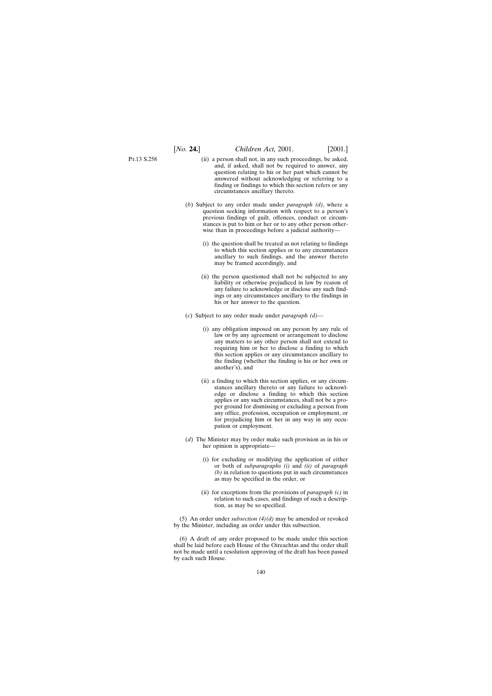P<sub>T</sub>.13 S.258

- (ii) a person shall not, in any such proceedings, be asked, and, if asked, shall not be required to answer, any question relating to his or her past which cannot be answered without acknowledging or referring to a finding or findings to which this section refers or any circumstances ancillary thereto.
- (*b*) Subject to any order made under *paragraph (d)*, where a question seeking information with respect to a person's previous findings of guilt, offences, conduct or circumstances is put to him or her or to any other person otherwise than in proceedings before a judicial authority—
	- (i) the question shall be treated as not relating to findings to which this section applies or to any circumstances ancillary to such findings, and the answer thereto may be framed accordingly, and
	- (ii) the person questioned shall not be subjected to any liability or otherwise prejudiced in law by reason of any failure to acknowledge or disclose any such findings or any circumstances ancillary to the findings in his or her answer to the question.
- (*c*) Subject to any order made under *paragraph (d)*
	- (i) any obligation imposed on any person by any rule of law or by any agreement or arrangement to disclose any matters to any other person shall not extend to requiring him or her to disclose a finding to which this section applies or any circumstances ancillary to the finding (whether the finding is his or her own or another's), and
	- (ii) a finding to which this section applies, or any circumstances ancillary thereto or any failure to acknowledge or disclose a finding to which this section applies or any such circumstances, shall not be a proper ground for dismissing or excluding a person from any office, profession, occupation or employment, or for prejudicing him or her in any way in any occupation or employment.
- (*d*) The Minister may by order make such provision as in his or her opinion is appropriate—
	- (i) for excluding or modifying the application of either or both of *subparagraphs (i)* and *(ii)* of *paragraph (b)* in relation to questions put in such circumstances as may be specified in the order, or
	- (ii) for exceptions from the provisions of *paragraph (c)* in relation to such cases, and findings of such a description, as may be so specified.

(5) An order under *subsection (4)(d)* may be amended or revoked by the Minister, including an order under this subsection.

(6) A draft of any order proposed to be made under this section shall be laid before each House of the Oireachtas and the order shall not be made until a resolution approving of the draft has been passed by each such House.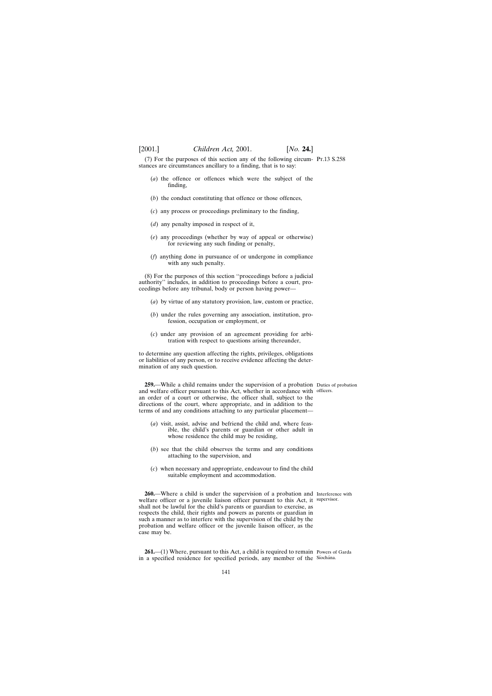(7) For the purposes of this section any of the following circum-Pt.13 S.258 stances are circumstances ancillary to a finding, that is to say:

- (*a*) the offence or offences which were the subject of the finding,
- (*b*) the conduct constituting that offence or those offences,
- (*c*) any process or proceedings preliminary to the finding,
- (*d*) any penalty imposed in respect of it,
- (*e*) any proceedings (whether by way of appeal or otherwise) for reviewing any such finding or penalty,
- (*f*) anything done in pursuance of or undergone in compliance with any such penalty.

(8) For the purposes of this section ''proceedings before a judicial authority'' includes, in addition to proceedings before a court, proceedings before any tribunal, body or person having power—

- (*a*) by virtue of any statutory provision, law, custom or practice,
- (*b*) under the rules governing any association, institution, profession, occupation or employment, or
- (*c*) under any provision of an agreement providing for arbitration with respect to questions arising thereunder,

to determine any question affecting the rights, privileges, obligations or liabilities of any person, or to receive evidence affecting the determination of any such question.

**259.**—While a child remains under the supervision of a probation Duties of probation and welfare officer pursuant to this Act, whether in accordance with officers. an order of a court or otherwise, the officer shall, subject to the directions of the court, where appropriate, and in addition to the terms of and any conditions attaching to any particular placement—

- (*a*) visit, assist, advise and befriend the child and, where feasible, the child's parents or guardian or other adult in whose residence the child may be residing,
- (*b*) see that the child observes the terms and any conditions attaching to the supervision, and
- (*c*) when necessary and appropriate, endeavour to find the child suitable employment and accommodation.

**260.**—Where a child is under the supervision of a probation and Interference with welfare officer or a juvenile liaison officer pursuant to this Act, it supervisor. shall not be lawful for the child's parents or guardian to exercise, as respects the child, their rights and powers as parents or guardian in such a manner as to interfere with the supervision of the child by the probation and welfare officer or the juvenile liaison officer, as the case may be.

**261.**—(1) Where, pursuant to this Act, a child is required to remain Powers of Garda in a specified residence for specified periods, any member of the Síochána.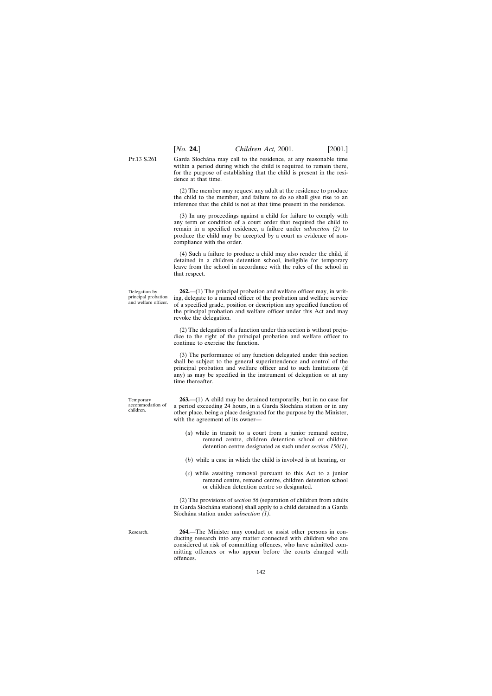P<sub>T</sub>.13 S.261 Garda Síochána may call to the residence, at any reasonable time within a period during which the child is required to remain there, for the purpose of establishing that the child is present in the residence at that time.

> (2) The member may request any adult at the residence to produce the child to the member, and failure to do so shall give rise to an inference that the child is not at that time present in the residence.

> (3) In any proceedings against a child for failure to comply with any term or condition of a court order that required the child to remain in a specified residence, a failure under *subsection (2)* to produce the child may be accepted by a court as evidence of noncompliance with the order.

> (4) Such a failure to produce a child may also render the child, if detained in a children detention school, ineligible for temporary leave from the school in accordance with the rules of the school in that respect.

Delegation by principal probation and welfare officer.

**262.**—(1) The principal probation and welfare officer may, in writing, delegate to a named officer of the probation and welfare service of a specified grade, position or description any specified function of the principal probation and welfare officer under this Act and may revoke the delegation.

(2) The delegation of a function under this section is without prejudice to the right of the principal probation and welfare officer to continue to exercise the function.

(3) The performance of any function delegated under this section shall be subject to the general superintendence and control of the principal probation and welfare officer and to such limitations (if any) as may be specified in the instrument of delegation or at any time thereafter.

**263.**—(1) A child may be detained temporarily, but in no case for a period exceeding 24 hours, in a Garda Síochána station or in any other place, being a place designated for the purpose by the Minister, with the agreement of its owner—

- (*a*) while in transit to a court from a junior remand centre, remand centre, children detention school or children detention centre designated as such under *section 150(1)*,
- (*b*) while a case in which the child is involved is at hearing, or
- (*c*) while awaiting removal pursuant to this Act to a junior remand centre, remand centre, children detention school or children detention centre so designated.

(2) The provisions of *section 56* (separation of children from adults in Garda Síochána stations) shall apply to a child detained in a Garda Síochána station under *subsection* (1).

Research.

Temporary accommodation of children.

> **264.**—The Minister may conduct or assist other persons in conducting research into any matter connected with children who are considered at risk of committing offences, who have admitted committing offences or who appear before the courts charged with offences.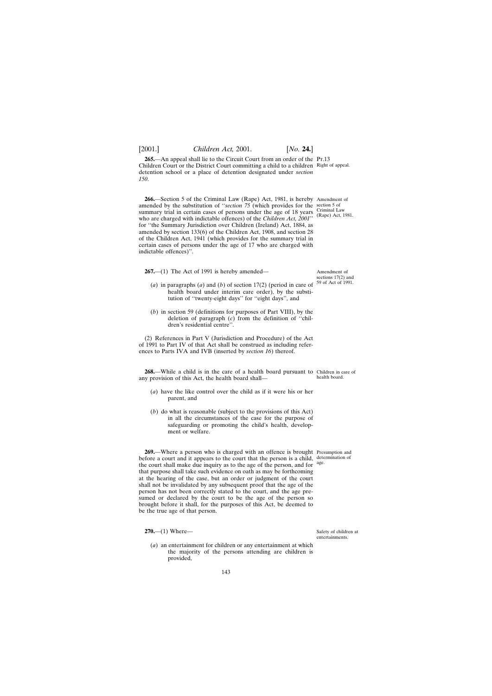**265.—An appeal shall lie to the Circuit Court from an order of the PT.13** Children Court or the District Court committing a child to a children Right of appeal. detention school or a place of detention designated under *section 150*.

**266.**—Section 5 of the Criminal Law (Rape) Act, 1981, is hereby Amendment of amended by the substitution of "*section 75* (which provides for the section 5 of summary trial in certain cases of persons under the age of 18 years who are charged with indictable offences) of the *Children Act, 2001*'' for ''the Summary Jurisdiction over Children (Ireland) Act, 1884, as amended by section 133(6) of the Children Act, 1908, and section 28 of the Children Act, 1941 (which provides for the summary trial in certain cases of persons under the age of 17 who are charged with indictable offences)''.

**267.**—(1) The Act of 1991 is hereby amended—

- (*a*) in paragraphs (*a*) and (*b*) of section 17(2) (period in care of health board under interim care order), by the substitution of ''twenty-eight days'' for ''eight days'', and 59 of Act of 1991.
- (*b*) in section 59 (definitions for purposes of Part VIII), by the deletion of paragraph (*c*) from the definition of ''children's residential centre''.

(2) References in Part V (Jurisdiction and Procedure) of the Act of 1991 to Part IV of that Act shall be construed as including references to Parts IVA and IVB (inserted by *section 16*) thereof.

**268.**—While a child is in the care of a health board pursuant to Children in care of any provision of this Act, the health board shall—

- (*a*) have the like control over the child as if it were his or her parent, and
- (*b*) do what is reasonable (subject to the provisions of this Act) in all the circumstances of the case for the purpose of safeguarding or promoting the child's health, development or welfare.

**269.**—Where a person who is charged with an offence is brought Presumption and before a court and it appears to the court that the person is a child, determination of the court shall make due inquiry as to the age of the person, and for age. that purpose shall take such evidence on oath as may be forthcoming at the hearing of the case, but an order or judgment of the court shall not be invalidated by any subsequent proof that the age of the person has not been correctly stated to the court, and the age presumed or declared by the court to be the age of the person so brought before it shall, for the purposes of this Act, be deemed to be the true age of that person.

**270.**—(1) Where—

(*a*) an entertainment for children or any entertainment at which the majority of the persons attending are children is provided,

Safety of children at entertainments.

health board.

Criminal Law (Rape) Act, 1981.

Amendment of sections 17(2) and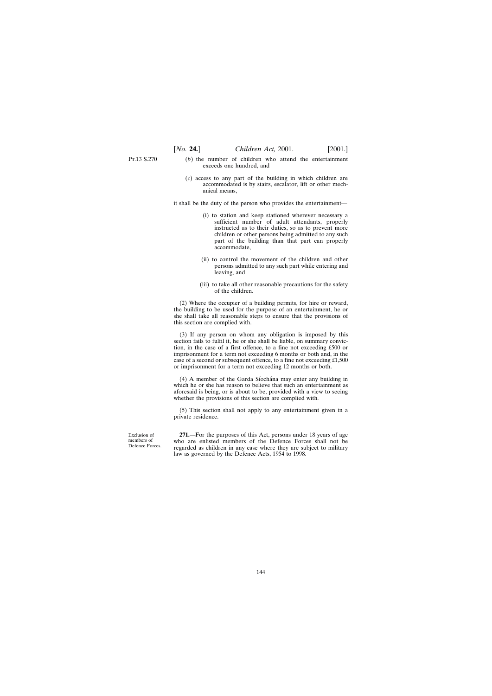Pr.13 S.270

- (*b*) the number of children who attend the entertainment exceeds one hundred, and
- (*c*) access to any part of the building in which children are accommodated is by stairs, escalator, lift or other mechanical means,

it shall be the duty of the person who provides the entertainment—

- (i) to station and keep stationed wherever necessary a sufficient number of adult attendants, properly instructed as to their duties, so as to prevent more children or other persons being admitted to any such part of the building than that part can properly accommodate,
- (ii) to control the movement of the children and other persons admitted to any such part while entering and leaving, and
- (iii) to take all other reasonable precautions for the safety of the children.

(2) Where the occupier of a building permits, for hire or reward, the building to be used for the purpose of an entertainment, he or she shall take all reasonable steps to ensure that the provisions of this section are complied with.

(3) If any person on whom any obligation is imposed by this section fails to fulfil it, he or she shall be liable, on summary conviction, in the case of a first offence, to a fine not exceeding £500 or imprisonment for a term not exceeding 6 months or both and, in the case of a second or subsequent offence, to a fine not exceeding £1,500 or imprisonment for a term not exceeding 12 months or both.

(4) A member of the Garda Síochána may enter any building in which he or she has reason to believe that such an entertainment as aforesaid is being, or is about to be, provided with a view to seeing whether the provisions of this section are complied with.

(5) This section shall not apply to any entertainment given in a private residence.

Exclusion of members of Defence Forces.

**271.**—For the purposes of this Act, persons under 18 years of age who are enlisted members of the Defence Forces shall not be regarded as children in any case where they are subject to military law as governed by the Defence Acts, 1954 to 1998.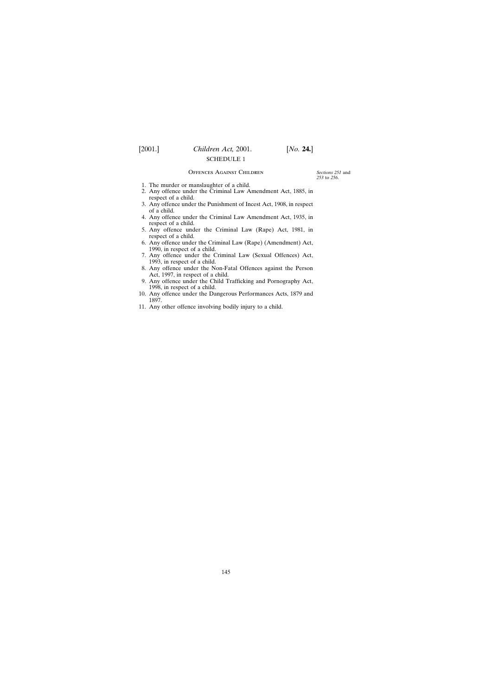### Offences Against Children

*Sections 251* and *253* to *256*.

- 1. The murder or manslaughter of a child.
- 2. Any offence under the Criminal Law Amendment Act, 1885, in respect of a child.
- 3. Any offence under the Punishment of Incest Act, 1908, in respect of a child.
- 4. Any offence under the Criminal Law Amendment Act, 1935, in respect of a child.
- 5. Any offence under the Criminal Law (Rape) Act, 1981, in respect of a child.
- 6. Any offence under the Criminal Law (Rape) (Amendment) Act, 1990, in respect of a child.
- 7. Any offence under the Criminal Law (Sexual Offences) Act, 1993, in respect of a child.
- 8. Any offence under the Non-Fatal Offences against the Person Act, 1997, in respect of a child.
- 9. Any offence under the Child Trafficking and Pornography Act, 1998, in respect of a child.
- 10. Any offence under the Dangerous Performances Acts, 1879 and 1897.
- 11. Any other offence involving bodily injury to a child.